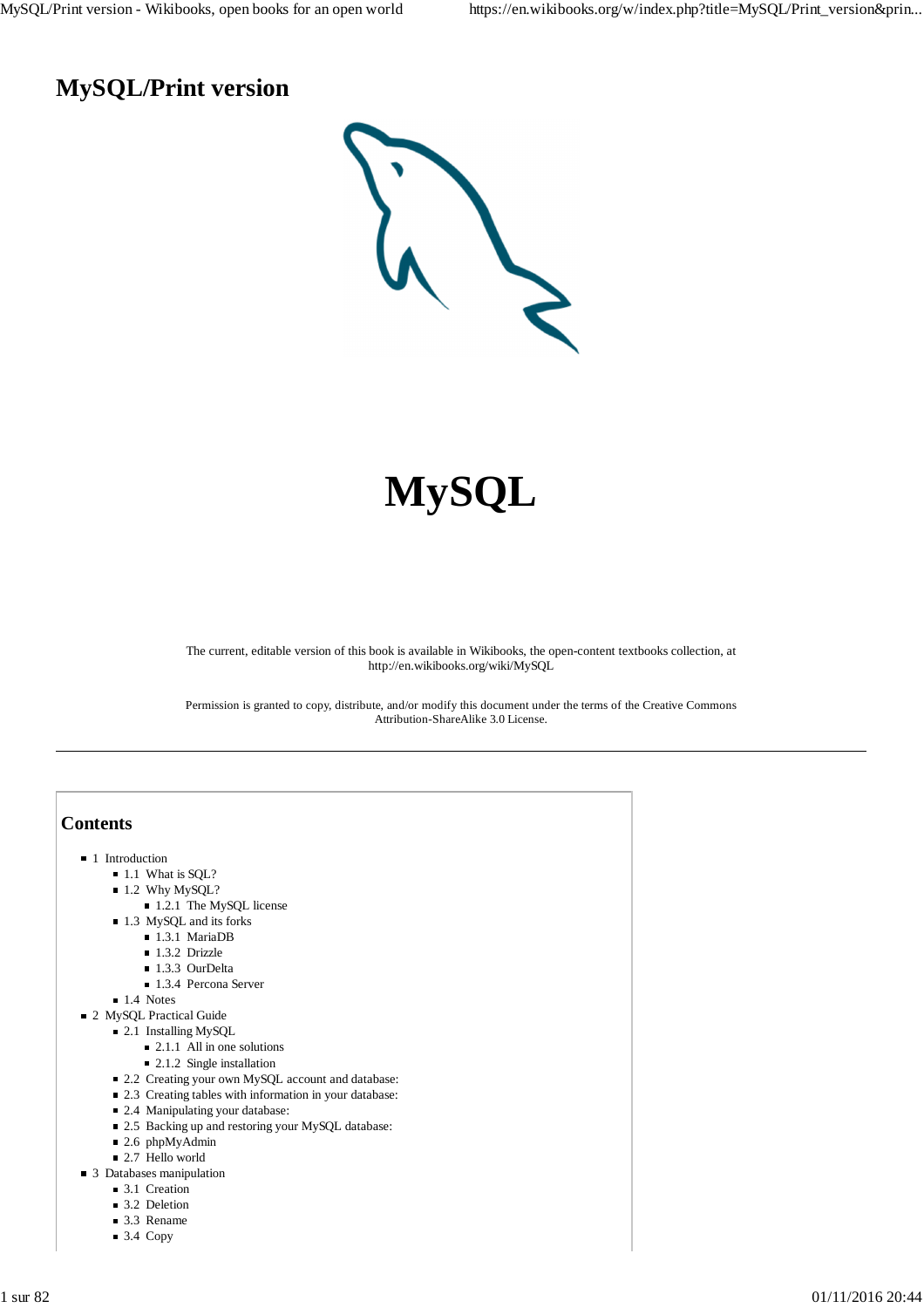## **MySQL/Print version**



# **MySQL**

The current, editable version of this book is available in Wikibooks, the open-content textbooks collection, at http://en.wikibooks.org/wiki/MySQL

Permission is granted to copy, distribute, and/or modify this document under the terms of the Creative Commons Attribution-ShareAlike 3.0 License.

## **Contents**

- **1** Introduction
	- 1.1 What is SQL?
	- $1.2$  Why MySQL?
		- 1.2.1 The MySQL license
	- 1.3 MySQL and its forks
		- 1.3.1 MariaDB
		- 1.3.2 Drizzle
		- 1.3.3 OurDelta
		- 1.3.4 Percona Server
	- $\blacksquare$  1.4 Notes
- 2 MySOL Practical Guide
	- 2.1 Installing MySQL
		- $\blacksquare$  2.1.1 All in one solutions
		- $\blacksquare$  2.1.2 Single installation
	- 2.2 Creating your own MySQL account and database:
	- 2.3 Creating tables with information in your database:
	- 2.4 Manipulating your database:
	- 2.5 Backing up and restoring your MySQL database:
	- 2.6 phpMyAdmin
	- 2.7 Hello world
- 3 Databases manipulation
	- 3.1 Creation
	- 3.2 Deletion
	- 3.3 Rename
	- $\blacksquare$  3.4 Copy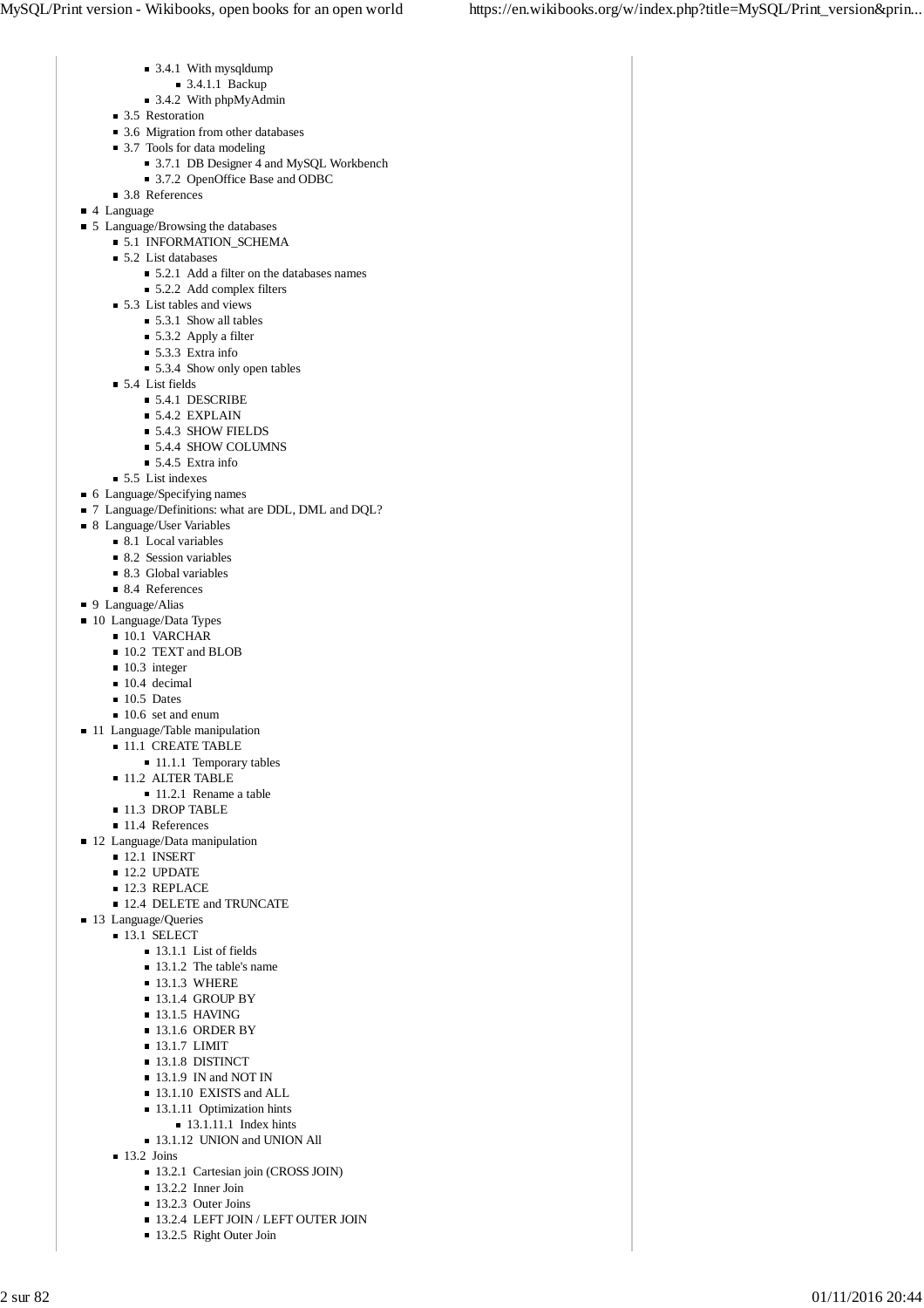- 3.4.1 With mysqldump
- 3.4.1.1 Backup
- 3.4.2 With phpMyAdmin
- 3.5 Restoration
- 3.6 Migration from other databases
- 3.7 Tools for data modeling
	- 3.7.1 DB Designer 4 and MySQL Workbench
	- 3.7.2 OpenOffice Base and ODBC
- 3.8 References
- 4 Language
- 5 Language/Browsing the databases
	- **5.1 INFORMATION\_SCHEMA** 
		- $\blacksquare$  5.2 List databases
			- 5.2.1 Add a filter on the databases names
			- 5.2.2 Add complex filters
		- 5.3 List tables and views
			- 5.3.1 Show all tables
			- 5.3.2 Apply a filter
			- $\blacksquare$  5.3.3 Extra info
			- 5.3.4 Show only open tables
		- 5.4 List fields
			- 5.4.1 DESCRIBE
			- $\blacksquare$  5.4.2 EXPLAIN
			- 5.4.3 SHOW FIELDS
			- 5.4.4 SHOW COLUMNS
			- $\blacksquare$  5.4.5 Extra info
		- 5.5 List indexes
- 6 Language/Specifying names
- 7 Language/Definitions: what are DDL, DML and DQL?
- 8 Language/User Variables
	- $\blacksquare$  8.1 Local variables
	- 8.2 Session variables
	- 8.3 Global variables
	- 8.4 References
- 9 Language/Alias
- 10 Language/Data Types
	- 10.1 VARCHAR
	- 10.2 TEXT and BLOB
	- $10.3$  integer
	- 10.4 decimal
	- $10.5$  Dates
	- 10.6 set and enum
- 11 Language/Table manipulation **11.1 CREATE TABLE** 
	-
	- 11.1.1 Temporary tables **11.2 ALTER TABLE** 
		-
		- 11.2.1 Rename a table
	- 11.3 DROP TABLE
	- 11.4 References
- 12 Language/Data manipulation
	- $12.1$  INSERT
	- $12.2$  UPDATE
	- 12.3 REPLACE
	- **12.4 DELETE and TRUNCATE**
- 13 Language/Queries
	- **13.1 SELECT** 
		- $\blacksquare$  13.1.1 List of fields
			- 13.1.2 The table's name
		- $13.1.3$  WHERE
		- $13.1.4$  GROUP BY
		- $\blacksquare$  13.1.5 HAVING
		- $13.1.6$  ORDER BY
		- **13.1.7 LIMIT**
		- **13.1.8 DISTINCT**
		- $\blacksquare$  13.1.9 IN and NOT IN
		- 13.1.10 EXISTS and ALL
		- 13.1.11 Optimization hints
		- $\blacksquare$  13.1.11.1 Index hints
		- 13.1.12 UNION and UNION All
		- $13.2$  Joins
			- 13.2.1 Cartesian join (CROSS JOIN)
			- 13.2.2 Inner Join
			- $\blacksquare$  13.2.3 Outer Joins
			- $\blacksquare$  13.2.4 LEFT JOIN / LEFT OUTER JOIN
			- 13.2.5 Right Outer Join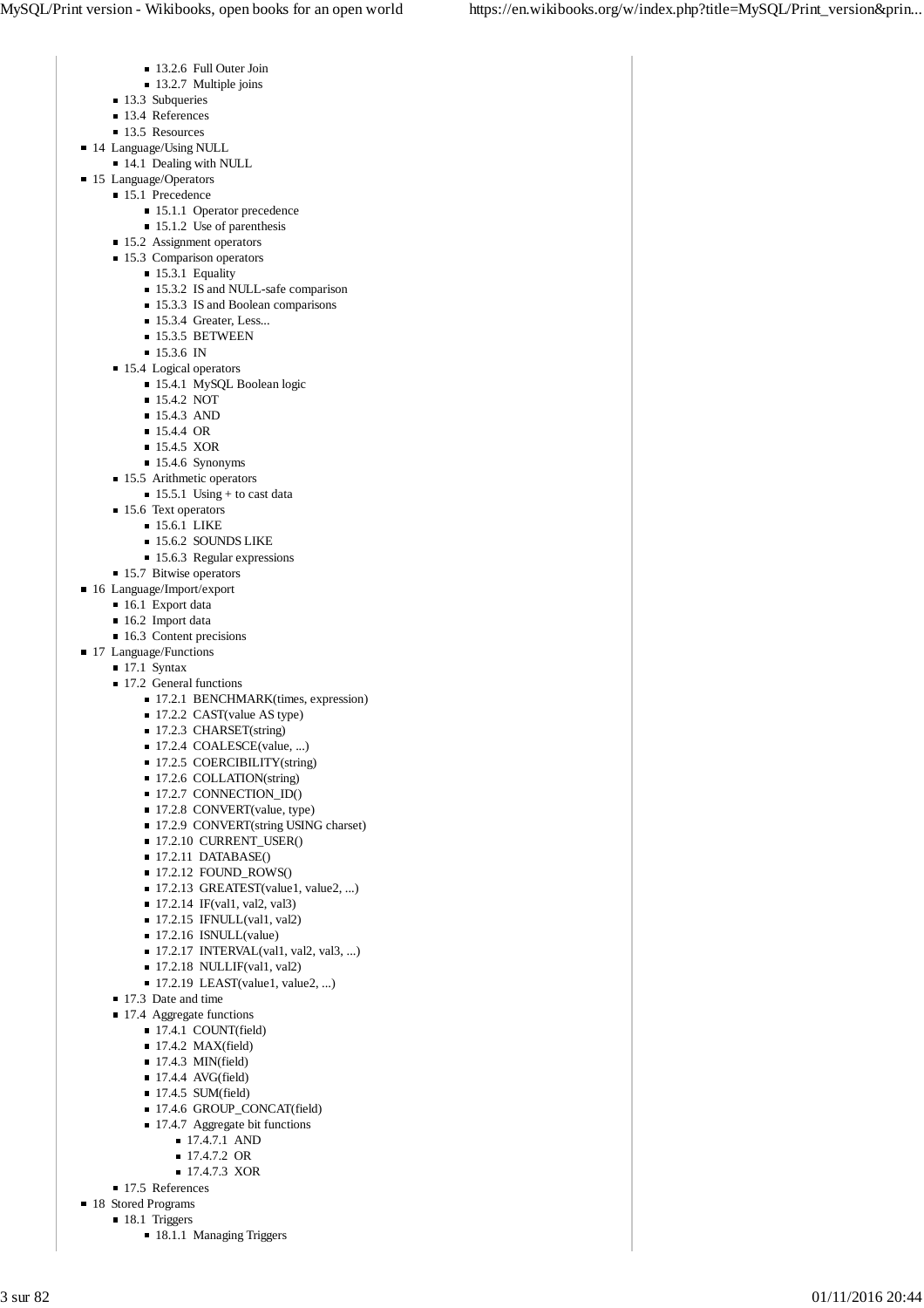- 13.2.6 Full Outer Join
- 13.2.7 Multiple joins
- 13.3 Subqueries
- 13.4 References
- 13.5 Resources
- 14 Language/Using NULL
- 14.1 Dealing with NULL
- 15 Language/Operators
	- 15.1 Precedence
		- 15.1.1 Operator precedence
		- 15.1.2 Use of parenthesis
	- 15.2 Assignment operators
	- 15.3 Comparison operators
		- 15.3.1 Equality
		- 15.3.2 IS and NULL-safe comparison
		- 15.3.3 IS and Boolean comparisons
		- 15.3.4 Greater, Less...
		- $\blacksquare$  15.3.5 BETWEEN
		- $15.3.6$  IN
	- 15.4 Logical operators
		- 15.4.1 MySQL Boolean logic
		- **15.4.2 NOT**
		- $15.4.3$  AND
		- 15.4.4 OR
		- **15.4.5 XOR**
		- 15.4.6 Synonyms
	- **15.5** Arithmetic operators
		- $\blacksquare$  15.5.1 Using + to cast data
	- 15.6 Text operators
		- **15.6.1 LIKE**
		- 15.6.2 SOUNDS LIKE
		- 15.6.3 Regular expressions
- **15.7 Bitwise operators**
- 16 Language/Import/export
	- 16.1 Export data
	- $\blacksquare$  16.2 Import data
	- $\blacksquare$  16.3 Content precisions
- 17 Language/Functions
	- $\blacksquare$  17.1 Syntax
		- 17.2 General functions
			- 17.2.1 BENCHMARK(times, expression)
			- 17.2.2 CAST(value AS type)
			- 17.2.3 CHARSET(string)
			- 17.2.4 COALESCE(value, ...)
			- 17.2.5 COERCIBILITY(string)
			- 17.2.6 COLLATION(string)
			- $\blacksquare$  17.2.7 CONNECTION\_ID()
			- 17.2.8 CONVERT(value, type)
			- 17.2.9 CONVERT(string USING charset)
			- 17.2.10 CURRENT\_USER()
			- $\blacksquare$  17.2.11 DATABASE()
			- $\blacksquare$  17.2.12 FOUND ROWS()
			- 17.2.13 GREATEST(value1, value2, ...)
			- 17.2.14 IF(val1, val2, val3)
			- $\blacksquare$  17.2.15 IFNULL(val1, val2)
			- 17.2.16 ISNULL(value)
			- 17.2.17 INTERVAL(val1, val2, val3, ...)
			- $\blacksquare$  17.2.18 NULLIF(val1, val2)
			- $\blacksquare$  17.2.19 LEAST(value1, value2, ...)
		- 17.3 Date and time
		- 17.4 Aggregate functions
			- $\blacksquare$  17.4.1 COUNT(field)
			- $\blacksquare$  17.4.2 MAX(field)
			- $\blacksquare$  17.4.3 MIN(field)
			- $\blacksquare$  17.4.4 AVG(field)
			- $\blacksquare$  17.4.5 SUM(field)
			- 17.4.6 GROUP\_CONCAT(field)
			- $\blacksquare$  17.4.7 Aggregate bit functions
				- **17.4.7.1 AND** 
					- 17.4.7.2 OR
					- 17.4.7.3 XOR
	- 17.5 References
- 18 Stored Programs
	- 18.1 Triggers
		- 18.1.1 Managing Triggers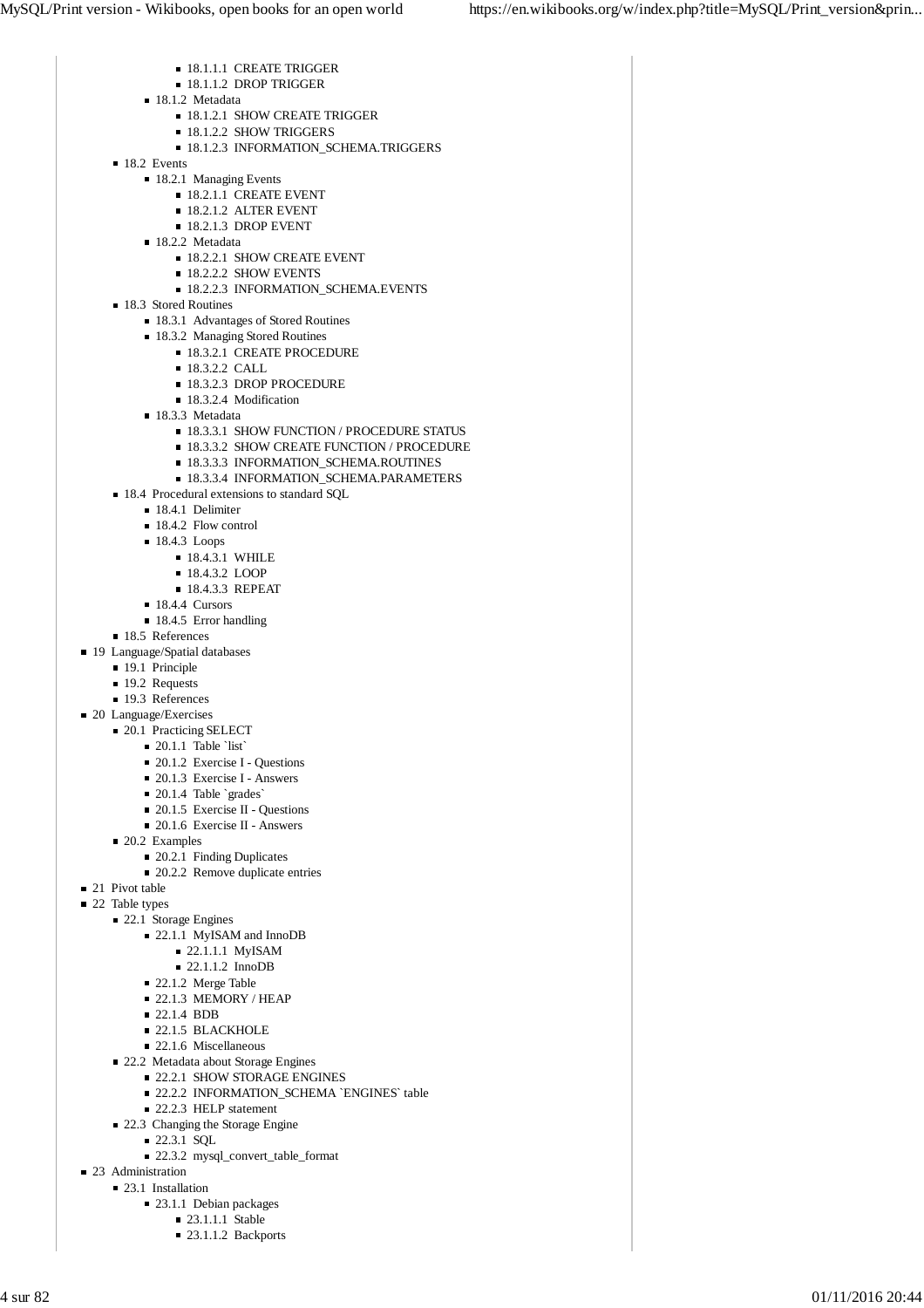- **18.1.1.1 CREATE TRIGGER**  $18.1.1.2$  DROP TRIGGER ■ 18.1.2 Metadata **18.1.2.1 SHOW CREATE TRIGGER 18.1.2.2 SHOW TRIGGERS 18.1.2.3 INFORMATION SCHEMA.TRIGGERS**  $18.2$  Events ■ 18.2.1 Managing Events **18.2.1.1 CREATE EVENT 18.2.1.2 ALTER EVENT 18.2.1.3 DROP EVENT** ■ 18.2.2 Metadata **18.2.2.1 SHOW CREATE EVENT 18.2.2.2 SHOW EVENTS 18.2.2.3 INFORMATION\_SCHEMA.EVENTS** ■ 18.3 Stored Routines ■ 18.3.1 Advantages of Stored Routines ■ 18.3.2 Managing Stored Routines **18.3.2.1 CREATE PROCEDURE 18.3.2.2 CALL 18.3.2.3 DROP PROCEDURE** ■ 18.3.2.4 Modification  $18.3.3$  Metadata **18.3.3.1 SHOW FUNCTION / PROCEDURE STATUS 18.3.3.2 SHOW CREATE FUNCTION / PROCEDURE 18.3.3.3 INFORMATION\_SCHEMA.ROUTINES 18.3.3.4 INFORMATION\_SCHEMA.PARAMETERS** ■ 18.4 Procedural extensions to standard SQL ■ 18.4.1 Delimiter ■ 18.4.2 Flow control ■ 18.4.3 Loops **18.4.3.1 WHILE** ■ 18.4.3.2 LOOP  $18.4.3.3$  REPEAT ■ 18.4.4 Cursors  $18.4.5$  Error handling ■ 18.5 References ■ 19 Language/Spatial databases ■ 19.1 Principle ■ 19.2 Requests ■ 19.3 References ■ 20 Language/Exercises ■ 20.1 Practicing SELECT  $\blacksquare$  20.1.1 Table `list` ■ 20.1.2 Exercise I - Questions ■ 20.1.3 Exercise I - Answers  $\blacksquare$  20.1.4 Table `grades` **20.1.5 Exercise II - Questions** ■ 20.1.6 Exercise II - Answers ■ 20.2 Examples ■ 20.2.1 Finding Duplicates 20.2.2 Remove duplicate entries ■ 21 Pivot table ■ 22 Table types ■ 22.1 Storage Engines 22.1.1 MyISAM and InnoDB ■ 22.1.1.1 MyISAM ■ 22.1.1.2 InnoDB ■ 22.1.2 Merge Table  $= 22.1.3$  MEMORY / HEAP ■ 22.1.4 BDB ■ 22.1.5 BLACKHOLE
	- 22.1.6 Miscellaneous
	-
	- 22.2 Metadata about Storage Engines **22.2.1 SHOW STORAGE ENGINES** 
		- 22.2.2 INFORMATION\_SCHEMA `ENGINES` table
		- 22.2.3 HELP statement
	- 22.3 Changing the Storage Engine
		- 22.3.1 SQL
			- 22.3.2 mysql\_convert\_table\_format
	- 23 Administration
		- 23.1 Installation
			- 23.1.1 Debian packages
				- 23.1.1.1 Stable
				- $\blacksquare$  23.1.1.2 Backports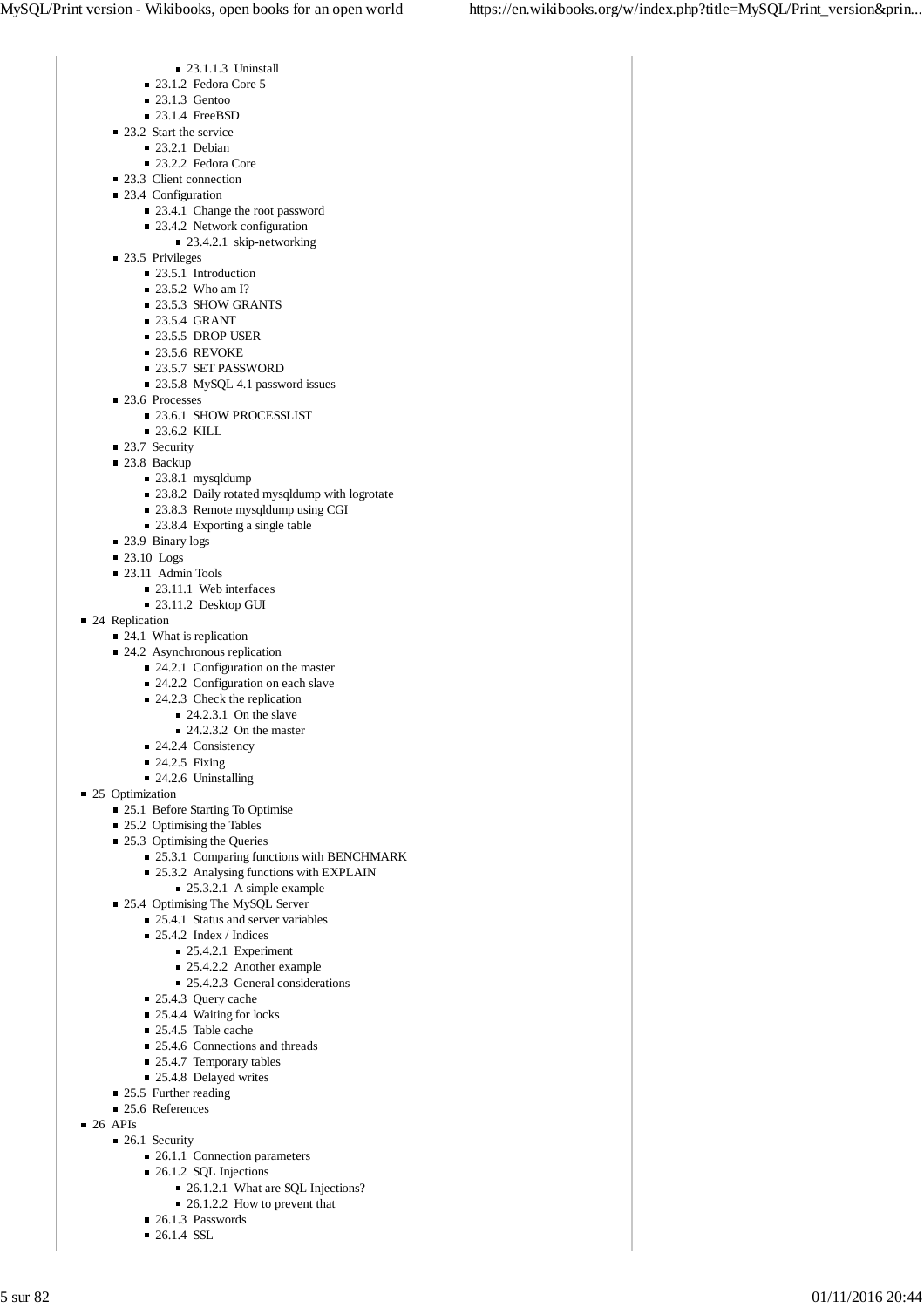- 23.1.1.3 Uninstall
- $\blacksquare$  23.1.2 Fedora Core 5
- $\blacksquare$  23.1.3 Gentoo
- 23.1.4 FreeBSD
- $\blacksquare$  23.2 Start the service
	- $\blacksquare$  23.2.1 Debian
	- 23.2.2 Fedora Core
- 23.3 Client connection
- 23.4 Configuration
	- 23.4.1 Change the root password
	- 23.4.2 Network configuration
	- 23.4.2.1 skip-networking
- 23.5 Privileges
	- 23.5.1 Introduction
	- 23.5.2 Who am I?
	- 23.5.3 SHOW GRANTS
	- $\blacksquare$  23.5.4 GRANT
	- $\blacksquare$  23.5.5 DROP USER
	- $\blacksquare$  23.5.6 REVOKE
	- **23.5.7 SET PASSWORD** ■ 23.5.8 MySQL 4.1 password issues
- 23.6 Processes
	- 23.6.1 SHOW PROCESSLIST
	- 23.6.2 KILL
- 23.7 Security
- 23.8 Backup
	- 23.8.1 mysqldump
		- 23.8.2 Daily rotated mysqldump with logrotate
		- 23.8.3 Remote mysqldump using CGI
	- 23.8.4 Exporting a single table
- 23.9 Binary logs
- $\blacksquare$  23.10 Logs
- 23.11 Admin Tools
	- $\blacksquare$  23.11.1 Web interfaces
	- 23.11.2 Desktop GUI
- 24 Replication
	- $\blacksquare$  24.1 What is replication
	- 24.2 Asynchronous replication
		- 24.2.1 Configuration on the master
		- 24.2.2 Configuration on each slave
		- 24.2.3 Check the replication
			- $\blacksquare$  24.2.3.1 On the slave
			- $\blacksquare$  24.2.3.2 On the master
		- 24.2.4 Consistency
		- $\blacksquare$  24.2.5 Fixing
		- 24.2.6 Uninstalling
- 25 Optimization
	- 25.1 Before Starting To Optimise
	- 25.2 Optimising the Tables
	- 25.3 Optimising the Queries
		- 25.3.1 Comparing functions with BENCHMARK
		- 25.3.2 Analysing functions with EXPLAIN
			- 25.3.2.1 A simple example
	- 25.4 Optimising The MySQL Server
		- 25.4.1 Status and server variables
		- 25.4.2 Index / Indices
			- $\blacksquare$  25.4.2.1 Experiment
			- 25.4.2.2 Another example
			- 25.4.2.3 General considerations
		- 25.4.3 Query cache
		- 25.4.4 Waiting for locks
		- $\blacksquare$  25.4.5 Table cache
		- 25.4.6 Connections and threads
		- 25.4.7 Temporary tables
		- 25.4.8 Delayed writes
	- 25.5 Further reading
	- 25.6 References
- $\blacksquare$  26 APIs
	- 26.1 Security
		- 26.1.1 Connection parameters
		- 26.1.2 SQL Injections
			- 26.1.2.1 What are SQL Injections?
			- 26.1.2.2 How to prevent that
		- 26.1.3 Passwords  $\blacksquare$  26.1.4 SSL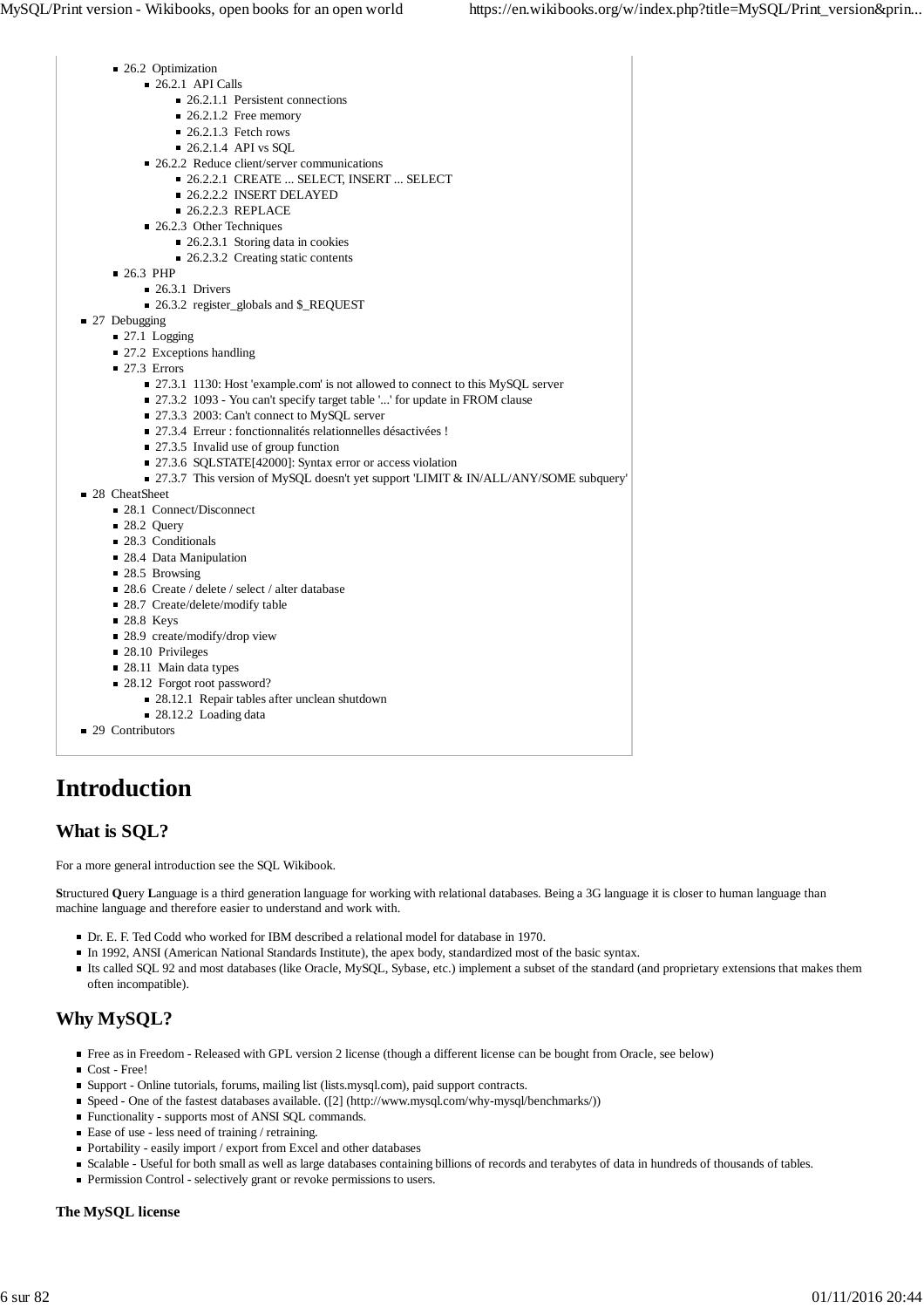| ■ 26.2 Optimization                                                                   |
|---------------------------------------------------------------------------------------|
| $\blacksquare$ 26.2.1 API Calls                                                       |
| 26.2.1.1 Persistent connections                                                       |
| $\blacksquare$ 26.2.1.2 Free memory                                                   |
| $\blacksquare$ 26.2.1.3 Fetch rows                                                    |
| $\blacksquare$ 26.2.1.4 API vs SQL                                                    |
| ■ 26.2.2 Reduce client/server communications                                          |
| ■ 26.2.2.1 CREATE  SELECT, INSERT  SELECT                                             |
| ■ 26.2.2.2 INSERT DELAYED                                                             |
| $\blacksquare$ 26.2.2.3 REPLACE                                                       |
| $\blacksquare$ 26.2.3 Other Techniques                                                |
| 26.2.3.1 Storing data in cookies                                                      |
| ■ 26.2.3.2 Creating static contents                                                   |
| $\blacksquare$ 26.3 PHP                                                               |
| $\blacksquare$ 26.3.1 Drivers                                                         |
| ■ 26.3.2 register_globals and \$_REQUEST                                              |
| 27 Debugging                                                                          |
| $\blacksquare$ 27.1 Logging                                                           |
| 27.2 Exceptions handling                                                              |
| $\blacksquare$ 27.3 Errors                                                            |
| ■ 27.3.1 1130: Host 'example.com' is not allowed to connect to this MySQL server      |
| ■ 27.3.2 1093 - You can't specify target table '' for update in FROM clause           |
| 27.3.3 2003: Can't connect to MySQL server                                            |
| $\blacksquare$ 27.3.4 Erreur : fonctionnalités relationnelles désactivées !           |
| 27.3.5 Invalid use of group function                                                  |
| ■ 27.3.6 SQLSTATE[42000]: Syntax error or access violation                            |
| ■ 27.3.7 This version of MySQL doesn't yet support 'LIMIT & IN/ALL/ANY/SOME subquery' |
| 28 CheatSheet                                                                         |
| ■ 28.1 Connect/Disconnect                                                             |
| $\blacksquare$ 28.2 Ouery                                                             |
| 28.3 Conditionals                                                                     |
| ■ 28.4 Data Manipulation                                                              |
| $\blacksquare$ 28.5 Browsing                                                          |
| ■ 28.6 Create / delete / select / alter database                                      |
| ■ 28.7 Create/delete/modify table                                                     |
| ■ 28.8 Keys                                                                           |
| $\blacksquare$ 28.9 create/modify/drop view                                           |
| 28.10 Privileges                                                                      |
| 28.11 Main data types                                                                 |
| 28.12 Forgot root password?                                                           |
| 28.12.1 Repair tables after unclean shutdown                                          |
| $\blacksquare$ 28.12.2 Loading data                                                   |

■ 29 Contributors

## **Introduction**

## **What is SQL?**

For a more general introduction see the SQL Wikibook.

**S**tructured **Q**uery **L**anguage is a third generation language for working with relational databases. Being a 3G language it is closer to human language than machine language and therefore easier to understand and work with.

- Dr. E. F. Ted Codd who worked for IBM described a relational model for database in 1970.
- In 1992, ANSI (American National Standards Institute), the apex body, standardized most of the basic syntax.
- Its called SQL 92 and most databases (like Oracle, MySQL, Sybase, etc.) implement a subset of the standard (and proprietary extensions that makes them often incompatible).

## **Why MySQL?**

- Free as in Freedom Released with GPL version 2 license (though a different license can be bought from Oracle, see below)
- Cost Free!
- Support Online tutorials, forums, mailing list (lists.mysql.com), paid support contracts.
- Speed One of the fastest databases available. ([2] (http://www.mysql.com/why-mysql/benchmarks/))
- Functionality supports most of ANSI SQL commands.
- Ease of use less need of training / retraining.
- Portability easily import / export from Excel and other databases
- Scalable Useful for both small as well as large databases containing billions of records and terabytes of data in hundreds of thousands of tables.
- Permission Control selectively grant or revoke permissions to users.

### **The MySQL license**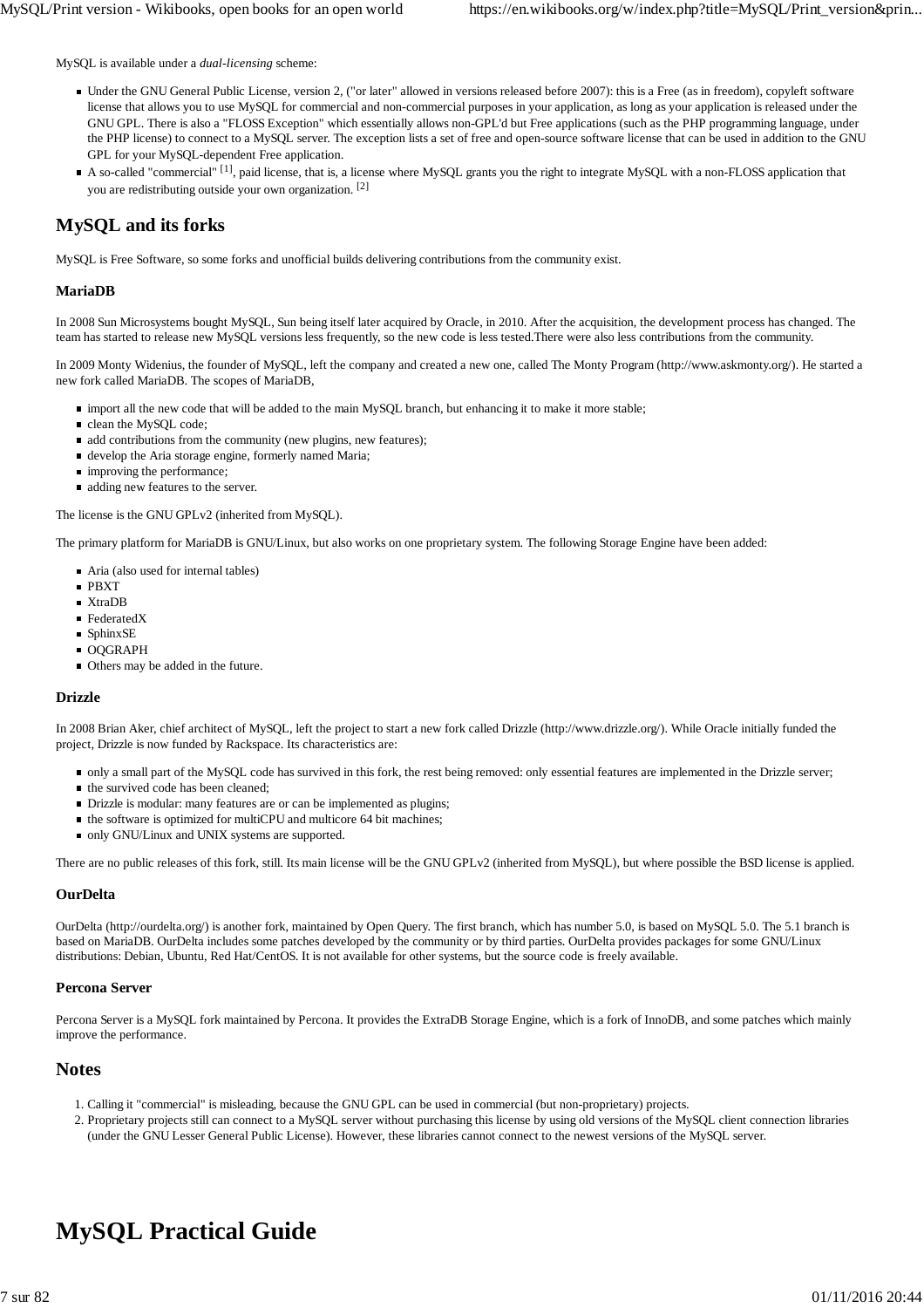MySQL is available under a *dual-licensing* scheme:

- Under the GNU General Public License, version 2, ("or later" allowed in versions released before 2007): this is a Free (as in freedom), copyleft software license that allows you to use MySQL for commercial and non-commercial purposes in your application, as long as your application is released under the GNU GPL. There is also a "FLOSS Exception" which essentially allows non-GPL'd but Free applications (such as the PHP programming language, under the PHP license) to connect to a MySQL server. The exception lists a set of free and open-source software license that can be used in addition to the GNU GPL for your MySQL-dependent Free application.
- A so-called "commercial" <sup>[1]</sup>, paid license, that is, a license where MySQL grants you the right to integrate MySQL with a non-FLOSS application that you are redistributing outside your own organization. [2]

## **MySQL and its forks**

MySQL is Free Software, so some forks and unofficial builds delivering contributions from the community exist.

## **MariaDB**

In 2008 Sun Microsystems bought MySQL, Sun being itself later acquired by Oracle, in 2010. After the acquisition, the development process has changed. The team has started to release new MySQL versions less frequently, so the new code is less tested.There were also less contributions from the community.

In 2009 Monty Widenius, the founder of MySQL, left the company and created a new one, called The Monty Program (http://www.askmonty.org/). He started a new fork called MariaDB. The scopes of MariaDB,

- import all the new code that will be added to the main MySQL branch, but enhancing it to make it more stable;
- clean the MySQL code:
- $\blacksquare$  add contributions from the community (new plugins, new features);
- develop the Aria storage engine, formerly named Maria;
- **improving the performance:**
- adding new features to the server.

The license is the GNU GPLv2 (inherited from MySQL).

The primary platform for MariaDB is GNU/Linux, but also works on one proprietary system. The following Storage Engine have been added:

- Aria (also used for internal tables)
- PBXT
- XtraDB
- FederatedX
- SphinxSE
- OOGRAPH
- Others may be added in the future.

### **Drizzle**

In 2008 Brian Aker, chief architect of MySQL, left the project to start a new fork called Drizzle (http://www.drizzle.org/). While Oracle initially funded the project, Drizzle is now funded by Rackspace. Its characteristics are:

- only a small part of the MySQL code has survived in this fork, the rest being removed: only essential features are implemented in the Drizzle server;
- $\blacksquare$  the survived code has been cleaned;
- Drizzle is modular: many features are or can be implemented as plugins;
- $\blacksquare$  the software is optimized for multiCPU and multicore 64 bit machines;
- only GNU/Linux and UNIX systems are supported.

There are no public releases of this fork, still. Its main license will be the GNU GPLv2 (inherited from MySQL), but where possible the BSD license is applied.

### **OurDelta**

OurDelta (http://ourdelta.org/) is another fork, maintained by Open Query. The first branch, which has number 5.0, is based on MySQL 5.0. The 5.1 branch is based on MariaDB. OurDelta includes some patches developed by the community or by third parties. OurDelta provides packages for some GNU/Linux distributions: Debian, Ubuntu, Red Hat/CentOS. It is not available for other systems, but the source code is freely available.

### **Percona Server**

Percona Server is a MySQL fork maintained by Percona. It provides the ExtraDB Storage Engine, which is a fork of InnoDB, and some patches which mainly improve the performance.

## **Notes**

- 1. Calling it "commercial" is misleading, because the GNU GPL can be used in commercial (but non-proprietary) projects.
- 2. Proprietary projects still can connect to a MySQL server without purchasing this license by using old versions of the MySQL client connection libraries (under the GNU Lesser General Public License). However, these libraries cannot connect to the newest versions of the MySQL server.

## **MySQL Practical Guide**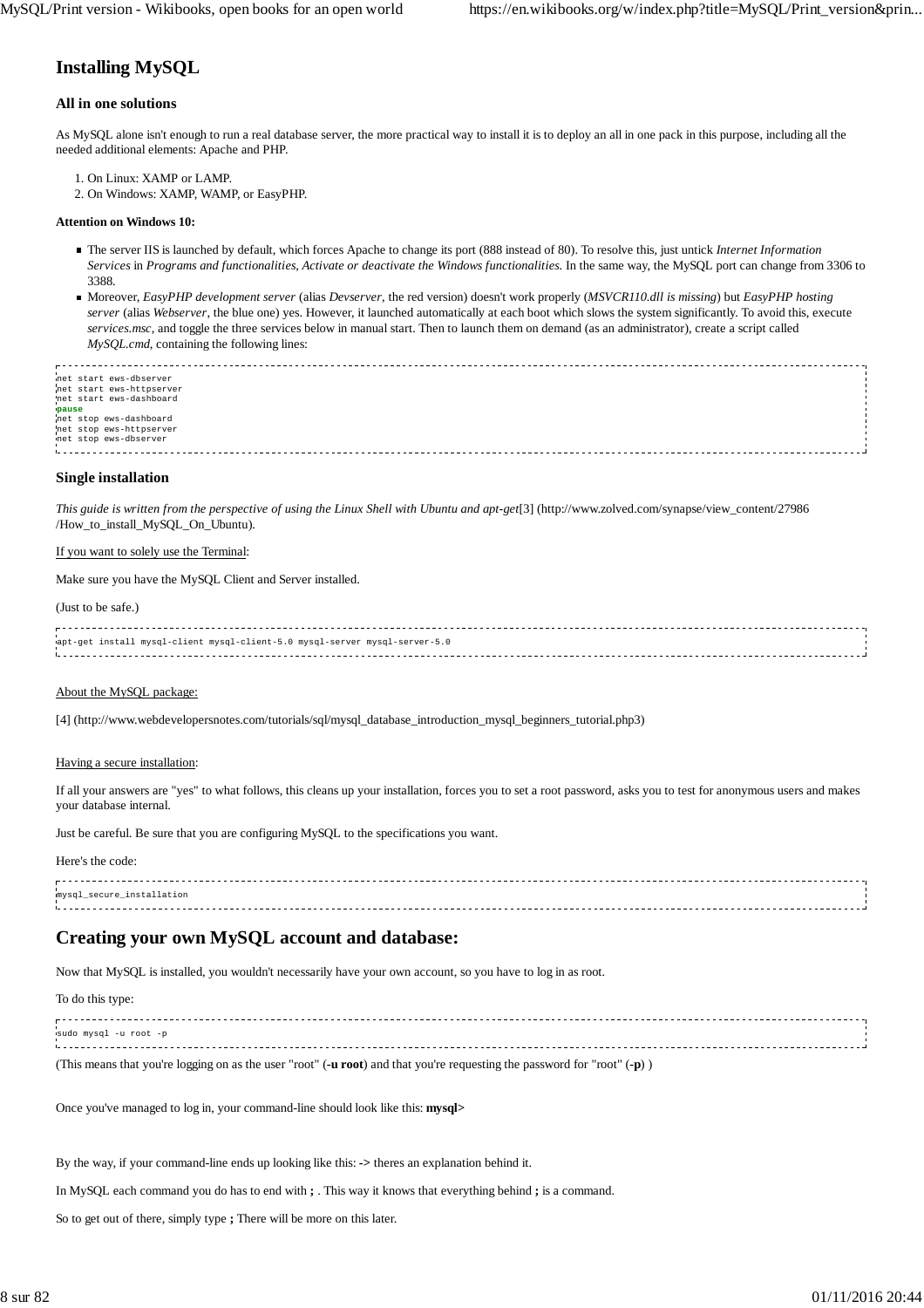## **Installing MySQL**

#### **All in one solutions**

As MySQL alone isn't enough to run a real database server, the more practical way to install it is to deploy an all in one pack in this purpose, including all the needed additional elements: Apache and PHP.

- 1. On Linux: XAMP or LAMP.
- 2. On Windows: XAMP, WAMP, or EasyPHP.

#### **Attention on Windows 10:**

- The server IIS is launched by default, which forces Apache to change its port (888 instead of 80). To resolve this, just untick *Internet Information Services* in *Programs and functionalities*, *Activate or deactivate the Windows functionalities.* In the same way, the MySQL port can change from 3306 to 3388.
- Moreover, *EasyPHP development server* (alias *Devserver*, the red version) doesn't work properly (*MSVCR110.dll is missing*) but *EasyPHP hosting server* (alias *Webserver*, the blue one) yes. However, it launched automatically at each boot which slows the system significantly. To avoid this, execute *services.msc*, and toggle the three services below in manual start. Then to launch them on demand (as an administrator), create a script called *MySQL.cmd*, containing the following lines:

| met start ews-dbserver   |  |
|--------------------------|--|
| net start ews-httpserver |  |
|                          |  |
| net start ews-dashboard  |  |
|                          |  |
| pause                    |  |
| net stop ews-dashboard   |  |
|                          |  |
| net stop ews-httpserver  |  |
|                          |  |
| net stop ews-dbserver    |  |
|                          |  |
|                          |  |

#### **Single installation**

*This guide is written from the perspective of using the Linux Shell with Ubuntu and apt-get*[3] (http://www.zolved.com/synapse/view\_content/27986 /How\_to\_install\_MySQL\_On\_Ubuntu).

#### If you want to solely use the Terminal:

Make sure you have the MySQL Client and Server installed.

#### (Just to be safe.)

| apt-get install mysql-client mysql-client-5.0 mysql-server mysql-server-5.0 |  |
|-----------------------------------------------------------------------------|--|
|                                                                             |  |
|                                                                             |  |

#### About the MySQL package:

[4] (http://www.webdevelopersnotes.com/tutorials/sql/mysql\_database\_introduction\_mysql\_beginners\_tutorial.php3)

#### Having a secure installation:

If all your answers are "yes" to what follows, this cleans up your installation, forces you to set a root password, asks you to test for anonymous users and makes your database internal.

Just be careful. Be sure that you are configuring MySQL to the specifications you want.

Here's the code:

| mysql_secure_installation |  |
|---------------------------|--|
|                           |  |
|                           |  |
|                           |  |

## **Creating your own MySQL account and database:**

Now that MySQL is installed, you wouldn't necessarily have your own account, so you have to log in as root.

To do this type:

. . . . . . . . . . . . . . . . . . . sudo mysql -u root -p 

(This means that you're logging on as the user "root" (**-u root**) and that you're requesting the password for "root" (**-p**) )

Once you've managed to log in, your command-line should look like this: **mysql>**

By the way, if your command-line ends up looking like this: **->** theres an explanation behind it.

In MySQL each command you do has to end with **;** . This way it knows that everything behind **;** is a command.

So to get out of there, simply type **;** There will be more on this later.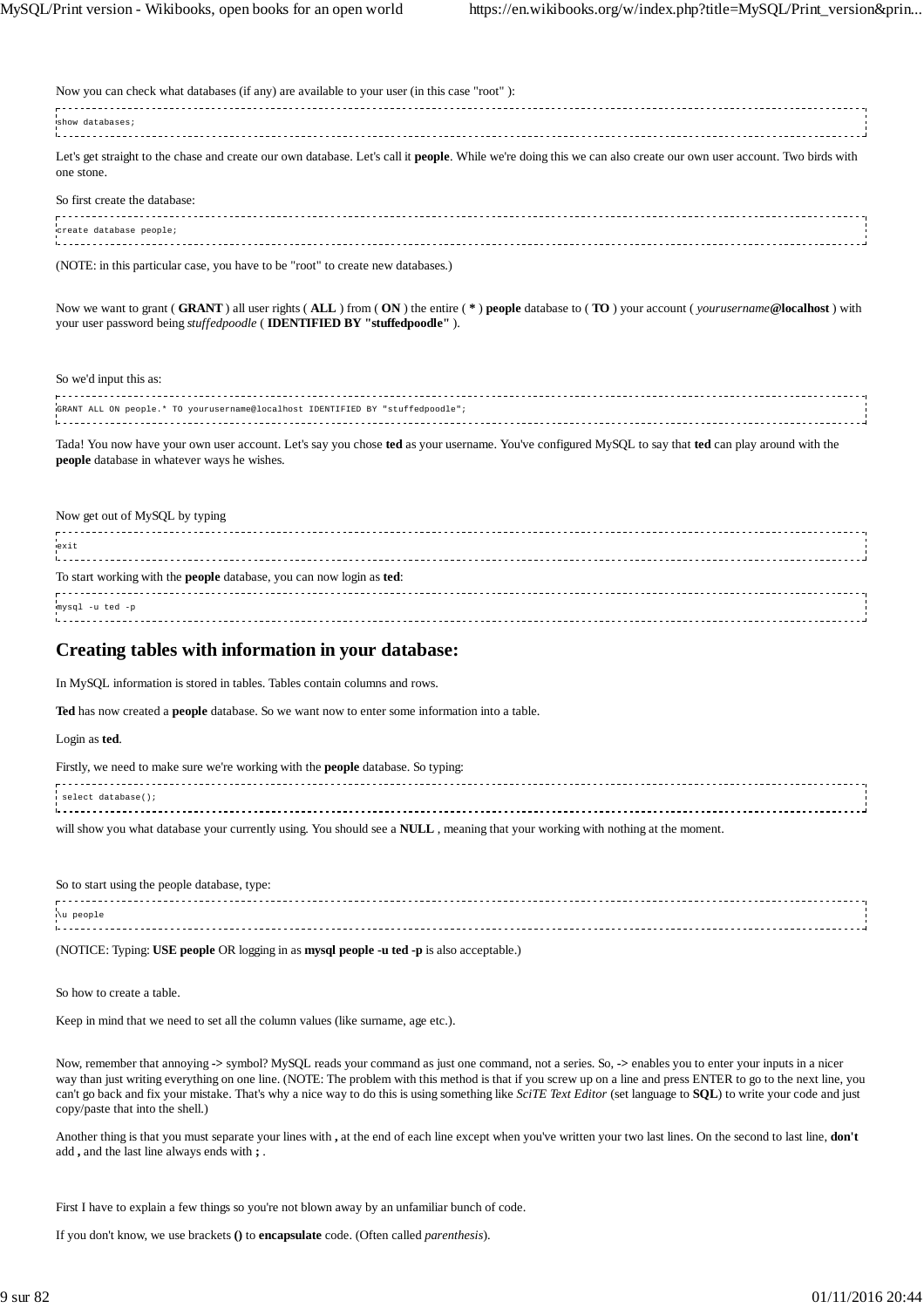| Now you can check what databases (if any) are available to your user (in this case "root"):                                                                                             |  |
|-----------------------------------------------------------------------------------------------------------------------------------------------------------------------------------------|--|
| show databases;                                                                                                                                                                         |  |
| Let's get straight to the chase and create our own database. Let's call it <b>people</b> . While we're doing this we can also create our own user account. Two birds with<br>one stone. |  |
| So first create the database:                                                                                                                                                           |  |
| create database people;                                                                                                                                                                 |  |
| (NOTE: in this particular case, you have to be "root" to create new databases.)                                                                                                         |  |
|                                                                                                                                                                                         |  |

Now we want to grant ( **GRANT** ) all user rights ( **ALL** ) from ( **ON** ) the entire ( **\*** ) **people** database to ( **TO** ) your account ( *yourusername***@localhost** ) with your user password being *stuffedpoodle* ( **IDENTIFIED BY "stuffedpoodle"** ).

#### So we'd input this as:

| GRANT ALL ON people.* TO yourusername@localhost IDENTIFIED BY "stuffedpoodle"; |  |
|--------------------------------------------------------------------------------|--|
|                                                                                |  |

Tada! You now have your own user account. Let's say you chose **ted** as your username. You've configured MySQL to say that **ted** can play around with the **people** database in whatever ways he wishes.

#### Now get out of MySQL by typing

| exit                                                                 |  |
|----------------------------------------------------------------------|--|
| To start working with the people database, you can now login as ted: |  |
| mysql -u ted -p                                                      |  |

### **Creating tables with information in your database:**

In MySQL information is stored in tables. Tables contain columns and rows.

**Ted** has now created a **people** database. So we want now to enter some information into a table.

#### Login as **ted**.

| Firstly, we need to make sure we're working with the <b>people</b> database. So typing:                                                |  |
|----------------------------------------------------------------------------------------------------------------------------------------|--|
| i select database();                                                                                                                   |  |
| will show you what database your currently using. You should see a <b>NULL</b> , meaning that your working with nothing at the moment. |  |

So to start using the people database, type:

| '∖u people |  |
|------------|--|
|            |  |
|            |  |
|            |  |
|            |  |

(NOTICE: Typing: **USE people** OR logging in as **mysql people -u ted -p** is also acceptable.)

So how to create a table.

Keep in mind that we need to set all the column values (like surname, age etc.).

Now, remember that annoying **->** symbol? MySQL reads your command as just one command, not a series. So, **->** enables you to enter your inputs in a nicer way than just writing everything on one line. (NOTE: The problem with this method is that if you screw up on a line and press ENTER to go to the next line, you can't go back and fix your mistake. That's why a nice way to do this is using something like *SciTE Text Editor* (set language to **SQL**) to write your code and just copy/paste that into the shell.)

Another thing is that you must separate your lines with **,** at the end of each line except when you've written your two last lines. On the second to last line, **don't** add **,** and the last line always ends with **;** .

First I have to explain a few things so you're not blown away by an unfamiliar bunch of code.

If you don't know, we use brackets **()** to **encapsulate** code. (Often called *parenthesis*).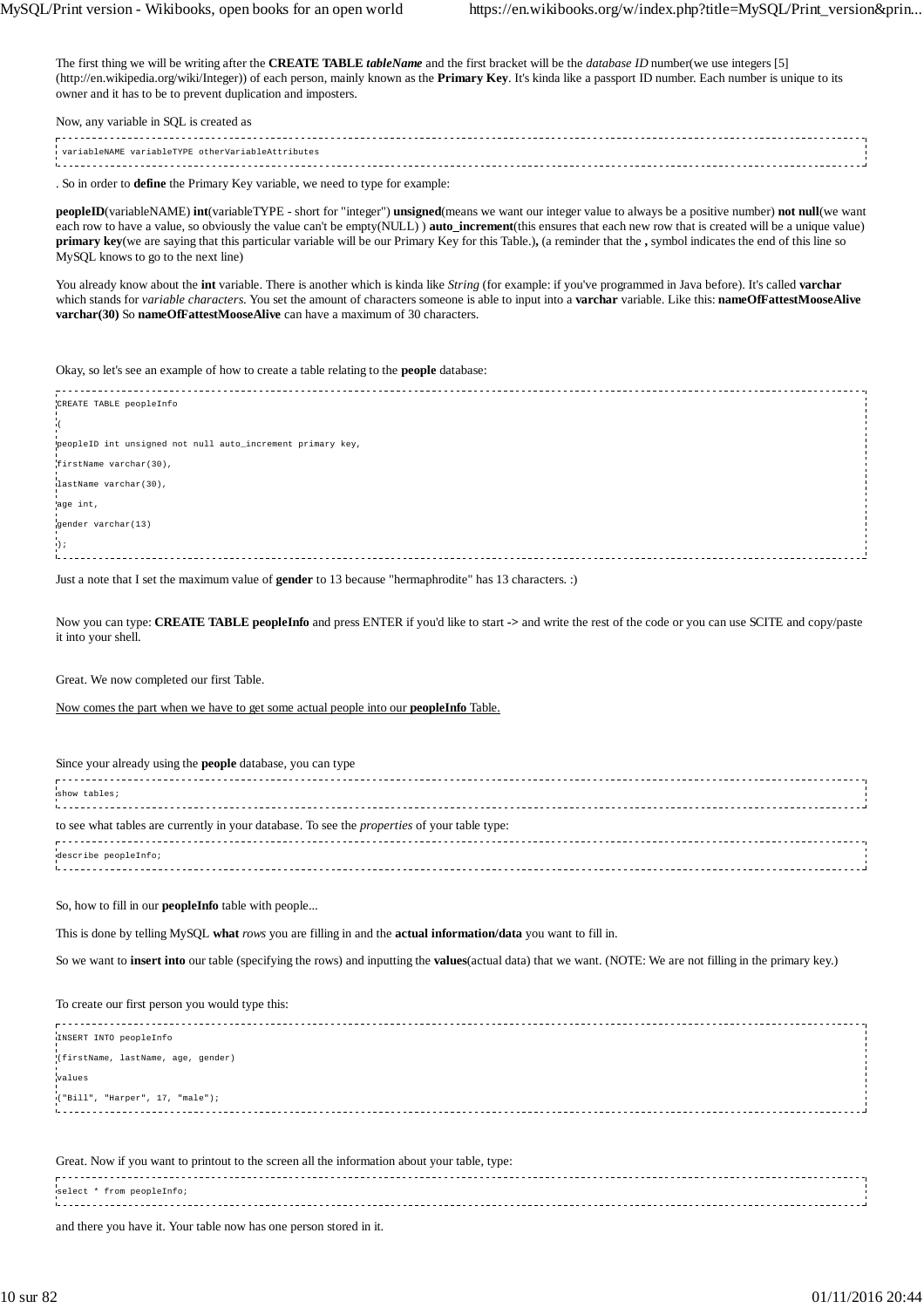The first thing we will be writing after the **CREATE TABLE** *tableName* and the first bracket will be the *database ID* number(we use integers [5] (http://en.wikipedia.org/wiki/Integer)) of each person, mainly known as the **Primary Key**. It's kinda like a passport ID number. Each number is unique to its owner and it has to be to prevent duplication and imposters.

| Now, any variable in SQL is created as            |  |
|---------------------------------------------------|--|
| variableNAME variableTYPE otherVariableAttributes |  |
|                                                   |  |

. So in order to **define** the Primary Key variable, we need to type for example:

**peopleID**(variableNAME) **int**(variableTYPE - short for "integer") **unsigned**(means we want our integer value to always be a positive number) **not null**(we want each row to have a value, so obviously the value can't be empty(NULL) ) **auto\_increment**(this ensures that each new row that is created will be a unique value) **primary key**(we are saying that this particular variable will be our Primary Key for this Table.)**,** (a reminder that the **,** symbol indicates the end of this line so MySQL knows to go to the next line)

You already know about the **int** variable. There is another which is kinda like *String* (for example: if you've programmed in Java before). It's called **varchar** which stands for *variable characters*. You set the amount of characters someone is able to input into a **varchar** variable. Like this: **nameOfFattestMooseAlive varchar(30)** So **nameOfFattestMooseAlive** can have a maximum of 30 characters.

Okay, so let's see an example of how to create a table relating to the **people** database:

| CREATE TABLE peopleInfo                                    |  |
|------------------------------------------------------------|--|
|                                                            |  |
|                                                            |  |
|                                                            |  |
|                                                            |  |
|                                                            |  |
| peopleID int unsigned not null auto_increment primary key, |  |
|                                                            |  |
| firstName varchar(30),                                     |  |
|                                                            |  |
|                                                            |  |
| lastName varchar(30),                                      |  |
|                                                            |  |
|                                                            |  |
| age int,                                                   |  |
|                                                            |  |
| gender varchar(13)                                         |  |
|                                                            |  |
|                                                            |  |
| $1)$ ;                                                     |  |
|                                                            |  |
|                                                            |  |

Just a note that I set the maximum value of **gender** to 13 because "hermaphrodite" has 13 characters. :)

Now you can type: **CREATE TABLE peopleInfo** and press ENTER if you'd like to start **->** and write the rest of the code or you can use SCITE and copy/paste it into your shell.

Great. We now completed our first Table.

Now comes the part when we have to get some actual people into our **peopleInfo** Table.

Since your already using the **people** database, you can type

| show tables;                                                                                        |  |
|-----------------------------------------------------------------------------------------------------|--|
| to see what tables are currently in your database. To see the <i>properties</i> of your table type: |  |
| describe peopleInfo;                                                                                |  |
|                                                                                                     |  |

So, how to fill in our **peopleInfo** table with people...

This is done by telling MySQL **what** *rows* you are filling in and the **actual information/data** you want to fill in.

So we want to **insert into** our table (specifying the rows) and inputting the **values**(actual data) that we want. (NOTE: We are not filling in the primary key.)

To create our first person you would type this:

| INSERT INTO peopleInfo             |  |
|------------------------------------|--|
|                                    |  |
| (firstName, lastName, age, gender) |  |
|                                    |  |
| values                             |  |
|                                    |  |
|                                    |  |
| ("Bill", "Harper", 17, "male");    |  |
|                                    |  |
|                                    |  |
|                                    |  |
|                                    |  |
|                                    |  |

Great. Now if you want to printout to the screen all the information about your table, type:

| select * from peopleInfo; |  |
|---------------------------|--|
|                           |  |
|                           |  |

and there you have it. Your table now has one person stored in it.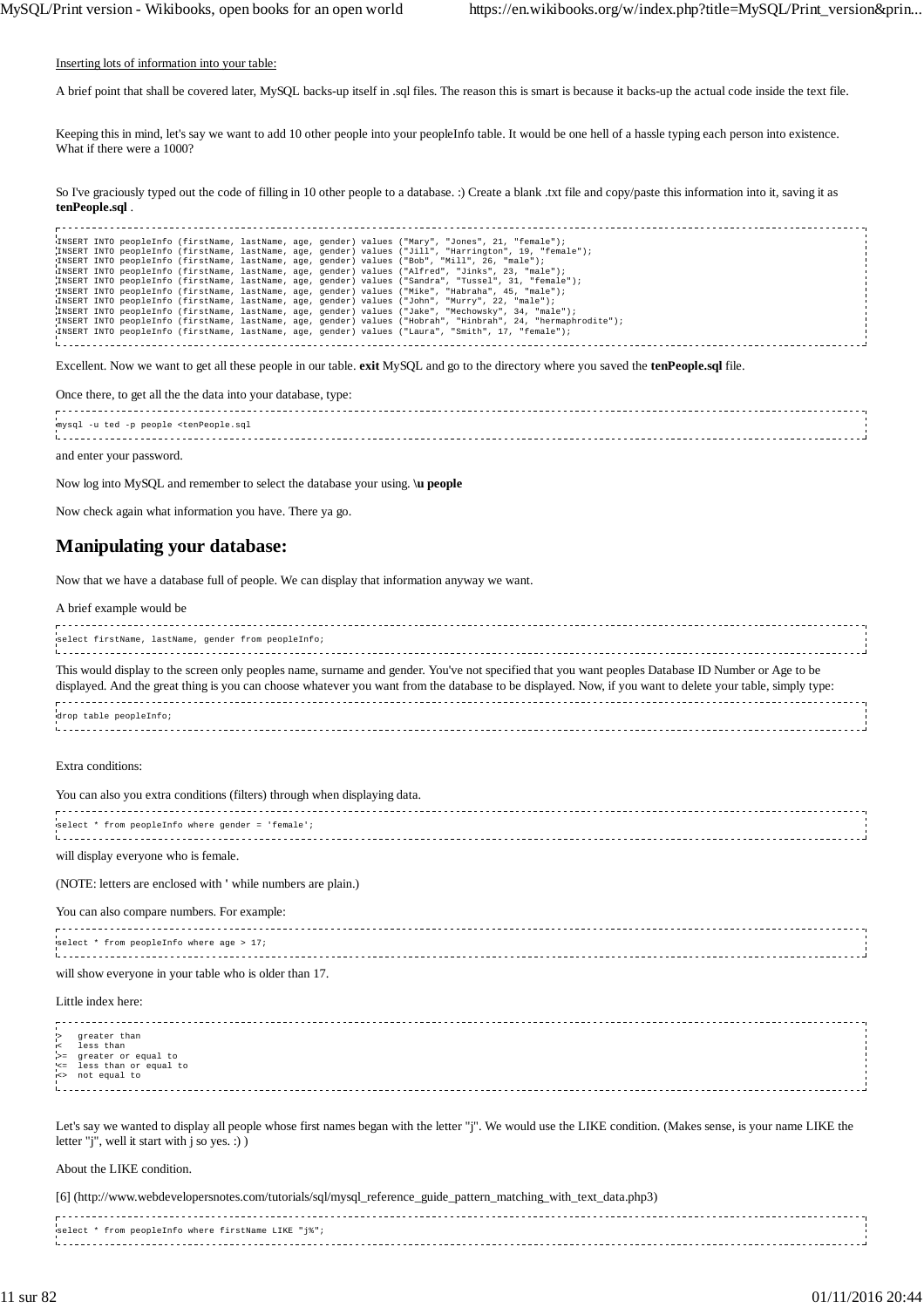Inserting lots of information into your table:

A brief point that shall be covered later, MySQL backs-up itself in .sql files. The reason this is smart is because it backs-up the actual code inside the text file.

Keeping this in mind, let's say we want to add 10 other people into your peopleInfo table. It would be one hell of a hassle typing each person into existence. What if there were a 1000?

So I've graciously typed out the code of filling in 10 other people to a database. :) Create a blank .txt file and copy/paste this information into it, saving it as **tenPeople.sql** .

| INSERT INTO peopleInfo (firstName, lastName, age, gender) values ("Mary", "Jones", 21, "female");            |  |
|--------------------------------------------------------------------------------------------------------------|--|
| INSERT INTO peopleInfo (firstName, lastName, age, gender) values ("Jill", "Harrington", 19, "female");       |  |
| INSERT INTO peopleInfo (firstName, lastName, age, gender) values ("Bob", "Mill", 26, "male");                |  |
| (INSERT INTO peopleInfo (firstName, lastName, age, gender) values ("Alfred", "Jinks", 23, "male");           |  |
| INSERT INTO peopleInfo (firstName, lastName, age, gender) values ("Sandra", "Tussel", 31, "female");         |  |
| INSERT INTO peopleInfo (firstName, lastName, age, gender) values ("Mike", "Habraha", 45, "male");            |  |
| ("INSERT INTO peopleInfo (firstName, lastName, age, gender) values ("John", "Murry", 22, "male");            |  |
| INSERT INTO peopleInfo (firstName, lastName, age, gender) values ("Jake", "Mechowsky", 34, "male");          |  |
| INSERT INTO peopleInfo (firstName, lastName, age, gender) values ("Hobrah", "Hinbrah", 24, "hermaphrodite"); |  |
| INSERT INTO peopleInfo (firstName, lastName, age, gender) values ("Laura", "Smith", 17, "female");           |  |
|                                                                                                              |  |
|                                                                                                              |  |

Excellent. Now we want to get all these people in our table. **exit** MySQL and go to the directory where you saved the **tenPeople.sql** file.

Once there, to get all the the data into your database, type:

 $r$ mysql -u ted -p people <tenPeople.sql

and enter your password.

Now log into MySQL and remember to select the database your using. **\u people**

Now check again what information you have. There ya go.

## **Manipulating your database:**

Now that we have a database full of people. We can display that information anyway we want.

#### A brief example would be

| select firstName, lastName, gender from peopleInfo;<br>and the contract of the contract of the contract of the contract of the contract of the contract of the contract of the contract of the contract of the contract of the contract of the contract of the contract of the contra                           |  |
|-----------------------------------------------------------------------------------------------------------------------------------------------------------------------------------------------------------------------------------------------------------------------------------------------------------------|--|
| This would display to the screen only peoples name, surname and gender. You've not specified that you want peoples Database ID Number or Age to be<br>displayed. And the great thing is you can choose whatever you want from the database to be displayed. Now, if you want to delete your table, simply type: |  |
| drop table peopleInfo;                                                                                                                                                                                                                                                                                          |  |

Extra conditions:

| You can also you extra conditions (filters) through when displaying data. |  |
|---------------------------------------------------------------------------|--|
| select * from peopleInfo where gender = 'female';                         |  |

will display everyone who is female.

(NOTE: letters are enclosed with **'** while numbers are plain.)

You can also compare numbers. For example:

| select * from peopleInfo where age > $17i$ |  |  |  |
|--------------------------------------------|--|--|--|
|                                            |  |  |  |

will show everyone in your table who is older than 17.

#### Little index here:

> greater than < less than >= greater or equal to<br>'<= less than or equal

<= less than or equal to <> not equal to

Let's say we wanted to display all people whose first names began with the letter "j". We would use the LIKE condition. (Makes sense, is your name LIKE the letter "j", well it start with j so yes. :) )

#### About the LIKE condition.

[6] (http://www.webdevelopersnotes.com/tutorials/sql/mysql\_reference\_guide\_pattern\_matching\_with\_text\_data.php3)

| select * from peopleInfo where firstName LIKE "i%"; |  |
|-----------------------------------------------------|--|
|                                                     |  |
| ----------                                          |  |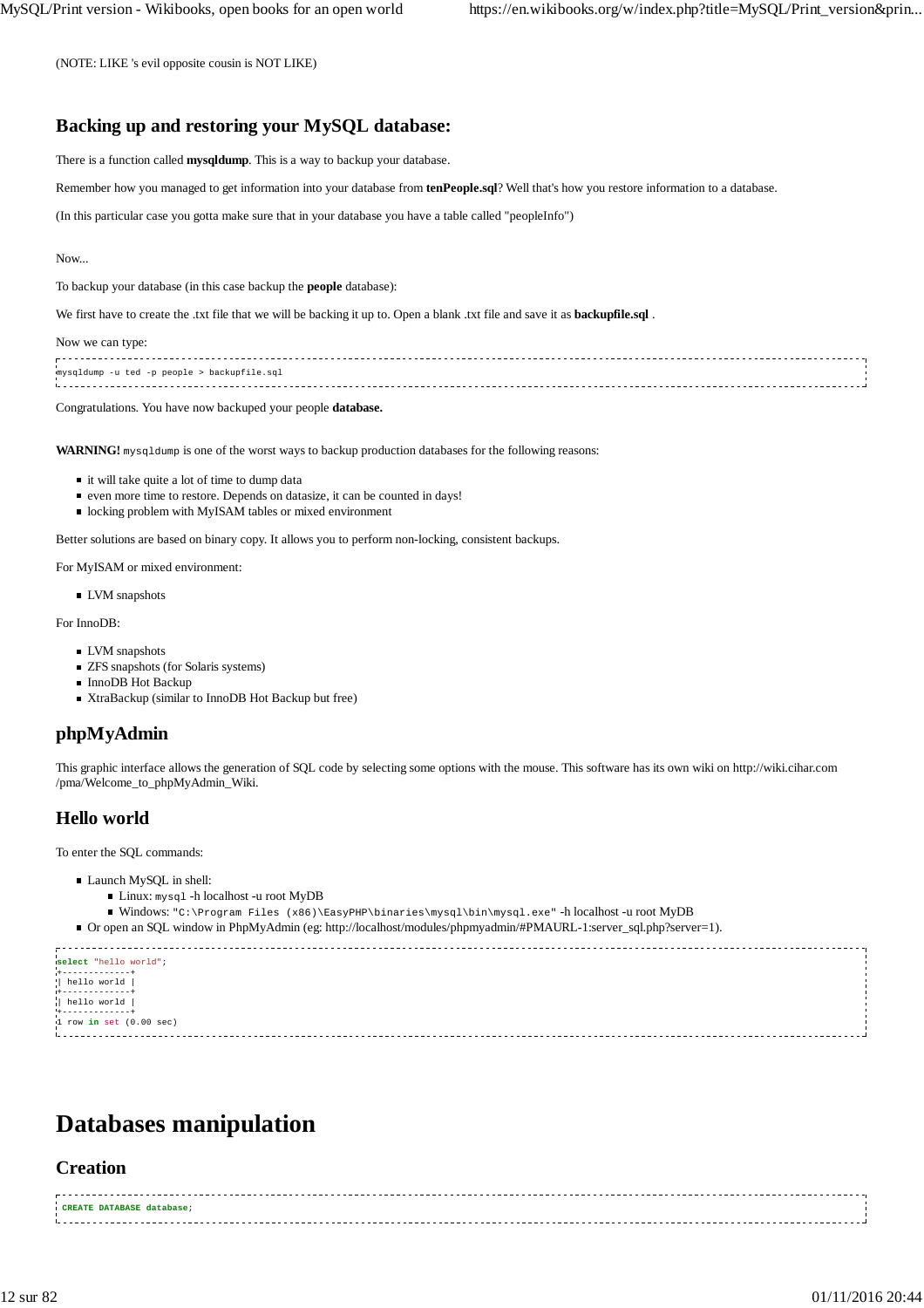(NOTE: LIKE 's evil opposite cousin is NOT LIKE)

## **Backing up and restoring your MySQL database:**

There is a function called **mysqldump**. This is a way to backup your database.

Remember how you managed to get information into your database from **tenPeople.sql**? Well that's how you restore information to a database.

(In this particular case you gotta make sure that in your database you have a table called "peopleInfo")

#### Now...

To backup your database (in this case backup the **people** database):

We first have to create the .txt file that we will be backing it up to. Open a blank .txt file and save it as **backupfile.sql** .

#### Now we can type:

mysqldump -u ted -p people > backupfile.sql 

#### Congratulations. You have now backuped your people **database.**

**WARNING!** mysqldump is one of the worst ways to backup production databases for the following reasons:

- $\blacksquare$  it will take quite a lot of time to dump data
- even more time to restore. Depends on datasize, it can be counted in days!
- locking problem with MyISAM tables or mixed environment

Better solutions are based on binary copy. It allows you to perform non-locking, consistent backups.

For MyISAM or mixed environment:

**LVM** snapshots

For InnoDB:

- **LVM** snapshots
- ZFS snapshots (for Solaris systems)
- InnoDB Hot Backup
- XtraBackup (similar to InnoDB Hot Backup but free)

## **phpMyAdmin**

This graphic interface allows the generation of SQL code by selecting some options with the mouse. This software has its own wiki on http://wiki.cihar.com /pma/Welcome\_to\_phpMyAdmin\_Wiki.

## **Hello world**

To enter the SQL commands:

- Launch MySQL in shell:
	- Linux: mysql -h localhost -u root MyDB
	- Windows: "C:\Program Files (x86)\EasyPHP\binaries\mysql\bin\mysql.exe" -h localhost -u root MyDB

Or open an SQL window in PhpMyAdmin (eg: http://localhost/modules/phpmyadmin/#PMAURL-1:server\_sql.php?server=1).

```
select "hello world";
+-------------+
| hello world |
+-------------+
| hello world |
+-------------+
1 row in set (0.00 sec)
```
## **Databases manipulation**

## **Creation**

| CREATE DATABASE database; |  |
|---------------------------|--|
|                           |  |
|                           |  |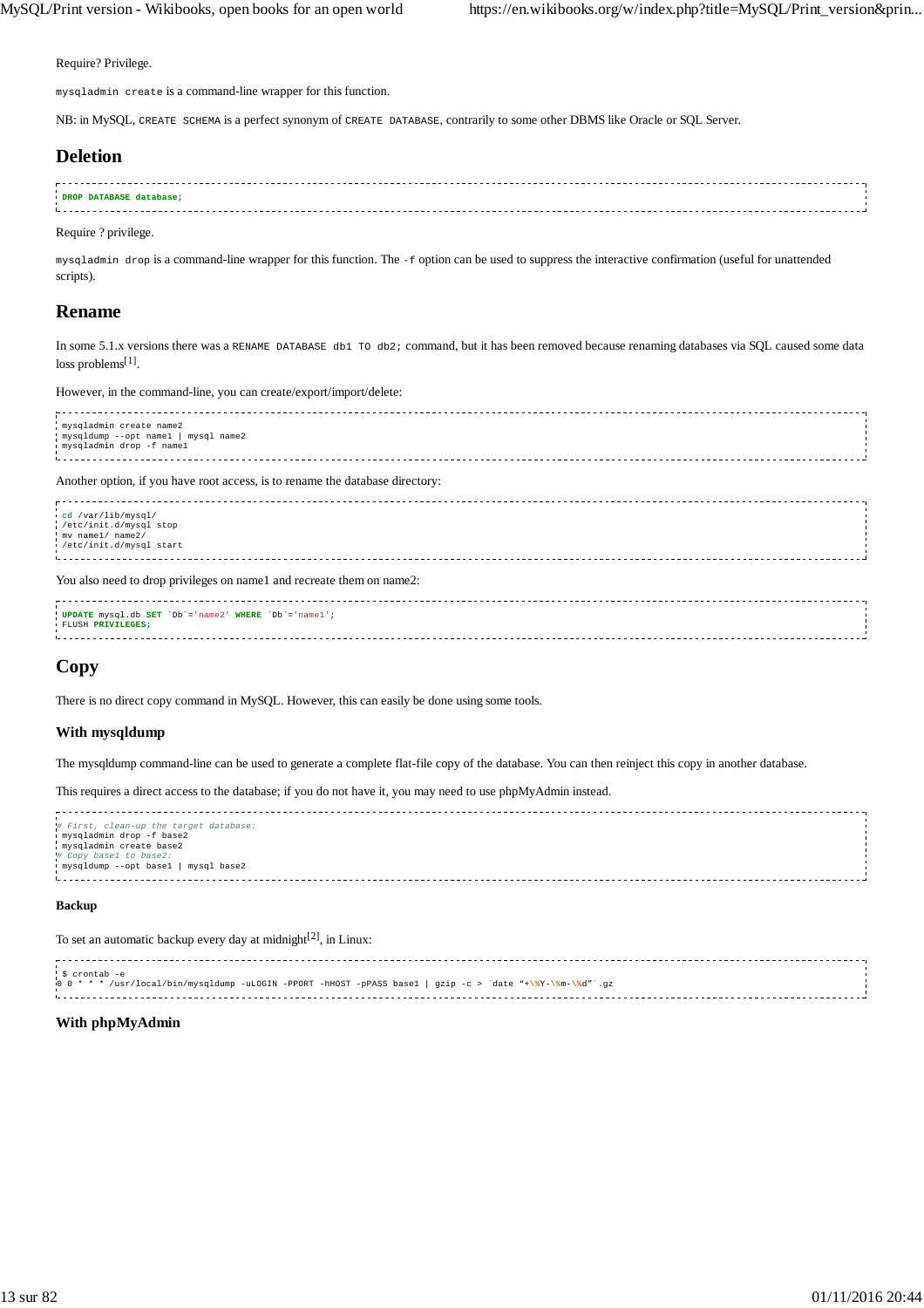Require? Privilege.

mysqladmin create is a command-line wrapper for this function.

NB: in MySQL, CREATE SCHEMA is a perfect synonym of CREATE DATABASE, contrarily to some other DBMS like Oracle or SQL Server.

## **Deletion**

| DROP DATABASE database; |  |
|-------------------------|--|
|                         |  |
|                         |  |
|                         |  |

Require ? privilege.

mysqladmin drop is a command-line wrapper for this function. The -f option can be used to suppress the interactive confirmation (useful for unattended scripts).

## **Rename**

In some 5.1.x versions there was a RENAME DATABASE db1 TO db2; command, but it has been removed because renaming databases via SQL caused some data loss problems<sup>[1]</sup>.

However, in the command-line, you can create/export/import/delete:

| mysqladmin create name2<br>mysqldump --opt namel   mysql name2<br>mysqladmin drop -f namel                                                                         |  |
|--------------------------------------------------------------------------------------------------------------------------------------------------------------------|--|
| Another option, if you have root access, is to rename the database directory:                                                                                      |  |
| cd /var/lib/mysql/<br>/etc/init.d/mysql stop<br>mv namel/ name2/<br>i /etc/init.d/mysql start                                                                      |  |
| $\mathbf{V}_{\text{max}}$ and $\mathbf{v}_{\text{max}}$ and $\mathbf{v}_{\text{max}}$ are so the set of and increase the set of a set of $\mathbf{v}_{\text{max}}$ |  |

You also need to drop privileges on name1 and recreate them on name2: 

| UPDATE mysql.db SET 'Db'='name2' WHERE 'Db'='name1'; |  |
|------------------------------------------------------|--|
|                                                      |  |
| FLUSH PRIVILEGES;                                    |  |
|                                                      |  |
|                                                      |  |
|                                                      |  |
|                                                      |  |

## **Copy**

There is no direct copy command in MySQL. However, this can easily be done using some tools.

### **With mysqldump**

The mysqldump command-line can be used to generate a complete flat-file copy of the database. You can then reinject this copy in another database.

This requires a direct access to the database; if you do not have it, you may need to use phpMyAdmin instead.

```
# First, clean-up the target database:
 mysqladmin drop -f base2
 mysqladmin create base2
# Copy base1 to base2:
 mysqldump --opt base1 | mysql base2
```
#### **Backup**

To set an automatic backup every day at midnight<sup>[2]</sup>, in Linux:

| : \$ crontab -e                                                                                            |  |
|------------------------------------------------------------------------------------------------------------|--|
|                                                                                                            |  |
| 0 0 * * * /usr/local/bin/mysqldump -uLOGIN -PPORT -hHOST -pPASS basel   gzip -c > 'date "+\%Y-\%m-\%d"`.gz |  |
|                                                                                                            |  |
|                                                                                                            |  |

#### **With phpMyAdmin**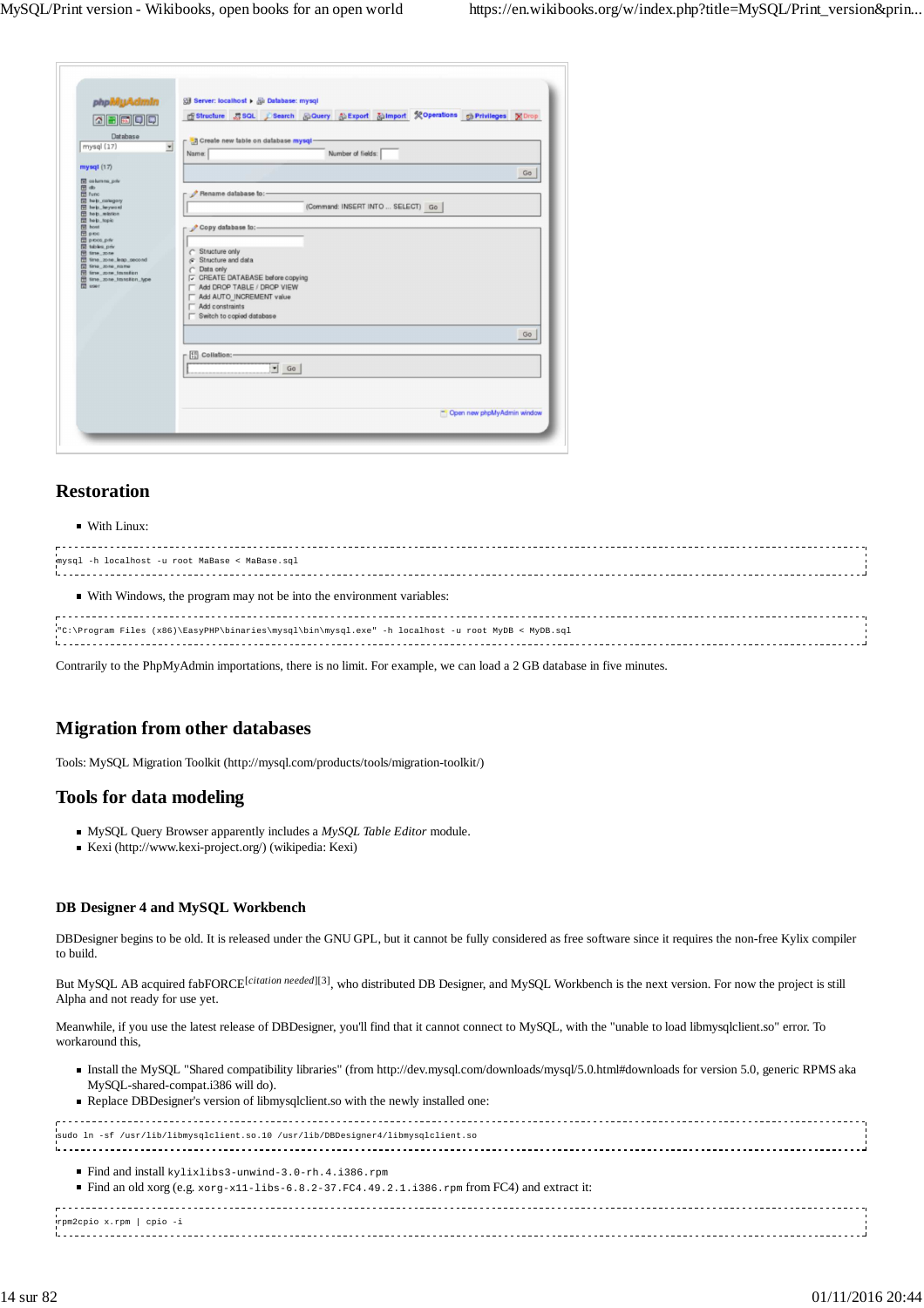| phpMyAdmin                                         | Search @Query @Export @Import %Operations @Privileges XDrop<br><b>In Structure T</b> SQL |
|----------------------------------------------------|------------------------------------------------------------------------------------------|
| 公園園園園                                              |                                                                                          |
| Database                                           | - 국 Create new table on database mysql-                                                  |
| mysql (17)<br>$\blacksquare$                       | Number of fields:<br>Name:                                                               |
| mysql (17)                                         |                                                                                          |
| a) columns priv                                    | Go                                                                                       |
| 日中<br><b>団</b> func                                | Rename database to:-                                                                     |
| 园 heb_category<br>El help_leyword                  | (Command: INSERT INTO  SELECT) Go                                                        |
| heb. elation<br>Sigot daily                        |                                                                                          |
| 图 hout<br><b>E</b> proc                            | Copy database to:-                                                                       |
| <b>D</b> proce priv<br>同 tables_priv               |                                                                                          |
| 图 time_zone<br>time_zone_leap_second               | C Structure only<br>$\subset$ Structure and data                                         |
| (a) time zone name<br><b>M</b> time_zone_tmraition | Data only                                                                                |
| time_zone_transition_type<br>Till user             | CREATE DATABASE before copying                                                           |
|                                                    | Add DROP TABLE / DROP VIEW<br>Add AUTO_INCREMENT value                                   |
|                                                    | Add constraints                                                                          |
|                                                    | Switch to copied database                                                                |
|                                                    | Go                                                                                       |
|                                                    | $\left[\frac{1}{2}\right]$ Collation:                                                    |
|                                                    |                                                                                          |
|                                                    | $\blacktriangledown$ Go                                                                  |
|                                                    |                                                                                          |
|                                                    |                                                                                          |
|                                                    | Con new phpMyAdmin window                                                                |

## **Restoration**

#### With Linux:

| mysql -h localhost -u root MaBase < MaBase.sql                                                     |  |
|----------------------------------------------------------------------------------------------------|--|
| • With Windows, the program may not be into the environment variables:                             |  |
| "C:\Program Files (x86)\EasyPHP\binaries\mysql\bin\mysql.exe" -h localhost -u root MyDB < MyDB.sql |  |

Contrarily to the PhpMyAdmin importations, there is no limit. For example, we can load a 2 GB database in five minutes.

## **Migration from other databases**

Tools: MySQL Migration Toolkit (http://mysql.com/products/tools/migration-toolkit/)

## **Tools for data modeling**

- MySQL Query Browser apparently includes a *MySQL Table Editor* module.
- Kexi (http://www.kexi-project.org/) (wikipedia: Kexi)

## **DB Designer 4 and MySQL Workbench**

DBDesigner begins to be old. It is released under the GNU GPL, but it cannot be fully considered as free software since it requires the non-free Kylix compiler to build.

But MySQL AB acquired fabFORCE<sup>[citation needed][3]</sup>, who distributed DB Designer, and MySQL Workbench is the next version. For now the project is still Alpha and not ready for use yet.

Meanwhile, if you use the latest release of DBDesigner, you'll find that it cannot connect to MySQL, with the "unable to load libmysqlclient.so" error. To workaround this,

- Install the MySQL "Shared compatibility libraries" (from http://dev.mysql.com/downloads/mysql/5.0.html#downloads for version 5.0, generic RPMS aka MySQL-shared-compat.i386 will do).
- Replace DBDesigner's version of libmysqlclient.so with the newly installed one:

| sudo ln -sf /usr/lib/libmysqlclient.so.10 /usr/lib/DBDesigner4/libmysqlclient.so                                                                                      |  |
|-----------------------------------------------------------------------------------------------------------------------------------------------------------------------|--|
| $\blacksquare$ Find and install kylixlibs 3-unwind-3.0-rh.4.i386.rpm<br>Find an old xorg (e.g. $xorg-x11-1ibs-6.8.2-37.FC4.49.2.1.i386.rpm from FC4)$ and extract it: |  |
| rpm2cpio x.rpm   cpio -i                                                                                                                                              |  |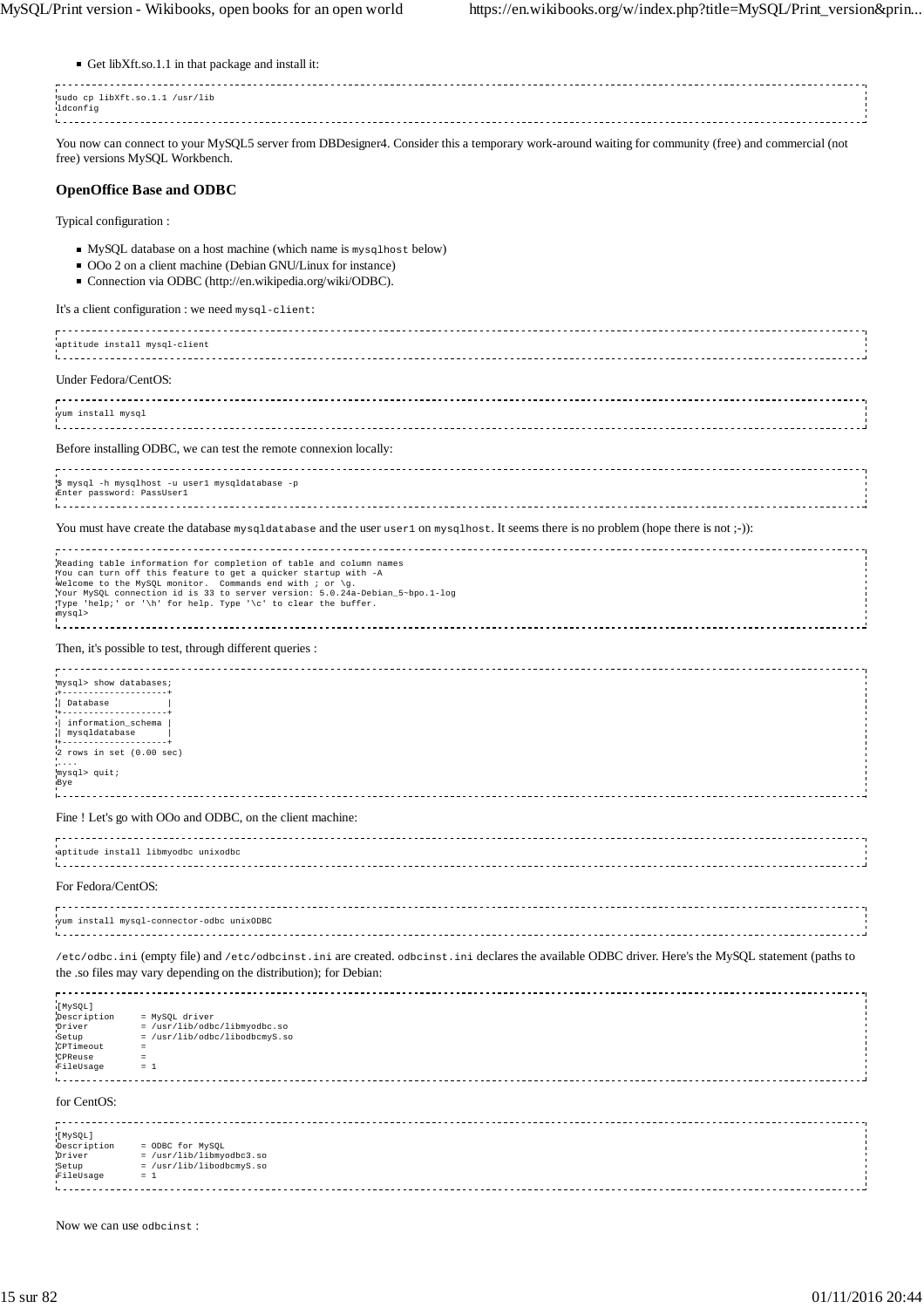| Get libXft.so.1.1 in that package and install it:                                                                                                                                                                                                                                                                                                                       |
|-------------------------------------------------------------------------------------------------------------------------------------------------------------------------------------------------------------------------------------------------------------------------------------------------------------------------------------------------------------------------|
| sudo cp libXft.so.1.1 /usr/lib<br>ldconfig                                                                                                                                                                                                                                                                                                                              |
| You now can connect to your MySQL5 server from DBDesigner4. Consider this a temporary work-around waiting for community (free) and commercial (not<br>free) versions MySQL Workbench.                                                                                                                                                                                   |
| <b>OpenOffice Base and ODBC</b>                                                                                                                                                                                                                                                                                                                                         |
| Typical configuration :                                                                                                                                                                                                                                                                                                                                                 |
| • MySQL database on a host machine (which name is mysqlhost below)<br>■ OOo 2 on a client machine (Debian GNU/Linux for instance)<br>Connection via ODBC (http://en.wikipedia.org/wiki/ODBC).                                                                                                                                                                           |
| It's a client configuration : we need mysql-client:                                                                                                                                                                                                                                                                                                                     |
| aptitude install mysql-client                                                                                                                                                                                                                                                                                                                                           |
| Under Fedora/CentOS:                                                                                                                                                                                                                                                                                                                                                    |
| yum install mysql                                                                                                                                                                                                                                                                                                                                                       |
| Before installing ODBC, we can test the remote connexion locally:                                                                                                                                                                                                                                                                                                       |
| \$ mysql -h mysqlhost -u userl mysqldatabase -p<br>Enter password: PassUserl                                                                                                                                                                                                                                                                                            |
| You must have create the database mysqldatabase and the user user 1 on mysqlhost. It seems there is no problem (hope there is not;-)):                                                                                                                                                                                                                                  |
| Reading table information for completion of table and column names<br>You can turn off this feature to get a quicker startup with -A<br>Welcome to the MySQL monitor. Commands end with $i$ or $\gtrsim g$ .<br>Your MySQL connection id is 33 to server version: 5.0.24a-Debian_5~bpo.1-log<br>Type 'help;' or '\h' for help. Type '\c' to clear the buffer.<br>mysql> |
| Then, it's possible to test, through different queries :                                                                                                                                                                                                                                                                                                                |
| mysql> show databases;<br>Database<br>+------------------<br>information_schema<br>mysqldatabase<br>2 rows in set (0.00 sec)<br>1.1.1<br>mysql> quit;<br>Bye                                                                                                                                                                                                            |
| Fine ! Let's go with OOo and ODBC, on the client machine:                                                                                                                                                                                                                                                                                                               |
| aptitude install libmyodbc unixodbc                                                                                                                                                                                                                                                                                                                                     |
| For Fedora/CentOS:                                                                                                                                                                                                                                                                                                                                                      |
| yum install mysql-connector-odbc unixODBC                                                                                                                                                                                                                                                                                                                               |
| /etc/odbc.ini (empty file) and /etc/odbcinst.ini are created. odbcinst.ini declares the available ODBC driver. Here's the MySQL statement (paths to<br>the .so files may vary depending on the distribution); for Debian:                                                                                                                                               |
| [MySQL]<br>Description<br>= MySQL driver<br>= /usr/lib/odbc/libmyodbc.so<br>Driver<br>= /usr/lib/odbc/libodbcmyS.so<br>Setup<br>CPTimeout<br>$=$<br>CPReuse<br>$=$<br>FileUsage<br>$= 1$                                                                                                                                                                                |
| for CentOS:                                                                                                                                                                                                                                                                                                                                                             |
| [MySQL]<br>Description<br>= ODBC for MySQL<br>Driver<br>= /usr/lib/libmyodbc3.so<br>= /usr/lib/libodbcmyS.so<br>Setup<br>FileUsage<br>$= 1$                                                                                                                                                                                                                             |

Now we can use odbcinst :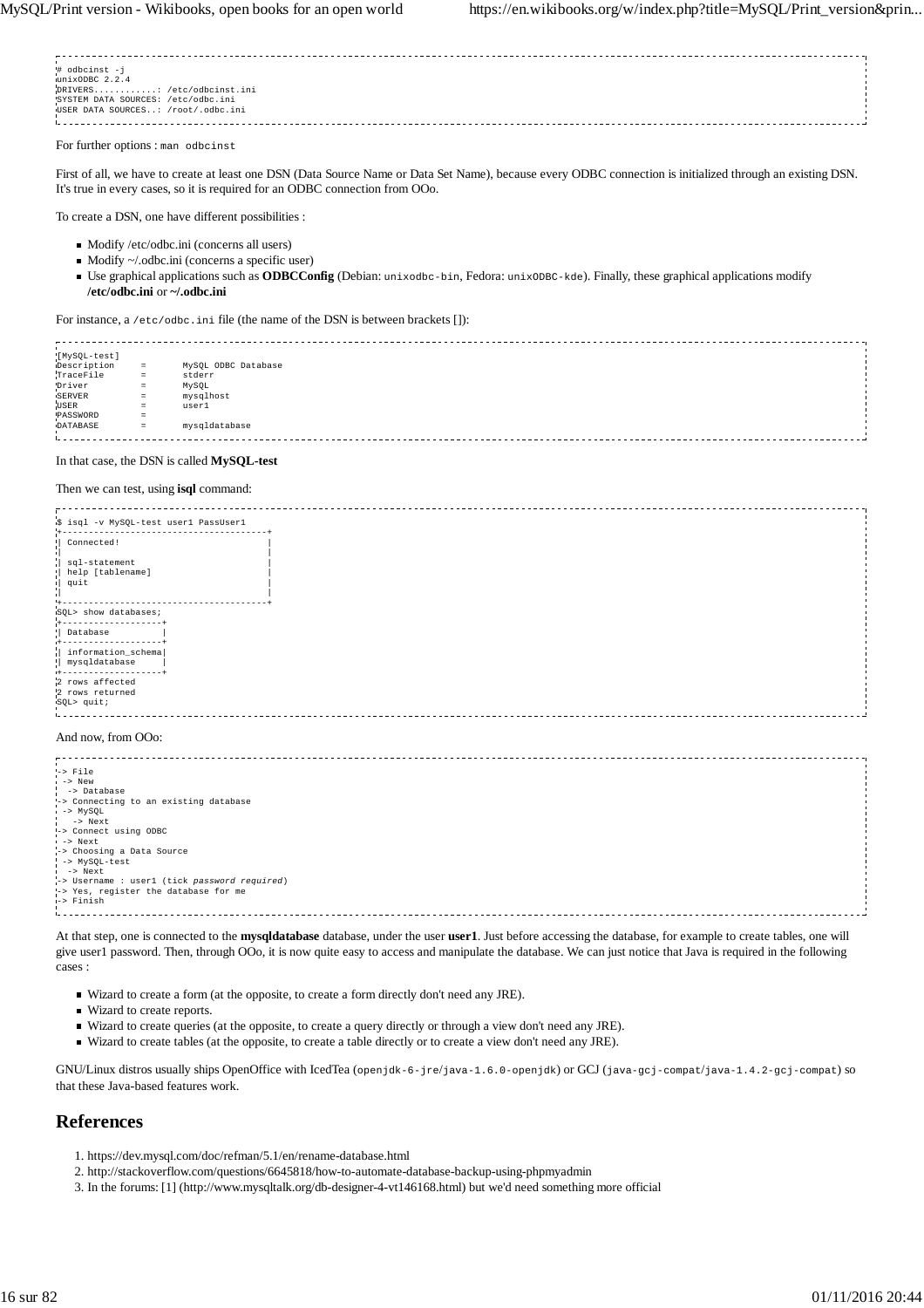| # odbcinst -j<br>unixODBC 2.2.4    |  |
|------------------------------------|--|
| DRIVERS: /etc/odbcinst.ini         |  |
| SYSTEM DATA SOURCES: /etc/odbc.ini |  |
| USER DATA SOURCES: /root/.odbc.ini |  |
|                                    |  |
|                                    |  |

For further options : man odbcinst

First of all, we have to create at least one DSN (Data Source Name or Data Set Name), because every ODBC connection is initialized through an existing DSN. It's true in every cases, so it is required for an ODBC connection from OOo.

To create a DSN, one have different possibilities :

- $\blacksquare$  Modify /etc/odbc.ini (concerns all users)
- Modify ~/.odbc.ini (concerns a specific user)
- Use graphical applications such as **ODBCConfig** (Debian: unixodbc-bin, Fedora: unixODBC-kde). Finally, these graphical applications modify **/etc/odbc.ini** or **~/.odbc.ini**

For instance, a /etc/odbc.ini file (the name of the DSN is between brackets []):

[MySQL-test] MySQL ODBC Database TraceFile = stderr n<br>Server =<br>Server = mysqlhost Driver = MySQL USER = user1 PASSWORD =<br>DATABASE = mysqldatabase .<br>Lasasasasasasasasasasas

#### In that case, the DSN is called **MySQL-test**

#### Then we can test, using **isql** command:

| \$ isql -v MySQL-test userl PassUserl        |  |
|----------------------------------------------|--|
|                                              |  |
| Connected!                                   |  |
|                                              |  |
| sql-statement                                |  |
| help [tablename]<br>  quit                   |  |
|                                              |  |
|                                              |  |
| SQL> show databases;                         |  |
|                                              |  |
| Database                                     |  |
| +-------------------                         |  |
| information_schema<br>mysqldatabase          |  |
| <b>I+------------</b>                        |  |
| 2 rows affected                              |  |
| 2 rows returned                              |  |
| $SQL >$ quit;                                |  |
|                                              |  |
|                                              |  |
| And now, from OOo:                           |  |
|                                              |  |
|                                              |  |
| $l$ -> File<br>$i \rightarrow$ New           |  |
| $\frac{1}{1}$ -> Database                    |  |
| -> Connecting to an existing database        |  |
| $I \rightarrow MySQL$                        |  |
| -> Next                                      |  |
| -> Connect using ODBC                        |  |
| $i \rightarrow$ Next                         |  |
| -> Choosing a Data Source                    |  |
| -> MySQL-test<br>$i \rightarrow$ Next        |  |
| -> Username : user1 (tick password required) |  |
| -> Yes, register the database for me         |  |
| -> Finish                                    |  |
|                                              |  |
|                                              |  |

At that step, one is connected to the **mysqldatabase** database, under the user **user1**. Just before accessing the database, for example to create tables, one will give user1 password. Then, through OOo, it is now quite easy to access and manipulate the database. We can just notice that Java is required in the following cases :

Wizard to create a form (at the opposite, to create a form directly don't need any JRE).

- Wizard to create reports.
- Wizard to create queries (at the opposite, to create a query directly or through a view don't need any JRE).
- Wizard to create tables (at the opposite, to create a table directly or to create a view don't need any JRE).

GNU/Linux distros usually ships OpenOffice with IcedTea (openjdk-6-jre/java-1.6.0-openjdk) or GCJ (java-gcj-compat/java-1.4.2-gcj-compat) so that these Java-based features work.

## **References**

- 1. https://dev.mysql.com/doc/refman/5.1/en/rename-database.html
- 2. http://stackoverflow.com/questions/6645818/how-to-automate-database-backup-using-phpmyadmin
- 3. In the forums: [1] (http://www.mysqltalk.org/db-designer-4-vt146168.html) but we'd need something more official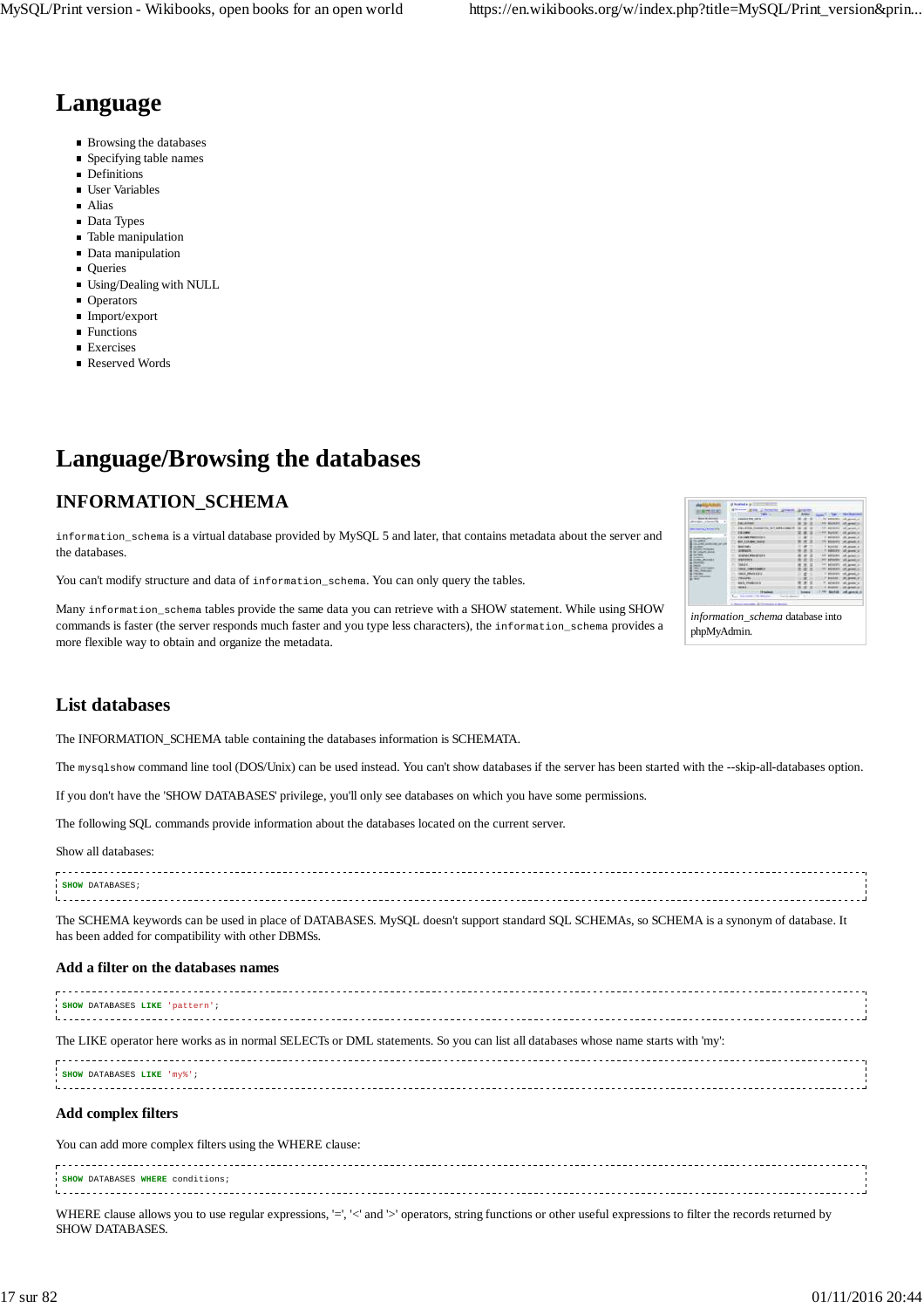## **Language**

- Browsing the databases
- Specifying table names
- **Definitions**
- User Variables
- Alias
- Data Types
- Table manipulation
- Data manipulation
- **Oueries**
- Using/Dealing with NULL
- **Operators**
- Import/export
- **Functions**  $\blacksquare$  Exercises
- Reserved Words
- **Language/Browsing the databases**

## **INFORMATION\_SCHEMA**

information\_schema is a virtual database provided by MySQL 5 and later, that contains metadata about the server and the databases.

You can't modify structure and data of information\_schema. You can only query the tables.

Many information\_schema tables provide the same data you can retrieve with a SHOW statement. While using SHOW commands is faster (the server responds much faster and you type less characters), the information\_schema provides a more flexible way to obtain and organize the metadata.

| 鳥の蛇                                                   |                                            |                               |                              |
|-------------------------------------------------------|--------------------------------------------|-------------------------------|------------------------------|
|                                                       | -                                          | <b>Sample College Company</b> |                              |
| <b>BAN M GEORGE</b><br>distant interests              | <b>JANUARY 1971</b>                        | --                            | <b>AFURT: UR BIANCY</b>      |
|                                                       | <b>TORL ATTNER</b>                         | $\sim$                        |                              |
| <b>STATISTICS</b><br>manial in booms (FB)             | <b>EXECUTIVE THERMATICA IN T AMENDMENT</b> |                               | ALC: U                       |
|                                                       | n<br><b>ESECURITY</b>                      | FO Suning - OR grade of       |                              |
| <b>DAMAGE AND</b>                                     | Ξ<br><b><i>COLOR FRANCISCO</i></b>         |                               | <b>CALIFORNIA AT</b>         |
| <b>START</b><br><b>COLORED AVEN</b>                   | <b>BER FIRMER PARK</b>                     | ×                             | <b>MEASURE IN</b>            |
| --<br><b>SCALE CITY</b>                               | <b>MONTHER</b>                             | $\sim$                        | <b>HE AGAIN</b> A            |
| <b>South Minister</b><br>the company's should         | <b>ATMOSFIELD</b>                          | ٠                             | <b>SERVICE AND ARRESTS</b>   |
| <b>CALIFORNIA COMPANY</b>                             | 410104-0022-012<br>n                       |                               | <b>ARREST</b>                |
| <b><i>Charles Co. Co. Links</i></b><br><b>MARINEZ</b> | <b>WARRANTS</b>                            |                               | <b>MA AMARIS</b>             |
| <b>SHOW:</b><br><b>G. Martin 1</b>                    | <b>MAKER</b>                               | ×                             | --                           |
| <b>Microsoft Avenue</b>                               | ---                                        |                               | --                           |
| <b>CALL MARKET</b><br><b>Country Corp.</b>            | WEELPING ELECT                             |                               |                              |
| a lot recent<br><b>All reserves</b>                   |                                            | ٠                             | $-1$                         |
|                                                       | <b>AND PROFITA</b>                         |                               | --                           |
|                                                       | -                                          |                               | $-$                          |
|                                                       | The Control of Control of Alberta          |                               | <b>MARINE COM JEROPEE IN</b> |
|                                                       | <b>Secretary Code Minimum</b>              |                               |                              |

*information\_schema* database into phpMyAdmin.

## **List databases**

The INFORMATION\_SCHEMA table containing the databases information is SCHEMATA.

The mysqlshow command line tool (DOS/Unix) can be used instead. You can't show databases if the server has been started with the --skip-all-databases option.

If you don't have the 'SHOW DATABASES' privilege, you'll only see databases on which you have some permissions.

The following SQL commands provide information about the databases located on the current server.

Show all databases:

| SHOW DATABASES |  |  |
|----------------|--|--|
|                |  |  |
|                |  |  |

The SCHEMA keywords can be used in place of DATABASES. MySQL doesn't support standard SQL SCHEMAs, so SCHEMA is a synonym of database. It has been added for compatibility with other DBMSs.

### **Add a filter on the databases names**

| SHOW DATABASES LIKE 'pattern'; |  |
|--------------------------------|--|
|                                |  |
|                                |  |

The LIKE operator here works as in normal SELECTs or DML statements. So you can list all databases whose name starts with 'my':

| <b>SHOW DATABASES LIKE 'mv%'</b> |  |  |  |
|----------------------------------|--|--|--|
|                                  |  |  |  |
|                                  |  |  |  |
|                                  |  |  |  |

### **Add complex filters**

You can add more complex filters using the WHERE clause:

| SHOW DATABASES WHERE conditions; |  |
|----------------------------------|--|
|                                  |  |
|                                  |  |
|                                  |  |
|                                  |  |

WHERE clause allows you to use regular expressions, '=', '<' and '>' operators, string functions or other useful expressions to filter the records returned by SHOW DATABASES.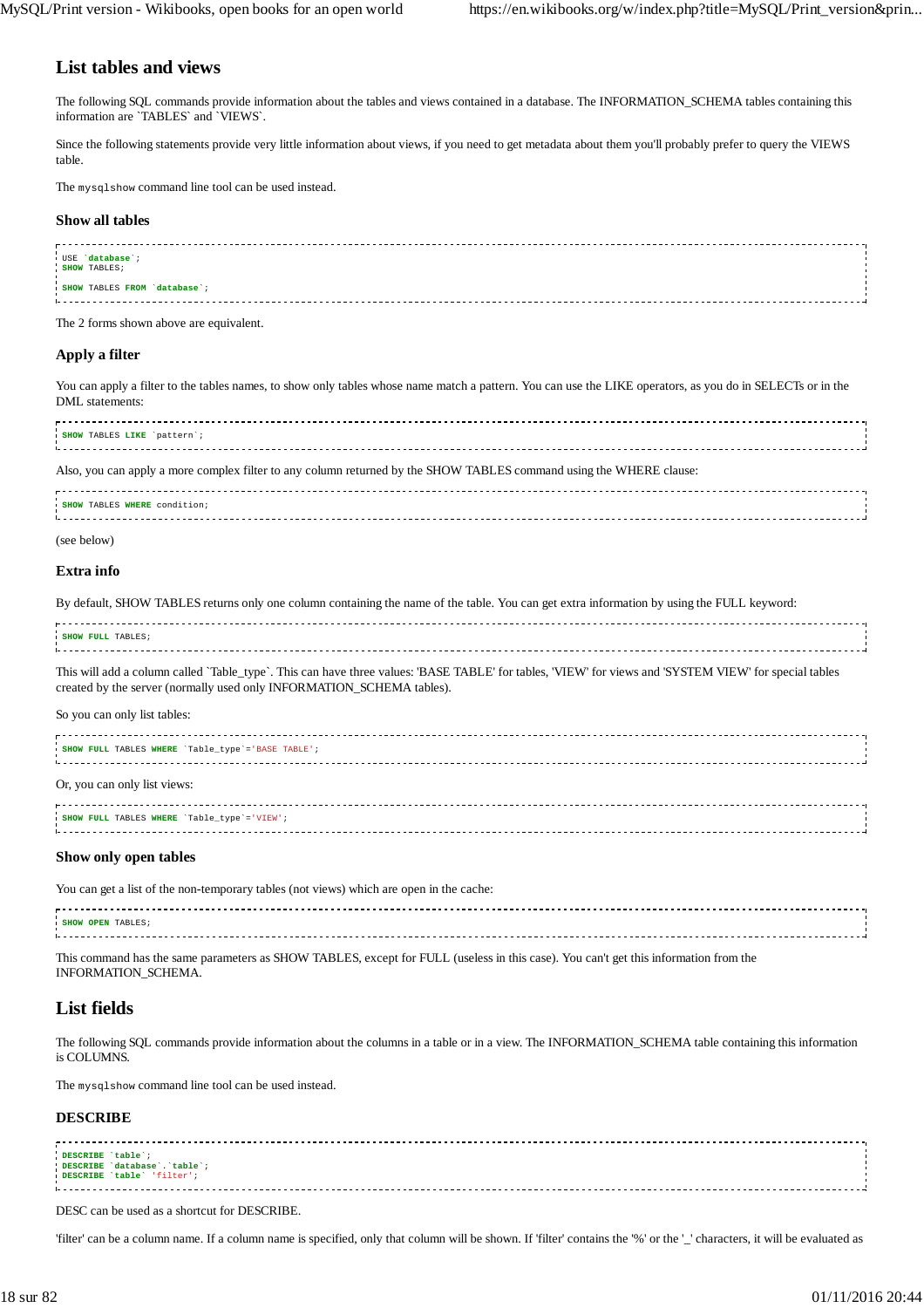## **List tables and views**

The following SQL commands provide information about the tables and views contained in a database. The INFORMATION\_SCHEMA tables containing this information are `TABLES` and `VIEWS`.

Since the following statements provide very little information about views, if you need to get metadata about them you'll probably prefer to query the VIEWS table.

The mysqlshow command line tool can be used instead.

#### **Show all tables**

| USE database ;               |  |
|------------------------------|--|
| SHOW TABLES;                 |  |
|                              |  |
|                              |  |
|                              |  |
| SHOW TABLES FROM 'database'; |  |
|                              |  |
|                              |  |
|                              |  |

The 2 forms shown above are equivalent.

#### **Apply a filter**

You can apply a filter to the tables names, to show only tables whose name match a pattern. You can use the LIKE operators, as you do in SELECTs or in the DML statements:

| SHOW TABLES LIKE `pattern`; |  |
|-----------------------------|--|
|                             |  |
|                             |  |
|                             |  |
|                             |  |

Also, you can apply a more complex filter to any column returned by the SHOW TABLES command using the WHERE clause:

| SHOW TABLES WHERE condition;                                                                                   |  |
|----------------------------------------------------------------------------------------------------------------|--|
|                                                                                                                |  |
| Litician contra contra contra contra contra contra contra contra contra contra contra contra contra contra con |  |
|                                                                                                                |  |

(see below)

## **Extra info**

By default, SHOW TABLES returns only one column containing the name of the table. You can get extra information by using the FULL keyword:

| SHOW FULL TABLES; |  |
|-------------------|--|
|                   |  |
|                   |  |

This will add a column called `Table\_type`. This can have three values: 'BASE TABLE' for tables, 'VIEW' for views and 'SYSTEM VIEW' for special tables created by the server (normally used only INFORMATION\_SCHEMA tables).

So you can only list tables:

| SHOW FULL TABLES WHERE 'Table_type'='BASE TABLE'; |  |
|---------------------------------------------------|--|
| Or, you can only list views:                      |  |
| SHOW FULL TABLES WHERE 'Table_type'='VIEW';       |  |

#### **Show only open tables**

You can get a list of the non-temporary tables (not views) which are open in the cache:

| SHOW OPEN TABLES; |  |
|-------------------|--|
|                   |  |
|                   |  |
|                   |  |
|                   |  |
|                   |  |

This command has the same parameters as SHOW TABLES, except for FULL (useless in this case). You can't get this information from the INFORMATION\_SCHEMA.

## **List fields**

The following SQL commands provide information about the columns in a table or in a view. The INFORMATION\_SCHEMA table containing this information is COLUMNS.

The mysqlshow command line tool can be used instead.

### **DESCRIBE**

| DESCRIBE table ;           |  |
|----------------------------|--|
| DESCRIBE database table;   |  |
|                            |  |
| DESCRIBE 'table' 'filter'; |  |
|                            |  |
|                            |  |
|                            |  |
|                            |  |

DESC can be used as a shortcut for DESCRIBE.

'filter' can be a column name. If a column name is specified, only that column will be shown. If 'filter' contains the '%' or the '\_' characters, it will be evaluated as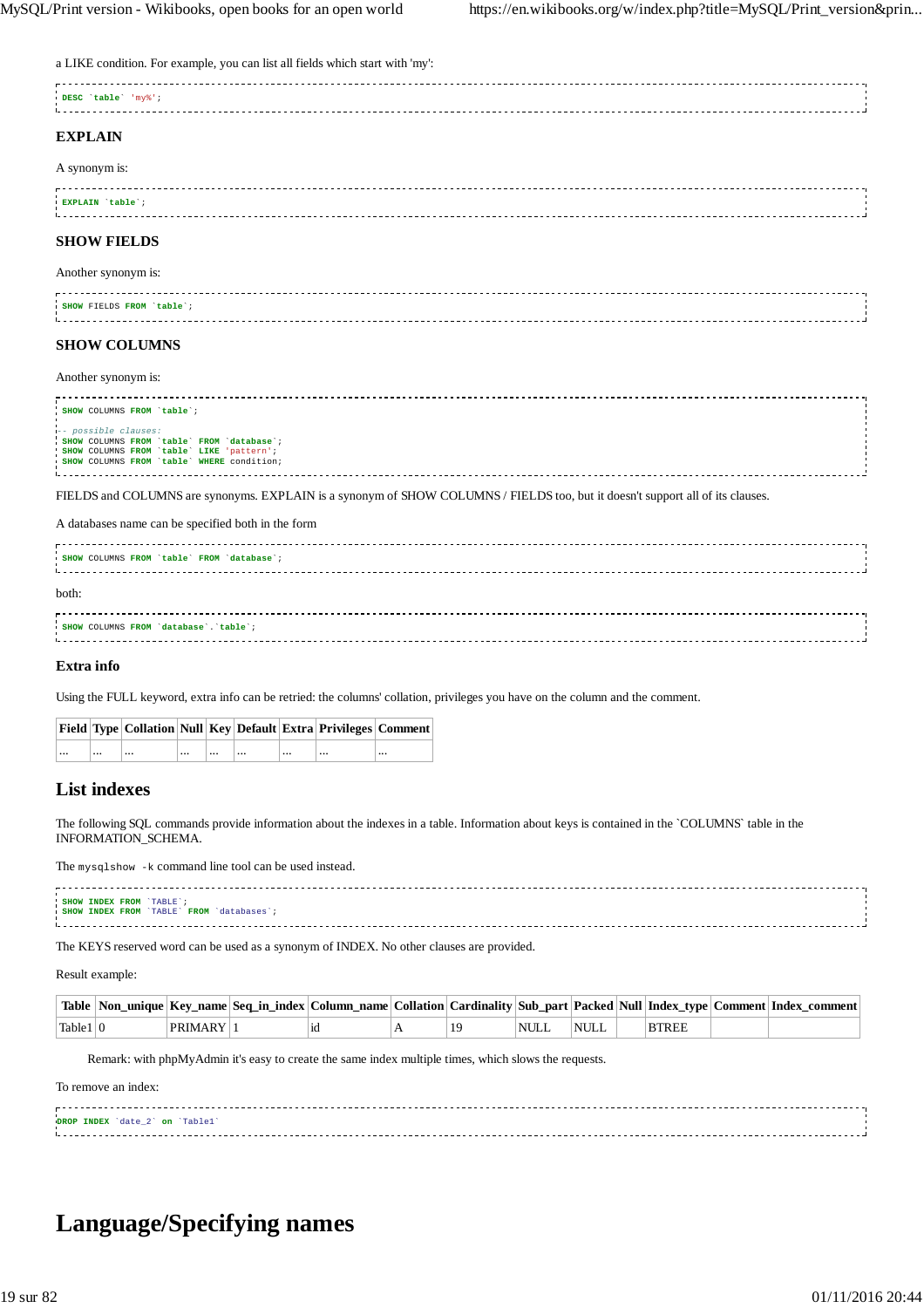a LIKE condition. For example, you can list all fields which start with 'my':

| DESC 'table' 'my%'; |  |
|---------------------|--|
|                     |  |
| <b>TIXZDE ATAT</b>  |  |

## **EXPLAIN**

| A synonym is: |  |
|---------------|--|
|               |  |
|               |  |

| EXPLAIN table |  |  |
|---------------|--|--|
|               |  |  |

## **SHOW FIELDS**

#### Another synonym is:

| SHOW FIELDS FROM 'table'; |  |
|---------------------------|--|
|                           |  |
|                           |  |
|                           |  |
|                           |  |

## **SHOW COLUMNS**

Another synonym is:

| SHOW COLUMNS FROM `table`;                 |  |
|--------------------------------------------|--|
|                                            |  |
|                                            |  |
| -- possible clauses:                       |  |
| SHOW COLUMNS FROM 'table' FROM 'database'; |  |
| SHOW COLUMNS FROM 'table' LIKE 'pattern',  |  |
| SHOW COLUMNS FROM 'table' WHERE condition; |  |
|                                            |  |
|                                            |  |
|                                            |  |

FIELDS and COLUMNS are synonyms. EXPLAIN is a synonym of SHOW COLUMNS / FIELDS too, but it doesn't support all of its clauses.

A databases name can be specified both in the form

| SHOW COLUMNS FROM 'table' FROM 'database'; |  |
|--------------------------------------------|--|
| both:                                      |  |
| SHOW COLUMNS FROM 'database'. 'table';     |  |

#### **Extra info**

Using the FULL keyword, extra info can be retried: the columns' collation, privileges you have on the column and the comment.

|          |          |              |      | Field   Type   Collation   Null   Key   Default   Extra   Privileges   Comment |          |
|----------|----------|--------------|------|--------------------------------------------------------------------------------|----------|
| $\cdots$ | $\cdots$ | <br>$\cdots$ | <br> | <br>$\cdots$                                                                   | $\cdots$ |

## **List indexes**

The following SQL commands provide information about the indexes in a table. Information about keys is contained in the `COLUMNS` table in the INFORMATION\_SCHEMA.

The mysqlshow -k command line tool can be used instead.

| SHOW INDEX FROM 'TABLE';                  |  |
|-------------------------------------------|--|
|                                           |  |
| SHOW INDEX FROM 'TABLE' FROM 'databases'; |  |
|                                           |  |
|                                           |  |

The KEYS reserved word can be used as a synonym of INDEX. No other clauses are provided.

Result example:

|             |             | Table  Non_unique  Key_name  Seq_in_index  Column_name  Collation  Cardinality  Sub_part  Packed  Null  Index_type  Comment  Index_comment |  |             |             |              |  |  |
|-------------|-------------|--------------------------------------------------------------------------------------------------------------------------------------------|--|-------------|-------------|--------------|--|--|
| Table 1   0 | . PRIMARY ' | 1d                                                                                                                                         |  | <b>NULL</b> | <b>NULL</b> | <b>BTREE</b> |  |  |

Remark: with phpMyAdmin it's easy to create the same index multiple times, which slows the requests.

To remove an index:

| DROP INDEX 'date_2' on 'Table1' |  |
|---------------------------------|--|
|                                 |  |
|                                 |  |
|                                 |  |

## **Language/Specifying names**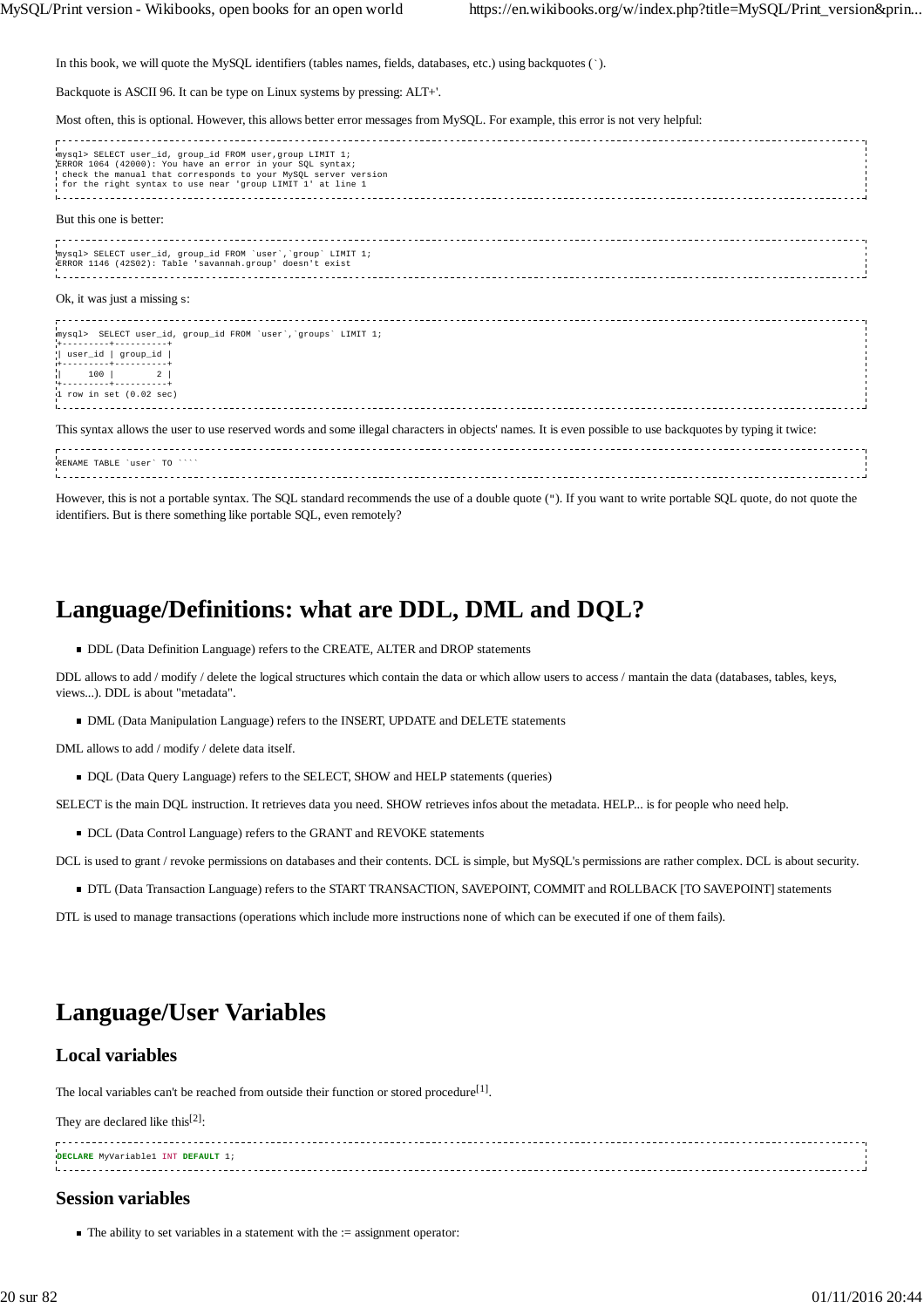In this book, we will quote the MySQL identifiers (tables names, fields, databases, etc.) using backquotes (`).

Backquote is ASCII 96. It can be type on Linux systems by pressing: ALT+'.

Most often, this is optional. However, this allows better error messages from MySQL. For example, this error is not very helpful:

| mysql> SELECT user_id, group_id FROM user, group LIMIT 1;<br>ERROR 1064 (42000): You have an error in your SOL syntax;<br>check the manual that corresponds to your MySQL server version<br>i for the right syntax to use near 'group LIMIT 1' at line 1 |
|----------------------------------------------------------------------------------------------------------------------------------------------------------------------------------------------------------------------------------------------------------|
| But this one is better:                                                                                                                                                                                                                                  |
| mysql> SELECT user id, group id FROM 'user', 'group' LIMIT 1;<br>ERROR 1146 (42S02): Table 'savannah.group' doesn't exist                                                                                                                                |
| Ok, it was just a missing $s$ :                                                                                                                                                                                                                          |
| mysql> SELECT user_id, group_id FROM 'user', 'groups' LIMIT 1;                                                                                                                                                                                           |
| .+---------+----------+<br>  user_id   group_id                                                                                                                                                                                                          |
| 100   2                                                                                                                                                                                                                                                  |
| +----------+----------+<br>$1$ row in set $(0.02$ sec)                                                                                                                                                                                                   |
| This syntax allows the user to use reserved words and some illegal characters in objects' names. It is even possible to use backquotes by typing it twice:                                                                                               |
| RENAME TABLE 'user' TO ''''                                                                                                                                                                                                                              |
| However, this is not a portable syntax. The SOL standard recommends the use of a double quote (v). If you want to write portable SOL quote, do not quote the                                                                                             |

However, this is not a portable syntax. The SQL standard recommends the use of a double quote ("). If you want to write portable SQL quote, do not quote the identifiers. But is there something like portable SQL, even remotely?

## **Language/Definitions: what are DDL, DML and DQL?**

DDL (Data Definition Language) refers to the CREATE, ALTER and DROP statements

DDL allows to add / modify / delete the logical structures which contain the data or which allow users to access / mantain the data (databases, tables, keys, views...). DDL is about "metadata".

DML (Data Manipulation Language) refers to the INSERT, UPDATE and DELETE statements

DML allows to add / modify / delete data itself.

DQL (Data Query Language) refers to the SELECT, SHOW and HELP statements (queries)

SELECT is the main DQL instruction. It retrieves data you need. SHOW retrieves infos about the metadata. HELP... is for people who need help.

 $\blacksquare$  DCL (Data Control Language) refers to the GRANT and REVOKE statements

DCL is used to grant / revoke permissions on databases and their contents. DCL is simple, but MySQL's permissions are rather complex. DCL is about security.

DTL (Data Transaction Language) refers to the START TRANSACTION, SAVEPOINT, COMMIT and ROLLBACK [TO SAVEPOINT] statements

DTL is used to manage transactions (operations which include more instructions none of which can be executed if one of them fails).

## **Language/User Variables**

## **Local variables**

The local variables can't be reached from outside their function or stored procedure<sup>[1]</sup>.

They are declared like this<sup>[2]</sup>:

| DECLARE MyVariable1 INT DEFAULT |  |
|---------------------------------|--|
|                                 |  |
|                                 |  |

## **Session variables**

 $\blacksquare$  The ability to set variables in a statement with the  $\coloneqq$  assignment operator: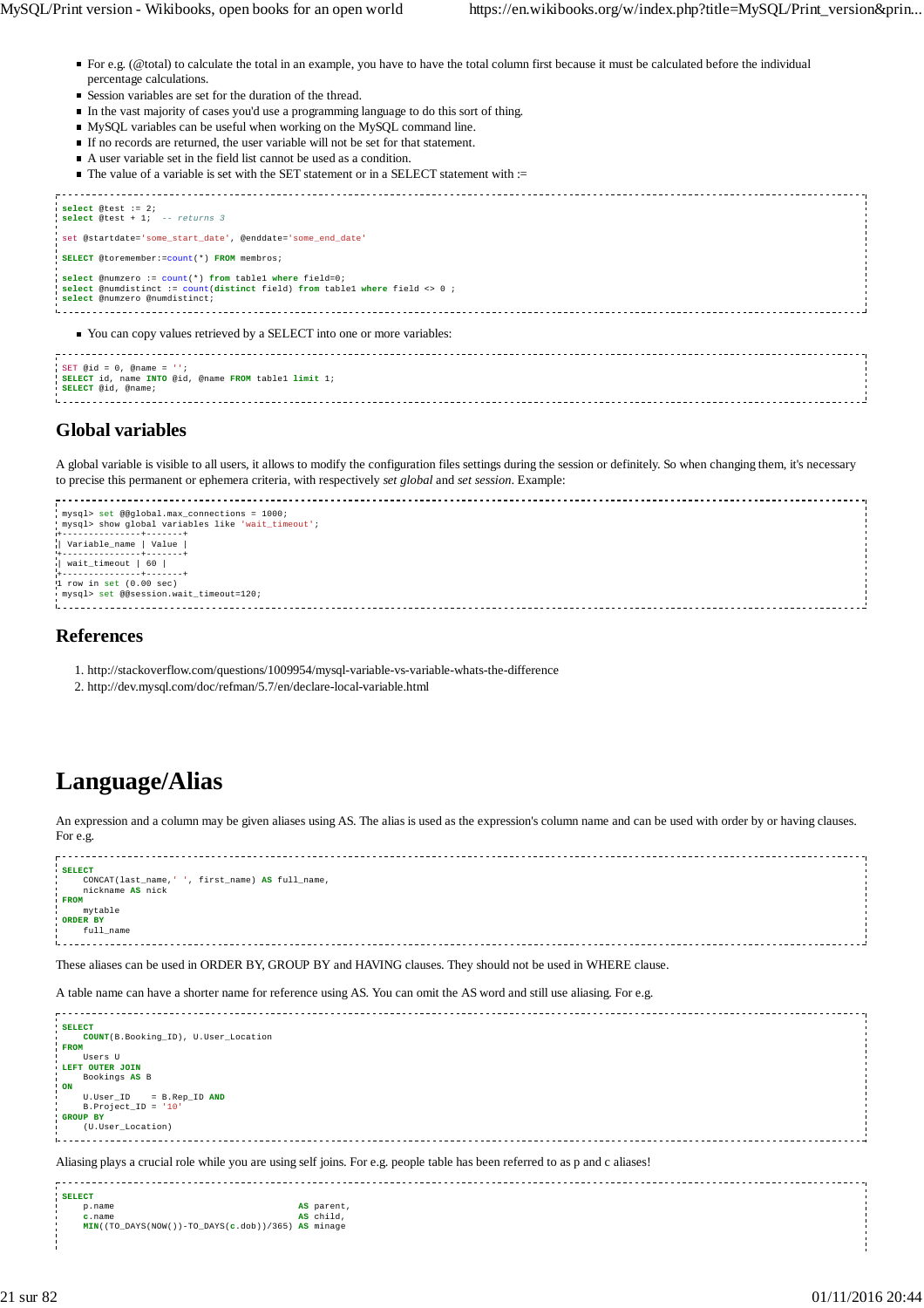- For e.g. (@total) to calculate the total in an example, you have to have the total column first because it must be calculated before the individual percentage calculations.
- Session variables are set for the duration of the thread.
- In the vast majority of cases you'd use a programming language to do this sort of thing.
- MySQL variables can be useful when working on the MySQL command line.
- If no records are returned, the user variable will not be set for that statement.
- A user variable set in the field list cannot be used as a condition.
- $\blacksquare$  The value of a variable is set with the SET statement or in a SELECT statement with :=



SET @id =  $0$ , @name = **SELECT** id, name **INTO** @id, @name **FROM** table1 **limit** 1; **SELECT** @id, @name; 

## **Global variables**

A global variable is visible to all users, it allows to modify the configuration files settings during the session or definitely. So when changing them, it's necessary to precise this permanent or ephemera criteria, with respectively *set global* and *set session*. Example:

```
 mysql> set @@global.max_connections = 1000;
 mysql> show global variables like 'wait_timeout';
+---------------+-------+
| Variable_name | Value |
+---------------+-------+
 | wait_timeout | 60 |
+---------------+-------+
1 row in set (0.00 sec)
 mysql> set @@session.wait_timeout=120;
```
## **References**

- 1. http://stackoverflow.com/questions/1009954/mysql-variable-vs-variable-whats-the-difference
- 2. http://dev.mysql.com/doc/refman/5.7/en/declare-local-variable.html

## **Language/Alias**

An expression and a column may be given aliases using AS. The alias is used as the expression's column name and can be used with order by or having clauses. For e.g.

| <b>SELECT</b><br>CONCAT(last_name,' ', first_name) AS full_name, |  |
|------------------------------------------------------------------|--|
| nickname AS nick<br><b>FROM</b>                                  |  |
| mytable<br>ORDER BY<br>full_name                                 |  |
|                                                                  |  |

These aliases can be used in ORDER BY, GROUP BY and HAVING clauses. They should not be used in WHERE clause.

A table name can have a shorter name for reference using AS. You can omit the AS word and still use aliasing. For e.g.

| <b>SELECT</b><br>COUNT(B.Booking ID), U.User Location<br><b>FROM</b><br>Users U<br>LEFT OUTER JOIN<br>Bookings AS B<br>$\frac{1}{2}$ ON<br>$= B \t Rep\_ID AND$<br>U.User ID<br>$B.Project ID = '10'$<br><b>GROUP BY</b><br>(U.User_Location) |  |
|-----------------------------------------------------------------------------------------------------------------------------------------------------------------------------------------------------------------------------------------------|--|
| Aliasing plays a crucial role while you are using self joins. For e.g. people table has been referred to as p and c aliases!<br>draw morm                                                                                                     |  |

p.name **AS** parent<br> **AS** child, **c**.name **AS** child, **MIN**((TO\_DAYS(NOW())-TO\_DAYS(**c**.dob))/365) **AS** minage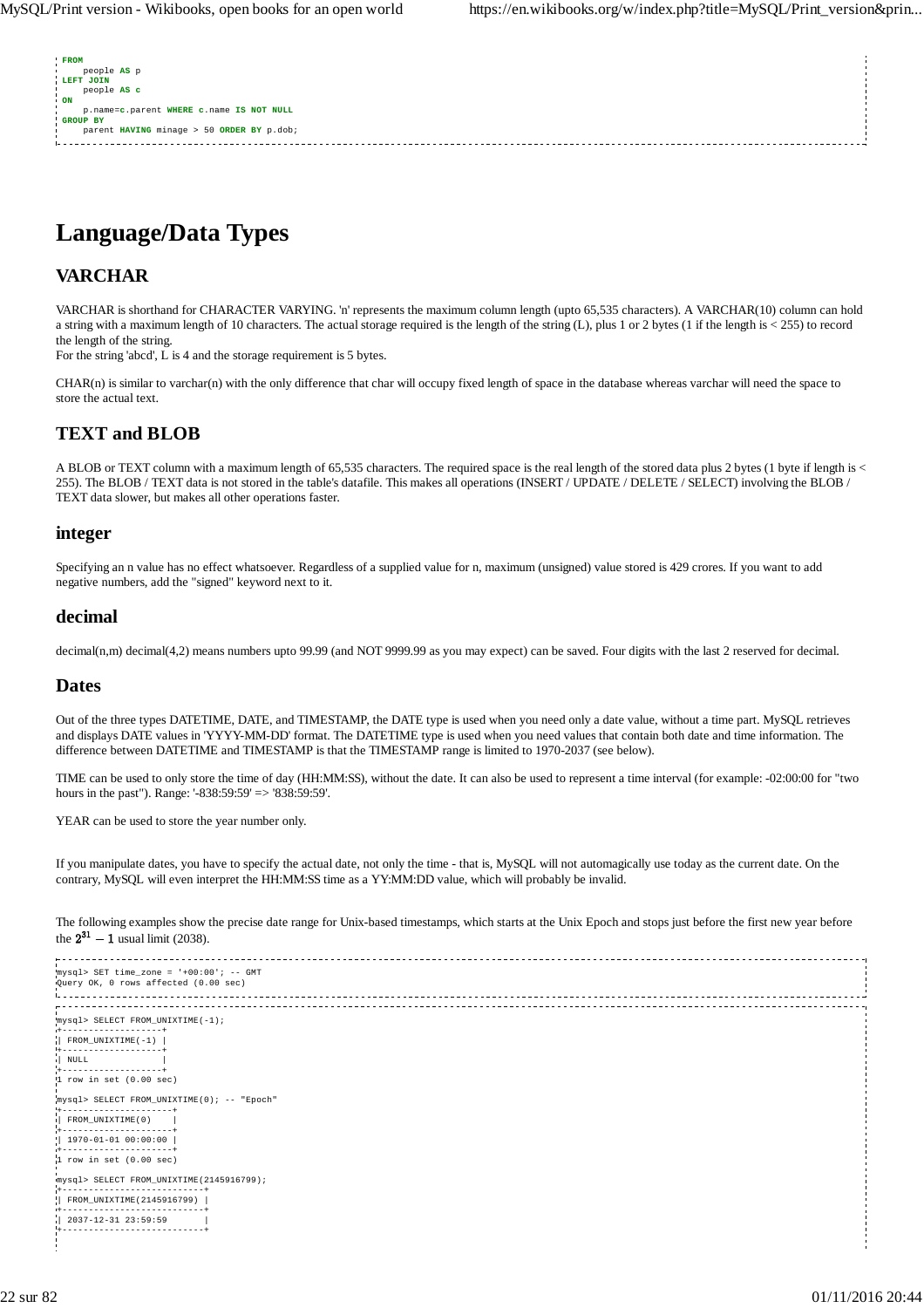| <b>FROM</b>                               |  |
|-------------------------------------------|--|
| people AS p                               |  |
| LEFT JOIN                                 |  |
| people AS c                               |  |
| ON.                                       |  |
| p.name=c.parent WHERE c.name IS NOT NULL  |  |
| <b>GROUP BY</b>                           |  |
| parent HAVING minage > 50 ORDER BY p.dob; |  |
|                                           |  |
|                                           |  |
|                                           |  |

## **Language/Data Types**

## **VARCHAR**

VARCHAR is shorthand for CHARACTER VARYING. 'n' represents the maximum column length (upto 65,535 characters). A VARCHAR(10) column can hold a string with a maximum length of 10 characters. The actual storage required is the length of the string (L), plus 1 or 2 bytes (1 if the length is < 255) to record the length of the string.

For the string 'abcd', L is 4 and the storage requirement is 5 bytes.

CHAR(n) is similar to varchar(n) with the only difference that char will occupy fixed length of space in the database whereas varchar will need the space to store the actual text.

## **TEXT and BLOB**

A BLOB or TEXT column with a maximum length of 65,535 characters. The required space is the real length of the stored data plus 2 bytes (1 byte if length is < 255). The BLOB / TEXT data is not stored in the table's datafile. This makes all operations (INSERT / UPDATE / DELETE / SELECT) involving the BLOB / TEXT data slower, but makes all other operations faster.

## **integer**

Specifying an n value has no effect whatsoever. Regardless of a supplied value for n, maximum (unsigned) value stored is 429 crores. If you want to add negative numbers, add the "signed" keyword next to it.

## **decimal**

decimal(n,m) decimal(4,2) means numbers upto 99.99 (and NOT 9999.99 as you may expect) can be saved. Four digits with the last 2 reserved for decimal.

## **Dates**

Out of the three types DATETIME, DATE, and TIMESTAMP, the DATE type is used when you need only a date value, without a time part. MySQL retrieves and displays DATE values in 'YYYY-MM-DD' format. The DATETIME type is used when you need values that contain both date and time information. The difference between DATETIME and TIMESTAMP is that the TIMESTAMP range is limited to 1970-2037 (see below).

TIME can be used to only store the time of day (HH:MM:SS), without the date. It can also be used to represent a time interval (for example: -02:00:00 for "two hours in the past"). Range: '-838:59:59' => '838:59:59'.

YEAR can be used to store the year number only.

If you manipulate dates, you have to specify the actual date, not only the time - that is, MySQL will not automagically use today as the current date. On the contrary, MySQL will even interpret the HH:MM:SS time as a YY:MM:DD value, which will probably be invalid.

The following examples show the precise date range for Unix-based timestamps, which starts at the Unix Epoch and stops just before the first new year before the  $2^{31} - 1$  usual limit (2038).

mysql> SET time\_zone = '+00:00'; -- GMT Query OK, 0 rows affected (0.00 sec) mysql> SELECT FROM\_UNIXTIME(-1); +-------------------+  $\frac{1}{2}$  FROM UNIXTIME(-1)  $\frac{1}{2}$ +-------------------+ | NULL | +-------------------+ 1 row in set (0.00 sec) mysql> SELECT FROM\_UNIXTIME(0); -- "Epoch" +---------------------+ | FROM\_UNIXTIME(0) | +---------------------+ | 1970-01-01 00:00:00 | +---------------------+ 1 row in set (0.00 sec) mysql> SELECT FROM\_UNIXTIME(2145916799); +---------------------------+ | FROM\_UNIXTIME(2145916799) | +---------------------------+ | 2037-12-31 23:59:59 | +---------------------------+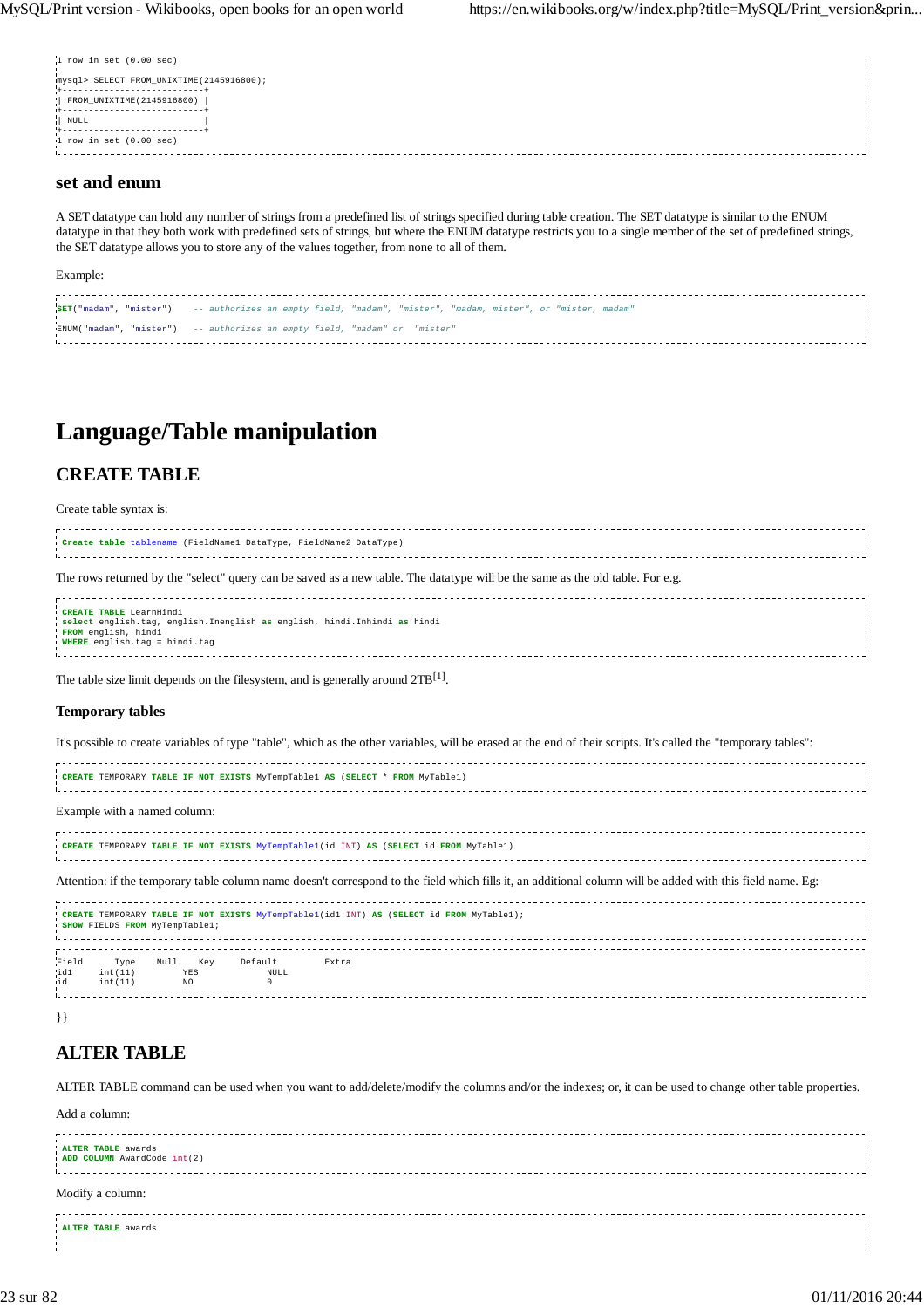| $1$ row in set $(0.00$ sec)               |  |
|-------------------------------------------|--|
| mysql> SELECT FROM UNIXTIME (2145916800); |  |
| FROM UNIXTIME (2145916800)                |  |
| NULL                                      |  |
| $1$ row in set $(0.00$ sec)               |  |

## **set and enum**

A SET datatype can hold any number of strings from a predefined list of strings specified during table creation. The SET datatype is similar to the ENUM datatype in that they both work with predefined sets of strings, but where the ENUM datatype restricts you to a single member of the set of predefined strings, the SET datatype allows you to store any of the values together, from none to all of them.

| Example:                                                                                                    |  |
|-------------------------------------------------------------------------------------------------------------|--|
| SET("madam", "mister") -- authorizes an empty field, "madam", "mister", "madam, mister", or "mister, madam" |  |
| ENUM("madam", "mister") -- authorizes an empty field, "madam" or "mister"                                   |  |

## **Language/Table manipulation**

## **CREATE TABLE**

Create table syntax is:

| Create table tablename (FieldName1 DataType, FieldName2 DataType)                                                                                           |  |
|-------------------------------------------------------------------------------------------------------------------------------------------------------------|--|
| The rows returned by the "select" query can be saved as a new table. The datatype will be the same as the old table. For e.g.                               |  |
| CREATE TABLE LearnHindi<br>select english.tag, english.Inenglish as english, hindi.Inhindi as hindi<br>FROM english, hindi<br>WHERE english.tag = hindi.tag |  |

The table size limit depends on the filesystem, and is generally around  $2TB^{[1]}$ .

### **Temporary tables**

It's possible to create variables of type "table", which as the other variables, will be erased at the end of their scripts. It's called the "temporary tables":

| CREATE TEMPORARY TABLE IF NOT EXISTS MyTempTable1 AS (SELECT * FROM MyTable1)                                                                              |  |
|------------------------------------------------------------------------------------------------------------------------------------------------------------|--|
| Example with a named column:                                                                                                                               |  |
| CREATE TEMPORARY TABLE IF NOT EXISTS MyTempTable1(id INT) AS (SELECT id FROM MyTable1)                                                                     |  |
| Attention: if the temporary table column name doesn't correspond to the field which fills it, an additional column will be added with this field name. Eg: |  |

|              |                 | SHOW FIELDS FROM MyTempTablel; |                        | ! CREATE TEMPORARY TABLE IF NOT EXISTS MyTempTable1(id1 INT) AS (SELECT id FROM MyTable1); |  |
|--------------|-----------------|--------------------------------|------------------------|--------------------------------------------------------------------------------------------|--|
| Field<br>id1 | Type<br>int(11) | Kev<br>Null<br>YES             | Default<br><b>NULL</b> | Extra                                                                                      |  |
| uid          | int(11)         | NO                             |                        |                                                                                            |  |

}}

## **ALTER TABLE**

ALTER TABLE command can be used when you want to add/delete/modify the columns and/or the indexes; or, it can be used to change other table properties.

Add a column:

| ALTER TABLE awards<br>ADD COLUMN AwardCode int(2) |  |
|---------------------------------------------------|--|
|                                                   |  |
| Modify a column:                                  |  |
| ALTER TABLE awards                                |  |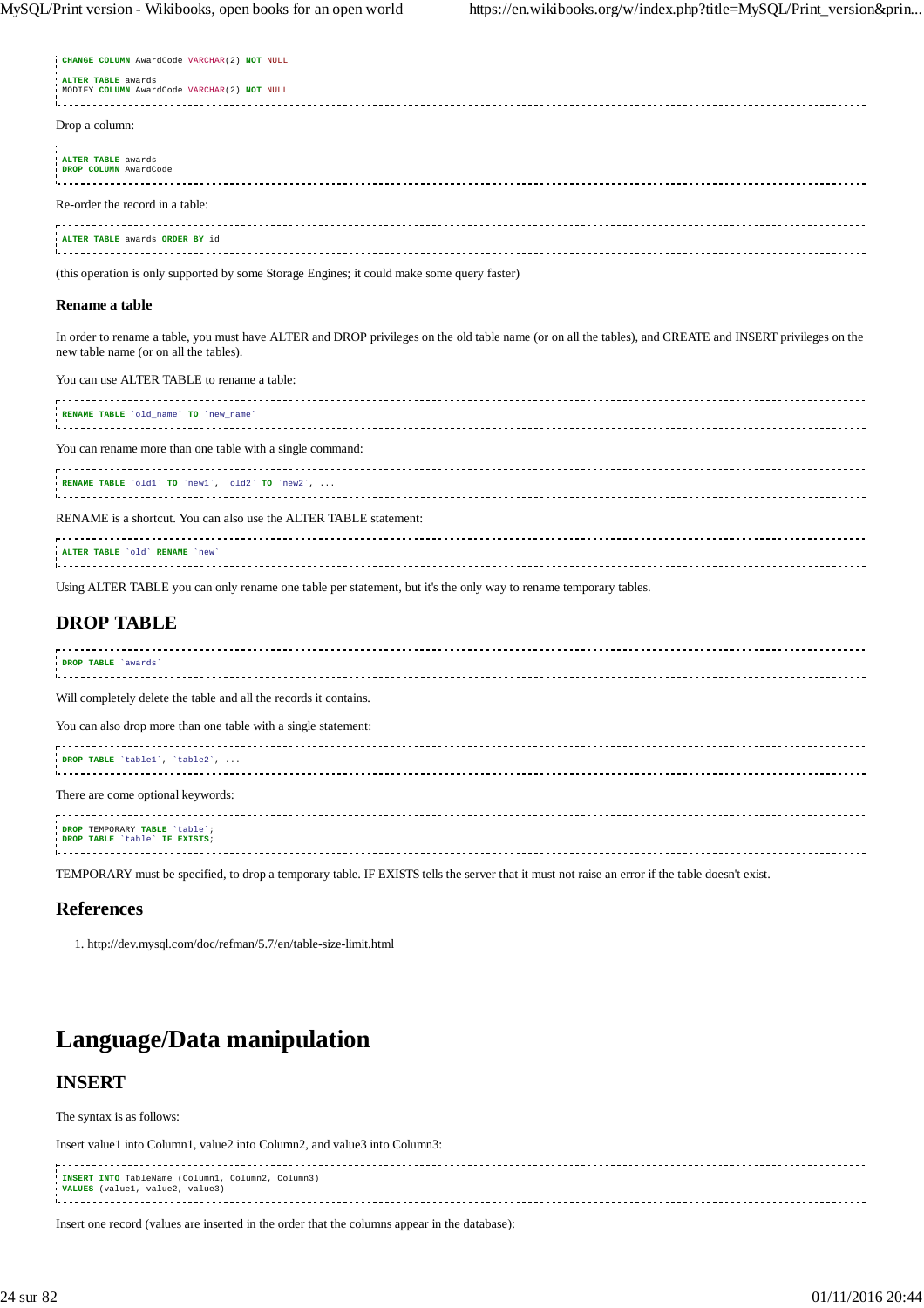**CHANGE COLUMN** AwardCode VARCHAR(2) **NOT** NULL

| ALTER TABLE awards<br>MODIFY COLUMN AwardCode VARCHAR (2) NOT NULL                                                                                                                                                                                                                                                                                                                                                                  |  |
|-------------------------------------------------------------------------------------------------------------------------------------------------------------------------------------------------------------------------------------------------------------------------------------------------------------------------------------------------------------------------------------------------------------------------------------|--|
| Drop a column:                                                                                                                                                                                                                                                                                                                                                                                                                      |  |
| ALTER TABLE awards<br>DROP COLUMN AwardCode                                                                                                                                                                                                                                                                                                                                                                                         |  |
| Re-order the record in a table:                                                                                                                                                                                                                                                                                                                                                                                                     |  |
| ALTER TABLE awards ORDER BY id                                                                                                                                                                                                                                                                                                                                                                                                      |  |
| $\mathcal{L}(\mathbf{1},\mathbf{1},\ldots,\mathbf{1},\mathbf{1},\mathbf{1},\ldots,\mathbf{1},\mathbf{1},\mathbf{1},\mathbf{1},\ldots,\mathbf{1},\mathbf{1},\mathbf{1},\mathbf{1},\ldots,\mathbf{1},\mathbf{1},\mathbf{1},\mathbf{1},\ldots,\mathbf{1},\mathbf{1},\mathbf{1},\mathbf{1},\ldots,\mathbf{1},\mathbf{1},\mathbf{1},\mathbf{1},\ldots,\mathbf{1},\mathbf{1},\mathbf{1},\mathbf{1},\ldots,\mathbf{1},\mathbf{1},\mathbf{$ |  |

(this operation is only supported by some Storage Engines; it could make some query faster)

#### **Rename a table**

In order to rename a table, you must have ALTER and DROP privileges on the old table name (or on all the tables), and CREATE and INSERT privileges on the new table name (or on all the tables).

You can use ALTER TABLE to rename a table:

| RENAME TABLE 'old name' TO 'new name'                             |  |
|-------------------------------------------------------------------|--|
| You can rename more than one table with a single command:         |  |
| RENAME TABLE 'old1' TO 'new1', 'old2' TO 'new2',                  |  |
| RENAME is a shortcut. You can also use the ALTER TABLE statement: |  |
| ALTER TABLE 'old' RENAME 'new'                                    |  |
|                                                                   |  |

Using ALTER TABLE you can only rename one table per statement, but it's the only way to rename temporary tables.

## **DROP TABLE**

| DROP TABLE<br>awards |  |
|----------------------|--|
|                      |  |
|                      |  |
|                      |  |

Will completely delete the table and all the records it contains.

You can also drop more than one table with a single statement:

| DROP TABLE 'tablel', 'table2',<br>----------------------------------- |  |
|-----------------------------------------------------------------------|--|
| There are come optional keywords:                                     |  |
| DROP TEMPORARY TABLE `table`;<br>DROP TABLE `table` IF EXISTS;        |  |

TEMPORARY must be specified, to drop a temporary table. IF EXISTS tells the server that it must not raise an error if the table doesn't exist.

## **References**

1. http://dev.mysql.com/doc/refman/5.7/en/table-size-limit.html

## **Language/Data manipulation**

## **INSERT**

The syntax is as follows:

Insert value1 into Column1, value2 into Column2, and value3 into Column3:

**INSERT INTO** TableName (Column1, Column2, Column3) **VALUES** (value1, value2, value3)

Insert one record (values are inserted in the order that the columns appear in the database):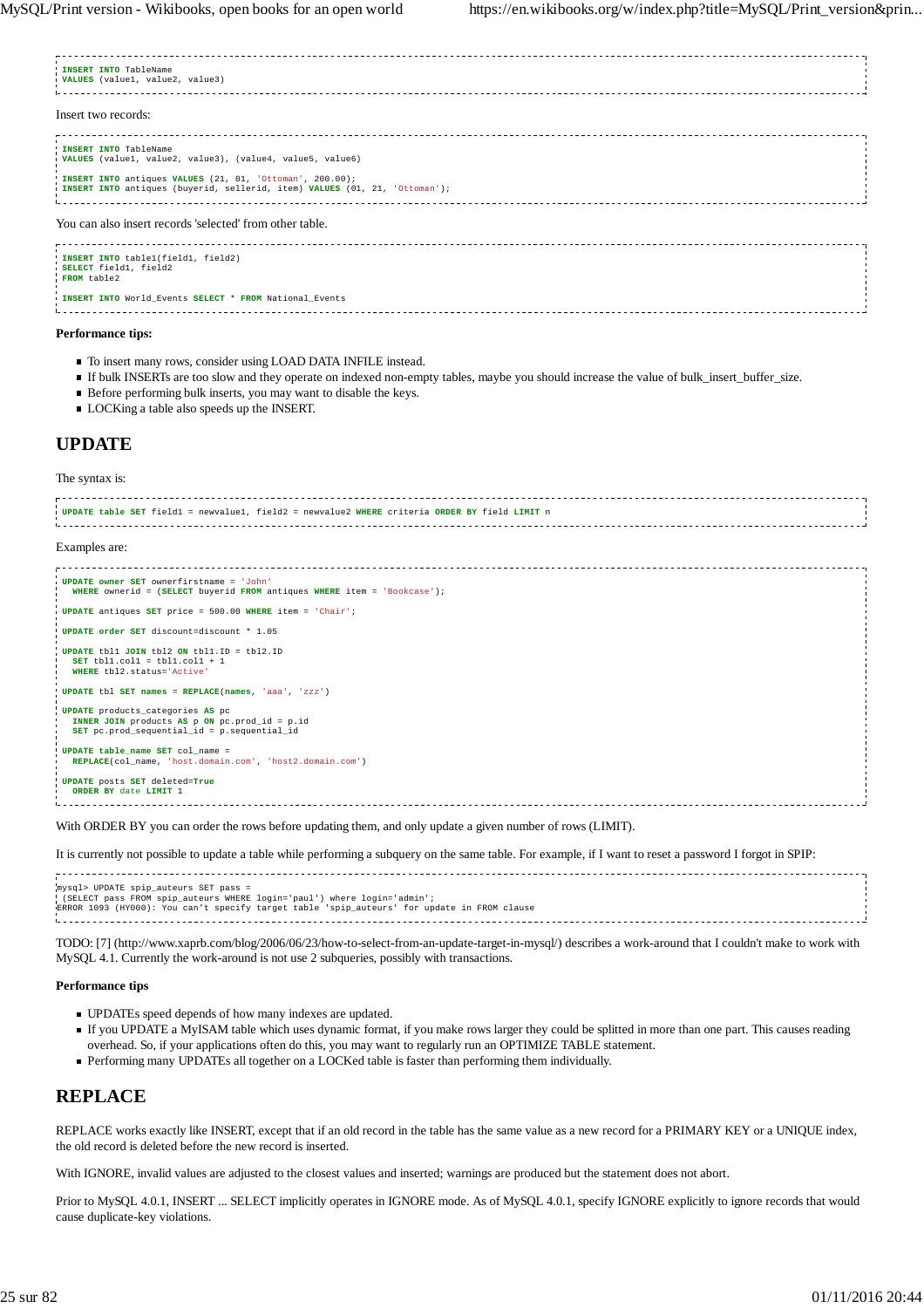| INSERT INTO TableName<br><b>VALUES</b> (valuel, value2, value3)                                                                        |  |
|----------------------------------------------------------------------------------------------------------------------------------------|--|
| Insert two records:                                                                                                                    |  |
| INSERT INTO TableName<br>(VALUES (value1, value2, value3), (value4, value5, value6)                                                    |  |
| INSERT INTO antiques VALUES (21, 01, 'Ottoman', 200.00);<br>INSERT INTO antiques (buyerid, sellerid, item) VALUES (01, 21, 'Ottoman'); |  |
| You can also insert records 'selected' from other table.                                                                               |  |
| INSERT INTO table1(field1, field2)<br>SELECT field1, field2<br>FROM table2                                                             |  |
| INSERT INTO World Events SELECT * FROM National Events                                                                                 |  |

#### **Performance tips:**

- $\blacksquare$  To insert many rows, consider using LOAD DATA INFILE instead.
- If bulk INSERTs are too slow and they operate on indexed non-empty tables, maybe you should increase the value of bulk\_insert\_buffer\_size.
- Before performing bulk inserts, you may want to disable the keys.
- **LOCKing a table also speeds up the INSERT.**

## **UPDATE**

The syntax is:

| (UPDATE table SET field1 = newvalue1, field2 = newvalue2 WHERE criteria ORDER BY field LIMIT n                                          |  |
|-----------------------------------------------------------------------------------------------------------------------------------------|--|
| Examples are:                                                                                                                           |  |
| UPDATE owner SET ownerfirstname = 'John'<br>WHERE ownerid = (SELECT buyerid FROM antiques WHERE item = 'Bookcase');                     |  |
| UPDATE antiques SET price = 500.00 WHERE item = 'Chair';                                                                                |  |
| UPDATE order SET discount=discount * 1.05                                                                                               |  |
| <b>UPDATE</b> tbl1 JOIN tbl2 ON tbl1.ID = $tb12.ID$<br>SET tbl1.col1 = tbl1.col1 + 1<br>WHERE tbl2.status='Active'                      |  |
| <b>UPDATE</b> tbl <b>SET</b> names = $REPLACE(name, 'aaa', 'zzz')$                                                                      |  |
| <b>UPDATE</b> products categories AS pc<br>INNER JOIN products AS p ON pc.prod_id = p.id<br>SET pc.prod sequential id = p.sequential id |  |
| UPDATE table name SET col name =<br>REPLACE(col name, 'host.domain.com', 'host2.domain.com')                                            |  |
| UPDATE posts SET deleted=True<br>ORDER BY date LIMIT 1                                                                                  |  |

With ORDER BY you can order the rows before updating them, and only update a given number of rows (LIMIT).

It is currently not possible to update a table while performing a subquery on the same table. For example, if I want to reset a password I forgot in SPIP:

| mysql> UPDATE spip auteurs SET pass =                                                       |  |
|---------------------------------------------------------------------------------------------|--|
| (SELECT pass FROM spip_auteurs WHERE login='paul') where login='admin';                     |  |
| ERROR 1093 (HY000): You can't specify target table 'spip auteurs' for update in FROM clause |  |
|                                                                                             |  |

TODO: [7] (http://www.xaprb.com/blog/2006/06/23/how-to-select-from-an-update-target-in-mysql/) describes a work-around that I couldn't make to work with MySQL 4.1. Currently the work-around is not use 2 subqueries, possibly with transactions.

#### **Performance tips**

- UPDATEs speed depends of how many indexes are updated.
- If you UPDATE a MyISAM table which uses dynamic format, if you make rows larger they could be splitted in more than one part. This causes reading overhead. So, if your applications often do this, you may want to regularly run an OPTIMIZE TABLE statement.
- Performing many UPDATEs all together on a LOCKed table is faster than performing them individually.

## **REPLACE**

REPLACE works exactly like INSERT, except that if an old record in the table has the same value as a new record for a PRIMARY KEY or a UNIQUE index, the old record is deleted before the new record is inserted.

With IGNORE, invalid values are adjusted to the closest values and inserted; warnings are produced but the statement does not abort.

Prior to MySQL 4.0.1, INSERT ... SELECT implicitly operates in IGNORE mode. As of MySQL 4.0.1, specify IGNORE explicitly to ignore records that would cause duplicate-key violations.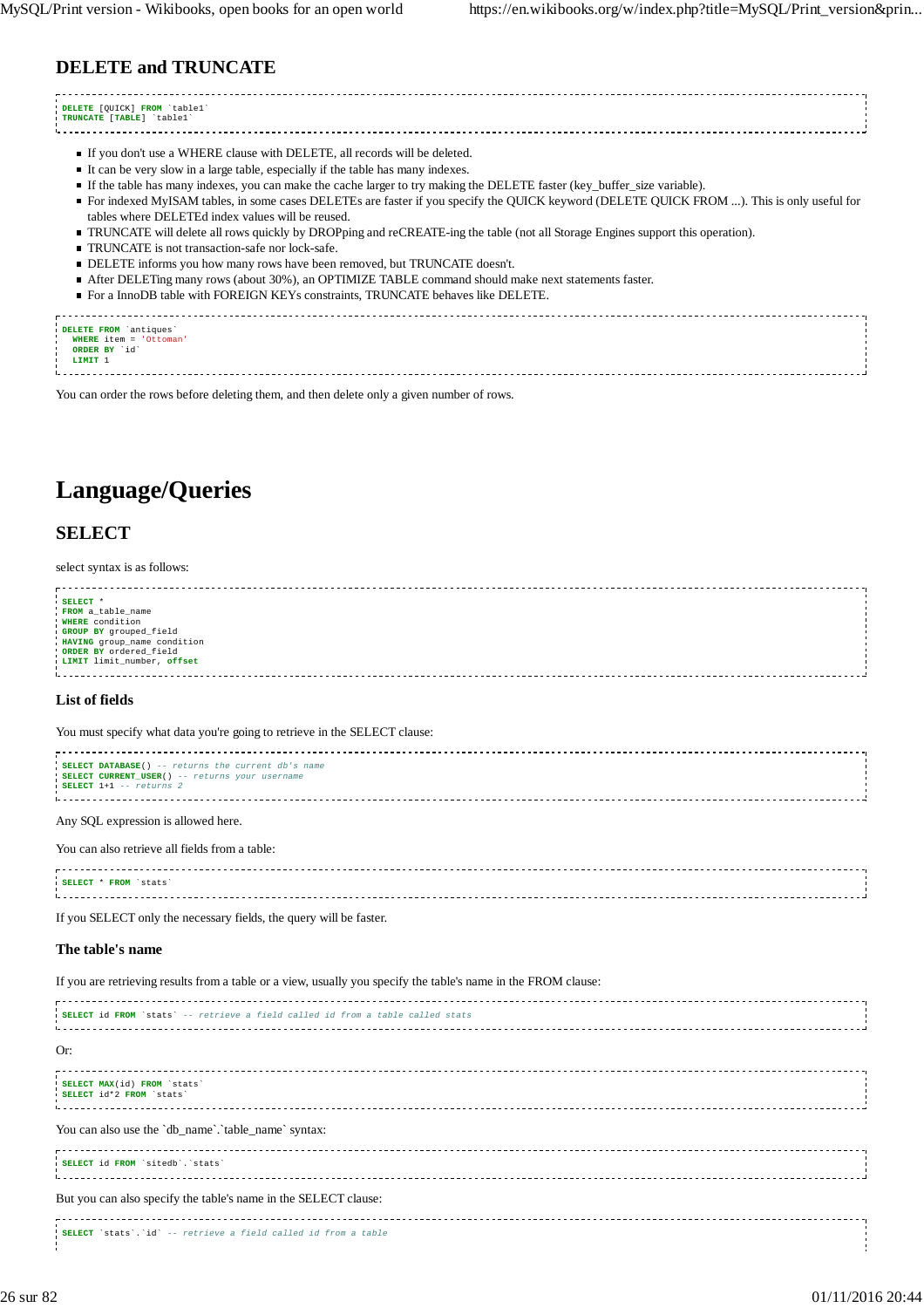## **DELETE and TRUNCATE**

**DELETE** [QUICK] **FROM** `table1` **TRUNCATE** [**TABLE**] `table1` If you don't use a WHERE clause with DELETE, all records will be deleted.  $\blacksquare$  It can be very slow in a large table, especially if the table has many indexes. If the table has many indexes, you can make the cache larger to try making the DELETE faster (key\_buffer\_size variable). For indexed MyISAM tables, in some cases DELETEs are faster if you specify the QUICK keyword (DELETE QUICK FROM ...). This is only useful for tables where DELETEd index values will be reused. TRUNCATE will delete all rows quickly by DROPping and reCREATE-ing the table (not all Storage Engines support this operation). TRUNCATE is not transaction-safe nor lock-safe. DELETE informs you how many rows have been removed, but TRUNCATE doesn't. After DELETing many rows (about 30%), an OPTIMIZE TABLE command should make next statements faster. For a InnoDB table with FOREIGN KEYs constraints, TRUNCATE behaves like DELETE. **DELETE FROM** `antiques` **WHERE** item = 'Ottoman' **ORDER BY** `id` **LIMIT** 1 

You can order the rows before deleting them, and then delete only a given number of rows.

## **Language/Queries**

## **SELECT**

select syntax is as follows:

| SELECT *<br>FROM a_table_name<br>WHERE condition<br>GROUP BY grouped_field<br>HAVING group_name condition<br>ORDER BY ordered_field<br>LIMIT limit number, offset |
|-------------------------------------------------------------------------------------------------------------------------------------------------------------------|
|                                                                                                                                                                   |
|                                                                                                                                                                   |

#### **List of fields**

You must specify what data you're going to retrieve in the SELECT clause:

**SELECT DATABASE**() -- returns the current db's name **SELECT CURRENT\_USER**() -- returns your username **SELECT** 1+1 -- returns 2 

Any SQL expression is allowed here.

#### You can also retrieve all fields from a table:

| SELECT * FROM `stats` |  |
|-----------------------|--|
|                       |  |
|                       |  |
|                       |  |
|                       |  |

If you SELECT only the necessary fields, the query will be faster.

#### **The table's name**

If you are retrieving results from a table or a view, usually you specify the table's name in the FROM clause:

| <i>i</i> SELECT id FROM 'stats' -- retrieve a field called id from a table called stats |  |
|-----------------------------------------------------------------------------------------|--|
| Or:                                                                                     |  |
| SELECT MAX(id) FROM 'stats'<br>SELECT id*2 FROM `stats'                                 |  |
| You can also use the 'db_name'.'table_name' syntax:                                     |  |
| SELECT id FROM 'sitedb'. 'stats'                                                        |  |
| But you can also specify the table's name in the SELECT clause:                         |  |
| SELECT `stats'.'id' -- retrieve a field called id from a table                          |  |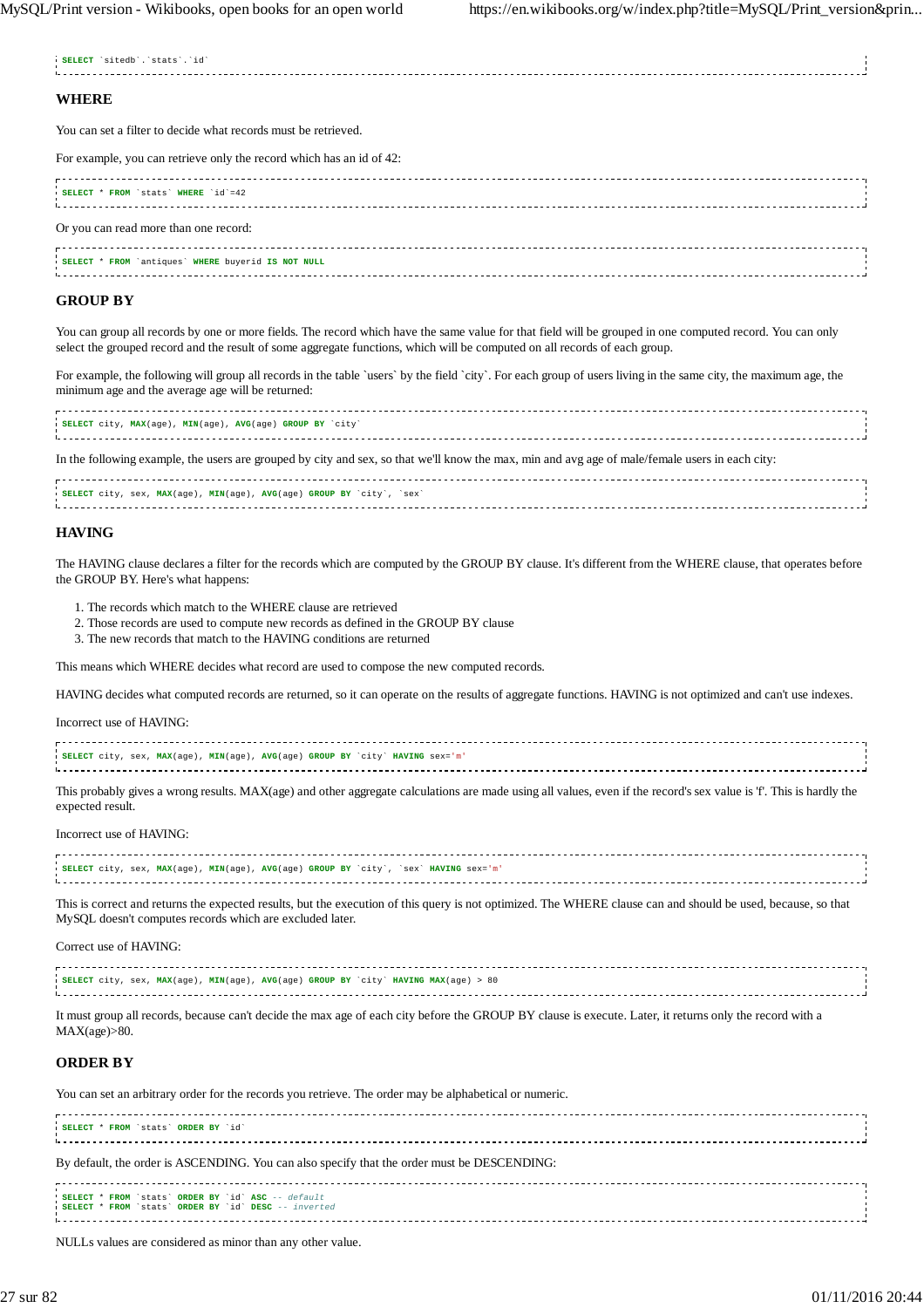**SELECT** `sitedb`.`stats`.`id`

÷,

| <b>WHERE</b>                                                         |  |
|----------------------------------------------------------------------|--|
| You can set a filter to decide what records must be retrieved.       |  |
| For example, you can retrieve only the record which has an id of 42: |  |
| <b>SELECT * FROM `stats' WHERE 'id'=42</b>                           |  |
| Or you can read more than one record:                                |  |
| SELECT * FROM 'antiques' WHERE buyerid IS NOT NULL                   |  |

#### **GROUP BY**

You can group all records by one or more fields. The record which have the same value for that field will be grouped in one computed record. You can only select the grouped record and the result of some aggregate functions, which will be computed on all records of each group.

For example, the following will group all records in the table `users` by the field `city`. For each group of users living in the same city, the maximum age, the minimum age and the average age will be returned:

| SELECT city, MAX(age), MIN(age), AVG(age) GROUP BY `city`<br>Littletic control control control control control control control control control control control control control co |  |
|-----------------------------------------------------------------------------------------------------------------------------------------------------------------------------------|--|
| In the following example, the users are grouped by city and sex, so that we'll know the max, min and avg age of male/female users in each city:                                   |  |

| SELECT city, sex, MAX(age), MIN(age), AVG(age) GROUP BY `city', `sex |  |
|----------------------------------------------------------------------|--|
|                                                                      |  |
|                                                                      |  |
|                                                                      |  |
|                                                                      |  |

#### **HAVING**

The HAVING clause declares a filter for the records which are computed by the GROUP BY clause. It's different from the WHERE clause, that operates before the GROUP BY. Here's what happens:

- 1. The records which match to the WHERE clause are retrieved
- 2. Those records are used to compute new records as defined in the GROUP BY clause
- 3. The new records that match to the HAVING conditions are returned

This means which WHERE decides what record are used to compose the new computed records.

HAVING decides what computed records are returned, so it can operate on the results of aggregate functions. HAVING is not optimized and can't use indexes.

Incorrect use of HAVING:

| I SELECT city, sex, MAX(aqe), MIN(aqe), AVG(aqe) GROUP BY `city` HAVING sex='m' |  |
|---------------------------------------------------------------------------------|--|
|                                                                                 |  |
|                                                                                 |  |
|                                                                                 |  |

This probably gives a wrong results. MAX(age) and other aggregate calculations are made using all values, even if the record's sex value is 'f'. This is hardly the expected result.

Incorrect use of HAVING:

| ISELECT city, sex, MAX(aqe), MIN(aqe), AVG(aqe) GROUP BY 'city', 'sex' HAVING sex='m' |  |
|---------------------------------------------------------------------------------------|--|
|                                                                                       |  |
|                                                                                       |  |
|                                                                                       |  |

This is correct and returns the expected results, but the execution of this query is not optimized. The WHERE clause can and should be used, because, so that MySQL doesn't computes records which are excluded later.

Correct use of HAVING:

| <b>SELECT</b> city, sex, MAX(age), MIN(age), AVG(age) GROUP BY `city` HAVING MAX(age) > 80 |  |
|--------------------------------------------------------------------------------------------|--|
|                                                                                            |  |
|                                                                                            |  |

It must group all records, because can't decide the max age of each city before the GROUP BY clause is execute. Later, it returns only the record with a  $MAX(age) > 80.$ 

#### **ORDER BY**

You can set an arbitrary order for the records you retrieve. The order may be alphabetical or numeric.

| SELECT * FROM 'stats' ORDER BY 'id'                                                                        |  |
|------------------------------------------------------------------------------------------------------------|--|
| By default, the order is ASCENDING. You can also specify that the order must be DESCENDING:                |  |
| SELECT * FROM `stats` ORDER BY `id` ASC -- default<br>SELECT * FROM `stats' ORDER BY 'id' DESC -- inverted |  |

NULLs values are considered as minor than any other value.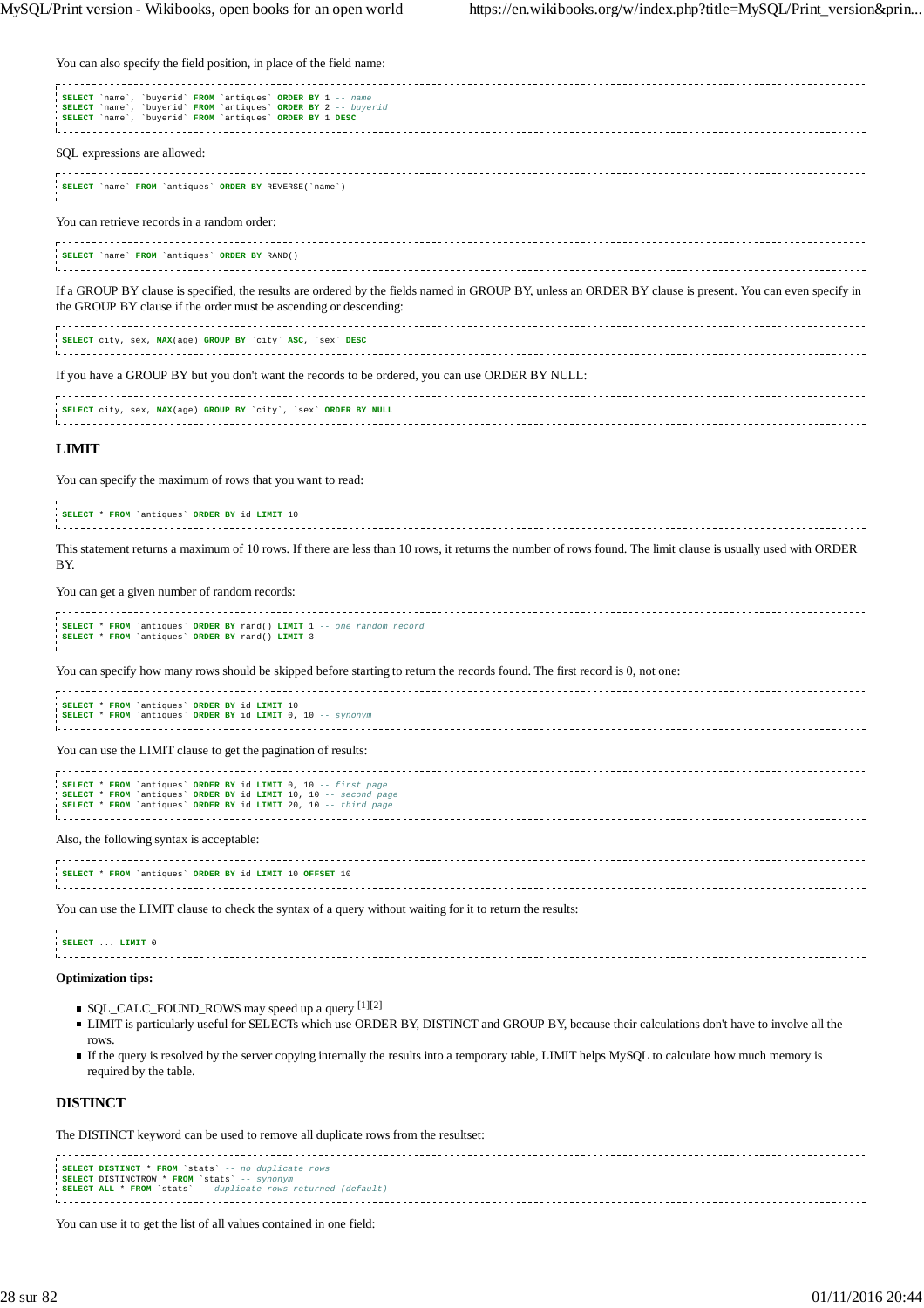You can also specify the field position, in place of the field name:

| SELECT `name`, `buyerid` FROM `antiques` ORDER BY 1 -- name<br>SELECT 'name', 'buyerid' FROM 'antiques' ORDER BY 2 -- buyerid<br>SELECT 'name', 'buyerid' FROM 'antiques' ORDER BY 1 DESC                                      |  |
|--------------------------------------------------------------------------------------------------------------------------------------------------------------------------------------------------------------------------------|--|
| SQL expressions are allowed:                                                                                                                                                                                                   |  |
| <b>SELECT</b> 'name' FROM 'antiques' ORDER BY REVERSE('name')                                                                                                                                                                  |  |
| You can retrieve records in a random order:                                                                                                                                                                                    |  |
| SELECT 'name' FROM 'antiques' ORDER BY RAND()                                                                                                                                                                                  |  |
| If a GROUP BY clause is specified, the results are ordered by the fields named in GROUP BY, unless an ORDER BY clause is present. You can even specify in<br>the GROUP BY clause if the order must be ascending or descending: |  |
| SELECT city, sex, MAX(age) GROUP BY 'city' ASC, 'sex' DESC                                                                                                                                                                     |  |
| If you have a GROUP BY but you don't want the records to be ordered, you can use ORDER BY NULL:                                                                                                                                |  |
| SELECT city, sex, MAX(age) GROUP BY 'city', 'sex' ORDER BY NULL                                                                                                                                                                |  |

#### **LIMIT**

You can specify the maximum of rows that you want to read:

| SELECT * FROM 'antiques' ORDER BY id LIMIT 10 |  |
|-----------------------------------------------|--|
|                                               |  |
|                                               |  |
|                                               |  |
|                                               |  |
|                                               |  |

This statement returns a maximum of 10 rows. If there are less than 10 rows, it returns the number of rows found. The limit clause is usually used with ORDER BY.

#### You can get a given number of random records:

| SELECT * FROM `antiques` ORDER BY rand() LIMIT 1 -- one random record<br>SELECT * FROM 'antiques' ORDER BY rand() LIMIT 3                                                                             |  |
|-------------------------------------------------------------------------------------------------------------------------------------------------------------------------------------------------------|--|
| You can specify how many rows should be skipped before starting to return the records found. The first record is 0, not one:                                                                          |  |
| SELECT * FROM `antiques` ORDER BY id LIMIT 10<br>SELECT * FROM `antiques` ORDER BY id LIMIT 0, 10 -- synonym                                                                                          |  |
| You can use the LIMIT clause to get the pagination of results:                                                                                                                                        |  |
| SELECT * FROM `antiques` ORDER BY id LIMIT 0, 10 -- first page<br>SELECT * FROM `antiques` ORDER BY id LIMIT 10, 10 -- second page<br>SELECT * FROM `antiques` ORDER BY id LIMIT 20, 10 -- third page |  |
| Also, the following syntax is acceptable:                                                                                                                                                             |  |
| SELECT * FROM `antiques` ORDER BY id LIMIT 10 OFFSET 10                                                                                                                                               |  |
| You can use the LIMIT clause to check the syntax of a query without waiting for it to return the results:                                                                                             |  |
| SELECT  LIMIT 0                                                                                                                                                                                       |  |

## i. . . . . . . . . . . . . . . . . . . **Optimization tips:**

- SQL\_CALC\_FOUND\_ROWS may speed up a query [1][2]
- LIMIT is particularly useful for SELECTs which use ORDER BY, DISTINCT and GROUP BY, because their calculations don't have to involve all the rows.

If the query is resolved by the server copying internally the results into a temporary table, LIMIT helps MySQL to calculate how much memory is required by the table.

#### **DISTINCT**

The DISTINCT keyword can be used to remove all duplicate rows from the resultset:

**SELECT DISTINCT** \* **FROM** `stats` -- no duplicate rows **SELECT** DISTINCTROW \* **FROM** `stats` -- synonym **SELECT ALL** \* **FROM** `stats` -- duplicate rows returned (default) 

You can use it to get the list of all values contained in one field: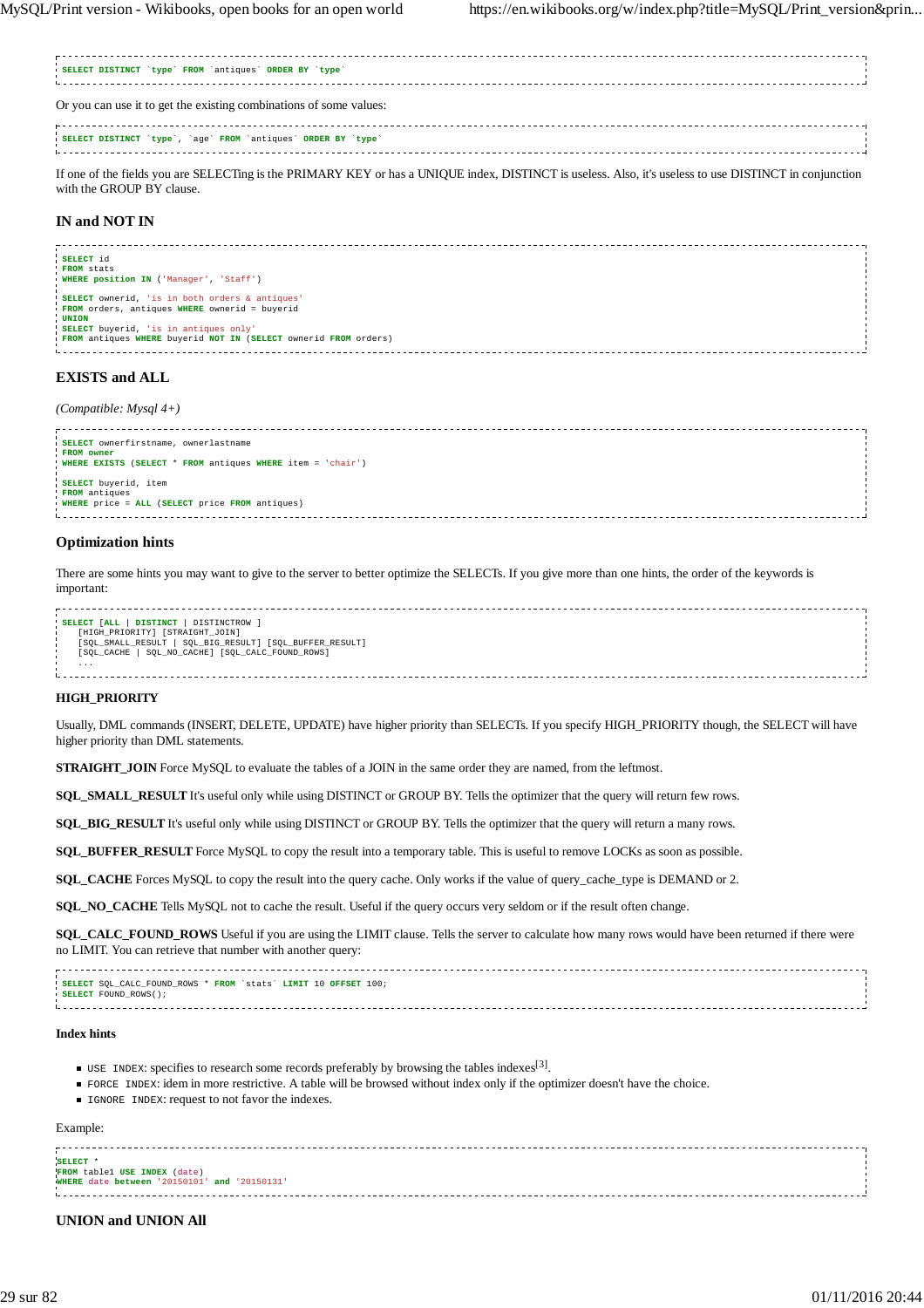If one of the fields you are SELECTing is the PRIMARY KEY or has a UNIQUE index, DISTINCT is useless. Also, it's useless to use DISTINCT in conjunction with the GROUP BY clause.

### **IN and NOT IN**

| SELECT id                                                       |  |
|-----------------------------------------------------------------|--|
| FROM stats                                                      |  |
| ( WHERE position IN ( 'Manager', 'Staff')                       |  |
|                                                                 |  |
| SELECT ownerid, 'is in both orders & antiques'                  |  |
| FROM orders, antiques WHERE ownerid = buyerid                   |  |
| <b>UNION</b>                                                    |  |
| SELECT buyerid, 'is in antiques only'                           |  |
| FROM antiques WHERE buyerid NOT IN (SELECT ownerid FROM orders) |  |
|                                                                 |  |
|                                                                 |  |

### **EXISTS and ALL**

#### *(Compatible: Mysql 4+)*

| i SELECT ownerfirstname, ownerlastname                     |  |
|------------------------------------------------------------|--|
| FROM owner                                                 |  |
| WHERE EXISTS (SELECT * FROM antiques WHERE item = 'chair') |  |
|                                                            |  |
|                                                            |  |
| SELECT buyerid, item                                       |  |
|                                                            |  |
| FROM antiques                                              |  |
|                                                            |  |
| WHERE price = ALL (SELECT price FROM antiques)             |  |
|                                                            |  |
|                                                            |  |

#### **Optimization hints**

There are some hints you may want to give to the server to better optimize the SELECTs. If you give more than one hints, the order of the keywords is important:

| DISTINCTROW ]<br><b>DISTINCT</b><br>SELECT [ALL         |  |
|---------------------------------------------------------|--|
| [HIGH PRIORITY] [STRAIGHT JOIN]                         |  |
|                                                         |  |
| [SQL_SMALL_RESULT   SQL_BIG_RESULT] [SQL_BUFFER_RESULT] |  |
| SQL_NO_CACHE] [SQL_CALC_FOUND_ROWS]<br>[SOL CACHE       |  |
|                                                         |  |
| .                                                       |  |
|                                                         |  |
|                                                         |  |
|                                                         |  |

#### **HIGH\_PRIORITY**

Usually, DML commands (INSERT, DELETE, UPDATE) have higher priority than SELECTs. If you specify HIGH\_PRIORITY though, the SELECT will have higher priority than DML statements.

**STRAIGHT\_JOIN** Force MySQL to evaluate the tables of a JOIN in the same order they are named, from the leftmost.

**SQL\_SMALL\_RESULT** It's useful only while using DISTINCT or GROUP BY. Tells the optimizer that the query will return few rows.

**SQL\_BIG\_RESULT** It's useful only while using DISTINCT or GROUP BY. Tells the optimizer that the query will return a many rows.

**SQL\_BUFFER\_RESULT** Force MySQL to copy the result into a temporary table. This is useful to remove LOCKs as soon as possible.

**SQL\_CACHE** Forces MySQL to copy the result into the query cache. Only works if the value of query\_cache\_type is DEMAND or 2.

**SQL\_NO\_CACHE** Tells MySQL not to cache the result. Useful if the query occurs very seldom or if the result often change.

**SQL\_CALC\_FOUND\_ROWS** Useful if you are using the LIMIT clause. Tells the server to calculate how many rows would have been returned if there were no LIMIT. You can retrieve that number with another query:

**SELECT** SQL\_CALC\_FOUND\_ROWS \* **FROM** `stats` **LIMIT** 10 **OFFSET** 100; SELECT FOUND\_ROWS(); 

#### **Index hints**

- USE INDEX: specifies to research some records preferably by browsing the tables indexes<sup>[3]</sup>.
- FORCE INDEX: idem in more restrictive. A table will be browsed without index only if the optimizer doesn't have the choice.
- **IGNORE INDEX: request to not favor the indexes.**

### Example:

| FROM table1 USE INDEX (date)                 |  |
|----------------------------------------------|--|
| WHERE date between '20150101' and '20150131' |  |
|                                              |  |
|                                              |  |
|                                              |  |

#### **UNION and UNION All**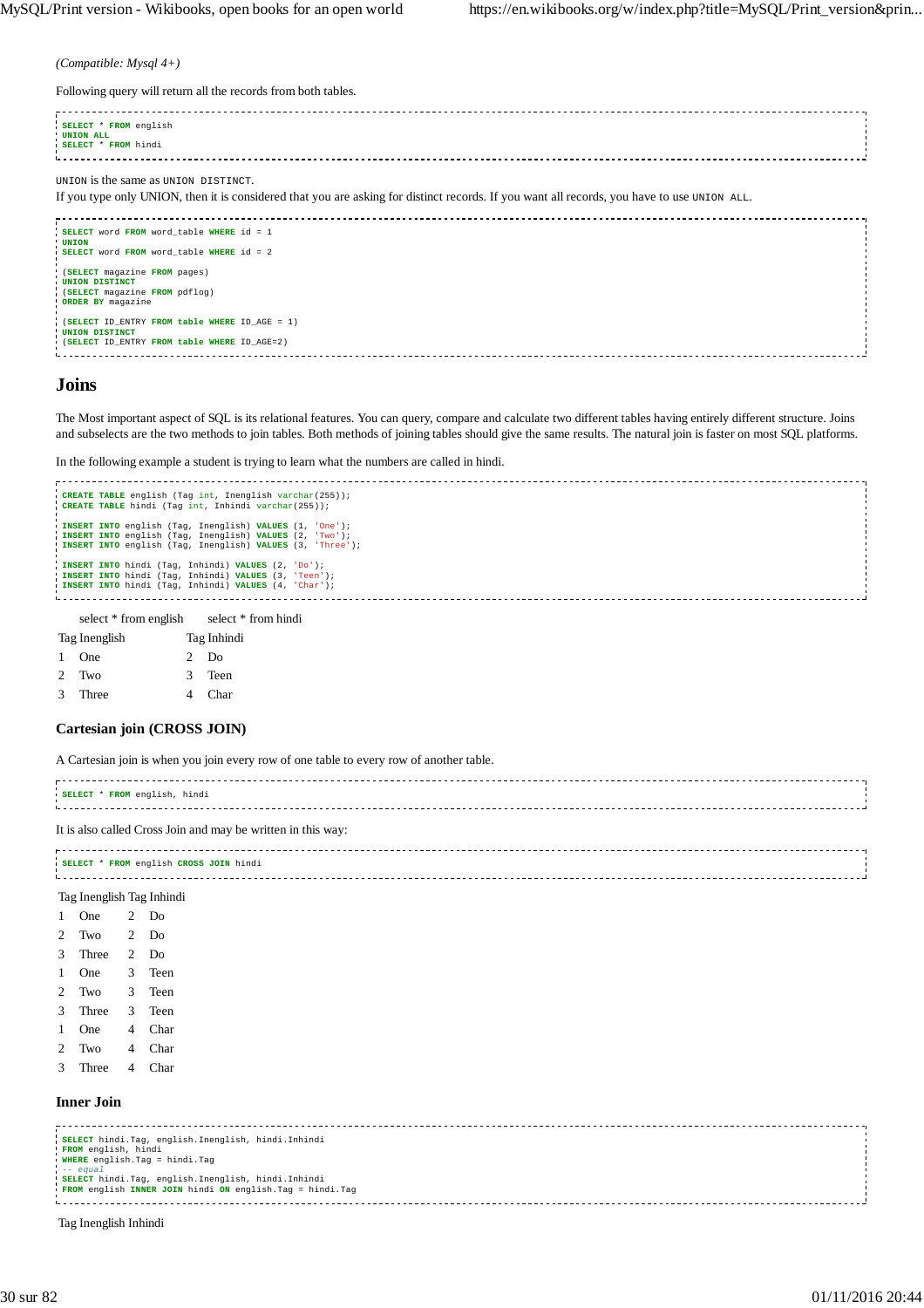*(Compatible: Mysql 4+)*

Following query will return all the records from both tables.

| <u>.</u>                                                                                                                                                                            |  |
|-------------------------------------------------------------------------------------------------------------------------------------------------------------------------------------|--|
| SELECT * FROM english<br>UNION ALL<br>SELECT * FROM hindi                                                                                                                           |  |
| UNION is the same as UNION DISTINCT.<br>If you type only UNION, then it is considered that you are asking for distinct records. If you want all records, you have to use UNION ALL. |  |
| SELECT word FROM word_table WHERE id = 1<br><b>UNION</b><br>SELECT word FROM word table WHERE id = 2                                                                                |  |
| (SELECT magazine FROM pages)<br>UNION DISTINCT<br>(SELECT magazine FROM pdflog)<br>ORDER BY magazine                                                                                |  |
| (SELECT ID_ENTRY FROM table WHERE ID_AGE = 1)                                                                                                                                       |  |

**UNION DISTINCT** (**SELECT** ID\_ENTRY **FROM table WHERE** ID\_AGE=2)

### **Joins**

The Most important aspect of SQL is its relational features. You can query, compare and calculate two different tables having entirely different structure. Joins and subselects are the two methods to join tables. Both methods of joining tables should give the same results. The natural join is faster on most SQL platforms.

In the following example a student is trying to learn what the numbers are called in hindi.



| Tag Inenglish |       | Tag Inhindi |  |
|---------------|-------|-------------|--|
|               | 1 One | 2 Do        |  |
|               | 2 Two | 3 Teen      |  |
| 3             | Three | 4 Char      |  |

#### **Cartesian join (CROSS JOIN)**

A Cartesian join is when you join every row of one table to every row of another table.

| SELECT * FROM english, hindi |  |
|------------------------------|--|
|                              |  |
|                              |  |
|                              |  |
|                              |  |

It is also called Cross Join and may be written in this way:

| SELECT * FROM english CROSS JOIN hindi |  |
|----------------------------------------|--|
|                                        |  |
|                                        |  |

|   | Tag Inenglish Tag Inhindi |                |      |
|---|---------------------------|----------------|------|
| 1 | One                       | 2              | Do   |
| 2 | Two                       | $\overline{c}$ | Do   |
| 3 | Three                     | 2              | Do   |
| 1 | One                       | 3              | Teen |
| 2 | Two                       | 3              | Teen |
| 3 | Three                     | 3              | Teen |
| 1 | One                       | 4              | Char |
| 2 | Two                       | 4              | Char |
| 3 | Three                     | 4              | Char |

#### **Inner Join**

| SELECT hindi. Taq, english. Inenglish, hindi. Inhindi      |  |
|------------------------------------------------------------|--|
| FROM english, hindi                                        |  |
| WHERE english. Tag = hindi. Tag                            |  |
| $--$ equal                                                 |  |
| SELECT hindi. Taq, english. Inenglish, hindi. Inhindi      |  |
| FROM english INNER JOIN hindi ON english. Tag = hindi. Tag |  |
|                                                            |  |
|                                                            |  |

Tag Inenglish Inhindi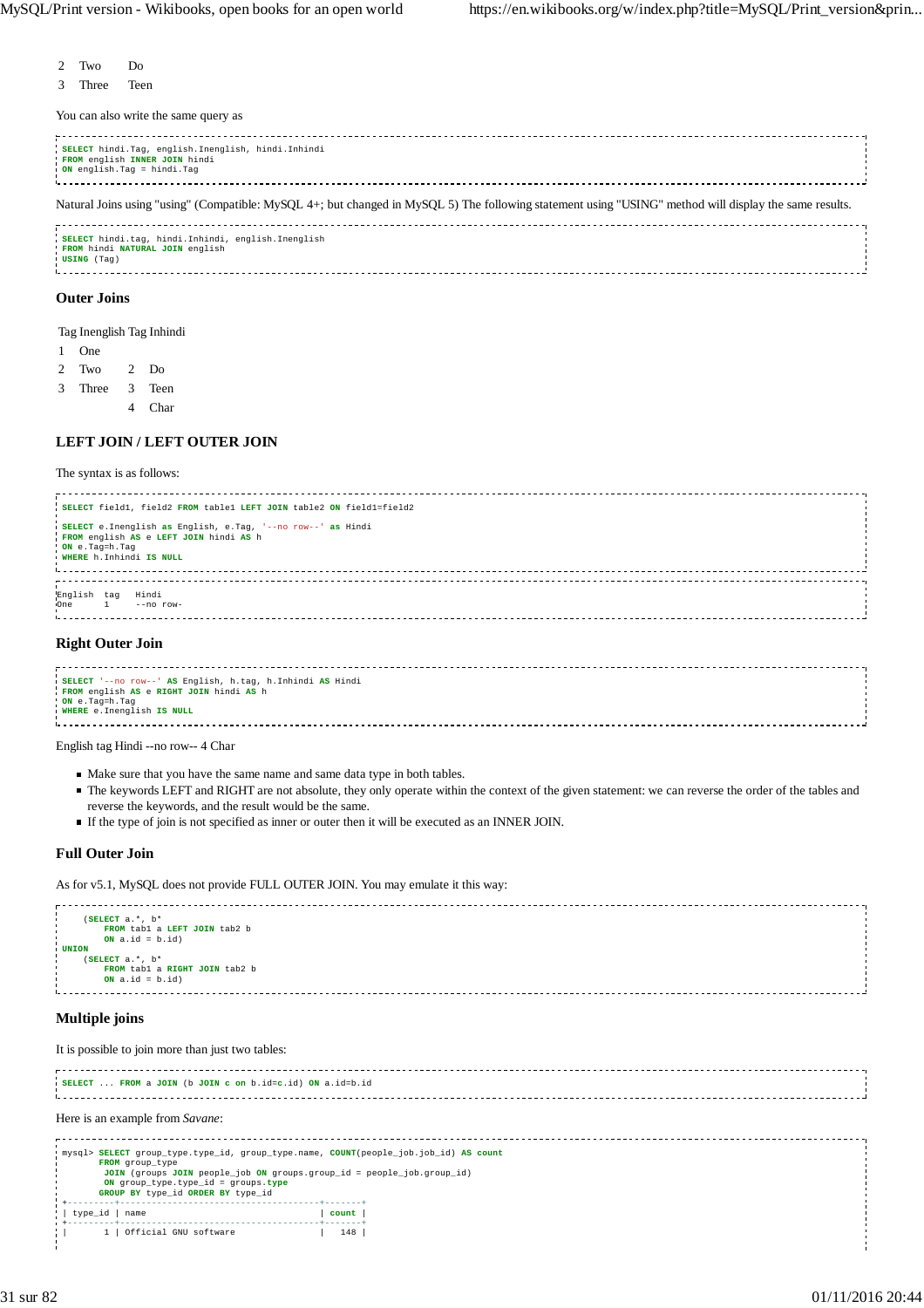- 2 Two Do
- 3 Three Teen

You can also write the same query as

| SELECT hindi. Tag, english. Inenglish, hindi. Inhindi<br>FROM english INNER JOIN hindi<br>ON english. Tag = hindi. Tag                                 |  |
|--------------------------------------------------------------------------------------------------------------------------------------------------------|--|
| Natural Joins using "using" (Compatible: MySQL 4+; but changed in MySQL 5) The following statement using "USING" method will display the same results. |  |
| SELECT hindi.tag, hindi.Inhindi, english.Inenglish<br>FROM hindi NATURAL JOIN english<br>USING (Tag)                                                   |  |
| <b>Outer Joins</b>                                                                                                                                     |  |
| Tag Inenglish Tag Inhindi                                                                                                                              |  |
| One                                                                                                                                                    |  |
| $2$ Do<br>Two                                                                                                                                          |  |

### **LEFT JOIN / LEFT OUTER JOIN**

4 Char

The syntax is as follows:

3 Three 3 Teen

| SELECT field1, field2 FROM table1 LEFT JOIN table2 ON field1=field2                                                                                   |  |
|-------------------------------------------------------------------------------------------------------------------------------------------------------|--|
| SELECT e. Inenglish as English, e. Tag, '--no row--' as Hindi<br>FROM english AS e LEFT JOIN hindi AS h<br>ON e.Tag=h.Tag<br>WHERE h. Inhindi IS NULL |  |
| English tag<br>Hindi<br>One $1 -$ no row-                                                                                                             |  |

#### **Right Outer Join**

| SELECT '--no row--' AS English, h.tag, h.Inhindi AS Hindi |  |
|-----------------------------------------------------------|--|
| FROM english AS e RIGHT JOIN hindi AS h                   |  |
|                                                           |  |
| ON e.Tag=h.Tag                                            |  |
| WHERE e. Inenglish IS NULL                                |  |
|                                                           |  |
|                                                           |  |

English tag Hindi --no row-- 4 Char

- Make sure that you have the same name and same data type in both tables.
- The keywords LEFT and RIGHT are not absolute, they only operate within the context of the given statement: we can reverse the order of the tables and reverse the keywords, and the result would be the same.
- If the type of join is not specified as inner or outer then it will be executed as an INNER JOIN.

### **Full Outer Join**

As for v5.1, MySQL does not provide FULL OUTER JOIN. You may emulate it this way:



## **Multiple joins**

It is possible to join more than just two tables:

| SELECT  FROM a JOIN (b JOIN c on b.id=c.id) ON a.id=b.id                                                                                                                                                                                                      |       |  |  |  |  |  |  |
|---------------------------------------------------------------------------------------------------------------------------------------------------------------------------------------------------------------------------------------------------------------|-------|--|--|--|--|--|--|
| Here is an example from Savane:                                                                                                                                                                                                                               |       |  |  |  |  |  |  |
| mysql> SELECT group_type.type_id, group_type.name, COUNT(people_job.job_id) AS count<br>FROM group type<br>JOIN (groups JOIN people_job ON groups.group_id = people_job.group_id)<br>ON group_type.type_id = groups.type<br>GROUP BY type id ORDER BY type id |       |  |  |  |  |  |  |
| type_id   name                                                                                                                                                                                                                                                | count |  |  |  |  |  |  |
| 1   Official GNU software                                                                                                                                                                                                                                     | 148   |  |  |  |  |  |  |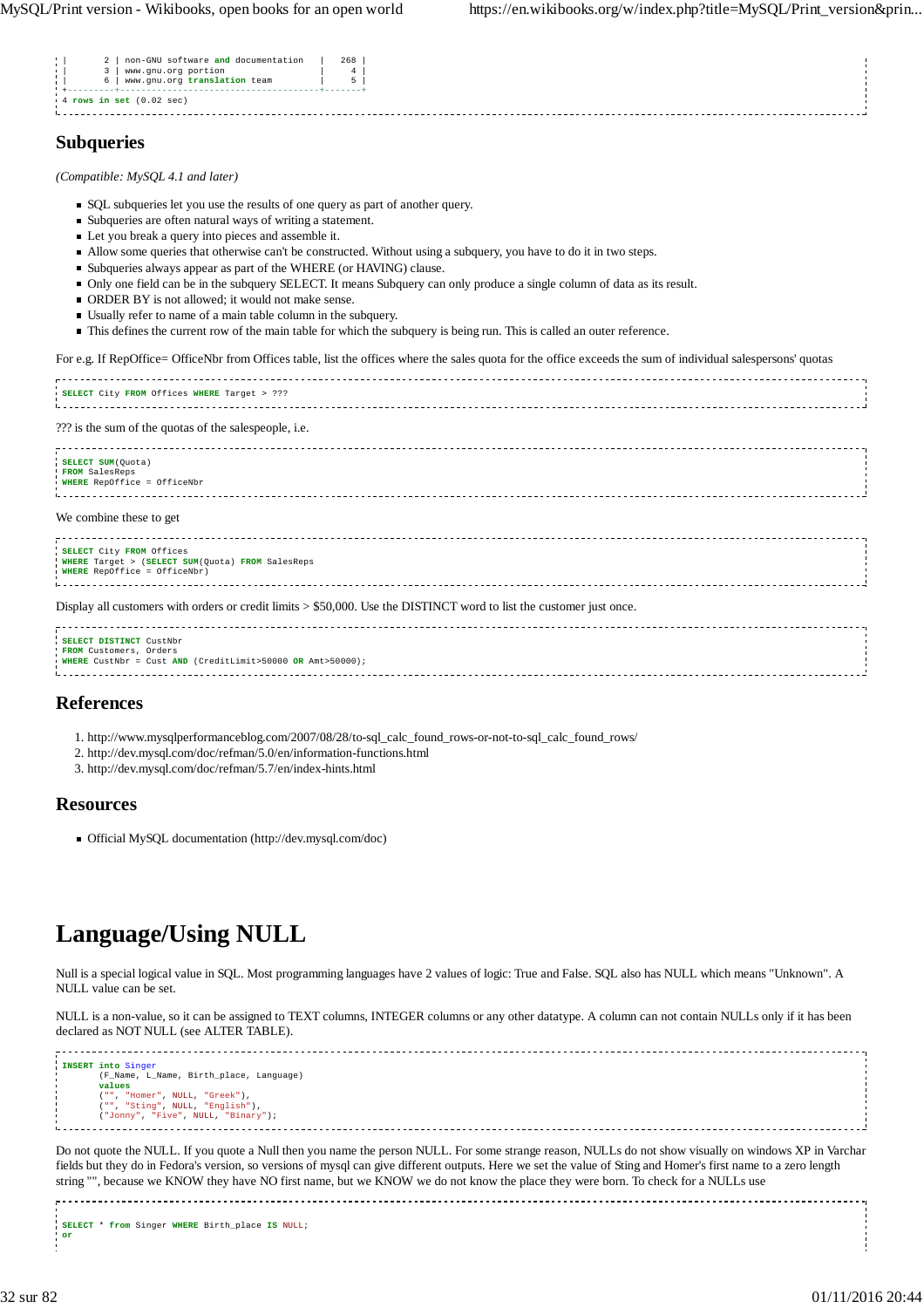|--|

## **Subqueries**

*(Compatible: MySQL 4.1 and later)*

- SQL subqueries let you use the results of one query as part of another query.
- Subqueries are often natural ways of writing a statement.
- Let you break a query into pieces and assemble it.
- Allow some queries that otherwise can't be constructed. Without using a subquery, you have to do it in two steps.
- Subqueries always appear as part of the WHERE (or HAVING) clause.
- Only one field can be in the subquery SELECT. It means Subquery can only produce a single column of data as its result.
- ORDER BY is not allowed; it would not make sense.
- Usually refer to name of a main table column in the subquery.
- This defines the current row of the main table for which the subquery is being run. This is called an outer reference.

For e.g. If RepOffice= OfficeNbr from Offices table, list the offices where the sales quota for the office exceeds the sum of individual salespersons' quotas

| SELECT City FROM Offices WHERE Target > ??? |  |
|---------------------------------------------|--|
|                                             |  |

??? is the sum of the quotas of the salespeople, i.e.

| SELECT SUM (Quota)<br>FROM SalesReps<br>WHERE RepOffice = OfficeNbr                                                    |  |
|------------------------------------------------------------------------------------------------------------------------|--|
| We combine these to get                                                                                                |  |
| SELECT City FROM Offices<br>WHERE Target > (SELECT SUM(Quota) FROM SalesReps<br>WHERE RepOffice = OfficeNbr)           |  |
| Display all customers with orders or credit limits $>$ \$50,000. Use the DISTINCT word to list the customer just once. |  |

| SELECT DISTINCT CustNbr                                           |  |
|-------------------------------------------------------------------|--|
|                                                                   |  |
| FROM Customers, Orders                                            |  |
| <b>WHERE</b> CustNbr = Cust AND (CreditLimit>50000 OR Amt>50000); |  |
|                                                                   |  |
|                                                                   |  |
|                                                                   |  |
|                                                                   |  |

## **References**

- 1. http://www.mysqlperformanceblog.com/2007/08/28/to-sql\_calc\_found\_rows-or-not-to-sql\_calc\_found\_rows/
- 2. http://dev.mysql.com/doc/refman/5.0/en/information-functions.html
- 3. http://dev.mysql.com/doc/refman/5.7/en/index-hints.html

## **Resources**

Official MySQL documentation (http://dev.mysql.com/doc)

## **Language/Using NULL**

Null is a special logical value in SQL. Most programming languages have 2 values of logic: True and False. SQL also has NULL which means "Unknown". A NULL value can be set.

NULL is a non-value, so it can be assigned to TEXT columns, INTEGER columns or any other datatype. A column can not contain NULLs only if it has been declared as NOT NULL (see ALTER TABLE).

```
INSERT into Singer
   (F_Name, L_Name, Birth_place, Language) 
   values<br>("", "Homer", NULL, "Greek"),<br>("", "Sting", NULL, "English"),<br>("Jonny", "Five", NULL, "Binary");
```
Do not quote the NULL. If you quote a Null then you name the person NULL. For some strange reason, NULLs do not show visually on windows XP in Varchar fields but they do in Fedora's version, so versions of mysql can give different outputs. Here we set the value of Sting and Homer's first name to a zero length string "", because we KNOW they have NO first name, but we KNOW we do not know the place they were born. To check for a NULLs use

**SELECT** \* **from** Singer **WHERE** Birth\_place **IS** NULL; **or**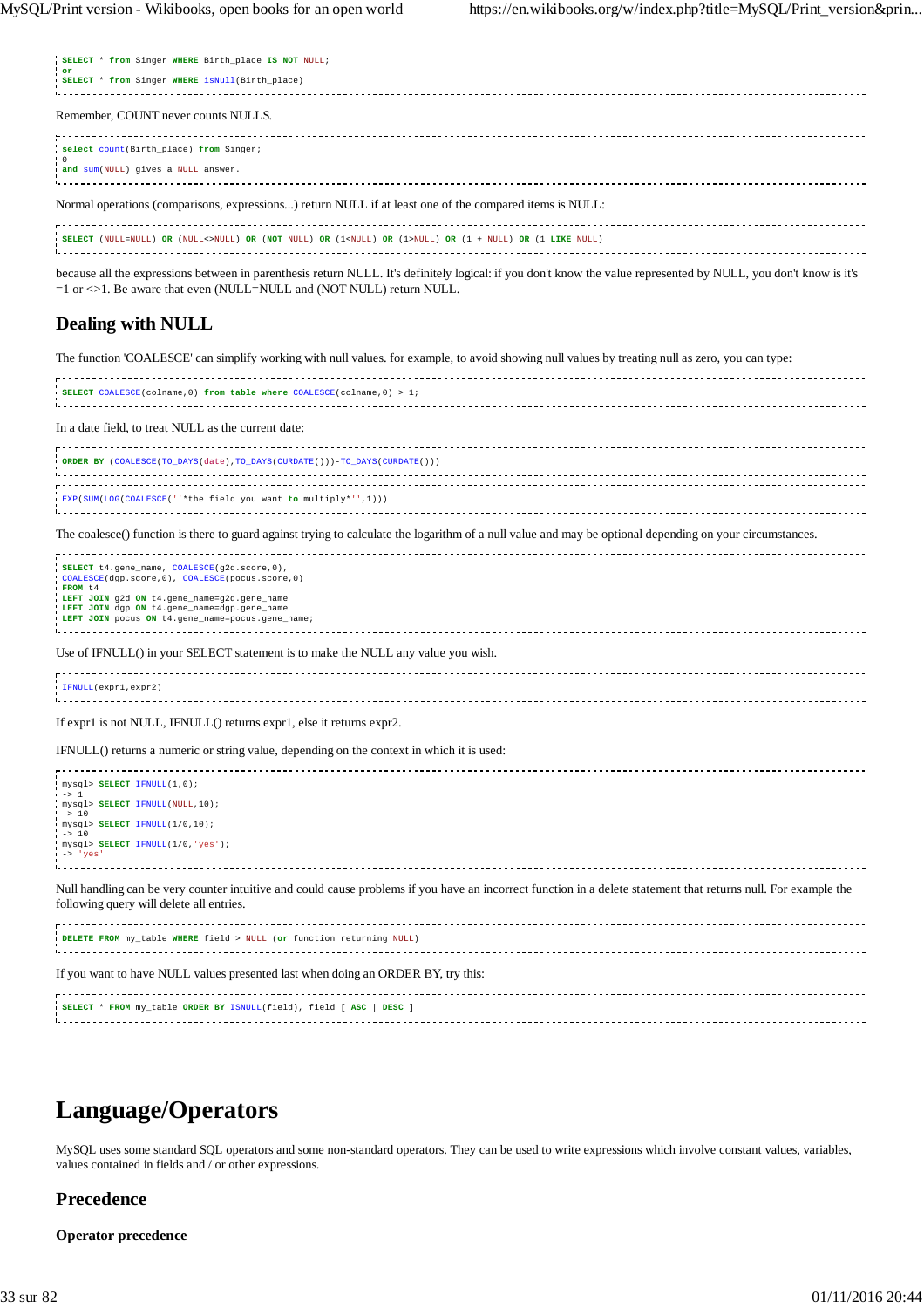| SELECT * from Singer WHERE Birth place IS NOT NULL;<br>$^{\circ}$ or<br>I SELECT * from Singer WHERE isNull(Birth_place)                            |
|-----------------------------------------------------------------------------------------------------------------------------------------------------|
| Remember, COUNT never counts NULLS.                                                                                                                 |
| select count (Birth place) from Singer;<br>$^{\circ}$<br>and sum (NULL) gives a NULL answer.                                                        |
| Normal operations (comparisons, expressions) return NULL if at least one of the compared items is NULL:                                             |
| -------------------------<br>SELECT (NULL=NULL) OR (NULL<>NULL) OR (NOT NULL) OR (1 <null) (1="" or="">NULL) OR (1 + NULL) OR (1 LIKE NULL)</null)> |

because all the expressions between in parenthesis return NULL. It's definitely logical: if you don't know the value represented by NULL, you don't know is it's =1 or <>1. Be aware that even (NULL=NULL and (NOT NULL) return NULL.

## **Dealing with NULL**

The function 'COALESCE' can simplify working with null values. for example, to avoid showing null values by treating null as zero, you can type:

| SELECT COALESCE(colname, 0) from table where COALESCE(colname, 0) > 1; |  |
|------------------------------------------------------------------------|--|
|                                                                        |  |
|                                                                        |  |
|                                                                        |  |
|                                                                        |  |

In a date field, to treat NULL as the current date:

| ORDER BY (COALESCE(TO_DAYS(date), TO_DAYS(CURDATE()))-TO_DAYS(CURDATE())) |  |
|---------------------------------------------------------------------------|--|
|                                                                           |  |
| EXP(SUM(LOG(COALESCE(''*the field you want to multiply*'',1)))            |  |

The coalesce() function is there to guard against trying to calculate the logarithm of a null value and may be optional depending on your circumstances.

| SELECT t4.gene name, COALESCE(q2d.score, 0),<br>COALESCE(dqp.score,0), COALESCE(pocus.score,0)<br>FROM t4<br>LEFT JOIN 92d ON t4.gene name=92d.gene name<br>LEFT JOIN dgp ON t4.gene_name=dgp.gene_name<br>LEFT JOIN pocus ON t4.gene_name=pocus.gene_name; |  |
|-------------------------------------------------------------------------------------------------------------------------------------------------------------------------------------------------------------------------------------------------------------|--|
| Use of IFNULL() in your SELECT statement is to make the NULL any value you wish.                                                                                                                                                                            |  |
| IFNULL(expr1,expr2)                                                                                                                                                                                                                                         |  |
| If expr1 is not NULL, IFNULL() returns expr1, else it returns expr2.                                                                                                                                                                                        |  |
| IFNULL() returns a numeric or string value, depending on the context in which it is used:                                                                                                                                                                   |  |
| mysql> SELECT IFNULL(1,0);<br>$\rightarrow$ 1<br>mysql> SELECT IFNULL(NULL, 10);<br>$->10$<br>mysql> SELECT IFNULL(1/0,10);<br>$-> 10$<br>mysql> SELECT IFNULL(1/0, 'yes');<br>$\rightarrow 'ves'$                                                          |  |
| Null handling can be very counter intuitive and could cause problems if you have an incorrect function in a delete statement that returns null. For example the<br>following query will delete all entries.                                                 |  |
| DELETE FROM my table WHERE field > NULL (or function returning NULL)                                                                                                                                                                                        |  |
| If you want to have NULL values presented last when doing an ORDER BY, try this:                                                                                                                                                                            |  |
| SELECT * FROM my_table ORDER BY ISNULL(field), field [ ASC   DESC ]                                                                                                                                                                                         |  |

## **Language/Operators**

MySQL uses some standard SQL operators and some non-standard operators. They can be used to write expressions which involve constant values, variables, values contained in fields and / or other expressions.

## **Precedence**

### **Operator precedence**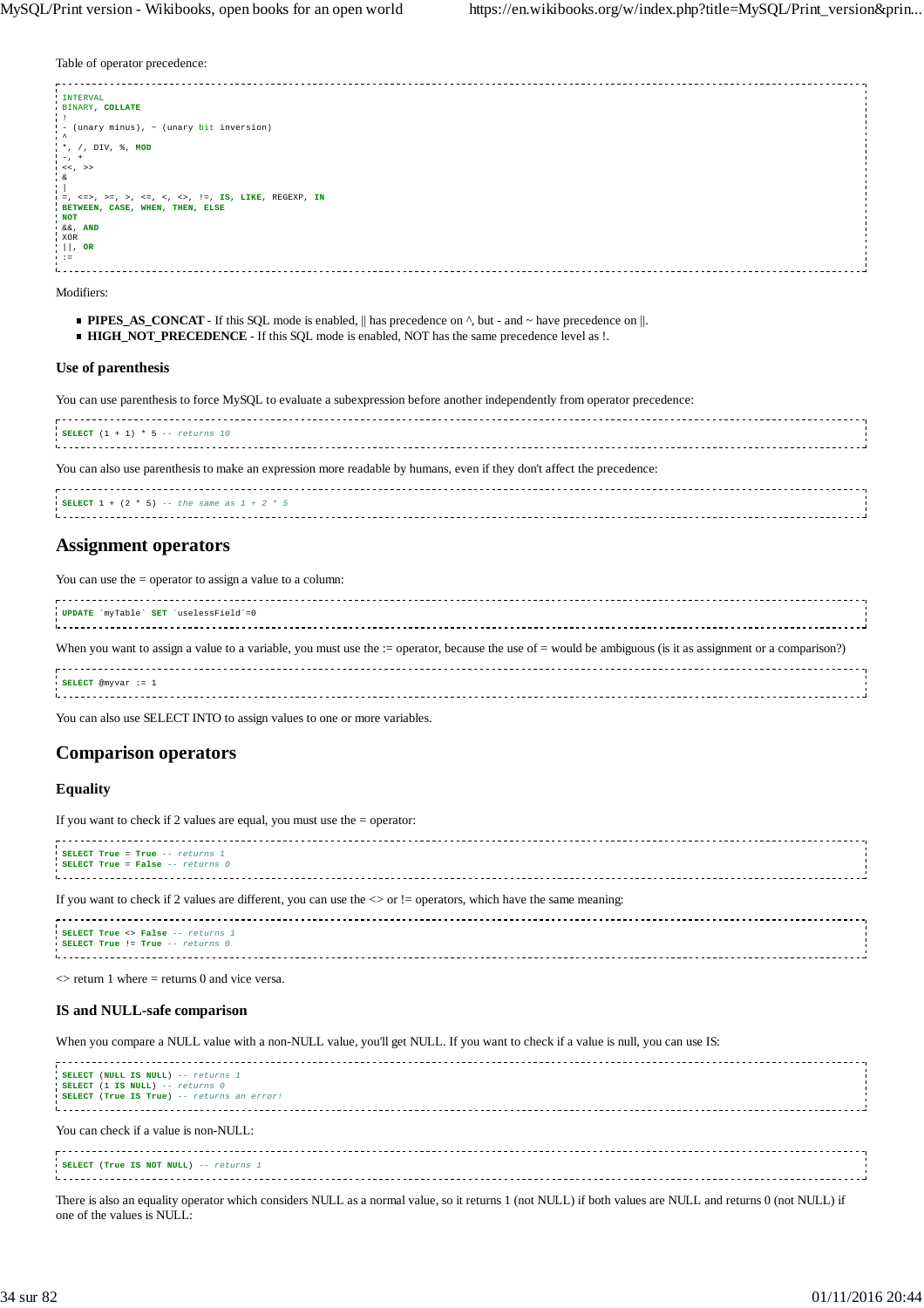Table of operator precedence:

| <b>INTERVAL</b>                                                                                                                                           |  |
|-----------------------------------------------------------------------------------------------------------------------------------------------------------|--|
| BINARY, COLLATE                                                                                                                                           |  |
|                                                                                                                                                           |  |
|                                                                                                                                                           |  |
| - (unary minus), ~ (unary bit inversion)                                                                                                                  |  |
|                                                                                                                                                           |  |
| $\star$ , /, DIV, $\ast$ , MOD                                                                                                                            |  |
| $! -7 +$                                                                                                                                                  |  |
|                                                                                                                                                           |  |
| 1 < < 2                                                                                                                                                   |  |
| iδ                                                                                                                                                        |  |
|                                                                                                                                                           |  |
| $1 = 2$ , $\le 3$ , $> = 2$ , $>$ , $\le 3$ , $\le 3$ , $\le 3$ , $\le 1$ , $\le 1$ , $\le 1$ , $\le 1$ , $\le 1$ , $\le 1$ , $\le 1$ , $\le 1$ , $\le 1$ |  |
| BETWEEN, CASE, WHEN, THEN, ELSE                                                                                                                           |  |
|                                                                                                                                                           |  |
| <b>NOT</b>                                                                                                                                                |  |
| ا ه&, <b>AND</b>                                                                                                                                          |  |
| XOR                                                                                                                                                       |  |
| $   , \text{ OR}$                                                                                                                                         |  |
|                                                                                                                                                           |  |
| $1 - 1 =$                                                                                                                                                 |  |
|                                                                                                                                                           |  |

Modifiers:

- **PIPES\_AS\_CONCAT** If this SQL mode is enabled,  $\|$  has precedence on  $\wedge$ , but and ~ have precedence on  $\|$ .
- **HIGH\_NOT\_PRECEDENCE** If this SQL mode is enabled, NOT has the same precedence level as !.

#### **Use of parenthesis**

You can use parenthesis to force MySQL to evaluate a subexpression before another independently from operator precedence:

|      | $\cdot$ SELECT $(1 + 1) * 5 --$ returns 10 |  |                                                                                                                 |  |  |  |  |
|------|--------------------------------------------|--|-----------------------------------------------------------------------------------------------------------------|--|--|--|--|
| $ -$ |                                            |  | the contract of the contract of the contract of the contract of the contract of the contract of the contract of |  |  |  |  |

You can also use parenthesis to make an expression more readable by humans, even if they don't affect the precedence:

| <b>SELECT</b> 1 + (2 $*$ 5) -- the same as 1 + 2 $*$ 5 |  |
|--------------------------------------------------------|--|
|                                                        |  |
|                                                        |  |
|                                                        |  |

## **Assignment operators**

You can use the = operator to assign a value to a column:

| UPDATE 'myTable' SET 'uselessField'=0                                                                                                                       |  |
|-------------------------------------------------------------------------------------------------------------------------------------------------------------|--|
| When you want to assign a value to a variable, you must use the := operator, because the use of = would be ambiguous (is it as assignment or a comparison?) |  |
| $SELECT$ @myvar := 1                                                                                                                                        |  |

You can also use SELECT INTO to assign values to one or more variables.

## **Comparison operators**

#### **Equality**

If you want to check if 2 values are equal, you must use the = operator:

| SELECT True = True -- returns 1<br>SELECT True = False -- returns 0                                                             |  |
|---------------------------------------------------------------------------------------------------------------------------------|--|
| If you want to check if 2 values are different, you can use the $\langle \rangle$ or != operators, which have the same meaning: |  |



 $\le$  return 1 where = returns 0 and vice versa.

#### **IS and NULL-safe comparison**

When you compare a NULL value with a non-NULL value, you'll get NULL. If you want to check if a value is null, you can use IS:

| SELECT (NULL IS NULL) -- returns 1<br>SELECT (1 IS NULL) -- returns 0<br>I SELECT (True IS True) -- returns an error! |  |
|-----------------------------------------------------------------------------------------------------------------------|--|
| You can check if a value is non-NULL:                                                                                 |  |
| SELECT (True IS NOT NULL) -- returns 1                                                                                |  |
|                                                                                                                       |  |

There is also an equality operator which considers NULL as a normal value, so it returns 1 (not NULL) if both values are NULL and returns 0 (not NULL) if one of the values is NULL: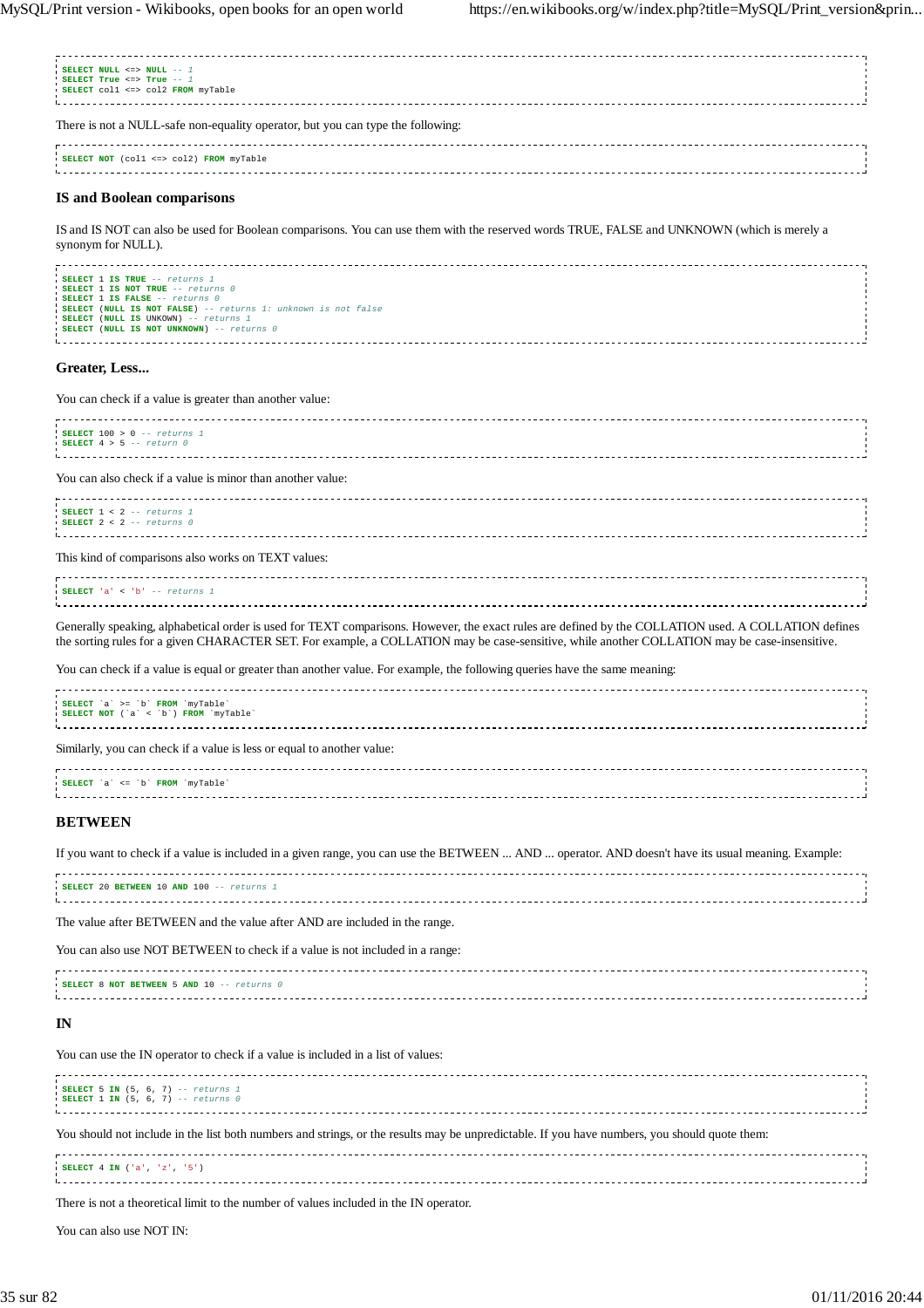| SELECT NULL <=> NULL -- 1<br>SELECT True <=> True -- 1                                                                                                            |  |
|-------------------------------------------------------------------------------------------------------------------------------------------------------------------|--|
| SELECT coll <=> col2 FROM myTable                                                                                                                                 |  |
| There is not a NULL-safe non-equality operator, but you can type the following:                                                                                   |  |
| SELECT NOT (coll <=> col2) FROM myTable                                                                                                                           |  |
| <b>IS and Boolean comparisons</b>                                                                                                                                 |  |
| IS and IS NOT can also be used for Boolean comparisons. You can use them with the reserved words TRUE, FALSE and UNKNOWN (which is merely a<br>synonym for NULL). |  |
|                                                                                                                                                                   |  |

| SELECT 1 IS TRUE -- returns 1                                 |  |
|---------------------------------------------------------------|--|
| SELECT 1 IS NOT TRUE -- returns 0                             |  |
| SELECT 1 IS FALSE -- returns 0                                |  |
| SELECT (NULL IS NOT FALSE) -- returns 1: unknown is not false |  |
| SELECT (NULL IS UNKOWN) -- returns 1                          |  |
| <b>SELECT (NULL IS NOT UNKNOWN)</b> -- returns 0              |  |
|                                                               |  |
|                                                               |  |

## **Greater, Less...**

You can check if a value is greater than another value:

| SELECT $100 > 0$ -- returns 1<br>$\text{I}$ SELECT 4 > 5 -- return 0                                                                                                                                                                                                                                  |
|-------------------------------------------------------------------------------------------------------------------------------------------------------------------------------------------------------------------------------------------------------------------------------------------------------|
| You can also check if a value is minor than another value:                                                                                                                                                                                                                                            |
| SELECT $1 < 2 -- returns 1$<br>SELECT $2 < 2$ -- returns 0                                                                                                                                                                                                                                            |
| This kind of comparisons also works on TEXT values:                                                                                                                                                                                                                                                   |
| SELECT 'a' < 'b' -- returns 1                                                                                                                                                                                                                                                                         |
| Generally speaking, alphabetical order is used for TEXT comparisons. However, the exact rules are defined by the COLLATION used. A COLLATION defines<br>the sorting rules for a given CHARACTER SET. For example, a COLLATION may be case-sensitive, while another COLLATION may be case-insensitive. |
| You can check if a value is equal or greater than another value. For example, the following queries have the same meaning:                                                                                                                                                                            |
| SELECT 'a' >= 'b' FROM 'myTable'<br>SELECT NOT ('a' < 'b') FROM 'myTable'                                                                                                                                                                                                                             |
| Similarly, you can check if a value is less or equal to another value:                                                                                                                                                                                                                                |
| SELECT 'a' <= 'b' FROM 'myTable'                                                                                                                                                                                                                                                                      |

## **BETWEEN**

If you want to check if a value is included in a given range, you can use the BETWEEN ... AND ... operator. AND doesn't have its usual meaning. Example:

| SELECT 20 BETWEEN 10 AND 100 -- returns 1 |  |
|-------------------------------------------|--|
|                                           |  |
|                                           |  |
|                                           |  |
|                                           |  |

The value after BETWEEN and the value after AND are included in the range.

You can also use NOT BETWEEN to check if a value is not included in a range:

| SELECT 8 NOT BETWEEN 5 AND 10 -- returns 0 |  |
|--------------------------------------------|--|
|                                            |  |
|                                            |  |
|                                            |  |

## **IN**

You can use the IN operator to check if a value is included in a list of values:

| SELECT 5 IN (5, 6, 7) -- returns 1<br>SELECT 1 IN $(5, 6, 7)$ -- returns 0                                                                    |  |
|-----------------------------------------------------------------------------------------------------------------------------------------------|--|
| You should not include in the list both numbers and strings, or the results may be unpredictable. If you have numbers, you should quote them: |  |
| SELECT 4 IN ('a', 'z', '5')                                                                                                                   |  |

There is not a theoretical limit to the number of values included in the IN operator.

You can also use NOT IN: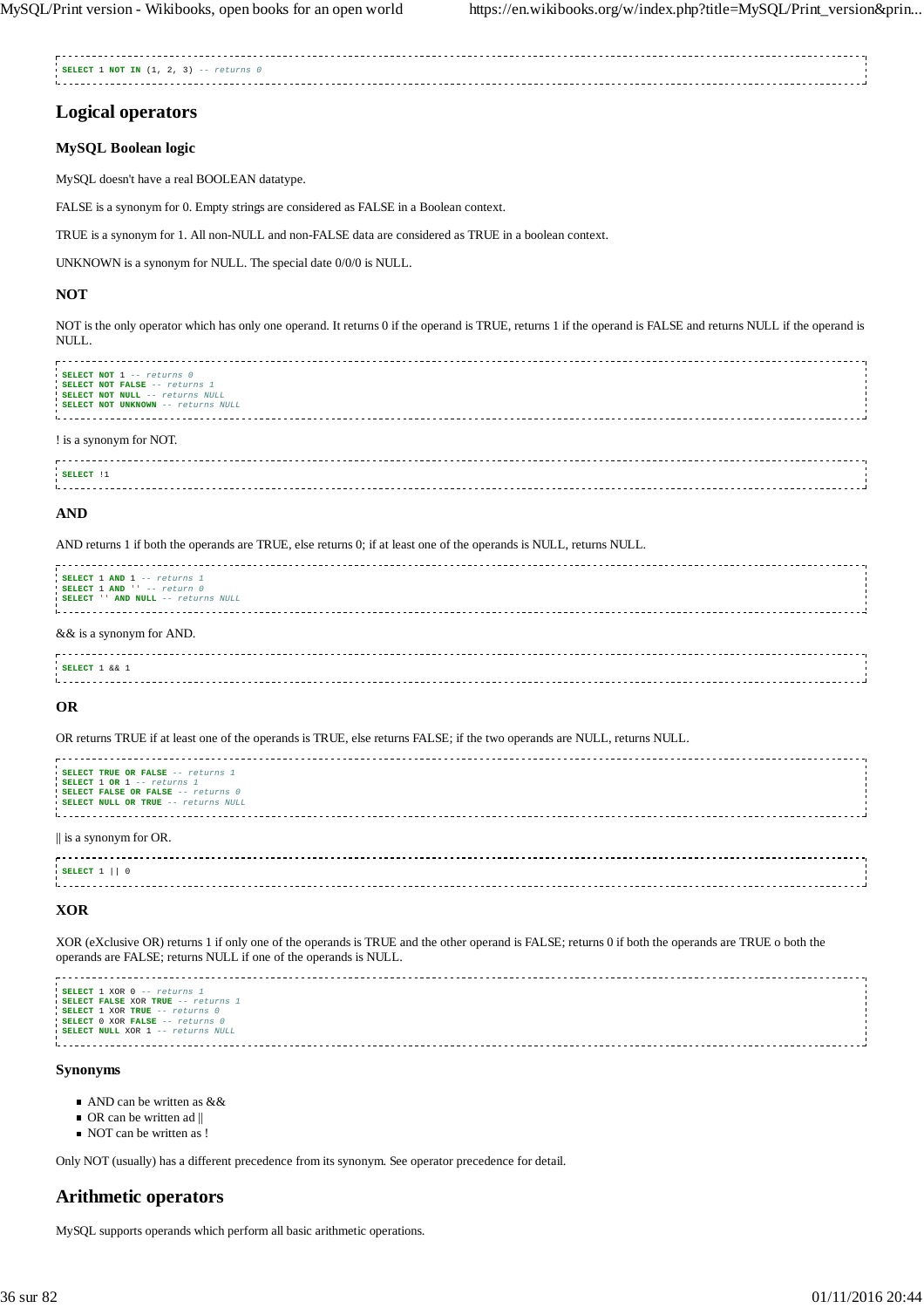**SELECT** 1 **NOT IN** (1, 2, 3) -- returns 0 

## **Logical operators**

## **MySQL Boolean logic**

MySQL doesn't have a real BOOLEAN datatype.

FALSE is a synonym for 0. Empty strings are considered as FALSE in a Boolean context.

TRUE is a synonym for 1. All non-NULL and non-FALSE data are considered as TRUE in a boolean context.

UNKNOWN is a synonym for NULL. The special date 0/0/0 is NULL.

## **NOT**

NOT is the only operator which has only one operand. It returns 0 if the operand is TRUE, returns 1 if the operand is FALSE and returns NULL if the operand is NULL.

| ---------------------------<br>SELECT NOT 1 -- returns 0<br>SELECT NOT FALSE -- returns 1<br>SELECT NOT NULL -- returns NULL<br><b>SELECT NOT UNKNOWN</b> -- returns NULL |  |
|---------------------------------------------------------------------------------------------------------------------------------------------------------------------------|--|
| Lis a synonym for NOT                                                                                                                                                     |  |

#### ! is a synonym for NOT.

| SELECT |  |
|--------|--|
|        |  |
|        |  |
|        |  |
|        |  |

### **AND**

#### AND returns 1 if both the operands are TRUE, else returns 0; if at least one of the operands is NULL, returns NULL.

| SELECT 1 AND 1 -- returns 1<br>SELECT $1$ AND $\cdots$ -- return 0<br>SELECT '' AND NULL -- returns NULL |  |
|----------------------------------------------------------------------------------------------------------|--|
| && is a synonym for AND.                                                                                 |  |

| $\blacksquare$ SELECT $\blacksquare$ & & $\blacksquare$ |  |  |
|---------------------------------------------------------|--|--|
|                                                         |  |  |
|                                                         |  |  |
|                                                         |  |  |

## **OR**

OR returns TRUE if at least one of the operands is TRUE, else returns FALSE; if the two operands are NULL, returns NULL.

```
SELECT TRUE OR FALSE -- returns 1
SELECT 1 OR 1 -- returns 1
SELECT FALSE OR FALSE -- returns 0
SELECT NULL OR TRUE -- returns NULL
|| is a synonym for OR.
SELECT 1 || 0
```
## **XOR**

XOR (eXclusive OR) returns 1 if only one of the operands is TRUE and the other operand is FALSE; returns 0 if both the operands are TRUE o both the operands are FALSE; returns NULL if one of the operands is NULL.

```
SELECT 1 XOR 0 -- returns 1
SELECT FALSE XOR TRUE -- returns 1
SELECT 1 XOR TRUE -- returns 0
SELECT 0 XOR FALSE -- returns 0
SELECT NULL XOR 1 -- returns NULL
```
#### **Synonyms**

- AND can be written as &&
- $\blacksquare$  OR can be written ad ||
- NOT can be written as !

Only NOT (usually) has a different precedence from its synonym. See operator precedence for detail.

## **Arithmetic operators**

MySQL supports operands which perform all basic arithmetic operations.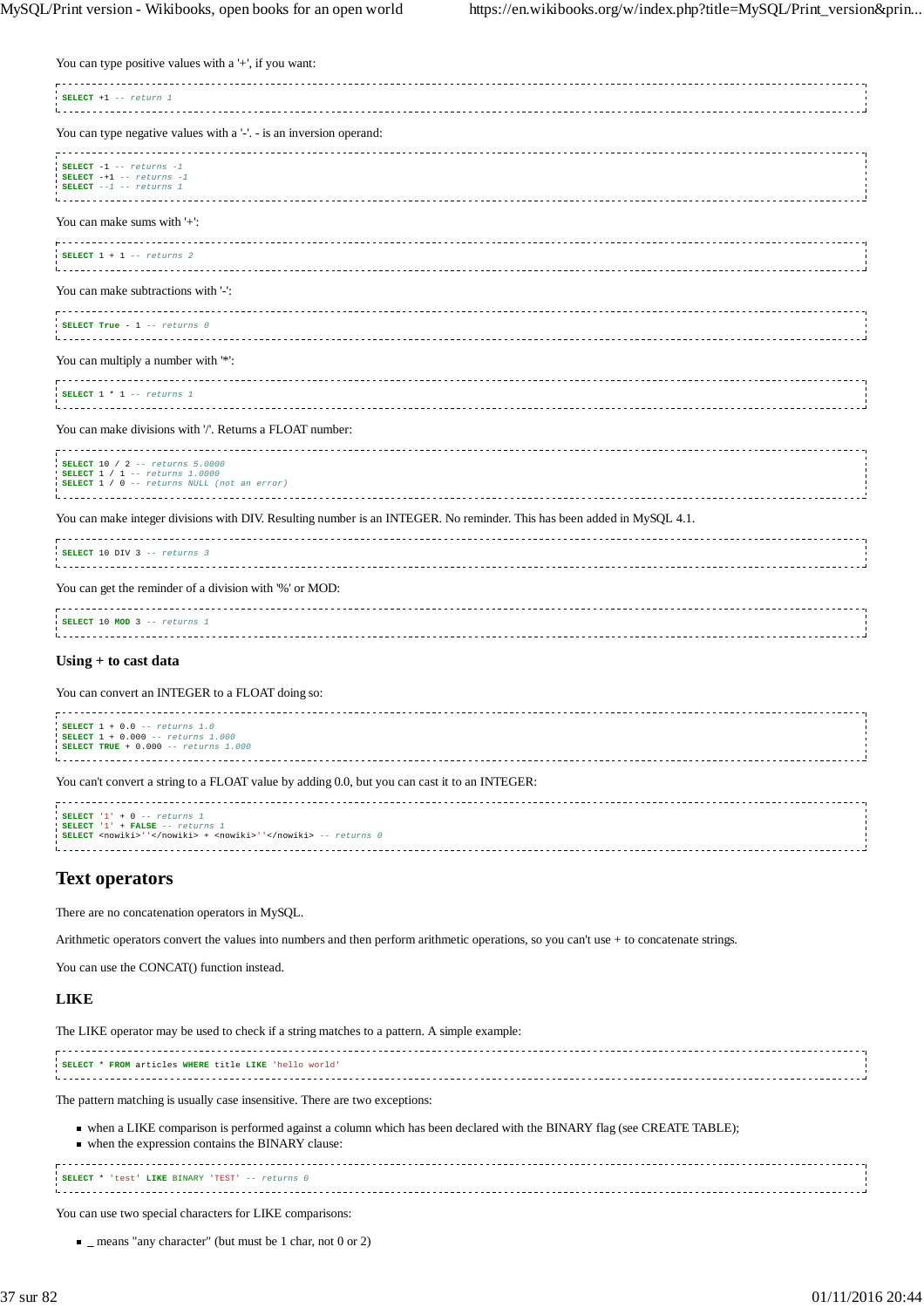| You can type positive values with a '+', if you want:                                                                                                              |
|--------------------------------------------------------------------------------------------------------------------------------------------------------------------|
| SELECT $+1$ -- return 1<br>.                                                                                                                                       |
| You can type negative values with a '-'. - is an inversion operand:                                                                                                |
| SELECT $-1$ $-$ returns $-1$<br>SELECT $-+1$ -- returns $-1$<br>SELECT $--1 -- return s$ 1<br>.                                                                    |
| You can make sums with $'+$ :                                                                                                                                      |
| <u>.</u><br>SELECT $1 + 1$ -- returns 2<br><u>.</u>                                                                                                                |
| You can make subtractions with '-':                                                                                                                                |
| SELECT True - $1$ -- returns $0$                                                                                                                                   |
| You can multiply a number with '*':                                                                                                                                |
| ----------------<br>SELECT $1 * 1 -- returns 1$                                                                                                                    |
| You can make divisions with '/'. Returns a FLOAT number:                                                                                                           |
| <b>SELECT 10 / 2 -- returns 5.0000</b><br><b>SELECT</b> 1 / 1 -- returns 1.0000<br>SELECT 1 / 0 -- returns NULL (not an error)<br>-------------------------------- |
| You can make integer divisions with DIV. Resulting number is an INTEGER. No reminder. This has been added in MySQL 4.1.                                            |
| SELECT 10 DIV 3 -- returns 3<br><u>.</u>                                                                                                                           |
| You can get the reminder of a division with '%' or MOD:                                                                                                            |
| --------------------<br>SELECT 10 MOD 3 -- returns 1<br><u>.</u>                                                                                                   |
| Using + to cast data                                                                                                                                               |
| You can convert an INTEGER to a FLOAT doing so:                                                                                                                    |
| SELECT $1 + 0.0 -$ returns $1.0$<br>SELECT 1 + 0.000 -- returns 1.000<br>SELECT TRUE + $0.000$ -- returns 1.000                                                    |
| You can't convert a string to a FLOAT value by adding 0.0, but you can cast it to an INTEGER:                                                                      |

| SELECT $'1' + 0$ -- returns 1                                 |  |
|---------------------------------------------------------------|--|
| SELECT '1' + FALSE -- returns 1                               |  |
|                                                               |  |
| SELECT <nowiki>''</nowiki> + <nowiki>''</nowiki> -- returns 0 |  |
|                                                               |  |
|                                                               |  |
|                                                               |  |

# **Text operators**

There are no concatenation operators in MySQL.

Arithmetic operators convert the values into numbers and then perform arithmetic operations, so you can't use + to concatenate strings.

You can use the CONCAT() function instead.

# **LIKE**

The LIKE operator may be used to check if a string matches to a pattern. A simple example: **SELECT** \* **FROM** articles **WHERE** title **LIKE** 'hello world'

The pattern matching is usually case insensitive. There are two exceptions:

when a LIKE comparison is performed against a column which has been declared with the BINARY flag (see CREATE TABLE); when the expression contains the BINARY clause:

**SELECT** \* 'test' **LIKE** BINARY 'TEST' -- returns 0 

You can use two special characters for LIKE comparisons:

 $\blacksquare$  means "any character" (but must be 1 char, not 0 or 2)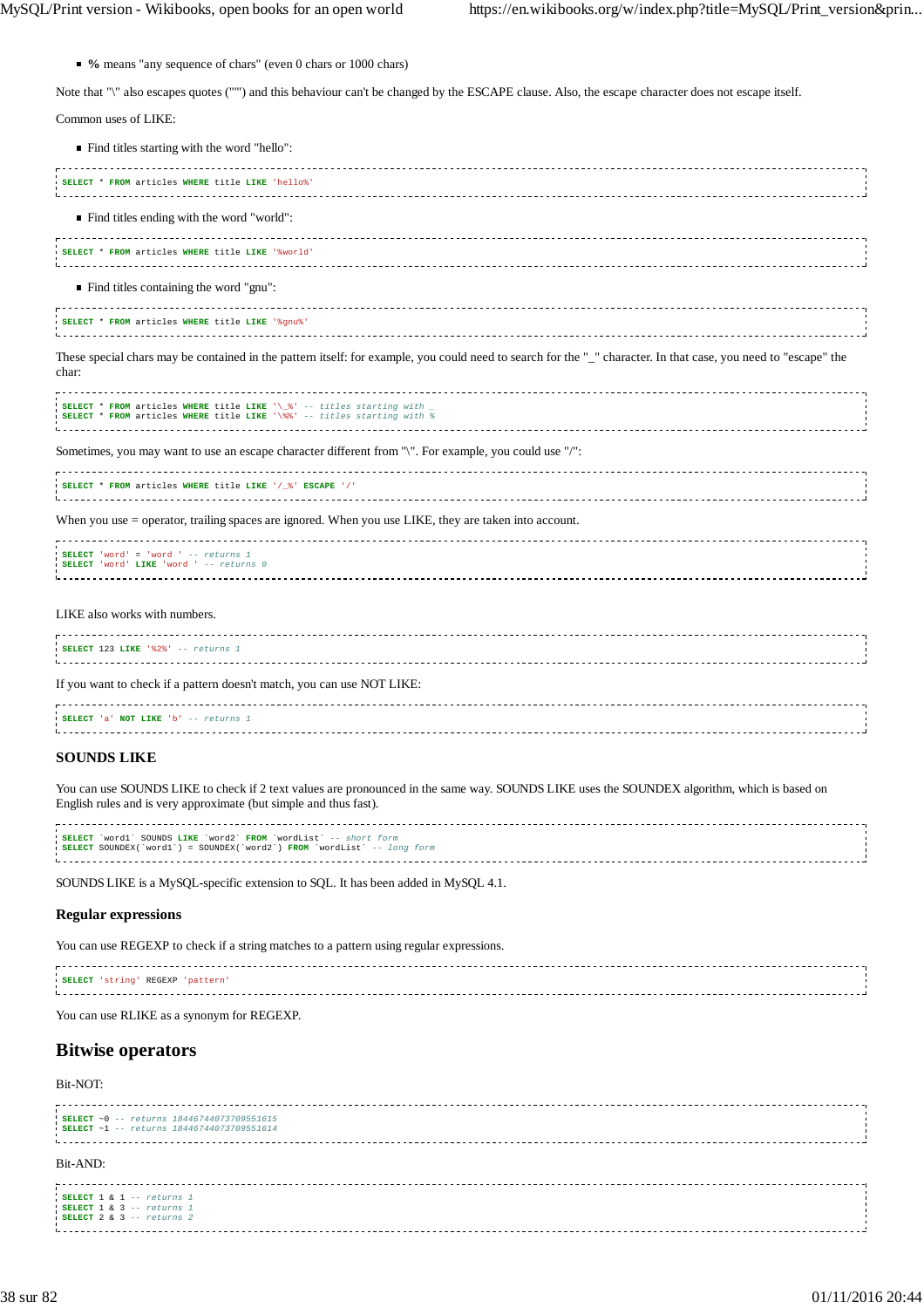**%** means "any sequence of chars" (even 0 chars or 1000 chars)

Note that "\" also escapes quotes (""") and this behaviour can't be changed by the ESCAPE clause. Also, the escape character does not escape itself.

Common uses of LIKE:

Find titles starting with the word "hello":

| SELECT * FROM articles WHERE title LIKE 'hello%                                                                                                                          |  |
|--------------------------------------------------------------------------------------------------------------------------------------------------------------------------|--|
| Find titles ending with the word "world":                                                                                                                                |  |
| SELECT * FROM articles WHERE title LIKE '%world'                                                                                                                         |  |
| $\blacksquare$ Find titles containing the word "gnu":                                                                                                                    |  |
| SELECT * FROM articles WHERE title LIKE '%gnu%'                                                                                                                          |  |
| These special chars may be contained in the pattern itself: for example, you could need to search for the "_" character. In that case, you need to "escape" the<br>char: |  |
| SELECT * FROM articles WHERE title LIKE '\_&' -- titles starting with _<br>SELECT * FROM articles WHERE title LIKE '\\\$\' -- titles starting with \                     |  |
| Sometimes, you may want to use an escape character different from "\". For example, you could use "/":                                                                   |  |
| SELECT * FROM articles WHERE title LIKE '/ %' ESCAPE '/'                                                                                                                 |  |
| When you use = operator, trailing spaces are ignored. When you use LIKE, they are taken into account.                                                                    |  |
| SELECT 'word' = 'word ' $--$ returns 1<br>SELECT 'word' LIKE 'word ' -- returns 0                                                                                        |  |
| LIKE also works with numbers.                                                                                                                                            |  |
| SELECT 123 LIKE '%2%' -- returns 1                                                                                                                                       |  |
| If you want to check if a pattern doesn't match, you can use NOT LIKE:                                                                                                   |  |
| SELECT 'a' NOT LIKE 'b' -- returns 1                                                                                                                                     |  |

# **SOUNDS LIKE**

You can use SOUNDS LIKE to check if 2 text values are pronounced in the same way. SOUNDS LIKE uses the SOUNDEX algorithm, which is based on English rules and is very approximate (but simple and thus fast).

| SELECT 'wordl' SOUNDS LIKE 'word2' FROM 'wordList' -- short form        |  |
|-------------------------------------------------------------------------|--|
| SELECT SOUNDEX('wordl') = SOUNDEX('word2') FROM 'wordList' -- long form |  |
|                                                                         |  |
|                                                                         |  |
|                                                                         |  |

SOUNDS LIKE is a MySQL-specific extension to SQL. It has been added in MySQL 4.1.

#### **Regular expressions**

You can use REGEXP to check if a string matches to a pattern using regular expressions.

| REGEXP<br><b>SELECT</b> |  |
|-------------------------|--|
|                         |  |
|                         |  |
|                         |  |

You can use RLIKE as a synonym for REGEXP.

# **Bitwise operators**

Bit-NOT:

| : SELECT ~0 -- returns 18446744073709551615<br><b>SELECT</b> ~1 -- returns 18446744073709551614       |  |
|-------------------------------------------------------------------------------------------------------|--|
| Bit-AND:                                                                                              |  |
| SELECT 1 & 1 -- returns 1<br>SELECT $1 \& 3 -- returns 1$<br>$\blacksquare$ SELECT 2 & 3 -- returns 2 |  |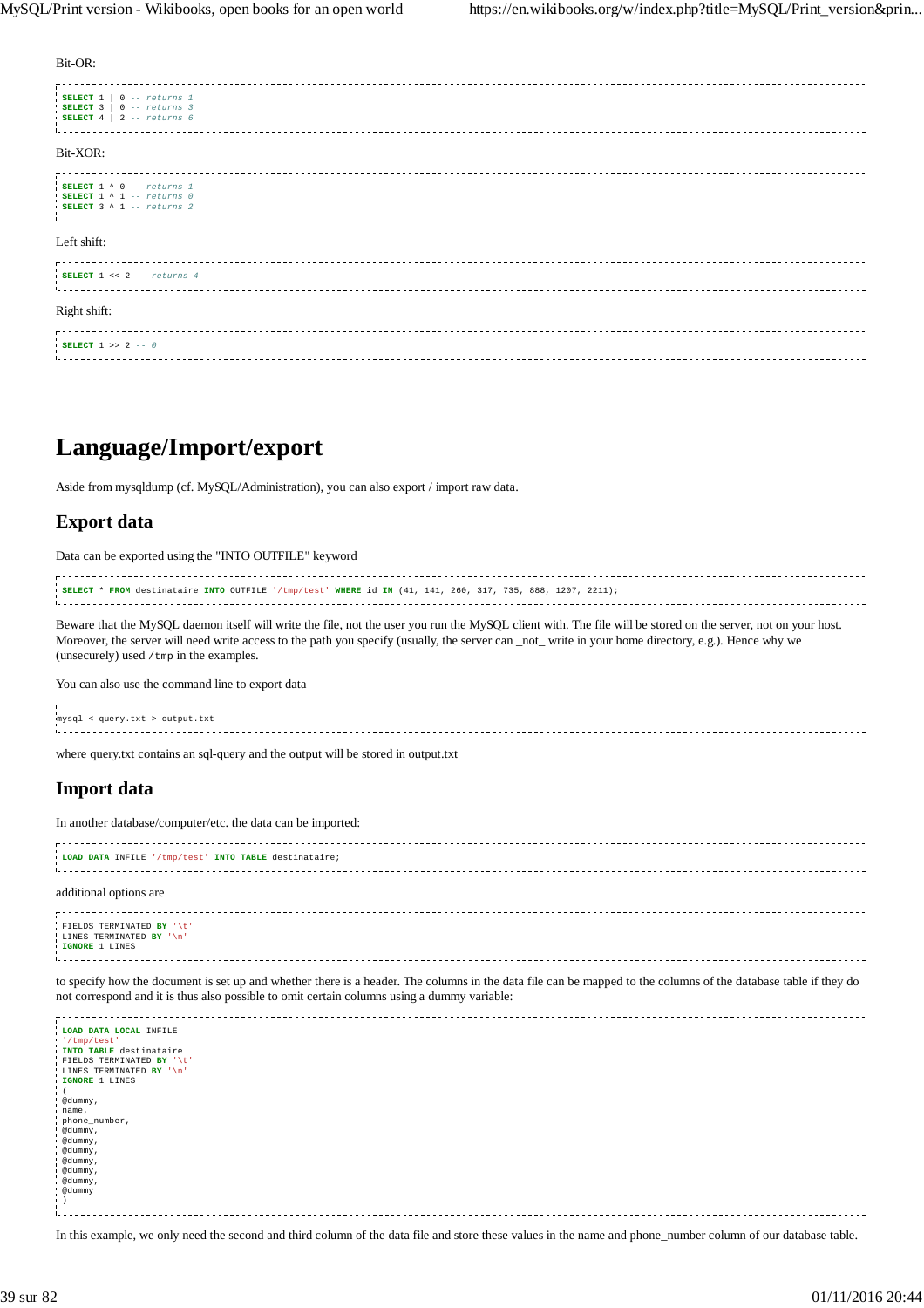Bit-OR:

| SELECT $1 \mid 0 -- returns 1$<br>SELECT $3 \mid 0 -- returns 3$<br>SELECT $4 \mid 2 -- returns 6$        |  |
|-----------------------------------------------------------------------------------------------------------|--|
| Bit-XOR:                                                                                                  |  |
| SELECT $1 \wedge 0$ -- returns 1<br>SELECT $1 \wedge 1$ -- returns 0<br>$\cdot$ SELECT 3 ^ 1 -- returns 2 |  |
| Left shift:                                                                                               |  |
| SELECT $1 \leq 2$ -- returns 4                                                                            |  |
| Right shift:                                                                                              |  |
| SELECT $1 \gg 2 -- 0$<br><b>The Common State State</b>                                                    |  |

# **Language/Import/export**

Aside from mysqldump (cf. MySQL/Administration), you can also export / import raw data.

# **Export data**

Data can be exported using the "INTO OUTFILE" keyword

| SELECT * FROM destinataire INTO OUTFILE '/tmp/test' WHERE id IN (41, 141, 260, 317, 735, 888, 1207, 2211); |  |  |
|------------------------------------------------------------------------------------------------------------|--|--|
|                                                                                                            |  |  |
|                                                                                                            |  |  |
|                                                                                                            |  |  |

Beware that the MySQL daemon itself will write the file, not the user you run the MySQL client with. The file will be stored on the server, not on your host. Moreover, the server will need write access to the path you specify (usually, the server can \_not\_ write in your home directory, e.g.). Hence why we (unsecurely) used  $/\text{tmp}$  in the examples.

You can also use the command line to export data

mysql < query.txt > output.txt 

where query.txt contains an sql-query and the output will be stored in output.txt

# **Import data**

In another database/computer/etc. the data can be imported:

| LOAD DATA INFILE '/tmp/test' INTO TABLE destinataire;                                                                                                                                                                          |  |
|--------------------------------------------------------------------------------------------------------------------------------------------------------------------------------------------------------------------------------|--|
|                                                                                                                                                                                                                                |  |
| Litical contracts are considerable contracts and considerable considerable considerable considerable contracts and considerable considerable considerable considerable considerable considerable considerable considerable con |  |
|                                                                                                                                                                                                                                |  |
|                                                                                                                                                                                                                                |  |

#### additional options are

| FIELDS TERMINATED BY '\t' |  |
|---------------------------|--|
| LINES TERMINATED BY '\n'  |  |
| IGNORE 1 LINES            |  |
|                           |  |
|                           |  |

to specify how the document is set up and whether there is a header. The columns in the data file can be mapped to the columns of the database table if they do not correspond and it is thus also possible to omit certain columns using a dummy variable:

| LOAD DATA LOCAL INFILE    |  |
|---------------------------|--|
| '/tmp/test'               |  |
| INTO TABLE destinataire   |  |
| FIELDS TERMINATED BY '\t' |  |
| LINES TERMINATED BY '\n'  |  |
| IGNORE 1 LINES            |  |
|                           |  |
| @dummy,                   |  |
| name,                     |  |
| phone_number,             |  |
| @dummy,                   |  |
| edummy,                   |  |
| @dummy,                   |  |
| @dummy,                   |  |
| edummy,                   |  |
| @dummy,                   |  |
| @dummy                    |  |
|                           |  |
|                           |  |
|                           |  |

In this example, we only need the second and third column of the data file and store these values in the name and phone\_number column of our database table.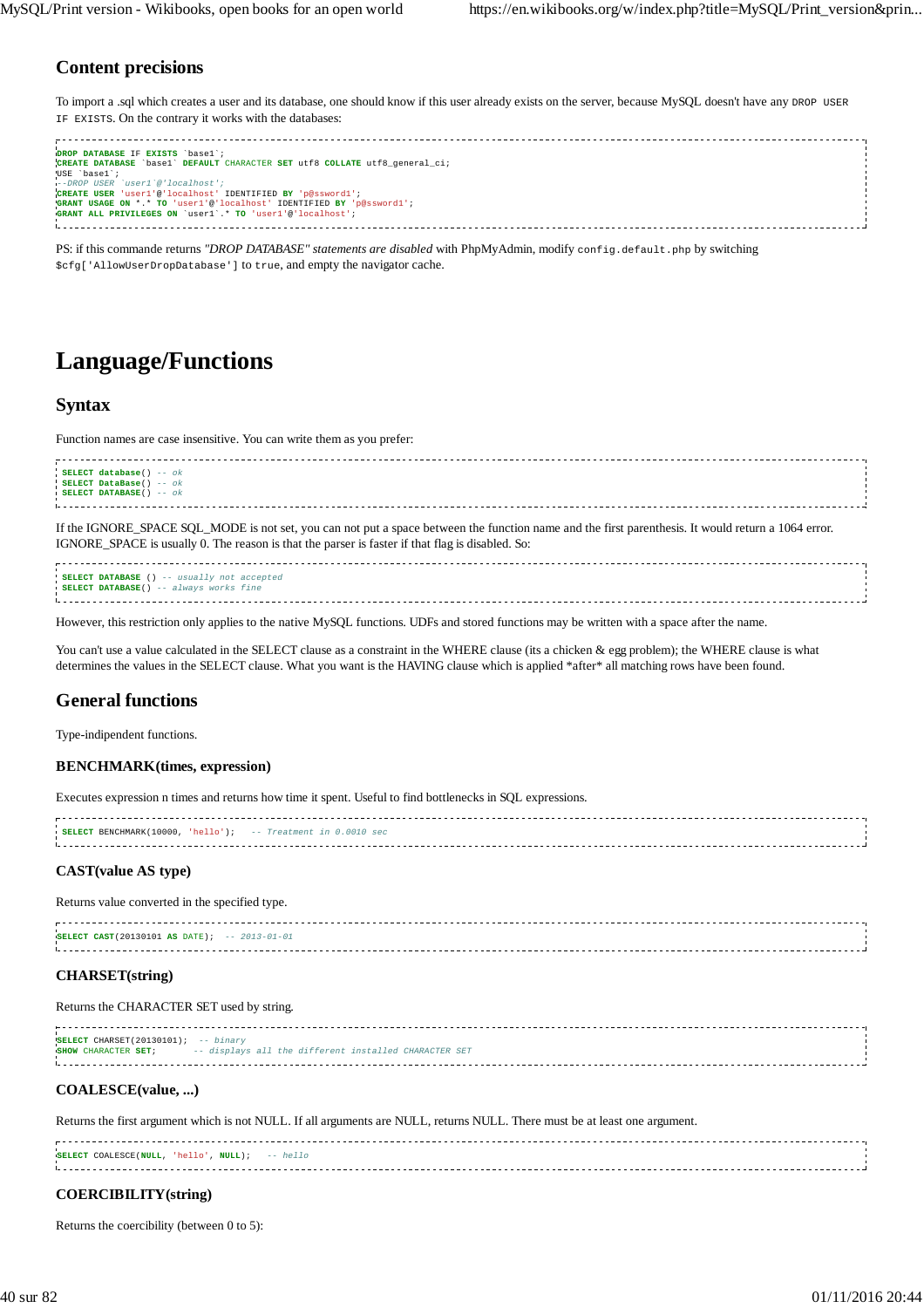# **Content precisions**

To import a .sql which creates a user and its database, one should know if this user already exists on the server, because MySQL doesn't have any DROP USER IF EXISTS. On the contrary it works with the databases:

| DROP DATABASE IF EXISTS 'basel';<br>CREATE DATABASE `base1` DEFAULT CHARACTER SET utf8 COLLATE utf8 general ci;                                                                                                                                   |  |
|---------------------------------------------------------------------------------------------------------------------------------------------------------------------------------------------------------------------------------------------------|--|
| USE basel;<br>--DROP USER 'user1'@'localhost':<br>CREATE USER 'user1'@'localhost' IDENTIFIED BY 'p@ssword1';<br>GRANT USAGE ON *.* TO 'user1'@'localhost' IDENTIFIED BY 'p@ssword1';<br>GRANT ALL PRIVILEGES ON 'user1'.* TO 'user1'@'localhost'; |  |
|                                                                                                                                                                                                                                                   |  |

PS: if this commande returns "DROP DATABASE" statements are disabled with PhpMyAdmin, modify config.default.php by switching \$cfg['AllowUserDropDatabase'] to true, and empty the navigator cache.

# **Language/Functions**

# **Syntax**

Function names are case insensitive. You can write them as you prefer:

| SELECT database() -- ok  |
|--------------------------|
| SELECT DataBase() -- ok  |
| SELECT DATABASE() $- ok$ |
|                          |

If the IGNORE\_SPACE SQL\_MODE is not set, you can not put a space between the function name and the first parenthesis. It would return a 1064 error. IGNORE\_SPACE is usually 0. The reason is that the parser is faster if that flag is disabled. So:

**SELECT DATABASE** () -- usually not accepted **SELECT DATABASE**() -- always works fine 

However, this restriction only applies to the native MySQL functions. UDFs and stored functions may be written with a space after the name.

You can't use a value calculated in the SELECT clause as a constraint in the WHERE clause (its a chicken & egg problem); the WHERE clause is what determines the values in the SELECT clause. What you want is the HAVING clause which is applied \*after\* all matching rows have been found.

# **General functions**

Type-indipendent functions.

## **BENCHMARK(times, expression)**

Executes expression n times and returns how time it spent. Useful to find bottlenecks in SQL expressions.

| <b>SELECT</b> BENCHMARK(10000, 'hello'); $-$ - Treatment in 0.0010 sec |  |
|------------------------------------------------------------------------|--|
|                                                                        |  |
|                                                                        |  |

## **CAST(value AS type)**

Returns value converted in the specified type.

**SELECT CAST**(20130101 **AS** DATE); -- 2013-01-01 

## **CHARSET(string)**

#### Returns the CHARACTER SET used by string.

**SELECT** CHARSET(20130101); -- binary **SHOW** CHARACTER **SET**; -- displays all the different installed CHARACTER SET 

#### **COALESCE(value, ...)**

Returns the first argument which is not NULL. If all arguments are NULL, returns NULL. There must be at least one argument.

| SELECT COALESCE(NULL, 'hello', NULL); -- $hello$ |  |  |  |  |
|--------------------------------------------------|--|--|--|--|
|                                                  |  |  |  |  |
|                                                  |  |  |  |  |
|                                                  |  |  |  |  |

#### **COERCIBILITY(string)**

Returns the coercibility (between 0 to 5):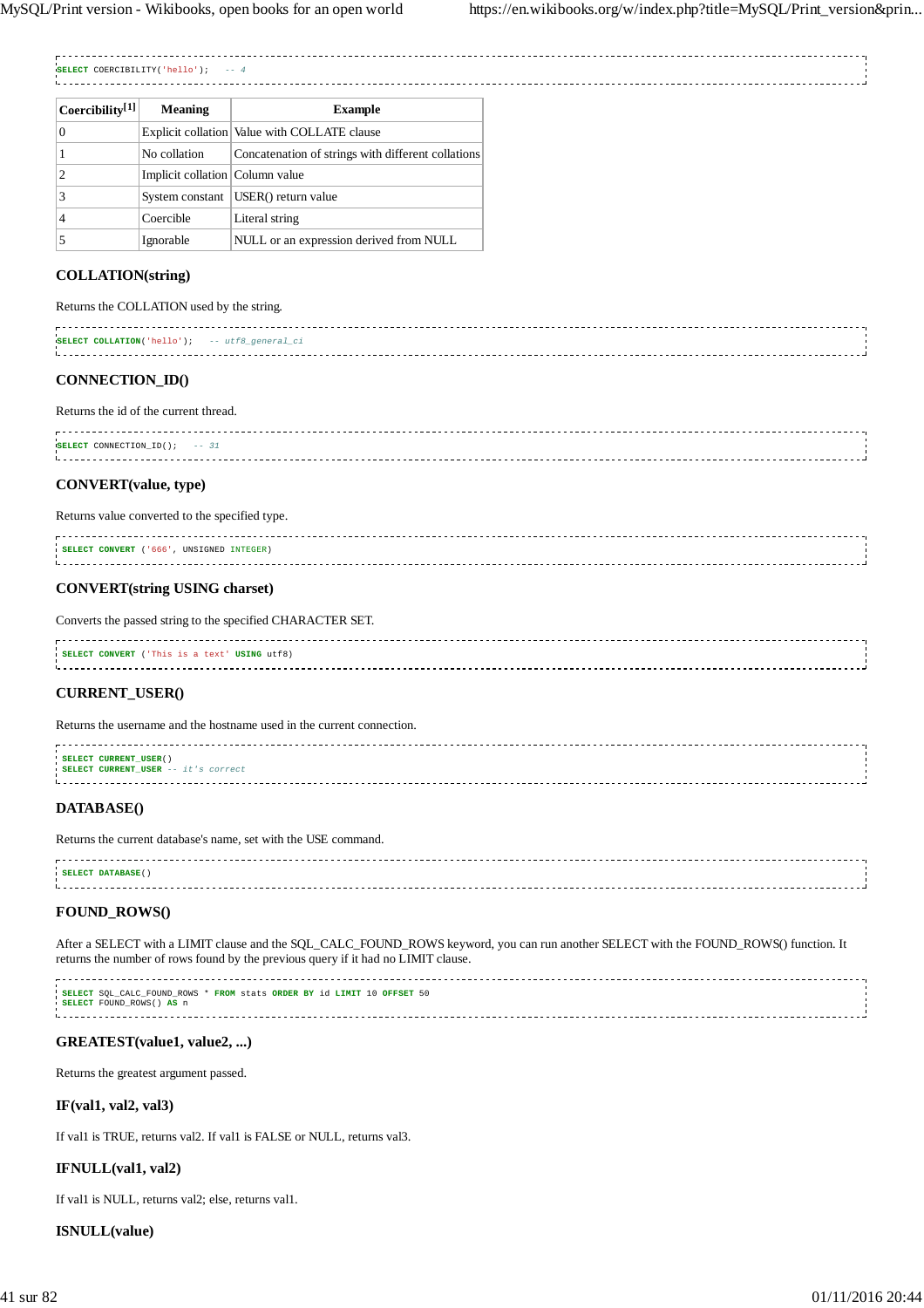-----

| <b>SELECT</b><br>COERCIBILITY( | $ -$ |
|--------------------------------|------|
|                                |      |

| Coercibility <sup>[1]</sup> | <b>Meaning</b>                  | <b>Example</b>                                     |
|-----------------------------|---------------------------------|----------------------------------------------------|
| 0                           |                                 | Explicit collation   Value with COLLATE clause     |
|                             | No collation                    | Concatenation of strings with different collations |
| 2                           | Implicit collation Column value |                                                    |
| 3                           | System constant                 | USER() return value                                |
| 4                           | Coercible                       | Literal string                                     |
|                             | Ignorable                       | NULL or an expression derived from NULL            |

# **COLLATION(string)**

| Returns the COLLATION used by the string.                                                                                                                                                                                                                                       |  |
|---------------------------------------------------------------------------------------------------------------------------------------------------------------------------------------------------------------------------------------------------------------------------------|--|
| SELECT COLLATION('hello'); -- utf8 general ci<br>Littletinistic international control in the control of the control of the control of the control of the control of the control of the control of the control of the control of the control of the control of the control of th |  |
|                                                                                                                                                                                                                                                                                 |  |

## **CONNECTION\_ID()**

#### Returns the id of the current thread.

| SELECT CONNECTION ID(); $--31$ |  |
|--------------------------------|--|
|                                |  |
|                                |  |
|                                |  |
|                                |  |

# **CONVERT(value, type)**

# Returns value converted to the specified type.

| '666'<br><b>IINSIGNED INTEGER)</b><br>SELECT CONVERT |  |
|------------------------------------------------------|--|
|                                                      |  |
|                                                      |  |

# **CONVERT(string USING charset)**

Converts the passed string to the specified CHARACTER SET.

| <b>SELECT CONVERT</b> ('This is a text' USING utf8)                                                                                                                                                                           |  |
|-------------------------------------------------------------------------------------------------------------------------------------------------------------------------------------------------------------------------------|--|
|                                                                                                                                                                                                                               |  |
| Little in the contract of the contract of the contract of the contract of the contract of the contract of the contract of the contract of the contract of the contract of the contract of the contract of the contract of the |  |
|                                                                                                                                                                                                                               |  |

# **CURRENT\_USER()**

Returns the username and the hostname used in the current connection.

| SELECT CURRENT_USER()                      |  |
|--------------------------------------------|--|
| <b>SELECT CURRENT USER</b> -- it's correct |  |
|                                            |  |
|                                            |  |

# **DATABASE()**

Returns the current database's name, set with the USE command.

| SELECT DATABASE () |  |
|--------------------|--|
|                    |  |
|                    |  |

# **FOUND\_ROWS()**

After a SELECT with a LIMIT clause and the SQL\_CALC\_FOUND\_ROWS keyword, you can run another SELECT with the FOUND\_ROWS() function. It returns the number of rows found by the previous query if it had no LIMIT clause.

**SELECT** SQL\_CALC\_FOUND\_ROWS \* **FROM** stats **ORDER BY** id **LIMIT** 10 **OFFSET** 50 **SELECT** FOUND\_ROWS() **AS** n 

# **GREATEST(value1, value2, ...)**

Returns the greatest argument passed.

## **IF(val1, val2, val3)**

If val1 is TRUE, returns val2. If val1 is FALSE or NULL, returns val3.

## **IFNULL(val1, val2)**

If val1 is NULL, returns val2; else, returns val1.

# **ISNULL(value)**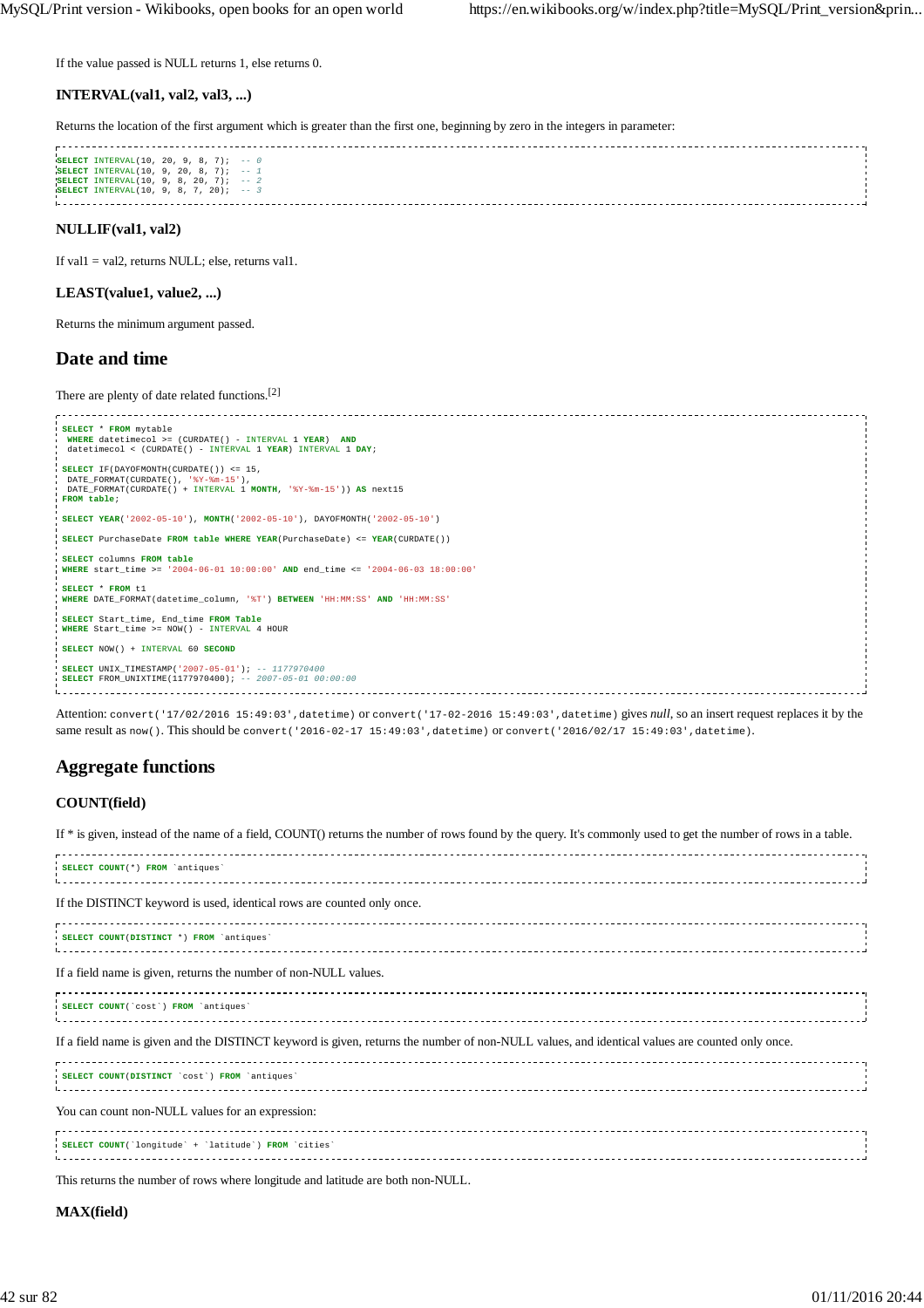If the value passed is NULL returns 1, else returns 0.

## **INTERVAL(val1, val2, val3, ...)**

Returns the location of the first argument which is greater than the first one, beginning by zero in the integers in parameter:

| <b>SELECT</b> INTERVAL(10, 20, 9, 8, 7); $-0$    |  |
|--------------------------------------------------|--|
|                                                  |  |
| <b>SELECT</b> INTERVAL $(10, 9, 20, 8, 7);$ -- 1 |  |
| SELECT INTERVAL $(10, 9, 8, 20, 7);$ -- 2        |  |
|                                                  |  |
| <b>SELECT</b> INTERVAL(10, 9, 8, 7, 20); $-3$    |  |
|                                                  |  |
|                                                  |  |
|                                                  |  |
|                                                  |  |
|                                                  |  |

# **NULLIF(val1, val2)**

If val1 = val2, returns NULL; else, returns val1.

## **LEAST(value1, value2, ...)**

Returns the minimum argument passed.

# **Date and time**

There are plenty of date related functions.[2]

| SELECT * FROM mytable                                                               |  |
|-------------------------------------------------------------------------------------|--|
| WHERE datetimecol >= (CURDATE() - INTERVAL 1 YEAR) AND                              |  |
| datetimecol < (CURDATE() - INTERVAL 1 YEAR) INTERVAL 1 DAY;                         |  |
|                                                                                     |  |
| $SEXECUTE$ IF (DAYOFMONTH (CURDATE ()) <= 15,                                       |  |
| DATE FORMAT(CURDATE(), '%Y-%m-15'),                                                 |  |
| DATE FORMAT(CURDATE() + INTERVAL 1 MONTH, '%Y-%m-15')) AS next15                    |  |
| FROM table;                                                                         |  |
|                                                                                     |  |
| SELECT YEAR('2002-05-10'), MONTH('2002-05-10'), DAYOFMONTH('2002-05-10')            |  |
|                                                                                     |  |
| SELECT PurchaseDate FROM table WHERE YEAR (PurchaseDate) <= YEAR (CURDATE())        |  |
|                                                                                     |  |
| SELECT columns FROM table                                                           |  |
| WHERE start time >= $'2004-06-01$ 10:00:00' AND end time <= $'2004-06-03$ 18:00:00' |  |
|                                                                                     |  |
| SELECT * FROM t1                                                                    |  |
| WHERE DATE FORMAT(datetime column, '%T') BETWEEN 'HH:MM:SS' AND 'HH:MM:SS'          |  |
|                                                                                     |  |
| SELECT Start time, End time FROM Table                                              |  |
| WHERE Start time >= NOW() - INTERVAL 4 HOUR                                         |  |
|                                                                                     |  |
| SELECT NOW() + INTERVAL 60 SECOND                                                   |  |
|                                                                                     |  |
| <b>SELECT</b> UNIX TIMESTAMP('2007-05-01'); -- 1177970400                           |  |
| <b>SELECT</b> FROM UNIXTIME(1177970400); -- 2007-05-01 00:00:00                     |  |
|                                                                                     |  |

Attention: convert('17/02/2016 15:49:03',datetime) or convert('17-02-2016 15:49:03',datetime) gives *null*, so an insert request replaces it by the same result as now(). This should be convert('2016-02-17 15:49:03',datetime) or convert('2016/02/17 15:49:03',datetime).

# **Aggregate functions**

## **COUNT(field)**

| If * is given, instead of the name of a field, COUNT() returns the number of rows found by the query. It's commonly used to get the number of rows in a table. |  |
|----------------------------------------------------------------------------------------------------------------------------------------------------------------|--|
| SELECT COUNT(*) FROM 'antiques'                                                                                                                                |  |
| If the DISTINCT keyword is used, identical rows are counted only once.                                                                                         |  |
| SELECT COUNT(DISTINCT *) FROM `antiques'                                                                                                                       |  |
| If a field name is given, returns the number of non-NULL values.                                                                                               |  |
| SELECT COUNT('cost') FROM 'antiques'                                                                                                                           |  |
| If a field name is given and the DISTINCT keyword is given, returns the number of non-NULL values, and identical values are counted only once.                 |  |
| SELECT COUNT(DISTINCT 'cost') FROM 'antiques'                                                                                                                  |  |
| You can count non-NULL values for an expression:                                                                                                               |  |
| SELECT COUNT('longitude' + 'latitude') FROM 'cities'                                                                                                           |  |
|                                                                                                                                                                |  |

This returns the number of rows where longitude and latitude are both non-NULL.

# **MAX(field)**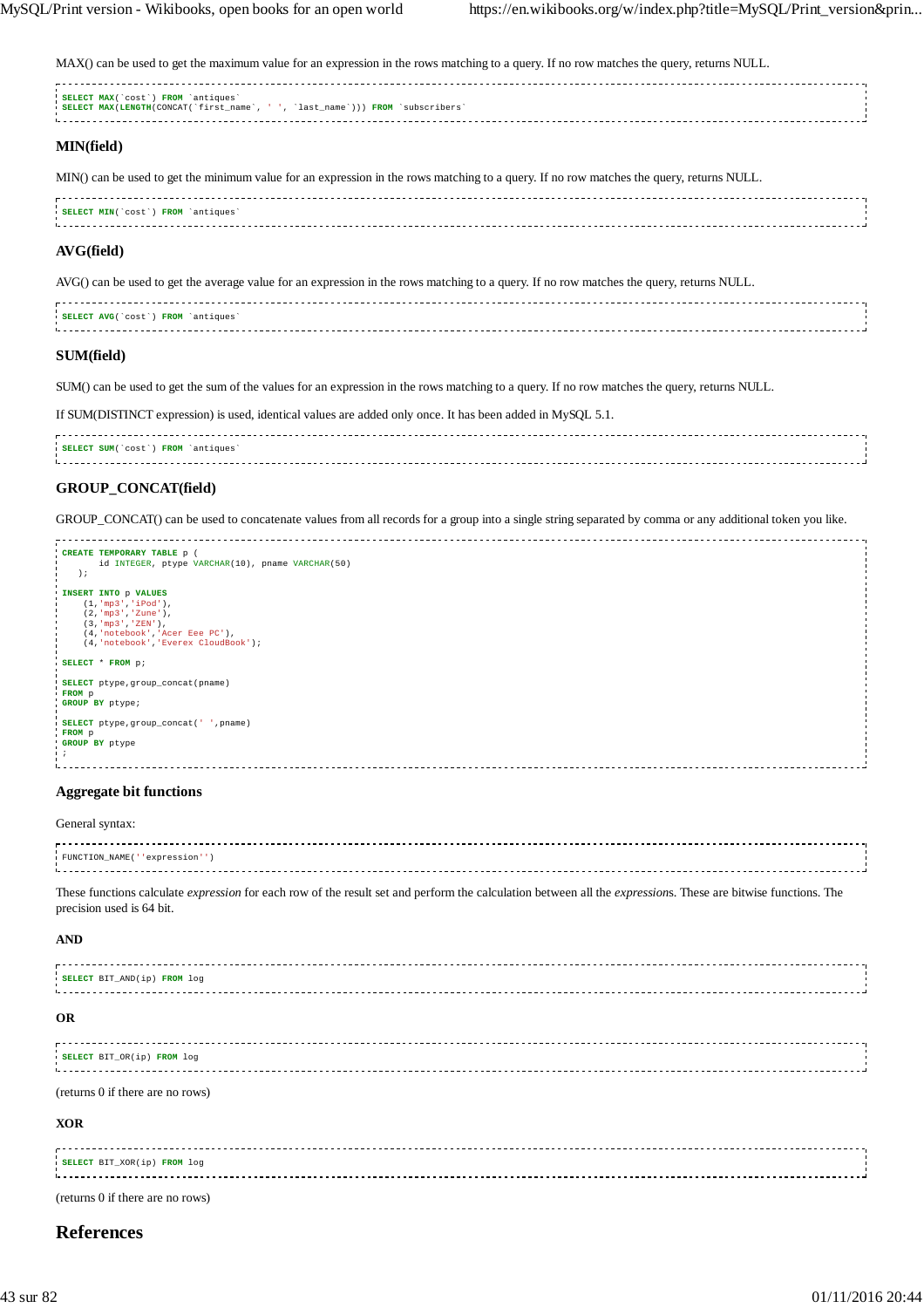MAX() can be used to get the maximum value for an expression in the rows matching to a query. If no row matches the query, returns NULL.

| SELECT MAX(`cost`) FROM `antiques`                                            |  |
|-------------------------------------------------------------------------------|--|
| SELECT MAX(LENGTH(CONCAT(`first name`, ' ', `last name`))) FROM `subscribers` |  |
|                                                                               |  |
|                                                                               |  |
|                                                                               |  |
|                                                                               |  |
|                                                                               |  |

## **MIN(field)**

MIN() can be used to get the minimum value for an expression in the rows matching to a query. If no row matches the query, returns NULL.

| <b>FROM</b><br><b>SELECT MIN()</b><br>`cost` |  |
|----------------------------------------------|--|
|                                              |  |
|                                              |  |

# **AVG(field)**

AVG() can be used to get the average value for an expression in the rows matching to a query. If no row matches the query, returns NULL.

| <b>SELECT AVG</b> ('cost') FROM 'antiques' |  |
|--------------------------------------------|--|
|                                            |  |
|                                            |  |
|                                            |  |

### **SUM(field)**

SUM() can be used to get the sum of the values for an expression in the rows matching to a query. If no row matches the query, returns NULL.

If SUM(DISTINCT expression) is used, identical values are added only once. It has been added in MySQL 5.1.

| SELECT SUM(`cost`) FROM `antiques' |  |
|------------------------------------|--|
|                                    |  |
|                                    |  |
|                                    |  |

### **GROUP\_CONCAT(field)**

GROUP\_CONCAT() can be used to concatenate values from all records for a group into a single string separated by comma or any additional token you like.

| CREATE TEMPORARY TABLE p (                       |  |
|--------------------------------------------------|--|
| id INTEGER, ptype VARCHAR(10), pname VARCHAR(50) |  |
| $\rightarrow$                                    |  |
|                                                  |  |
| INSERT INTO p VALUES                             |  |
| (1, 'mp3', 'iPod'),                              |  |
|                                                  |  |
| $(2, 'mp3', 'Zune')$ ,                           |  |
| $(3, 'mp3', 'ZEN')$ ,                            |  |
| (4, 'notebook', 'Acer Eee PC'),                  |  |
| (4, 'notebook', 'Everex CloudBook');             |  |
|                                                  |  |
| SELECT * FROM p;                                 |  |
|                                                  |  |
| SELECT ptype, group_concat(pname)                |  |
|                                                  |  |
| FROM p                                           |  |
| GROUP BY ptype;                                  |  |
|                                                  |  |
| SELECT ptype, group_concat(' ', pname)           |  |
| FROM p                                           |  |
| GROUP BY ptype                                   |  |
|                                                  |  |
|                                                  |  |
|                                                  |  |
|                                                  |  |

#### **Aggregate bit functions**

#### General syntax:

| FUNCTION NAME (''expression' |  |
|------------------------------|--|
|                              |  |
|                              |  |
|                              |  |

These functions calculate *expression* for each row of the result set and perform the calculation between all the *expression*s. These are bitwise functions. The precision used is 64 bit.

#### **AND**

| SELECT BIT AND(ip) FROM log |  |
|-----------------------------|--|
|                             |  |
|                             |  |
|                             |  |

### **OR**

| SELECT BIT_OR(ip) FROM log |  |
|----------------------------|--|
|                            |  |
|                            |  |
|                            |  |

(returns 0 if there are no rows)

#### **XOR**

| SELECT BIT_XOR(ip) FROM log |  |
|-----------------------------|--|
|                             |  |
|                             |  |
|                             |  |
|                             |  |

(returns 0 if there are no rows)

# **References**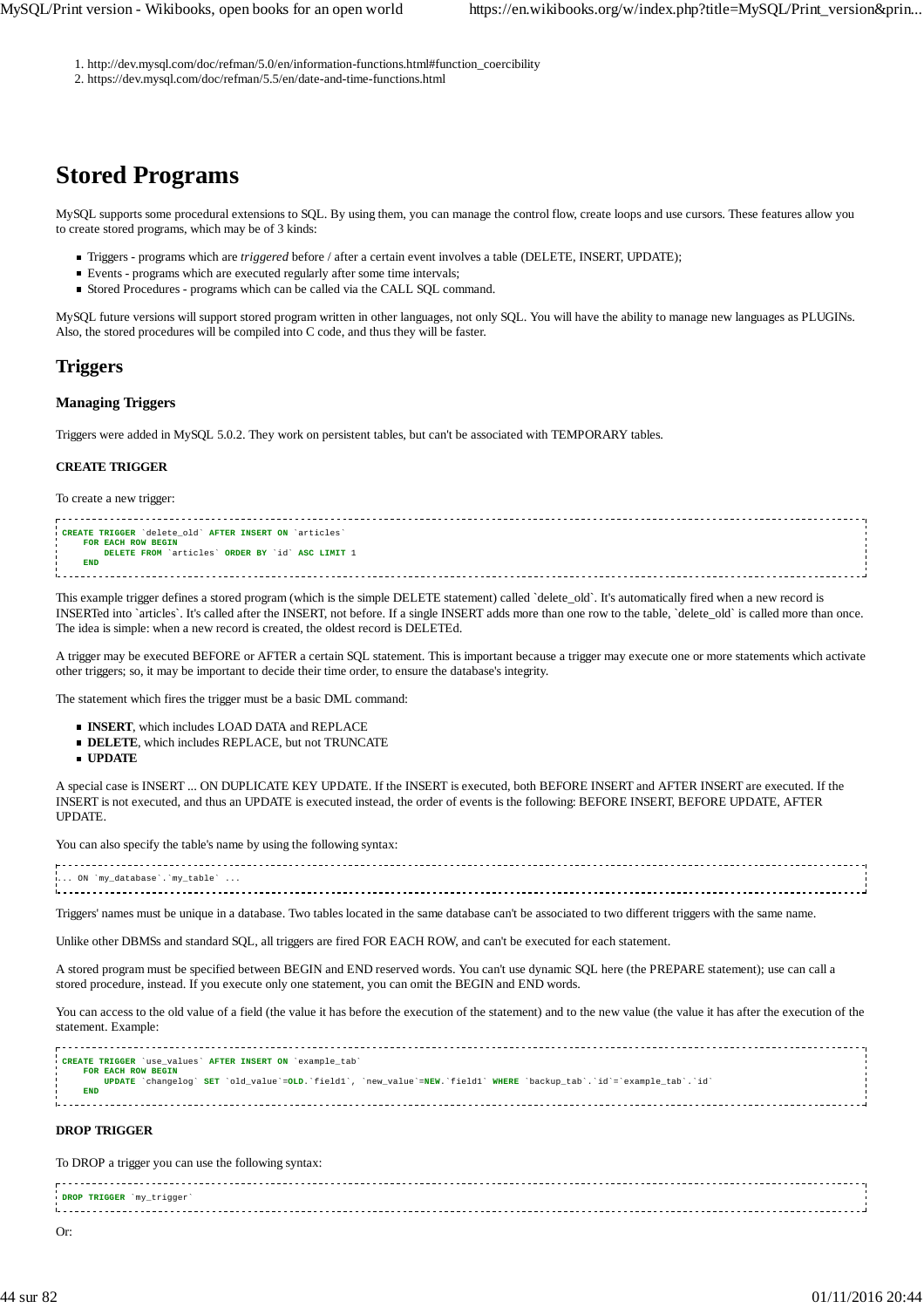1. http://dev.mysql.com/doc/refman/5.0/en/information-functions.html#function\_coercibility

2. https://dev.mysql.com/doc/refman/5.5/en/date-and-time-functions.html

# **Stored Programs**

MySQL supports some procedural extensions to SQL. By using them, you can manage the control flow, create loops and use cursors. These features allow you to create stored programs, which may be of 3 kinds:

- Triggers programs which are *triggered* before / after a certain event involves a table (DELETE, INSERT, UPDATE);
- Events programs which are executed regularly after some time intervals;
- Stored Procedures programs which can be called via the CALL SQL command.

MySQL future versions will support stored program written in other languages, not only SQL. You will have the ability to manage new languages as PLUGINs. Also, the stored procedures will be compiled into C code, and thus they will be faster.

# **Triggers**

## **Managing Triggers**

Triggers were added in MySQL 5.0.2. They work on persistent tables, but can't be associated with TEMPORARY tables.

## **CREATE TRIGGER**

To create a new trigger:

| CREATE TRIGGER 'delete_old' AFTER INSERT ON 'articles' |  |
|--------------------------------------------------------|--|
| FOR EACH ROW BEGIN                                     |  |
| DELETE FROM `articles` ORDER BY `id` ASC LIMIT 1       |  |
| END                                                    |  |
|                                                        |  |
|                                                        |  |
|                                                        |  |

This example trigger defines a stored program (which is the simple DELETE statement) called `delete\_old`. It's automatically fired when a new record is INSERTed into `articles`. It's called after the INSERT, not before. If a single INSERT adds more than one row to the table, `delete\_old` is called more than once. The idea is simple: when a new record is created, the oldest record is DELETEd.

A trigger may be executed BEFORE or AFTER a certain SQL statement. This is important because a trigger may execute one or more statements which activate other triggers; so, it may be important to decide their time order, to ensure the database's integrity.

The statement which fires the trigger must be a basic DML command:

- **INSERT**, which includes LOAD DATA and REPLACE
- **DELETE**, which includes REPLACE, but not TRUNCATE
- **UPDATE**

A special case is INSERT ... ON DUPLICATE KEY UPDATE. If the INSERT is executed, both BEFORE INSERT and AFTER INSERT are executed. If the INSERT is not executed, and thus an UPDATE is executed instead, the order of events is the following: BEFORE INSERT, BEFORE UPDATE, AFTER UPDATE.

You can also specify the table's name by using the following syntax:

| $\ldots$ ON `my database`.`my table` |  |
|--------------------------------------|--|
|                                      |  |
|                                      |  |

Triggers' names must be unique in a database. Two tables located in the same database can't be associated to two different triggers with the same name.

Unlike other DBMSs and standard SQL, all triggers are fired FOR EACH ROW, and can't be executed for each statement.

A stored program must be specified between BEGIN and END reserved words. You can't use dynamic SQL here (the PREPARE statement); use can call a stored procedure, instead. If you execute only one statement, you can omit the BEGIN and END words.

You can access to the old value of a field (the value it has before the execution of the statement) and to the new value (the value it has after the execution of the statement. Example:

| CREATE TRIGGER 'use values' AFTER INSERT ON 'example tab'                                                            |  |
|----------------------------------------------------------------------------------------------------------------------|--|
|                                                                                                                      |  |
| FOR EACH ROW BEGIN                                                                                                   |  |
|                                                                                                                      |  |
| UPDATE 'changelog' SET 'old value'=OLD.'field1', 'new value'=NEW.'field1' WHERE 'backup tab'.'id'='example tab'.'id' |  |
|                                                                                                                      |  |
| <b>END</b>                                                                                                           |  |
|                                                                                                                      |  |
|                                                                                                                      |  |
|                                                                                                                      |  |
|                                                                                                                      |  |
|                                                                                                                      |  |

# **DROP TRIGGER**

To DROP a trigger you can use the following syntax:

**DROP TRIGGER** `my\_trigger` 1. . . . . . . . . . . . . . . . . . 

Or: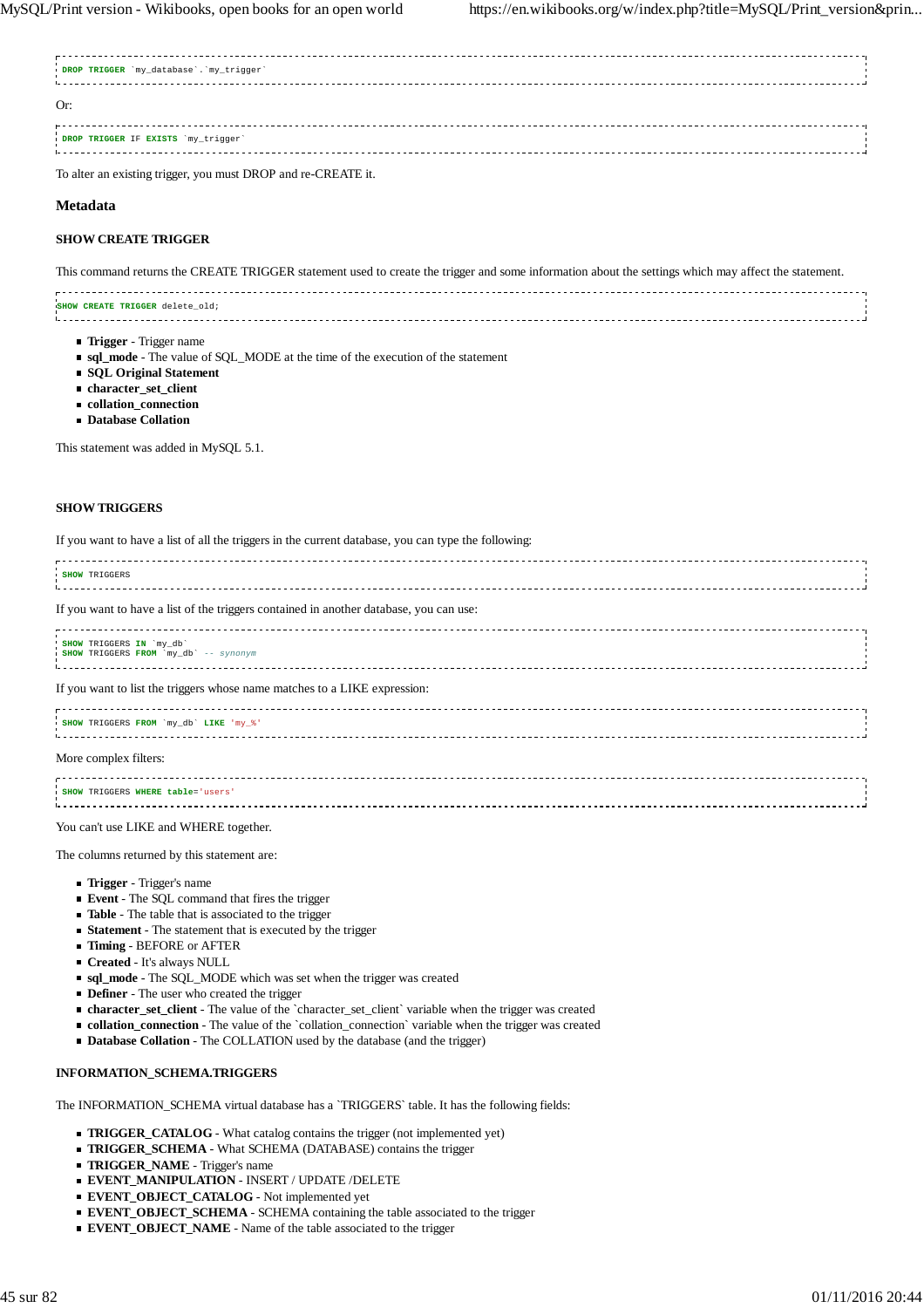| DROP TRIGGER 'my_database'. 'my_trigger' |  |
|------------------------------------------|--|
| Or                                       |  |
| DROP TRIGGER IF EXISTS 'my_trigger'      |  |

To alter an existing trigger, you must DROP and re-CREATE it.

### **Metadata**

### **SHOW CREATE TRIGGER**

This command returns the CREATE TRIGGER statement used to create the trigger and some information about the settings which may affect the statement.

| SHOW CREATE TRIGGER delete old; |  |
|---------------------------------|--|
|                                 |  |
|                                 |  |
|                                 |  |
|                                 |  |

- **Trigger** Trigger name
- **sql\_mode** The value of SQL\_MODE at the time of the execution of the statement
- **SQL Original Statement**
- **character** set client
- **collation\_connection**
- **Database Collation**

This statement was added in MySQL 5.1.

## **SHOW TRIGGERS**

| If you want to have a list of all the triggers in the current database, you can type the following: |  |
|-----------------------------------------------------------------------------------------------------|--|
| <b>SHOW TRIGGERS</b>                                                                                |  |
| If you want to have a list of the triggers contained in another database, you can use:              |  |
| SHOW TRIGGERS IN 'my_db'<br>SHOW TRIGGERS FROM `my_db' -- synonym                                   |  |
| If you want to list the triggers whose name matches to a LIKE expression:                           |  |
| SHOW TRIGGERS FROM `my_db' LIKE 'my_%'                                                              |  |
| More complex filters:                                                                               |  |
| SHOW TRIGGERS WHERE table='users'                                                                   |  |
|                                                                                                     |  |

You can't use LIKE and WHERE together.

The columns returned by this statement are:

- **Trigger** Trigger's name
- **Event** The SQL command that fires the trigger
- **Table** The table that is associated to the trigger
- **Statement** The statement that is executed by the trigger
- **Timing** BEFORE or AFTER
- **Created** It's always NULL
- **sql\_mode** The SQL\_MODE which was set when the trigger was created
- **Definer** The user who created the trigger
- **character\_set\_client** The value of the `character\_set\_client` variable when the trigger was created
- **collation\_connection** The value of the `collation\_connection` variable when the trigger was created
- **Database Collation** The COLLATION used by the database (and the trigger)

#### **INFORMATION\_SCHEMA.TRIGGERS**

The INFORMATION\_SCHEMA virtual database has a `TRIGGERS` table. It has the following fields:

- **TRIGGER CATALOG** What catalog contains the trigger (not implemented yet)
- **TRIGGER\_SCHEMA** What SCHEMA (DATABASE) contains the trigger
- **TRIGGER\_NAME** Trigger's name
- **EVENT\_MANIPULATION** INSERT / UPDATE /DELETE
- **EVENT\_OBJECT\_CATALOG** Not implemented yet
- **EVENT\_OBJECT\_SCHEMA** SCHEMA containing the table associated to the trigger
- **EVENT\_OBJECT\_NAME** Name of the table associated to the trigger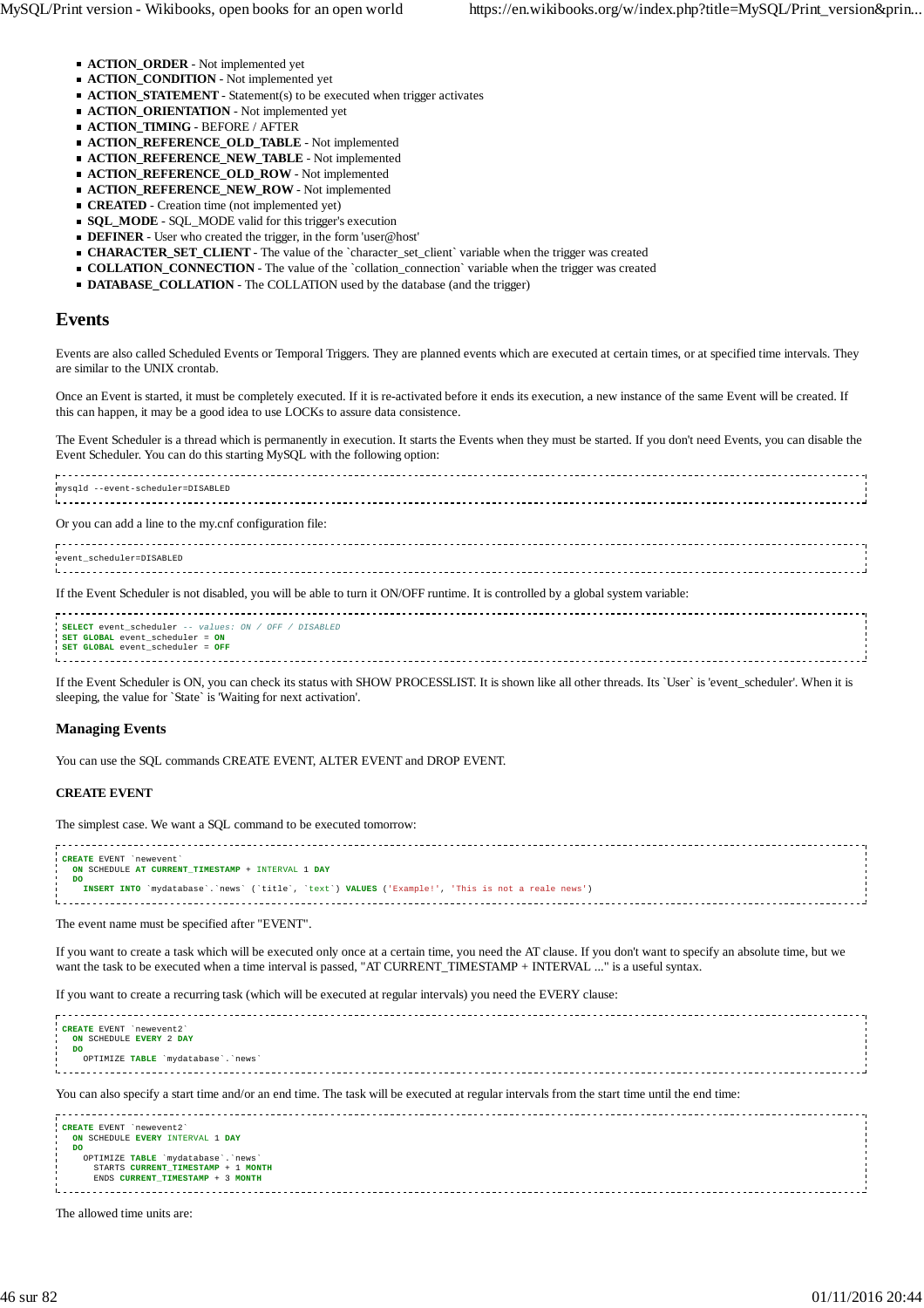- **ACTION\_ORDER** Not implemented yet
- **ACTION\_CONDITION** Not implemented yet
- **ACTION\_STATEMENT** Statement(s) to be executed when trigger activates
- **ACTION\_ORIENTATION** Not implemented yet
- **ACTION\_TIMING** BEFORE / AFTER
- **ACTION\_REFERENCE\_OLD\_TABLE** Not implemented
- **ACTION\_REFERENCE\_NEW\_TABLE** Not implemented
- **ACTION\_REFERENCE\_OLD\_ROW** Not implemented
- **ACTION\_REFERENCE\_NEW\_ROW** Not implemented
- **CREATED** Creation time (not implemented yet)
- **SQL\_MODE** SQL\_MODE valid for this trigger's execution
- **DEFINER** User who created the trigger, in the form 'user@host'
- **CHARACTER\_SET\_CLIENT** The value of the `character\_set\_client` variable when the trigger was created
- **COLLATION\_CONNECTION** The value of the `collation\_connection` variable when the trigger was created
- **DATABASE\_COLLATION** The COLLATION used by the database (and the trigger)

## **Events**

Events are also called Scheduled Events or Temporal Triggers. They are planned events which are executed at certain times, or at specified time intervals. They are similar to the UNIX crontab.

Once an Event is started, it must be completely executed. If it is re-activated before it ends its execution, a new instance of the same Event will be created. If this can happen, it may be a good idea to use LOCKs to assure data consistence.

The Event Scheduler is a thread which is permanently in execution. It starts the Events when they must be started. If you don't need Events, you can disable the Event Scheduler. You can do this starting MySQL with the following option:

mysqld --event-scheduler=DISABLED Or you can add a line to the my.cnf configuration file: event\_scheduler=DISABLED .<br>Liisisistististististist If the Event Scheduler is not disabled, you will be able to turn it ON/OFF runtime. It is controlled by a global system variable: **SELECT** event scheduler -- values: ON / OFF / DISABLED

**SET GLOBAL** event\_scheduler = **ON SET GLOBAL** event\_scheduler = **OFF** 

If the Event Scheduler is ON, you can check its status with SHOW PROCESSLIST. It is shown like all other threads. Its `User` is 'event\_scheduler'. When it is sleeping, the value for `State` is 'Waiting for next activation'.

#### **Managing Events**

You can use the SQL commands CREATE EVENT, ALTER EVENT and DROP EVENT.

#### **CREATE EVENT**

The simplest case. We want a SQL command to be executed tomorrow:

| CREATE EVENT 'newevent'                                                                                     |  |
|-------------------------------------------------------------------------------------------------------------|--|
| ON SCHEDULE AT CURRENT TIMESTAMP + INTERVAL 1 DAY                                                           |  |
|                                                                                                             |  |
| DO                                                                                                          |  |
|                                                                                                             |  |
| `mydatabase`.`news` (`title`, `text`) VALUES ('Example!', 'This is not a reale news')<br><b>INSERT INTO</b> |  |
|                                                                                                             |  |
|                                                                                                             |  |

The event name must be specified after "EVENT".

ENDS **CURRENT\_TIMESTAMP** + 3 **MONTH**

If you want to create a task which will be executed only once at a certain time, you need the AT clause. If you don't want to specify an absolute time, but we want the task to be executed when a time interval is passed, "AT CURRENT\_TIMESTAMP + INTERVAL ..." is a useful syntax.

If you want to create a recurring task (which will be executed at regular intervals) you need the EVERY clause:

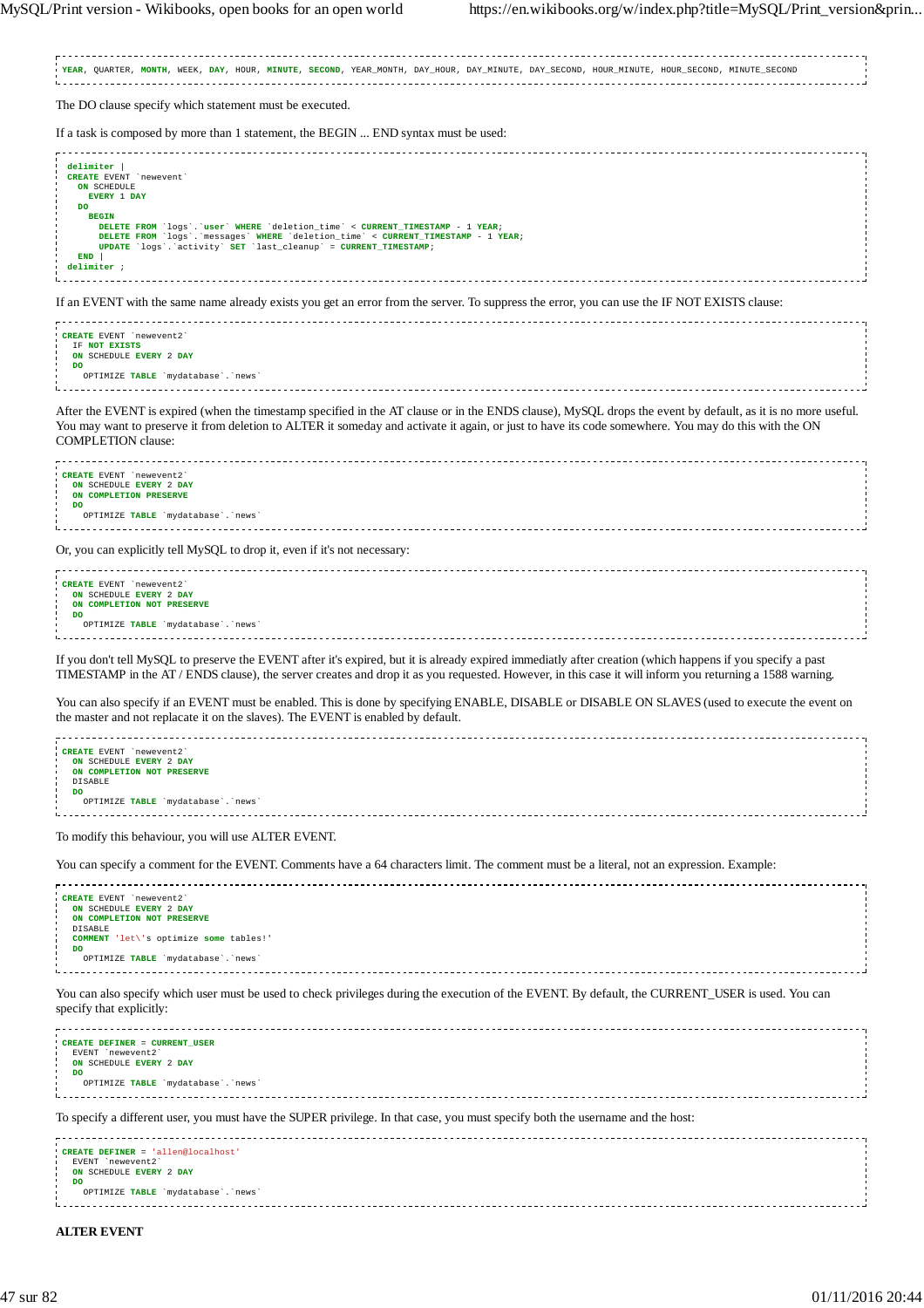**YEAR**, QUARTER, **MONTH**, WEEK, **DAY**, HOUR, **MINUTE**, **SECOND**, YEAR\_MONTH, DAY\_HOUR, DAY\_MINUTE, DAY\_SECOND, HOUR\_MINUTE, HOUR\_SECOND, MINUTE\_SECOND The DO clause specify which statement must be executed. If a task is composed by more than 1 statement, the BEGIN ... END syntax must be used:  $delimiter$ **CREATE** EVENT `newevent` **ON** SCHEDULE **EVERY** 1 **DAY DO BEGIN** DELETE FROM `logs`.`user` WHERE `deletion\_time` < CURRENT\_TIMESTAMP - 1 YEAR;<br>DELETE FROM `logs`.`messages` WHERE `deletion\_time` < CURRENT\_TIMESTAMP - 1 YEAR;<br>UPDATE `logs`.`activity` SET `last\_cleanup` = CURRENT\_TIMESTAM **END** | **delimiter** ; If an EVENT with the same name already exists you get an error from the server. To suppress the error, you can use the IF NOT EXISTS clause: **CREATE** EVENT `newevent2` IF **NOT EXISTS ON** SCHEDULE **EVERY** 2 **DAY DO** OPTIMIZE **TABLE** `mydatabase`.`news` After the EVENT is expired (when the timestamp specified in the AT clause or in the ENDS clause), MySQL drops the event by default, as it is no more useful. You may want to preserve it from deletion to ALTER it someday and activate it again, or just to have its code somewhere. You may do this with the ON COMPLETION clause: **CREATE** EVENT `newevent2` **ON** SCHEDULE **EVERY** 2 **DAY ON COMPLETION PRESERVE DO** OPTIMIZE **TABLE** `mydatabase`.`news` Or, you can explicitly tell MySQL to drop it, even if it's not necessary: **CREATE** EVENT `newevent2` **ON** SCHEDULE **EVERY** 2 **DAY ON COMPLETION NOT PRESERVE DO** OPTIMIZE **TABLE** `mydatabase`.`news` --------------------------------If you don't tell MySQL to preserve the EVENT after it's expired, but it is already expired immediatly after creation (which happens if you specify a past TIMESTAMP in the AT / ENDS clause), the server creates and drop it as you requested. However, in this case it will inform you returning a 1588 warning. You can also specify if an EVENT must be enabled. This is done by specifying ENABLE, DISABLE or DISABLE ON SLAVES (used to execute the event on the master and not replacate it on the slaves). The EVENT is enabled by default. **CREATE** EVENT `newevent2` **ON** SCHEDULE **EVERY** 2 **DAY** ON COMPLETION NOT PRESERVE DISABLE **DO** OPTIMIZE **TABLE** `mydatabase`.`news` To modify this behaviour, you will use ALTER EVENT. You can specify a comment for the EVENT. Comments have a 64 characters limit. The comment must be a literal, not an expression. Example: **CREATE** EVENT `newevent2` **ON** SCHEDULE **EVERY** 2 **DAY ON COMPLETION NOT PRESERVE** DISABLE **COMMENT** 'let\'s optimize **some** tables!' **DO** OPTIMIZE **TABLE** `mydatabase`.`news` You can also specify which user must be used to check privileges during the execution of the EVENT. By default, the CURRENT\_USER is used. You can specify that explicitly: . . . . . . . . . . . . . . . . . . . . **CREATE DEFINER** = **CURRENT\_USER** EVENT `newevent2` **ON** SCHEDULE **EVERY** 2 **DAY DO** OPTIMIZE **TABLE** `mydatabase`.`news` To specify a different user, you must have the SUPER privilege. In that case, you must specify both the username and the host: **CREATE DEFINER** = 'allen@localhost EVENT `newevent2` **ON** SCHEDULE **EVERY** 2 **DAY DO** OPTIMIZE **TABLE** `mydatabase`.`news` **ALTER EVENT**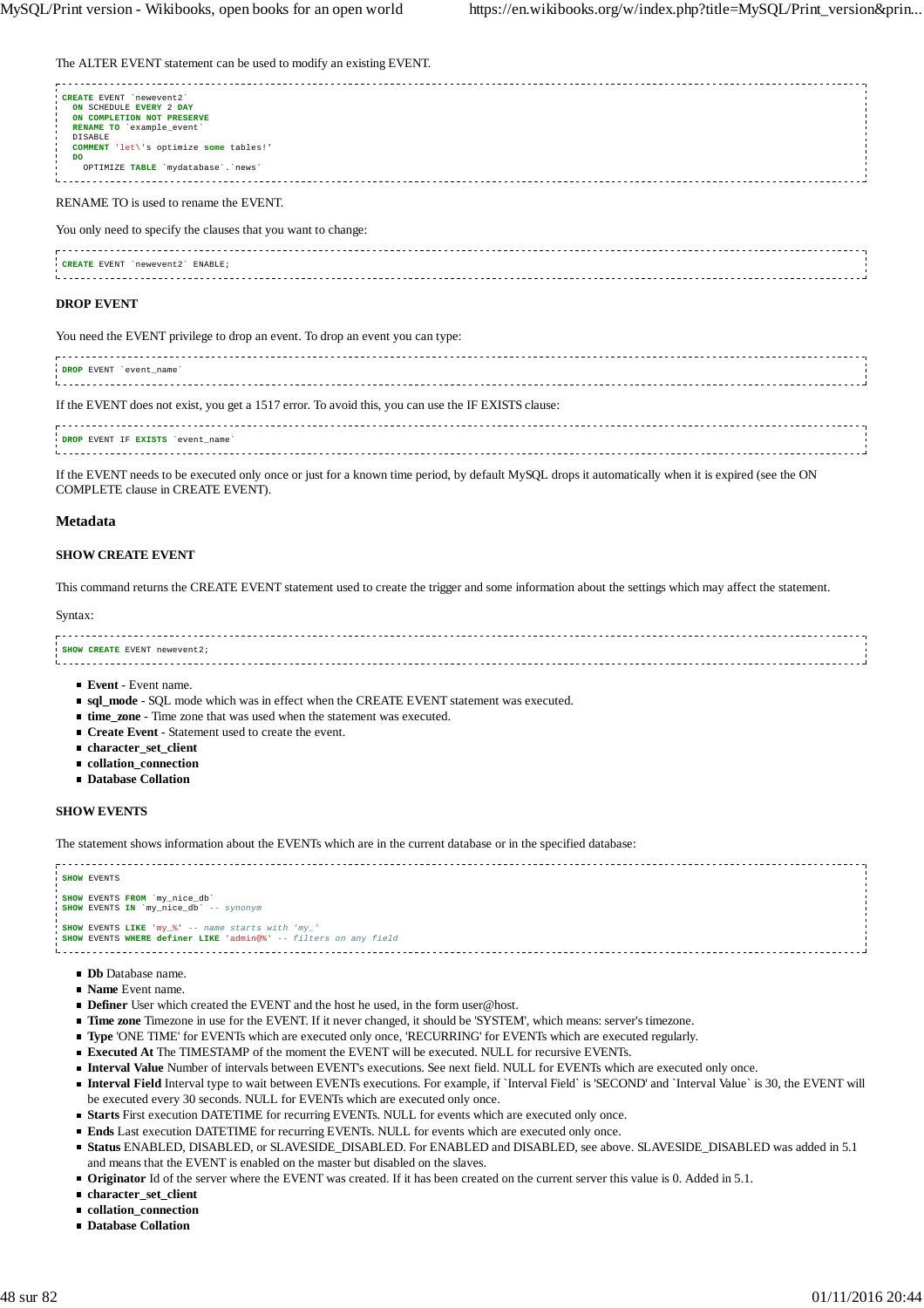The ALTER EVENT statement can be used to modify an existing EVENT.

| CREATE EVENT 'newevent2'<br>ON SCHEDULE EVERY 2 DAY<br>ON COMPLETION NOT PRESERVE<br>RENAME TO 'example event'<br>DISABLE |  |
|---------------------------------------------------------------------------------------------------------------------------|--|
| COMMENT 'let\'s optimize some tables!'<br>DO<br>OPTIMIZE TABLE 'mydatabase'. 'news'                                       |  |
|                                                                                                                           |  |

RENAME TO is used to rename the EVENT.

You only need to specify the clauses that you want to change:

| CREATE EVENT<br>ENABLE<br>newevent |  |
|------------------------------------|--|
|                                    |  |
|                                    |  |
|                                    |  |

#### **DROP EVENT**

You need the EVENT privilege to drop an event. To drop an event you can type:

| DROP EVENT 'event_name'                                                                             |  |
|-----------------------------------------------------------------------------------------------------|--|
| If the EVENT does not exist, you get a 1517 error. To avoid this, you can use the IF EXISTS clause: |  |
|                                                                                                     |  |

**DROP** EVENT IF **EXISTS** `event\_name`

If the EVENT needs to be executed only once or just for a known time period, by default MySQL drops it automatically when it is expired (see the ON COMPLETE clause in CREATE EVENT).

#### **Metadata**

#### **SHOW CREATE EVENT**

This command returns the CREATE EVENT statement used to create the trigger and some information about the settings which may affect the statement.

#### Syntax:

#### **SHOW CREATE** EVENT newevent2;

- **Event** Event name.
- **sql\_mode** SQL mode which was in effect when the CREATE EVENT statement was executed.
- **time\_zone** Time zone that was used when the statement was executed.
- **Create Event** Statement used to create the event.
- **character\_set\_client**
- **collation\_connection**
- **Database Collation**

#### **SHOW EVENTS**

The statement shows information about the EVENTs which are in the current database or in the specified database:



- **Db** Database name.
- **Name** Event name.
- **Definer** User which created the EVENT and the host he used, in the form user@host.
- **Time zone** Timezone in use for the EVENT. If it never changed, it should be 'SYSTEM', which means: server's timezone.
- **Type** 'ONE TIME' for EVENTs which are executed only once, 'RECURRING' for EVENTs which are executed regularly.
- **Executed At** The TIMESTAMP of the moment the EVENT will be executed. NULL for recursive EVENTs.
- **Interval Value** Number of intervals between EVENT's executions. See next field. NULL for EVENTs which are executed only once.
- **Interval Field** Interval type to wait between EVENTs executions. For example, if `Interval Field` is 'SECOND' and `Interval Value` is 30, the EVENT will be executed every 30 seconds. NULL for EVENTs which are executed only once.
- **Starts** First execution DATETIME for recurring EVENTs. NULL for events which are executed only once.
- **Ends** Last execution DATETIME for recurring EVENTs. NULL for events which are executed only once.
- **Status** ENABLED, DISABLED, or SLAVESIDE\_DISABLED. For ENABLED and DISABLED, see above. SLAVESIDE\_DISABLED was added in 5.1 and means that the EVENT is enabled on the master but disabled on the slaves.
- **Originator** Id of the server where the EVENT was created. If it has been created on the current server this value is 0. Added in 5.1.
- **character\_set\_client**
- **collation\_connection**
- **Database Collation**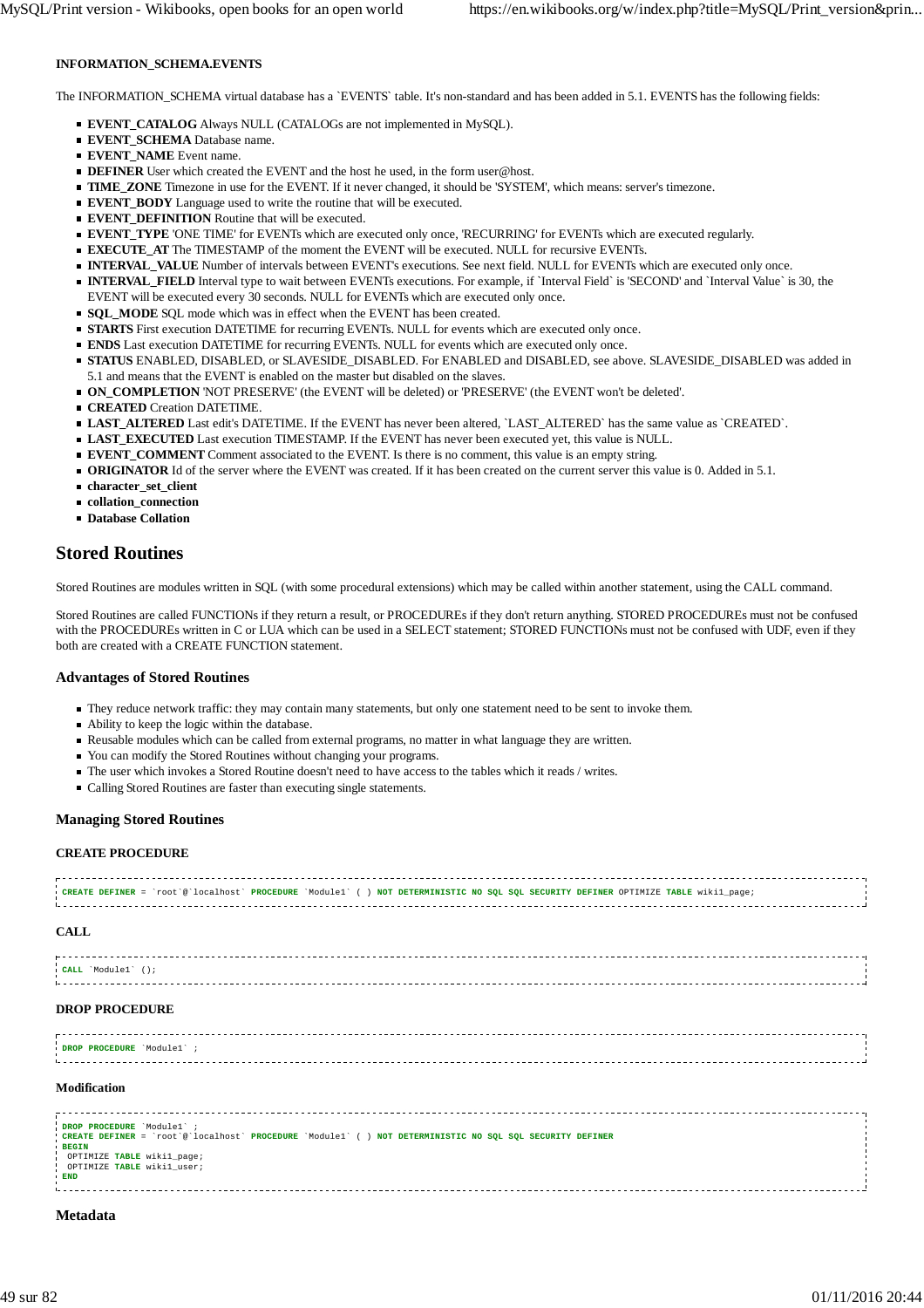## **INFORMATION\_SCHEMA.EVENTS**

The INFORMATION\_SCHEMA virtual database has a `EVENTS` table. It's non-standard and has been added in 5.1. EVENTS has the following fields:

- **EVENT\_CATALOG** Always NULL (CATALOGs are not implemented in MySQL).
- **EVENT\_SCHEMA** Database name.
- **EVENT\_NAME** Event name.
- **DEFINER** User which created the EVENT and the host he used, in the form user@host.
- **TIME\_ZONE** Timezone in use for the EVENT. If it never changed, it should be 'SYSTEM', which means: server's timezone.
- **EVENT\_BODY** Language used to write the routine that will be executed.
- **EVENT DEFINITION** Routine that will be executed.
- **EVENT\_TYPE** 'ONE TIME' for EVENTs which are executed only once, 'RECURRING' for EVENTs which are executed regularly.
- **EXECUTE AT** The TIMESTAMP of the moment the EVENT will be executed. NULL for recursive EVENTs.
- **INTERVAL\_VALUE** Number of intervals between EVENT's executions. See next field. NULL for EVENTs which are executed only once.
- **INTERVAL\_FIELD** Interval type to wait between EVENTs executions. For example, if `Interval Field` is 'SECOND' and `Interval Value` is 30, the EVENT will be executed every 30 seconds. NULL for EVENTs which are executed only once.
- **SQL\_MODE** SQL mode which was in effect when the EVENT has been created.
- **STARTS** First execution DATETIME for recurring EVENTs. NULL for events which are executed only once.
- **ENDS** Last execution DATETIME for recurring EVENTs. NULL for events which are executed only once.
- **STATUS** ENABLED, DISABLED, or SLAVESIDE\_DISABLED. For ENABLED and DISABLED, see above. SLAVESIDE\_DISABLED was added in 5.1 and means that the EVENT is enabled on the master but disabled on the slaves.
- **ON\_COMPLETION** 'NOT PRESERVE' (the EVENT will be deleted) or 'PRESERVE' (the EVENT won't be deleted'.
- **CREATED** Creation DATETIME.
- **LAST\_ALTERED** Last edit's DATETIME. If the EVENT has never been altered, `LAST\_ALTERED` has the same value as `CREATED`.
- **LAST\_EXECUTED** Last execution TIMESTAMP. If the EVENT has never been executed yet, this value is NULL.
- **EVENT\_COMMENT** Comment associated to the EVENT. Is there is no comment, this value is an empty string.
- **ORIGINATOR** Id of the server where the EVENT was created. If it has been created on the current server this value is 0. Added in 5.1.
- **character\_set\_client**
- **collation\_connection**
- **Database Collation**

# **Stored Routines**

Stored Routines are modules written in SQL (with some procedural extensions) which may be called within another statement, using the CALL command.

Stored Routines are called FUNCTIONs if they return a result, or PROCEDUREs if they don't return anything. STORED PROCEDUREs must not be confused with the PROCEDUREs written in C or LUA which can be used in a SELECT statement; STORED FUNCTIONs must not be confused with UDF, even if they both are created with a CREATE FUNCTION statement.

#### **Advantages of Stored Routines**

- They reduce network traffic: they may contain many statements, but only one statement need to be sent to invoke them.
- Ability to keep the logic within the database.
- Reusable modules which can be called from external programs, no matter in what language they are written.
- You can modify the Stored Routines without changing your programs.
- The user which invokes a Stored Routine doesn't need to have access to the tables which it reads / writes.
- Calling Stored Routines are faster than executing single statements.

#### **Managing Stored Routines**

#### **CREATE PROCEDURE**

|  |  | . CREATE DEFINER = `root`@`localhost` PROCEDURE `Module1` () NOT DETERMINISTIC NO SQL SQL SECURITY DEFINER OPTIMIZE TABLE wikil paqe; |  |
|--|--|---------------------------------------------------------------------------------------------------------------------------------------|--|
|  |  |                                                                                                                                       |  |
|  |  |                                                                                                                                       |  |
|  |  |                                                                                                                                       |  |

#### **CALL**

#### **DROP PROCEDURE**

| DROP PROCEDURE Modulel |  |  |  |
|------------------------|--|--|--|
|                        |  |  |  |
|                        |  |  |  |

#### **Modification**

| DROP PROCEDURE 'Module1' ;                                                                                 |  |
|------------------------------------------------------------------------------------------------------------|--|
|                                                                                                            |  |
| 'CREATE DEFINER = `root`@`localhost` PROCEDURE `Module1` ( ) NOT DETERMINISTIC NO SQL SQL SECURITY DEFINER |  |
| <b>BEGIN</b>                                                                                               |  |
|                                                                                                            |  |
| OPTIMIZE TABLE wikil_page;                                                                                 |  |
| OPTIMIZE TABLE wikil user;                                                                                 |  |
| <b>END</b>                                                                                                 |  |
|                                                                                                            |  |
|                                                                                                            |  |
|                                                                                                            |  |

#### **Metadata**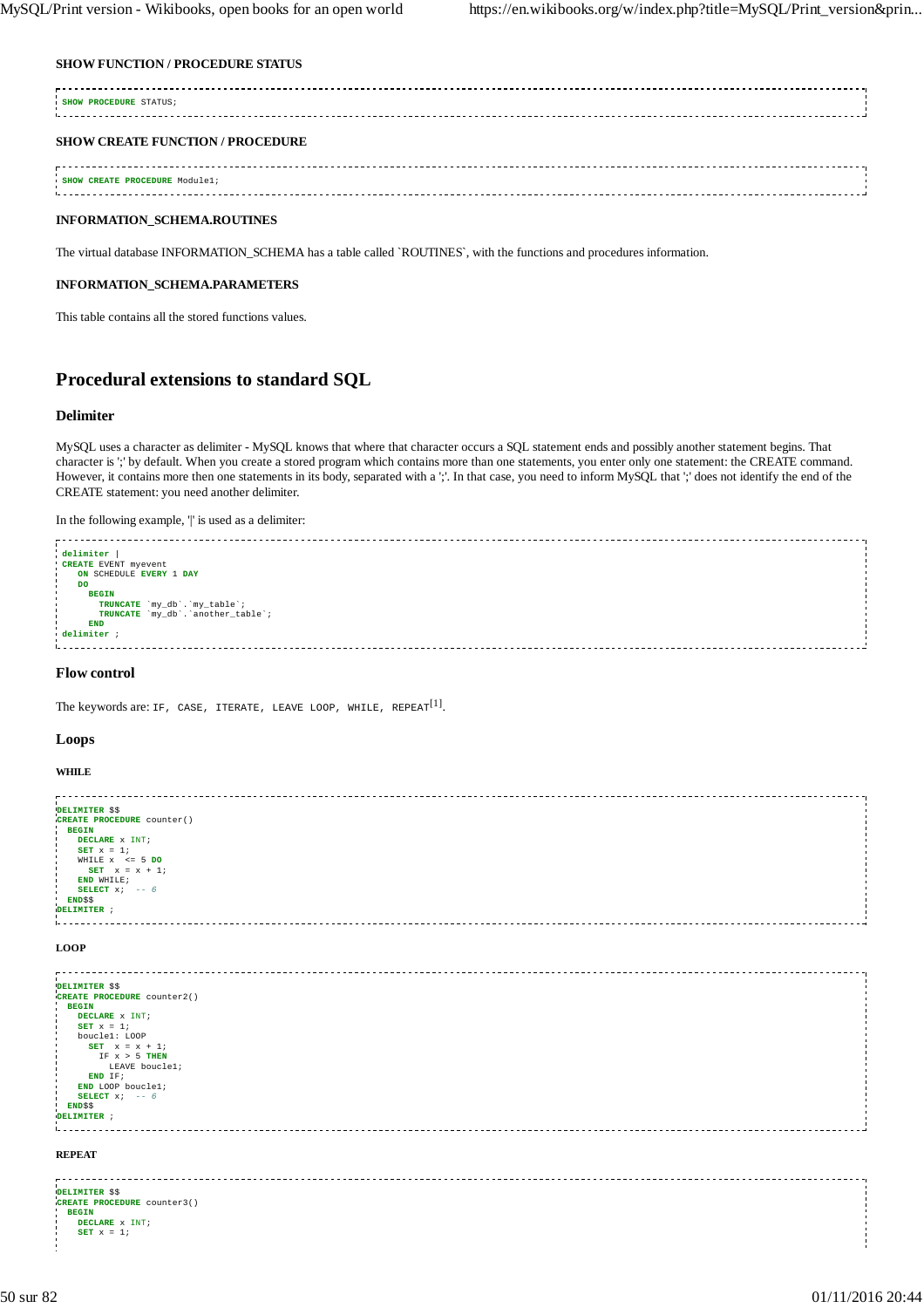#### **SHOW FUNCTION / PROCEDURE STATUS**

| SHOW PROCEDURE STATUS;                  |  |
|-----------------------------------------|--|
| <b>SHOW CREATE FUNCTION / PROCEDURE</b> |  |
| SHOW CREATE PROCEDURE Module1;          |  |

# **INFORMATION\_SCHEMA.ROUTINES**

The virtual database INFORMATION\_SCHEMA has a table called `ROUTINES`, with the functions and procedures information.

# **INFORMATION\_SCHEMA.PARAMETERS**

This table contains all the stored functions values.

# **Procedural extensions to standard SQL**

## **Delimiter**

MySQL uses a character as delimiter - MySQL knows that where that character occurs a SQL statement ends and possibly another statement begins. That character is ';' by default. When you create a stored program which contains more than one statements, you enter only one statement: the CREATE command. However, it contains more then one statements in its body, separated with a ';'. In that case, you need to inform MySQL that ';' does not identify the end of the CREATE statement: you need another delimiter.

In the following example,  $\parallel$  is used as a delimiter:

| delimiter                          |  |
|------------------------------------|--|
|                                    |  |
| CREATE EVENT myevent               |  |
| ON SCHEDULE EVERY 1 DAY            |  |
| DO                                 |  |
|                                    |  |
| <b>BEGIN</b>                       |  |
| TRUNCATE 'my_db'. 'my_table';      |  |
| TRUNCATE 'my_db'. 'another_table'; |  |
|                                    |  |
| <b>END</b>                         |  |
| delimiter ;                        |  |
|                                    |  |
|                                    |  |
|                                    |  |

## **Flow control**

The keywords are: if,  $\texttt{CASE}$ , iterate, leave loop, while,  $\texttt{REPERT}^{[1]}$ .

### **Loops**

#### **WHILE**

```
DELIMITER $$
CREATE PROCEDURE counter()
 BEGIN<br>
BET x = 1;<br>
WHILE x <= 5 DO<br>
SET x = x + 1;<br>
END WHILE;<br>
SELECT x; -- 6
 END$$
 DELIMITER ;
L.
LOOP
```

```
DELIMITER $$
CREATE PROCEDURE counter2()
  BEGIN
     DECLARE x INT;
      SET x = 1;
boucle1: LOOP
SET x = x + 1;
IF x > 5 THEN
              LEAVE boucle1;
      END IF;
END LOOP boucle1;
     SELECT x;
  END<sup>$$</sup>
 DELIMITER ;
1. . . . . . . .
```
#### **REPEAT**

| DELIMITER \$\$                 |  |
|--------------------------------|--|
| CREATE PROCEDURE counter3()    |  |
| <b>BEGIN</b>                   |  |
| DECLARE x INT;<br>- 1          |  |
| $SET x = 17$<br>$\blacksquare$ |  |
|                                |  |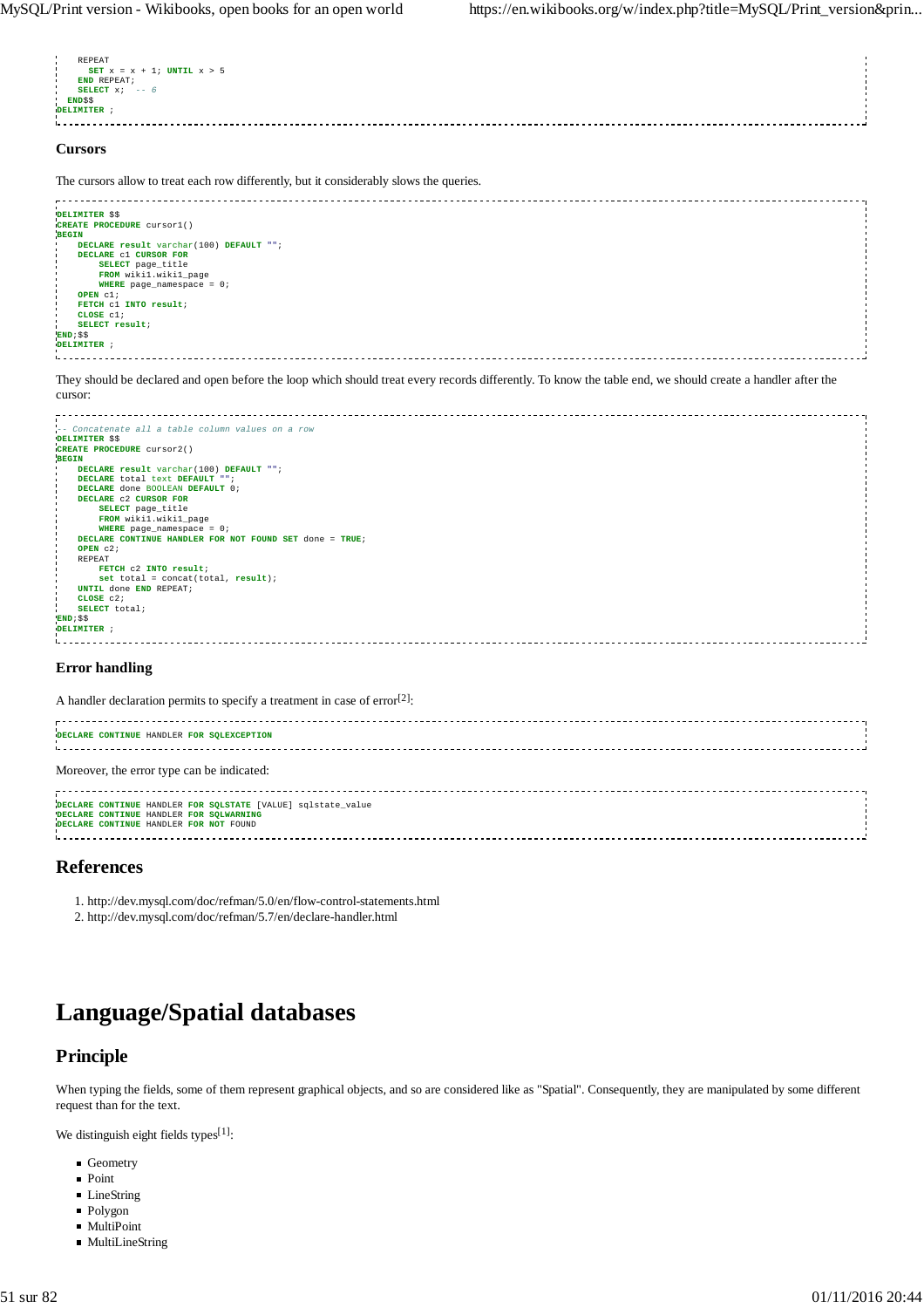

#### **Cursors**

The cursors allow to treat each row differently, but it considerably slows the queries.



They should be declared and open before the loop which should treat every records differently. To know the table end, we should create a handler after the cursor:



#### **Error handling**

A handler declaration permits to specify a treatment in case of  $error^{[2]}$ :

| DECLARE CONTINUE HANDLER FOR SQLEXCEPTION                                                                                                         |  |
|---------------------------------------------------------------------------------------------------------------------------------------------------|--|
| Moreover, the error type can be indicated:                                                                                                        |  |
| DECLARE CONTINUE HANDLER FOR SQLSTATE [VALUE] sqlstate_value<br>DECLARE CONTINUE HANDLER FOR SQLWARNING<br>DECLARE CONTINUE HANDLER FOR NOT FOUND |  |

## **References**

1. http://dev.mysql.com/doc/refman/5.0/en/flow-control-statements.html

2. http://dev.mysql.com/doc/refman/5.7/en/declare-handler.html

# **Language/Spatial databases**

# **Principle**

When typing the fields, some of them represent graphical objects, and so are considered like as "Spatial". Consequently, they are manipulated by some different request than for the text.

We distinguish eight fields types<sup>[1]</sup>:

- Geometry
- **Point**
- **LineString**
- Polygon
- MultiPoint
- MultiLineString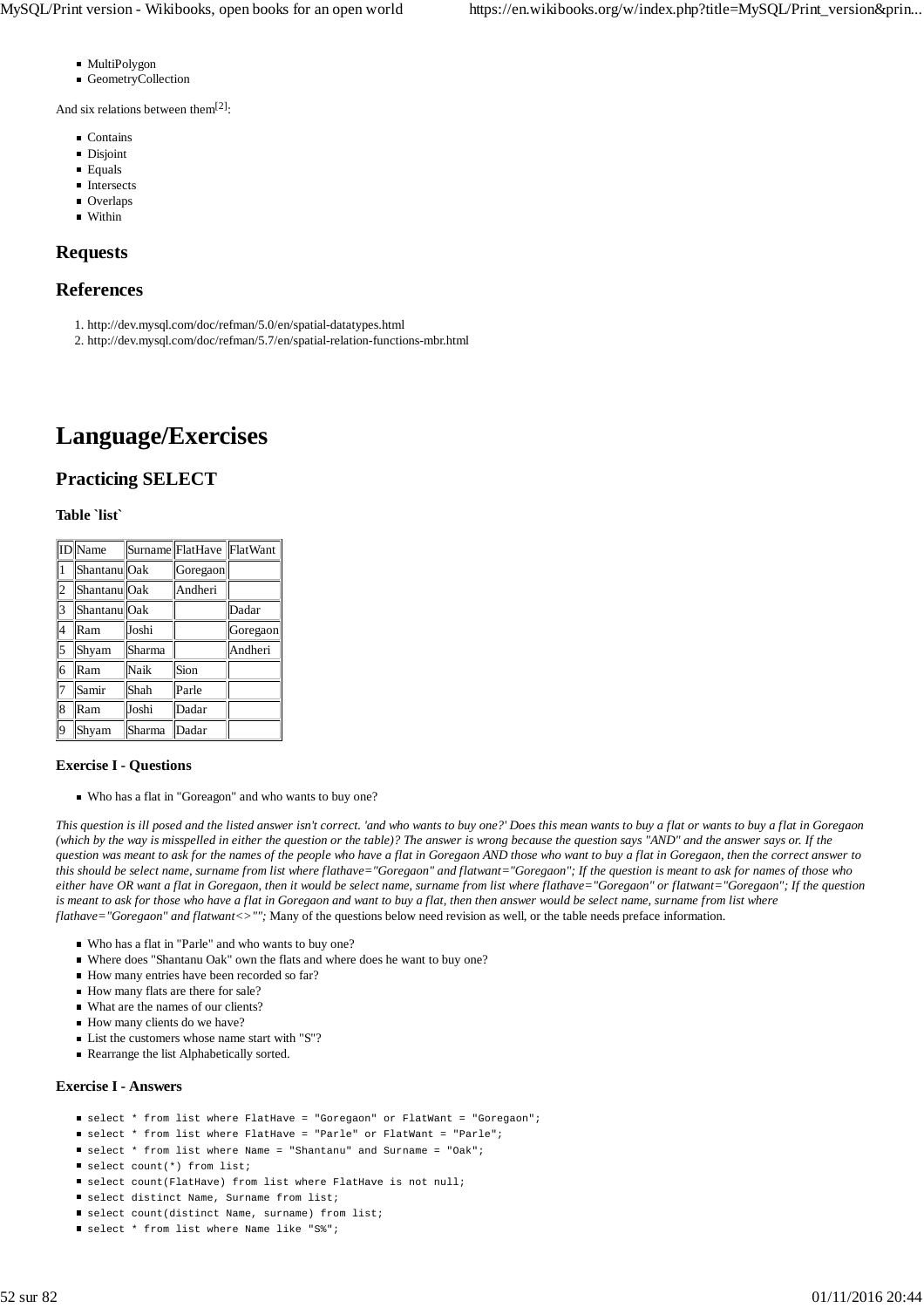- MultiPolygon
- GeometryCollection

And six relations between them<sup>[2]</sup>:

- **Contains**
- **Disjoint**
- **Equals**
- **Intersects**
- **Overlaps**
- **Within**

# **Requests**

# **References**

- 1. http://dev.mysql.com/doc/refman/5.0/en/spatial-datatypes.html
- 2. http://dev.mysql.com/doc/refman/5.7/en/spatial-relation-functions-mbr.html

# **Language/Exercises**

# **Practicing SELECT**

# **Table `list`**

|                | ID Name                 |        | Surname FlatHave FlatWant |          |
|----------------|-------------------------|--------|---------------------------|----------|
|                | Shantanu Oak            |        | Goregaon                  |          |
| $\overline{c}$ | Shantanu <sup>Oak</sup> |        | Andheri                   |          |
| 3              | Shantanu <sup>Oak</sup> |        |                           | Dadar    |
| $\overline{4}$ | Ram                     | Joshi  |                           | Goregaon |
| 5              | Shyam                   | Sharma |                           | Andheri  |
| 6              | Ram                     | Naik   | Sion                      |          |
| $\overline{7}$ | Samir                   | Shah   | Parle                     |          |
| 8              | Ram                     | Joshi  | Dadar                     |          |
| 9              | Shyam                   | Sharma | Dadar                     |          |

# **Exercise I - Questions**

Who has a flat in "Goreagon" and who wants to buy one?

*This question is ill posed and the listed answer isn't correct. 'and who wants to buy one?' Does this mean wants to buy a flat or wants to buy a flat in Goregaon (which by the way is misspelled in either the question or the table)? The answer is wrong because the question says "AND" and the answer says or. If the question was meant to ask for the names of the people who have a flat in Goregaon AND those who want to buy a flat in Goregaon, then the correct answer to this should be select name, surname from list where flathave="Goregaon" and flatwant="Goregaon"; If the question is meant to ask for names of those who either have OR want a flat in Goregaon, then it would be select name, surname from list where flathave="Goregaon" or flatwant="Goregaon"; If the question is meant to ask for those who have a flat in Goregaon and want to buy a flat, then then answer would be select name, surname from list where flathave="Goregaon" and flatwant<>"";* Many of the questions below need revision as well, or the table needs preface information.

- Who has a flat in "Parle" and who wants to buy one?
- Where does "Shantanu Oak" own the flats and where does he want to buy one?
- How many entries have been recorded so far?
- How many flats are there for sale?
- What are the names of our clients?
- How many clients do we have?
- $\blacksquare$  List the customers whose name start with "S"?
- Rearrange the list Alphabetically sorted.

## **Exercise I - Answers**

- select \* from list where FlatHave = "Goregaon" or FlatWant = "Goregaon";
- select \* from list where FlatHave = "Parle" or FlatWant = "Parle";
- select \* from list where Name = "Shantanu" and Surname = "Oak";
- select count(\*) from list;
- select count(FlatHave) from list where FlatHave is not null;
- $\blacksquare$  select distinct Name, Surname from list;
- select count(distinct Name, surname) from list;
- select \* from list where Name like "S%";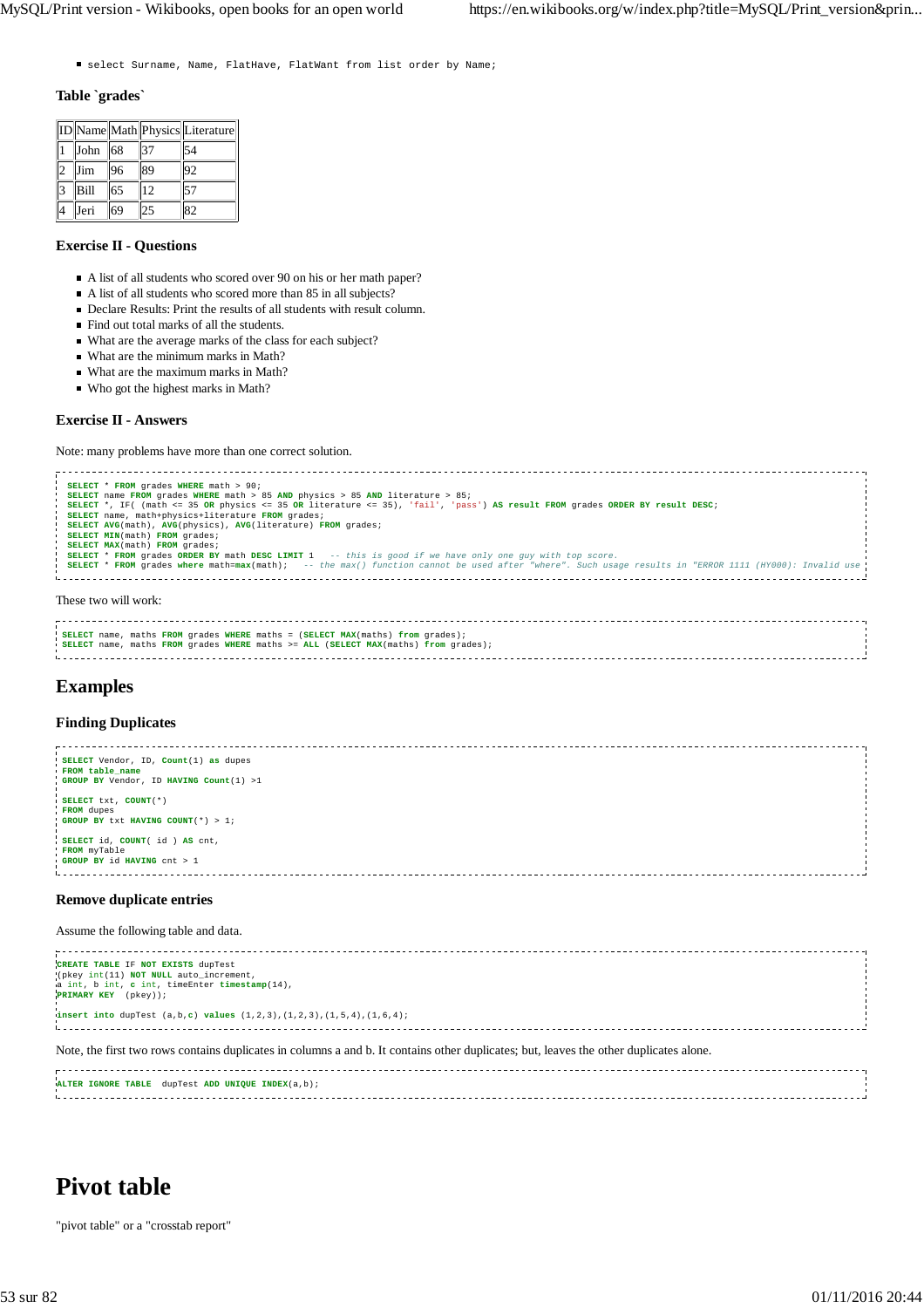■ select Surname, Name, FlatHave, FlatWant from list order by Name;

#### **Table `grades`**

|    |      |    |    | ID Name Math Physics Literature |
|----|------|----|----|---------------------------------|
|    | John | 68 | 37 | 54                              |
|    | Jim  | 96 | 89 | 92                              |
| I٩ | Bill | 65 | 12 | 57                              |
|    | Jeri | 69 | 25 | 82                              |

# **Exercise II - Questions**

- A list of all students who scored over 90 on his or her math paper?
- A list of all students who scored more than 85 in all subjects?
- Declare Results: Print the results of all students with result column.
- Find out total marks of all the students.
- What are the average marks of the class for each subject?
- What are the minimum marks in Math?
- What are the maximum marks in Math?
- Who got the highest marks in Math?

## **Exercise II - Answers**

Note: many problems have more than one correct solution.

```
SELECT * FROM grades WHERE math > 90;
  <mark>SELECT</mark> name FROM grades WHERE math > 85 AND physics > 85 AND literature > 85;<br>SELECT *, IF( (math <= 35 OR physics <= 35 OR literature <= 35), 'fail', 'pass') AS result FROM grades ORDER BY result DESC;<br>SELECT name, math
  SELECT AVG(math), AVG(physics), AVG(literature) FROM grades;<br>SELECT MIN(math) FROM grades;<br>SELECT MAX(math) FROM grades;<br>SELECT * FROM grades ORDER BY math DESC LIMIT 1 -- this is good if we have only one guy with top scor
  SELECT * FROM grades where math=max(math); -- the max() function cannot be used after "where". Such usage results in "ERROR 1111 (HY000): Invalid use
÷.
  These two will work:
```

```
SELECT name, maths FROM grades WHERE maths = (SELECT MAX(maths) from grades);
SELECT name, maths FROM grades WHERE maths >= ALL (SELECT MAX(maths) from grades);
```
# **Examples**

## **Finding Duplicates**



#### **Remove duplicate entries**

Assume the following table and data.

| CREATE TABLE IF NOT EXISTS dupTest<br>(pkey int(11) NOT NULL auto_increment,<br>a int, b int, c int, timeEnter timestamp(14),<br><b>PRIMARY KEY</b> (pkey));<br><b>insert into</b> dupTest $(a, b, c)$ <b>values</b> $(1, 2, 3)$ , $(1, 2, 3)$ , $(1, 5, 4)$ , $(1, 6, 4)$ ; |  |
|------------------------------------------------------------------------------------------------------------------------------------------------------------------------------------------------------------------------------------------------------------------------------|--|
| Note, the first two rows contains duplicates in columns a and b. It contains other duplicates; but, leaves the other duplicates alone.                                                                                                                                       |  |
| ALTER IGNORE TABLE dupTest ADD UNIQUE INDEX(a,b);                                                                                                                                                                                                                            |  |

# **Pivot table**

"pivot table" or a "crosstab report"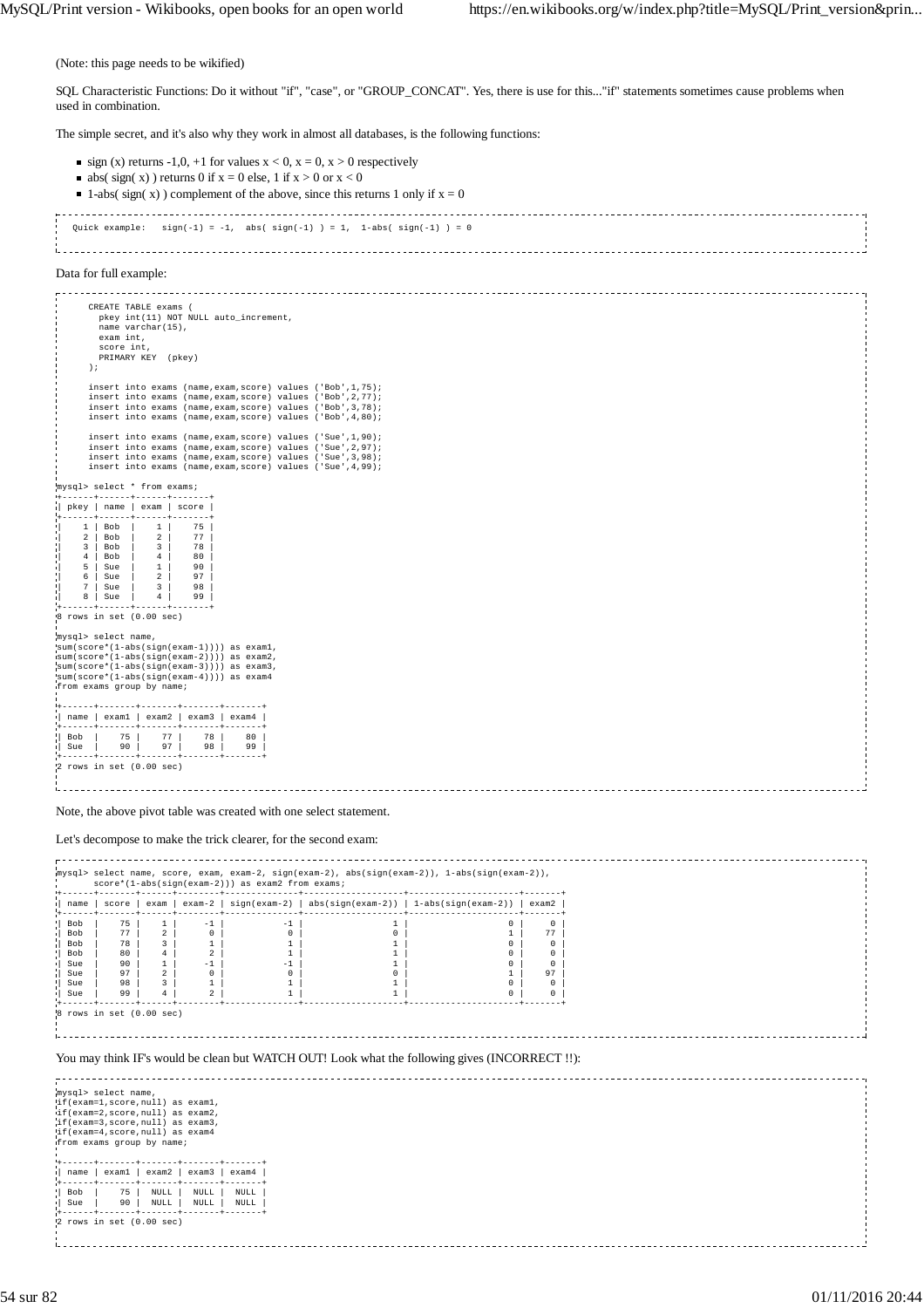(Note: this page needs to be wikified)

SQL Characteristic Functions: Do it without "if", "case", or "GROUP\_CONCAT". Yes, there is use for this..."if" statements sometimes cause problems when used in combination.

The simple secret, and it's also why they work in almost all databases, is the following functions:

- $\blacksquare$  sign (x) returns -1,0, +1 for values  $x < 0$ ,  $x = 0$ ,  $x > 0$  respectively
	- $\blacksquare$  abs( sign( x)) returns 0 if  $x = 0$  else, 1 if  $x > 0$  or  $x < 0$

```
1-abs( sign( x)) complement of the above, since this returns 1 only if x = 0Quick example: sign(-1) = -1, abs(sign(-1)) = 1, 1-abs(sign(-1)) = 0
```
i. 

#### Data for full example:

 CREATE TABLE exams ( pkey int(11) NOT NULL auto\_increment, name varchar(15), exam int, score int, PRIMARY KEY (pkey) ); insert into exams (name,exam,score) values ('Bob',1,75); insert into exams (name,exam,score) values ('Bob',2,77); insert into exams (name,exam,score) values ('Bob',3,78); insert into exams (name,exam,score) values ('Bob',4,80); insert into exams (name,exam,score) values ('Sue',1,90);<br>insert into exams (name,exam,score) values ('Sue',2,97);<br>insert into exams (name,exam,score) values ('Sue',3,98);<br>insert into exams (name,exam,score) values ('Sue', mysql> select \* from exams; +------+------+------+-------+ | pkey | name | exam | score | +------+------+------+-------+

| 1 | Bob | 1 | 75 | | 2 | Bob | 2 | 77 | | 3 | Bob | 3 | 78<br>| 4 | Bob | 4 | 80<br>| 5 | Sue | 1 | 90 | 4 | Bob | 4 | 80 | | 5 | Sue | 1 | 90 | | 6 | Sue | 2 | 97 | | 7 | Sue | 3 | 98 |  $8 | \text{Sue} | 4 | 99$ 

+------+------+------+-------+ 8 rows in set (0.00 sec)

mysql> select name,

sum(score\*(1-abs(sign(exam-1)))) as exam1, sum(score\*(1-abs(sign(exam-2)))) as exam2, sum(score\*(1-abs(sign(exam-3)))) as exam3, sum(score\*(1-abs(sign(exam-4)))) as exam4 from exams group by name; +------+-------+-------+-------+-------+ | name | exam1 | exam2 | exam3 | exam4 | +------+-------+-------+-------+-------+ | Bob | 75 | 77 | 78 | 80 | | Sue | 90 | 97 | 98 | 99 |

+------+-------+-------+-------+-------+ 2 rows in set (0.00 sec)

Note, the above pivot table was created with one select statement.

#### Let's decompose to make the trick clearer, for the second exam:

| .<br>mysql> select name, score, exam, exam-2, sign(exam-2), abs(sign(exam-2)), 1-abs(sign(exam-2)),<br>score*(1-abs(sign(exam-2))) as exam2 from exams;<br>score   exam   exam-2   sign(exam-2)   abs(sign(exam-2))   1-abs(sign(exam-2))   exam2<br>name<br>75<br>1<br>$\circ$<br>Bob<br>$-1$<br>$-1$<br>$\overline{a}$<br>77<br>0<br>Bob<br>0<br>0<br>77<br>$\overline{3}$<br>$\mathbf{1}$<br><b>Bob</b><br>78<br>$\mathbf{1}$<br>$\circ$<br>$\Omega$<br>$^{4}$<br>2<br>Bob<br>80<br>$\mathbf{1}$<br>1<br>$\circ$<br>0<br>$\mathbf{1}$<br>$-1$<br>$-1$<br>1<br>$^{\circ}$<br>90<br>$^{\circ}$<br>Sue<br>$\overline{a}$<br>$^{\circ}$<br>0<br>$^{\circ}$<br>Sue<br>97<br>97<br>$\overline{\mathbf{3}}$<br>$\mathbf{1}$<br>98<br>1<br>1<br>0<br>Sue<br>0<br>$\overline{2}$<br>99<br>$^{4}$<br>$\mathbf{1}$<br>1<br>$\Omega$<br>$\Omega$<br>Sue<br>$8$ rows in set $(0.00$ sec)<br>You may think IF's would be clean but WATCH OUT! Look what the following gives (INCORRECT!!):<br>mysql> select name,<br>if (exam=1, score, null) as examl,<br>if(exam=2, score, null) as exam2,<br>if (exam=3, score, null) as exam3,<br>if (exam=4, score, null) as exam4<br>from exams group by name;<br>$exam1$ exam2<br>exam3<br>name  <br>exam4<br>-------<br>-------<br>75<br>Bob<br>$\texttt{NULL}$<br><b>NULL</b><br><b>NULL</b><br>90<br>$\texttt{NULL}$<br>$\texttt{NULL}$<br>NULL<br>Sue<br>$2$ rows in set $(0.00$ sec) |  |  |  |  |
|-----------------------------------------------------------------------------------------------------------------------------------------------------------------------------------------------------------------------------------------------------------------------------------------------------------------------------------------------------------------------------------------------------------------------------------------------------------------------------------------------------------------------------------------------------------------------------------------------------------------------------------------------------------------------------------------------------------------------------------------------------------------------------------------------------------------------------------------------------------------------------------------------------------------------------------------------------------------------------------------------------------------------------------------------------------------------------------------------------------------------------------------------------------------------------------------------------------------------------------------------------------------------------------------------------------------------------------------------------------------------------------------------------------------------|--|--|--|--|
|                                                                                                                                                                                                                                                                                                                                                                                                                                                                                                                                                                                                                                                                                                                                                                                                                                                                                                                                                                                                                                                                                                                                                                                                                                                                                                                                                                                                                       |  |  |  |  |
|                                                                                                                                                                                                                                                                                                                                                                                                                                                                                                                                                                                                                                                                                                                                                                                                                                                                                                                                                                                                                                                                                                                                                                                                                                                                                                                                                                                                                       |  |  |  |  |
|                                                                                                                                                                                                                                                                                                                                                                                                                                                                                                                                                                                                                                                                                                                                                                                                                                                                                                                                                                                                                                                                                                                                                                                                                                                                                                                                                                                                                       |  |  |  |  |
|                                                                                                                                                                                                                                                                                                                                                                                                                                                                                                                                                                                                                                                                                                                                                                                                                                                                                                                                                                                                                                                                                                                                                                                                                                                                                                                                                                                                                       |  |  |  |  |
|                                                                                                                                                                                                                                                                                                                                                                                                                                                                                                                                                                                                                                                                                                                                                                                                                                                                                                                                                                                                                                                                                                                                                                                                                                                                                                                                                                                                                       |  |  |  |  |
|                                                                                                                                                                                                                                                                                                                                                                                                                                                                                                                                                                                                                                                                                                                                                                                                                                                                                                                                                                                                                                                                                                                                                                                                                                                                                                                                                                                                                       |  |  |  |  |
|                                                                                                                                                                                                                                                                                                                                                                                                                                                                                                                                                                                                                                                                                                                                                                                                                                                                                                                                                                                                                                                                                                                                                                                                                                                                                                                                                                                                                       |  |  |  |  |
|                                                                                                                                                                                                                                                                                                                                                                                                                                                                                                                                                                                                                                                                                                                                                                                                                                                                                                                                                                                                                                                                                                                                                                                                                                                                                                                                                                                                                       |  |  |  |  |
|                                                                                                                                                                                                                                                                                                                                                                                                                                                                                                                                                                                                                                                                                                                                                                                                                                                                                                                                                                                                                                                                                                                                                                                                                                                                                                                                                                                                                       |  |  |  |  |
|                                                                                                                                                                                                                                                                                                                                                                                                                                                                                                                                                                                                                                                                                                                                                                                                                                                                                                                                                                                                                                                                                                                                                                                                                                                                                                                                                                                                                       |  |  |  |  |
|                                                                                                                                                                                                                                                                                                                                                                                                                                                                                                                                                                                                                                                                                                                                                                                                                                                                                                                                                                                                                                                                                                                                                                                                                                                                                                                                                                                                                       |  |  |  |  |
|                                                                                                                                                                                                                                                                                                                                                                                                                                                                                                                                                                                                                                                                                                                                                                                                                                                                                                                                                                                                                                                                                                                                                                                                                                                                                                                                                                                                                       |  |  |  |  |
|                                                                                                                                                                                                                                                                                                                                                                                                                                                                                                                                                                                                                                                                                                                                                                                                                                                                                                                                                                                                                                                                                                                                                                                                                                                                                                                                                                                                                       |  |  |  |  |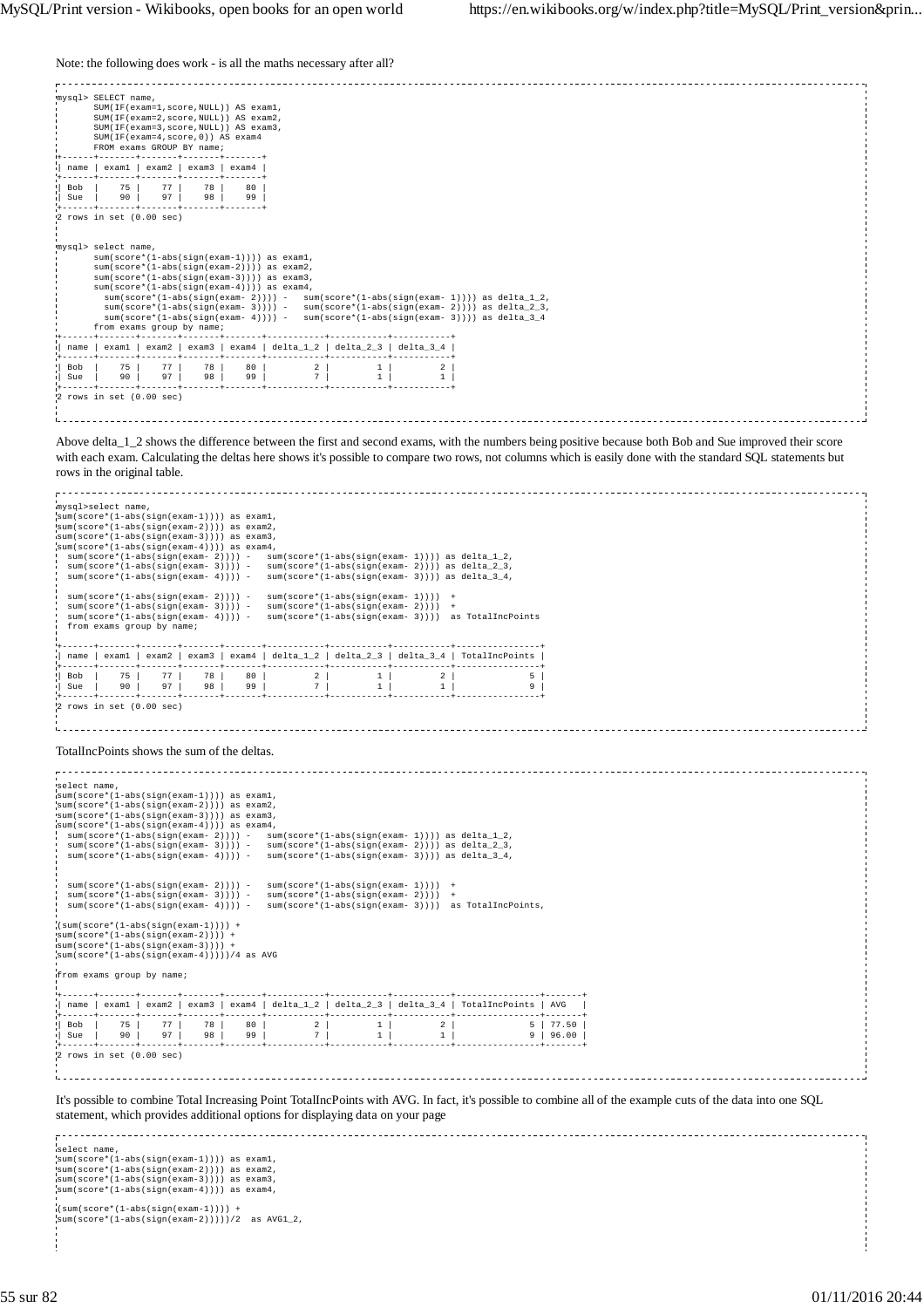Note: the following does work - is all the maths necessary after all?

|            | mysql> SELECT name,<br>SUM(IF(exam=1,score,NULL)) AS exam1,<br>SUM(IF(exam=2,score,NULL)) AS exam2,<br>SUM(IF(exam=3, score, NULL)) AS exam3,<br>SUM(IF(exam=4, score, 0)) AS exam4<br>FROM exams GROUP BY name; |          |          |          |                                                                                                                                                                                                                                                                                                                                                                                                                                                                              |                   |         |  |
|------------|------------------------------------------------------------------------------------------------------------------------------------------------------------------------------------------------------------------|----------|----------|----------|------------------------------------------------------------------------------------------------------------------------------------------------------------------------------------------------------------------------------------------------------------------------------------------------------------------------------------------------------------------------------------------------------------------------------------------------------------------------------|-------------------|---------|--|
| name       | exam1                                                                                                                                                                                                            | exam2    | exam3    | exam4    |                                                                                                                                                                                                                                                                                                                                                                                                                                                                              |                   |         |  |
| Bob<br>Sue | 75<br>90                                                                                                                                                                                                         | 77<br>97 | 78<br>98 | 80<br>99 |                                                                                                                                                                                                                                                                                                                                                                                                                                                                              |                   |         |  |
|            | 2 rows in set (0.00 sec)                                                                                                                                                                                         |          |          |          |                                                                                                                                                                                                                                                                                                                                                                                                                                                                              |                   |         |  |
|            | mysql> select name,<br>from exams group by name;                                                                                                                                                                 |          |          |          | $sum(score*(1-abs(sign(exam-1))))$ as examl,<br>$sum(score*(1-abs(sign(exam-2))))$ as $exam2$ ,<br>$sum(score*(1-abs(sign(exam-3))))$ as exam3,<br>$sum(score*(1-abs(sign(exam-4))))$ as $exam4$ ,<br>$sum(score*(1-abs(sign(exam-2))))$ - $sum(score*(1-abs(sign(exam-1))))$ as delta 1 2,<br>$sum(score*(1-abs(sign(exam-3))))$ - $sum(score*(1-abs(sign(exam-2))))$ as delta 2 3,<br>$sum(score*(1-abs(sign(exam-4))))$ - $sum(score*(1-abs(sign(exam-3))))$ as delta 3 4 |                   |         |  |
| name       |                                                                                                                                                                                                                  |          |          |          | examl   exam2   exam3   exam4   delta 1 2   delta 2 3   delta 3 4                                                                                                                                                                                                                                                                                                                                                                                                            |                   |         |  |
| Bob<br>Sue | 75<br>90                                                                                                                                                                                                         | 77<br>97 | 78<br>98 | 80<br>99 | $\overline{2}$<br>7                                                                                                                                                                                                                                                                                                                                                                                                                                                          | 1<br>$\mathbf{1}$ | 2<br>1. |  |
|            | $2$ rows in set $(0.00$ sec)                                                                                                                                                                                     |          |          |          |                                                                                                                                                                                                                                                                                                                                                                                                                                                                              |                   |         |  |

Above delta\_1\_2 shows the difference between the first and second exams, with the numbers being positive because both Bob and Sue improved their score with each exam. Calculating the deltas here shows it's possible to compare two rows, not columns which is easily done with the standard SQL statements but rows in the original table.

| mvsgl>select name. |                                                          |                                                                                          |         |    |                                                                               |                        |           |                                                                                                                                                             |           |
|--------------------|----------------------------------------------------------|------------------------------------------------------------------------------------------|---------|----|-------------------------------------------------------------------------------|------------------------|-----------|-------------------------------------------------------------------------------------------------------------------------------------------------------------|-----------|
|                    |                                                          | sum(score*(1-abs(sign(exam-1)))) as examl,                                               |         |    |                                                                               |                        |           |                                                                                                                                                             |           |
|                    |                                                          | sum(score*(1-abs(sign(exam-2)))) as exam2,                                               |         |    |                                                                               |                        |           |                                                                                                                                                             |           |
|                    |                                                          | sum(score*(1-abs(sign(exam-3)))) as exam3,<br>sum(score*(1-abs(sign(exam-4)))) as exam4, |         |    |                                                                               |                        |           |                                                                                                                                                             |           |
|                    |                                                          |                                                                                          |         |    |                                                                               |                        |           | $sum(score*(1-abs(sign(exam-2))))$ - $sum(score*(1-abs(sign(exam-1))))$ as $delta_1_2$ ,                                                                    |           |
|                    |                                                          |                                                                                          |         |    |                                                                               |                        |           | $sum(score*(1-abs(sign(exam-3))))$ - $sum(score*(1-abs(sign(exam-2))))$ as $delta_2=3$ ,                                                                    |           |
|                    |                                                          |                                                                                          |         |    |                                                                               |                        |           | $sum(score*(1-abs(sign(exam-4))))$ - $sum(score*(1-abs(sign(exam-3))))$ as $delta_3_4$ ,                                                                    |           |
|                    |                                                          | $sum(score*(1-abs(sign(exam-2))))$ -                                                     |         |    | $sum(score*(1-abs(sign(exam-1))))$ +                                          |                        |           |                                                                                                                                                             |           |
|                    |                                                          | $sum(score*(1-abs(sign(exam-3))))$ -                                                     |         |    | $sum(score*(1-abs(sign(exam-2))))$                                            |                        |           |                                                                                                                                                             |           |
|                    |                                                          |                                                                                          |         |    |                                                                               |                        |           | $sum(score*(1-abs(sign(exam-4))))$ - $sum(score*(1-abs(sign(exam-3))))$ as TotalIncPoints                                                                   |           |
|                    |                                                          | from exams group by name;                                                                |         |    |                                                                               |                        |           |                                                                                                                                                             |           |
|                    |                                                          |                                                                                          |         |    |                                                                               |                        |           |                                                                                                                                                             |           |
|                    |                                                          |                                                                                          |         |    |                                                                               |                        |           | name   exam1   exam2   exam3   exam4   delta_1_2   delta_2_3   delta_3_4   TotalIncPoints                                                                   |           |
| Bob                | 75 L                                                     | 77 <sup>1</sup>                                                                          |         |    | 78   80   2   1   2                                                           |                        |           | 5 <sub>1</sub>                                                                                                                                              |           |
| Sue                | $\begin{array}{c c c c c} \hline \quad & 90 \end{array}$ | 97                                                                                       | 98 99   |    |                                                                               | $7 \mid$<br>$1 \vert$  | $1 \vert$ |                                                                                                                                                             | 9         |
|                    |                                                          |                                                                                          |         |    |                                                                               |                        |           |                                                                                                                                                             |           |
|                    |                                                          | $2$ rows in set $(0.00$ sec)                                                             |         |    |                                                                               |                        |           |                                                                                                                                                             |           |
|                    |                                                          |                                                                                          |         |    |                                                                               |                        |           |                                                                                                                                                             |           |
|                    |                                                          |                                                                                          |         |    |                                                                               |                        |           |                                                                                                                                                             |           |
|                    |                                                          | TotalIncPoints shows the sum of the deltas.                                              |         |    |                                                                               |                        |           |                                                                                                                                                             |           |
|                    |                                                          |                                                                                          |         |    |                                                                               |                        |           |                                                                                                                                                             |           |
|                    |                                                          |                                                                                          |         |    |                                                                               |                        |           |                                                                                                                                                             |           |
| select name.       |                                                          |                                                                                          |         |    |                                                                               |                        |           |                                                                                                                                                             |           |
|                    |                                                          | sum(score*(1-abs(sign(exam-1)))) as examl,                                               |         |    |                                                                               |                        |           |                                                                                                                                                             |           |
|                    |                                                          | sum(score*(1-abs(sign(exam-2)))) as exam2,                                               |         |    |                                                                               |                        |           |                                                                                                                                                             |           |
|                    |                                                          | sum(score*(1-abs(sign(exam-3)))) as exam3,                                               |         |    |                                                                               |                        |           |                                                                                                                                                             |           |
|                    |                                                          | $sum(score*(1-abs(sign(exam-4))))$ as $exam4$ ,                                          |         |    |                                                                               |                        |           | $sum(score*(1-abs(sign(exam-2))))$ - $sum(score*(1-abs(sign(exam-1))))$ as delta_1_2,                                                                       |           |
|                    |                                                          | $sum(score*(1-abs(sign(exam-3))))$ -                                                     |         |    |                                                                               |                        |           | sum(score*(1-abs(sign(exam- 2)))) as delta_2_3,                                                                                                             |           |
|                    |                                                          |                                                                                          |         |    |                                                                               |                        |           | $sum(score*(1-abs(sign(exam-4))))$ - $sum(score*(1-abs(sign(exam-3))))$ as delta_3_4,                                                                       |           |
|                    |                                                          |                                                                                          |         |    |                                                                               |                        |           |                                                                                                                                                             |           |
|                    |                                                          |                                                                                          |         |    |                                                                               |                        |           |                                                                                                                                                             |           |
|                    |                                                          |                                                                                          |         |    | $sum(score*(1-abs(sign(exam-2))))$ - $sum(score*(1-abs(sign(exam-1))))$       |                        |           |                                                                                                                                                             |           |
|                    |                                                          | $sum(score*(1-abs(sign(exam-3))))$ -<br>$sum(score*(1-abs(sign(exam- 4))))$ -            |         |    | $sum(score*(1-abs(sign(exam-2))))$ +                                          |                        |           | $sum(score*(1-abs(sign(exam-3))))$ as $TotalInepoints$ ,                                                                                                    |           |
|                    |                                                          |                                                                                          |         |    |                                                                               |                        |           |                                                                                                                                                             |           |
|                    |                                                          | $(sum(score*(1-abs(sign(exam-1)))) +$                                                    |         |    |                                                                               |                        |           |                                                                                                                                                             |           |
|                    |                                                          | $sum(score*(1-abs(sign(exam-2)))) +$                                                     |         |    |                                                                               |                        |           |                                                                                                                                                             |           |
|                    |                                                          | sum(score*(1-abs(sign(exam-3)))) +<br>sum(score*(1-abs(sign(exam-4)))))/4 as AVG         |         |    |                                                                               |                        |           |                                                                                                                                                             |           |
|                    |                                                          |                                                                                          |         |    |                                                                               |                        |           |                                                                                                                                                             |           |
|                    |                                                          | from exams group by name;                                                                |         |    |                                                                               |                        |           |                                                                                                                                                             |           |
|                    |                                                          |                                                                                          |         |    |                                                                               |                        |           |                                                                                                                                                             |           |
|                    |                                                          |                                                                                          |         |    |                                                                               |                        |           | name   exam1   exam2   exam3   exam4   delta_1_2   delta_2_3   delta_3_4   TotalIncPoints   AVG                                                             |           |
|                    |                                                          |                                                                                          |         |    |                                                                               |                        |           |                                                                                                                                                             |           |
| Bob                | 75                                                       | 77 <sup>1</sup>                                                                          | 78      | 80 |                                                                               | $2 \mid 1 \mid 2 \mid$ |           | 5   77.50                                                                                                                                                   |           |
| Sue                | 90                                                       | 97                                                                                       | 98   99 |    | 7 <sup>1</sup>                                                                | $1 \mid$               | $1 \vert$ |                                                                                                                                                             | 9   96.00 |
|                    |                                                          | ------+-------+------+-                                                                  |         |    |                                                                               |                        |           |                                                                                                                                                             |           |
|                    |                                                          | $2$ rows in set $(0.00$ sec)                                                             |         |    |                                                                               |                        |           |                                                                                                                                                             |           |
|                    |                                                          |                                                                                          |         |    |                                                                               |                        |           |                                                                                                                                                             |           |
|                    |                                                          |                                                                                          |         |    |                                                                               |                        |           |                                                                                                                                                             |           |
|                    |                                                          |                                                                                          |         |    |                                                                               |                        |           | It's possible to combine Total Increasing Point TotalIncPoints with AVG. In fact, it's possible to combine all of the example cuts of the data into one SQL |           |
|                    |                                                          |                                                                                          |         |    |                                                                               |                        |           |                                                                                                                                                             |           |
|                    |                                                          |                                                                                          |         |    | statement, which provides additional options for displaying data on your page |                        |           |                                                                                                                                                             |           |
|                    |                                                          |                                                                                          |         |    |                                                                               |                        |           |                                                                                                                                                             |           |
|                    |                                                          |                                                                                          |         |    |                                                                               |                        |           |                                                                                                                                                             |           |
| select name.       |                                                          | sum(score*(1-abs(sign(exam-1)))) as examl,                                               |         |    |                                                                               |                        |           |                                                                                                                                                             |           |
|                    |                                                          | 'sum(score*(1-abs(sign(exam-2)))) as exam2,                                              |         |    |                                                                               |                        |           |                                                                                                                                                             |           |
|                    |                                                          | sum(score*(1-abs(sign(exam-3)))) as exam3,                                               |         |    |                                                                               |                        |           |                                                                                                                                                             |           |
|                    |                                                          | sum(score*(1-abs(sign(exam-4)))) as exam4,                                               |         |    |                                                                               |                        |           |                                                                                                                                                             |           |
|                    |                                                          |                                                                                          |         |    |                                                                               |                        |           |                                                                                                                                                             |           |
|                    |                                                          | (sum(score*(l-abs(sign(exam-1)))) +<br>sum(score*(1-abs(sign(exam-2)))))/2 as AVG1_2,    |         |    |                                                                               |                        |           |                                                                                                                                                             |           |
|                    |                                                          |                                                                                          |         |    |                                                                               |                        |           |                                                                                                                                                             |           |
|                    |                                                          |                                                                                          |         |    |                                                                               |                        |           |                                                                                                                                                             |           |
|                    |                                                          |                                                                                          |         |    |                                                                               |                        |           |                                                                                                                                                             |           |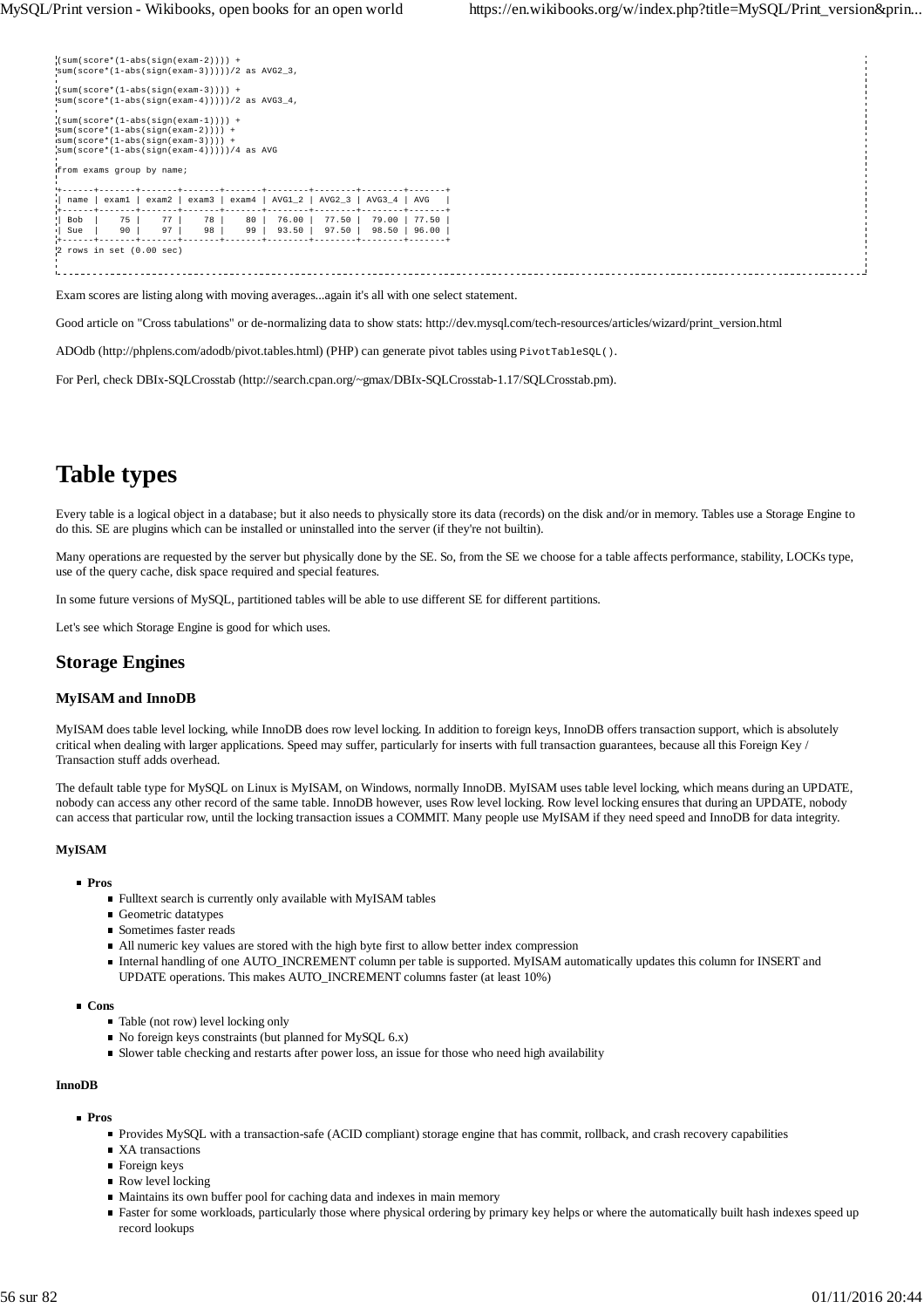| $(sum(score*(1-abs(sign(exam-2)))) +$<br>$\text{Isum}(\text{score}*(1-\text{abs}(\text{sign}(\text{exam}-3)))))/2$ as AVG2 3,<br>$(sum(score*(1-abs(sign(exam-3)))) +$<br>$\text{Isum}(\text{score}*(1-\text{abs}(\text{sign}(\text{exam}-4))))) / 2$ as AVG3 4, |          |          |          |          |                                     |                |                                                    |                |
|------------------------------------------------------------------------------------------------------------------------------------------------------------------------------------------------------------------------------------------------------------------|----------|----------|----------|----------|-------------------------------------|----------------|----------------------------------------------------|----------------|
| $(sum(score*(1-abs(sign(exam-1)))) +$<br>$sum(score*(1-abs(sign(exam-2)))) +$<br>$sum(score*(1-abs(sign(exam-3)))) +$<br>$sum(score*(1-abs(sign(exam-4)))))/4 as AVG$<br>from exams group by name;                                                               |          |          |          |          |                                     |                |                                                    |                |
| name                                                                                                                                                                                                                                                             | examl    | exam2    |          |          |                                     |                | $exam3$   $exam4$   $AVG1_2$   $AVG2_3$   $AVG3_4$ | AVG            |
| Bob<br>Sue                                                                                                                                                                                                                                                       | 75<br>90 | 77<br>97 | 78<br>98 | 80<br>99 | -----------------<br>76.00<br>93.50 | 77.50<br>97.50 | 79.00<br>98.50                                     | 77.50<br>96.00 |
| $2$ rows in set $(0.00 \text{ sec})$                                                                                                                                                                                                                             |          |          |          |          |                                     |                |                                                    |                |

Exam scores are listing along with moving averages...again it's all with one select statement.

Good article on "Cross tabulations" or de-normalizing data to show stats: http://dev.mysql.com/tech-resources/articles/wizard/print\_version.html

ADOdb (http://phplens.com/adodb/pivot.tables.html) (PHP) can generate pivot tables using PivotTableSQL().

For Perl, check DBIx-SQLCrosstab (http://search.cpan.org/~gmax/DBIx-SQLCrosstab-1.17/SQLCrosstab.pm).

# **Table types**

Every table is a logical object in a database; but it also needs to physically store its data (records) on the disk and/or in memory. Tables use a Storage Engine to do this. SE are plugins which can be installed or uninstalled into the server (if they're not builtin).

Many operations are requested by the server but physically done by the SE. So, from the SE we choose for a table affects performance, stability, LOCKs type, use of the query cache, disk space required and special features.

In some future versions of MySQL, partitioned tables will be able to use different SE for different partitions.

Let's see which Storage Engine is good for which uses.

# **Storage Engines**

#### **MyISAM and InnoDB**

MyISAM does table level locking, while InnoDB does row level locking. In addition to foreign keys, InnoDB offers transaction support, which is absolutely critical when dealing with larger applications. Speed may suffer, particularly for inserts with full transaction guarantees, because all this Foreign Key / Transaction stuff adds overhead.

The default table type for MySQL on Linux is MyISAM, on Windows, normally InnoDB. MyISAM uses table level locking, which means during an UPDATE, nobody can access any other record of the same table. InnoDB however, uses Row level locking. Row level locking ensures that during an UPDATE, nobody can access that particular row, until the locking transaction issues a COMMIT. Many people use MyISAM if they need speed and InnoDB for data integrity.

## **MyISAM**

#### **Pros**

- Fulltext search is currently only available with MyISAM tables
- Geometric datatypes
- Sometimes faster reads
- All numeric key values are stored with the high byte first to allow better index compression
- Internal handling of one AUTO\_INCREMENT column per table is supported. MyISAM automatically updates this column for INSERT and UPDATE operations. This makes AUTO\_INCREMENT columns faster (at least 10%)

#### **Cons**

- Table (not row) level locking only
- $\blacksquare$  No foreign keys constraints (but planned for MySQL 6.x)
- Slower table checking and restarts after power loss, an issue for those who need high availability

#### **InnoDB**

#### **Pros**

- Provides MySQL with a transaction-safe (ACID compliant) storage engine that has commit, rollback, and crash recovery capabilities
- XA transactions
- **Foreign keys**
- Row level locking
- Maintains its own buffer pool for caching data and indexes in main memory
- Faster for some workloads, particularly those where physical ordering by primary key helps or where the automatically built hash indexes speed up record lookups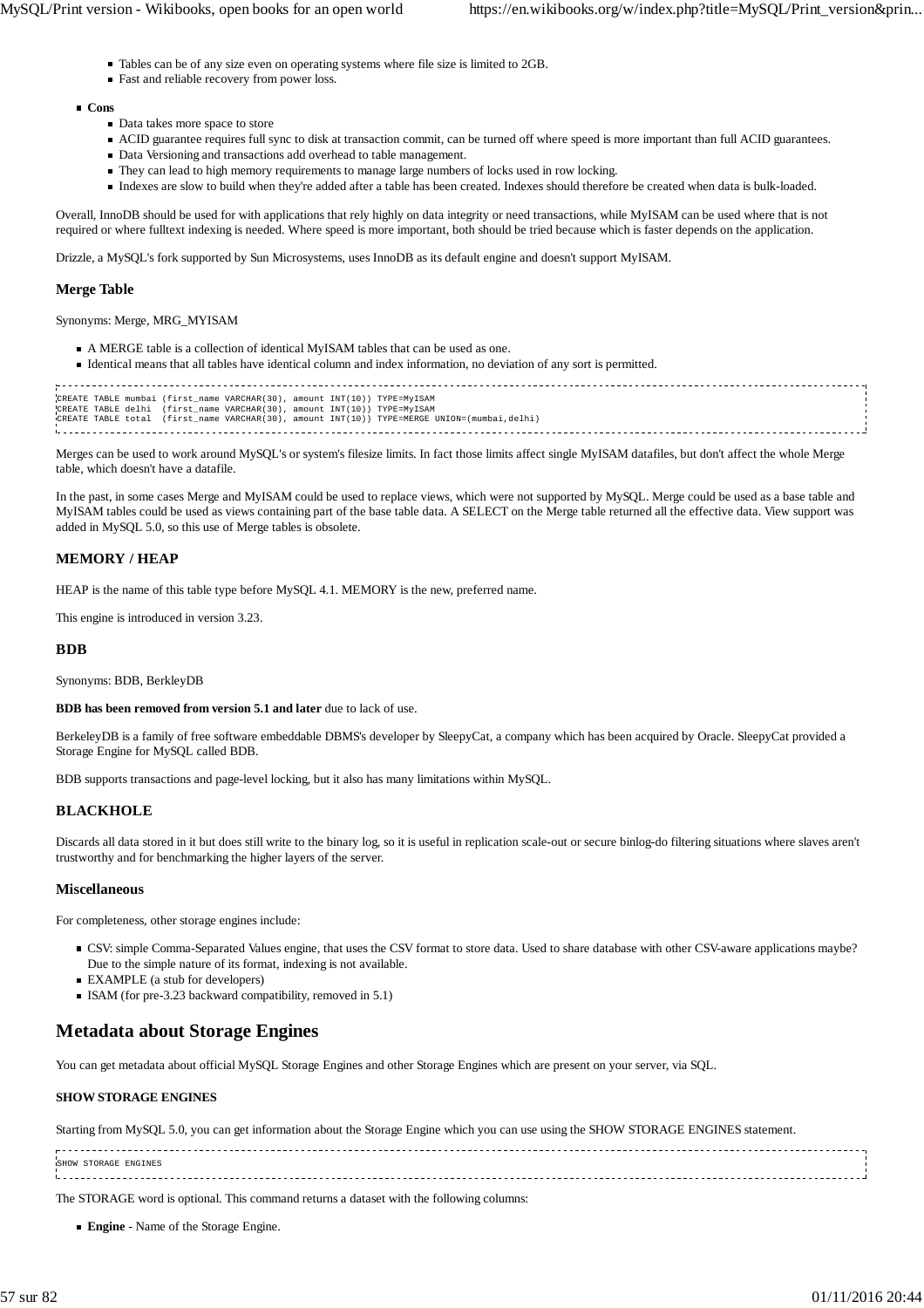- Tables can be of any size even on operating systems where file size is limited to 2GB.
- Fast and reliable recovery from power loss.

#### **Cons**

- Data takes more space to store
- ACID guarantee requires full sync to disk at transaction commit, can be turned off where speed is more important than full ACID guarantees.
- Data Versioning and transactions add overhead to table management.
- They can lead to high memory requirements to manage large numbers of locks used in row locking.
- Indexes are slow to build when they're added after a table has been created. Indexes should therefore be created when data is bulk-loaded.

Overall, InnoDB should be used for with applications that rely highly on data integrity or need transactions, while MyISAM can be used where that is not required or where fulltext indexing is needed. Where speed is more important, both should be tried because which is faster depends on the application.

Drizzle, a MySQL's fork supported by Sun Microsystems, uses InnoDB as its default engine and doesn't support MyISAM.

#### **Merge Table**

Synonyms: Merge, MRG\_MYISAM

- A MERGE table is a collection of identical MyISAM tables that can be used as one.
- Identical means that all tables have identical column and index information, no deviation of any sort is permitted.

| CREATE TABLE mumbai (first name VARCHAR(30), amount INT(10)) TYPE=MyISAM                    |  |
|---------------------------------------------------------------------------------------------|--|
| CREATE TABLE delhi (first name VARCHAR(30), amount INT(10)) TYPE=MyISAM                     |  |
|                                                                                             |  |
| CREATE TABLE total (first name VARCHAR(30), amount INT(10)) TYPE=MERGE UNION=(mumbai,delhi) |  |
|                                                                                             |  |
|                                                                                             |  |
|                                                                                             |  |

Merges can be used to work around MySQL's or system's filesize limits. In fact those limits affect single MyISAM datafiles, but don't affect the whole Merge table, which doesn't have a datafile.

In the past, in some cases Merge and MyISAM could be used to replace views, which were not supported by MySQL. Merge could be used as a base table and MyISAM tables could be used as views containing part of the base table data. A SELECT on the Merge table returned all the effective data. View support was added in MySQL 5.0, so this use of Merge tables is obsolete.

### **MEMORY / HEAP**

HEAP is the name of this table type before MySQL 4.1. MEMORY is the new, preferred name.

This engine is introduced in version 3.23.

#### **BDB**

Synonyms: BDB, BerkleyDB

**BDB has been removed from version 5.1 and later** due to lack of use.

BerkeleyDB is a family of free software embeddable DBMS's developer by SleepyCat, a company which has been acquired by Oracle. SleepyCat provided a Storage Engine for MySQL called BDB.

BDB supports transactions and page-level locking, but it also has many limitations within MySQL.

#### **BLACKHOLE**

Discards all data stored in it but does still write to the binary log, so it is useful in replication scale-out or secure binlog-do filtering situations where slaves aren't trustworthy and for benchmarking the higher layers of the server.

#### **Miscellaneous**

For completeness, other storage engines include:

- CSV: simple Comma-Separated Values engine, that uses the CSV format to store data. Used to share database with other CSV-aware applications maybe? Due to the simple nature of its format, indexing is not available.
- EXAMPLE (a stub for developers)
- ISAM (for pre-3.23 backward compatibility, removed in 5.1)

# **Metadata about Storage Engines**

You can get metadata about official MySQL Storage Engines and other Storage Engines which are present on your server, via SQL.

#### **SHOW STORAGE ENGINES**

Starting from MySQL 5.0, you can get information about the Storage Engine which you can use using the SHOW STORAGE ENGINES statement.

SHOW STORAGE ENGINES 

The STORAGE word is optional. This command returns a dataset with the following columns:

**Engine** - Name of the Storage Engine.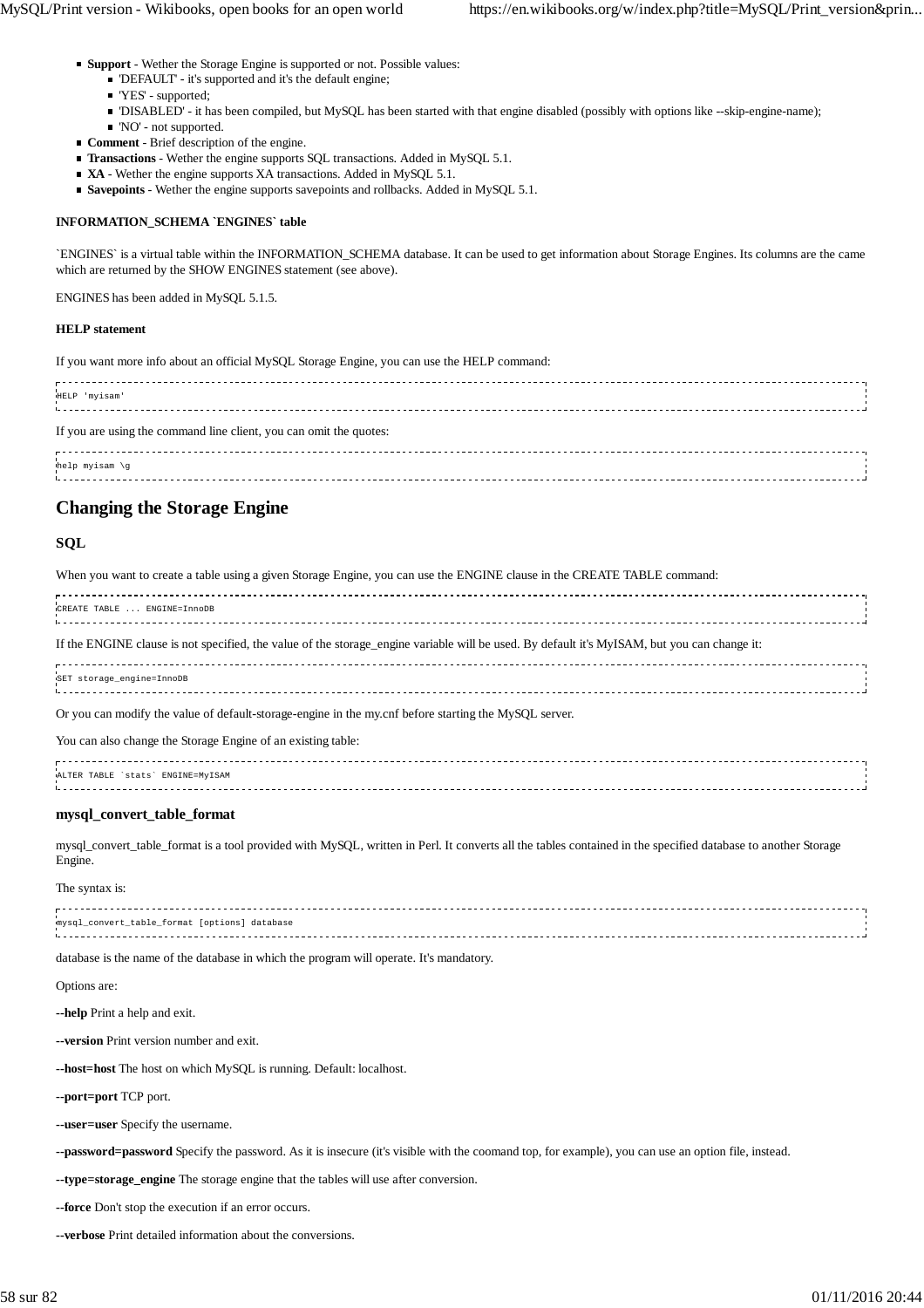- **Support** Wether the Storage Engine is supported or not. Possible values:
	- 'DEFAULT' it's supported and it's the default engine;
	- 'YES' supported;
	- 'DISABLED' it has been compiled, but MySQL has been started with that engine disabled (possibly with options like --skip-engine-name);
	- 'NO' not supported.
- **Comment** Brief description of the engine.
- **Transactions** Wether the engine supports SQL transactions. Added in MySQL 5.1.
- XA Wether the engine supports XA transactions. Added in MySQL 5.1.
- **Savepoints** Wether the engine supports savepoints and rollbacks. Added in MySQL 5.1.

#### **INFORMATION\_SCHEMA `ENGINES` table**

`ENGINES` is a virtual table within the INFORMATION\_SCHEMA database. It can be used to get information about Storage Engines. Its columns are the came which are returned by the SHOW ENGINES statement (see above).

ENGINES has been added in MySQL 5.1.5.

#### **HELP statement**

If you want more info about an official MySQL Storage Engine, you can use the HELP command:

| HELP 'myisam'                                                      |  |
|--------------------------------------------------------------------|--|
| If you are using the command line client, you can omit the quotes: |  |
| help myisam $\gtrsim$                                              |  |

# **Changing the Storage Engine**

## **SQL**

| When you want to create a table using a given Storage Engine, you can use the ENGINE clause in the CREATE TABLE command:                     |
|----------------------------------------------------------------------------------------------------------------------------------------------|
| CREATE TABLE  ENGINE=InnoDB                                                                                                                  |
| If the ENGINE clause is not specified, the value of the storage_engine variable will be used. By default it's MyISAM, but you can change it: |
| SET storage_engine=InnoDB                                                                                                                    |
| Or you can modify the value of default-storage-engine in the my.cnf before starting the MySQL server.                                        |

You can also change the Storage Engine of an existing table:

| ALTER TABLE 'stats' ENGINE=MVISAM |  |
|-----------------------------------|--|
|                                   |  |
|                                   |  |
|                                   |  |

#### **mysql\_convert\_table\_format**

mysql\_convert\_table\_format is a tool provided with MySQL, written in Perl. It converts all the tables contained in the specified database to another Storage Engine.

The syntax is:

database is the name of the database in which the program will operate. It's mandatory.

Options are:

**--help** Print a help and exit.

**--version** Print version number and exit.

**--host=host** The host on which MySQL is running. Default: localhost.

**--port=port** TCP port.

**--user=user** Specify the username.

**--password=password** Specify the password. As it is insecure (it's visible with the coomand top, for example), you can use an option file, instead.

**--type=storage\_engine** The storage engine that the tables will use after conversion.

**--force** Don't stop the execution if an error occurs.

**--verbose** Print detailed information about the conversions.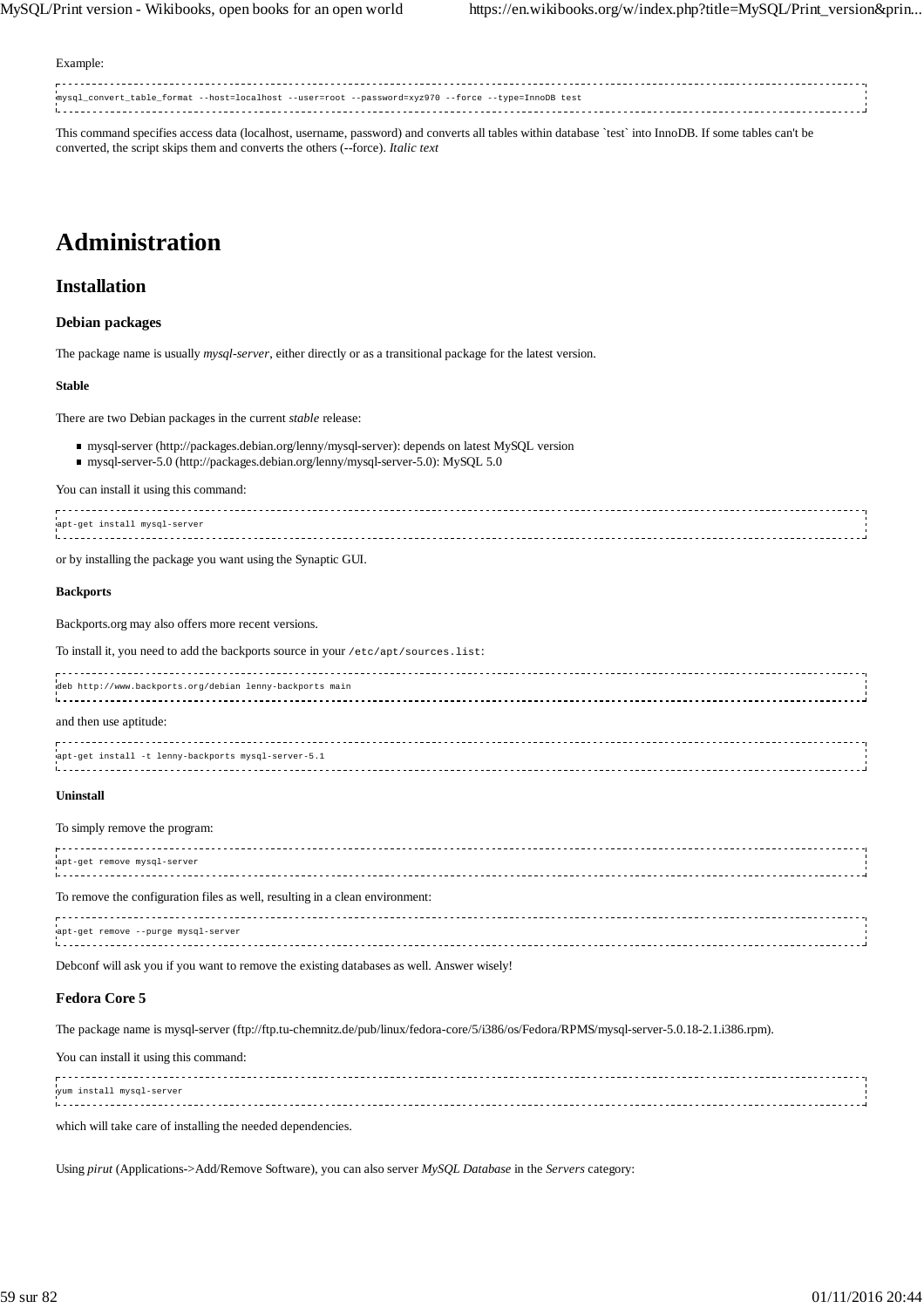Example:

mysql\_convert\_table\_format --host=localhost --user=root --password=xyz970 --force --type=InnoDB test 

This command specifies access data (localhost, username, password) and converts all tables within database `test` into InnoDB. If some tables can't be converted, the script skips them and converts the others (--force). *Italic text*

# **Administration**

# **Installation**

#### **Debian packages**

The package name is usually *mysql-server*, either directly or as a transitional package for the latest version.

#### **Stable**

There are two Debian packages in the current *stable* release:

- mysql-server (http://packages.debian.org/lenny/mysql-server): depends on latest MySQL version
- mysql-server-5.0 (http://packages.debian.org/lenny/mysql-server-5.0): MySQL 5.0

#### You can install it using this command:

| uapt-get install mysql-server |  |
|-------------------------------|--|
|                               |  |
|                               |  |
| $-1$                          |  |

or by installing the package you want using the Synaptic GUI.

#### **Backports**

Backports.org may also offers more recent versions.

To install it, you need to add the backports source in your /etc/apt/sources.list:

| deb http://www.backports.org/debian lenny-backports main |  |
|----------------------------------------------------------|--|
| and then use aptitude:                                   |  |
| wapt-get install -t lenny-backports mysql-server-5.1     |  |

#### **Uninstall**

#### To simply remove the program:

| wapt-get remove mysql-server                                                 |  |
|------------------------------------------------------------------------------|--|
| To remove the configuration files as well, resulting in a clean environment: |  |
| apt-get remove --purge mysql-server                                          |  |

Debconf will ask you if you want to remove the existing databases as well. Answer wisely!

#### **Fedora Core 5**

The package name is mysql-server (ftp://ftp.tu-chemnitz.de/pub/linux/fedora-core/5/i386/os/Fedora/RPMS/mysql-server-5.0.18-2.1.i386.rpm).

You can install it using this command:

| yum install mysql-server |  |
|--------------------------|--|
|                          |  |
|                          |  |
|                          |  |
|                          |  |

which will take care of installing the needed dependencies.

Using *pirut* (Applications->Add/Remove Software), you can also server *MySQL Database* in the *Servers* category: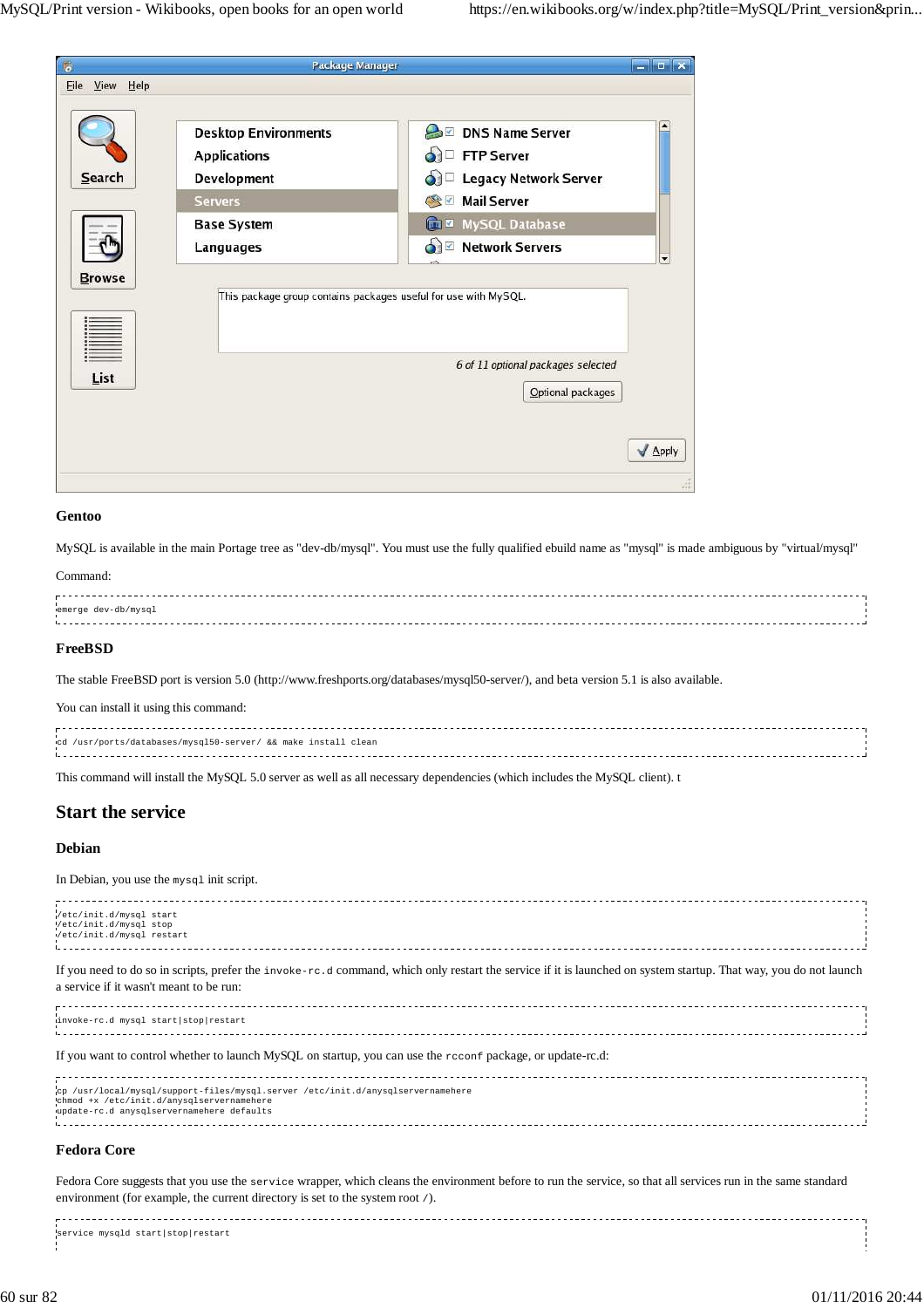| $\overline{6}$ | Package Manager                                                 | <u>esterist</u>                                         |
|----------------|-----------------------------------------------------------------|---------------------------------------------------------|
| File View Help |                                                                 |                                                         |
|                | <b>Desktop Environments</b><br><b>Applications</b>              | <b>DNS Name Server</b><br>d FTP Server                  |
| Search         | <b>Development</b>                                              | o Legacy Network Server                                 |
|                | <b>Servers</b>                                                  | <b>Mail Server</b><br>$\sqrt{2}$                        |
|                | <b>Base System</b>                                              | MySQL Database                                          |
|                | Languages                                                       | <b>Network Servers</b><br>o E                           |
| <b>Browse</b>  | This package group contains packages useful for use with MySQL. |                                                         |
| List           |                                                                 | 6 of 11 optional packages selected<br>Optional packages |
|                |                                                                 | Apply                                                   |

#### **Gentoo**

MySQL is available in the main Portage tree as "dev-db/mysql". You must use the fully qualified ebuild name as "mysql" is made ambiguous by "virtual/mysql"

## Command:

| emerge dev-db/mysgl |  |
|---------------------|--|
|                     |  |
|                     |  |
|                     |  |

#### **FreeBSD**

The stable FreeBSD port is version 5.0 (http://www.freshports.org/databases/mysql50-server/), and beta version 5.1 is also available.

You can install it using this command:

| cd /usr/ports/databases/mysql50-server/ && make install clean |  |
|---------------------------------------------------------------|--|
|                                                               |  |

This command will install the MySQL 5.0 server as well as all necessary dependencies (which includes the MySQL client). t

# **Start the service**

## **Debian**

In Debian, you use the mysql init script.

| /etc/init.d/mysql start<br>/etc/init.d/mysql stop<br>Vetc/init.d/mysql restart                                                                                                                              |  |
|-------------------------------------------------------------------------------------------------------------------------------------------------------------------------------------------------------------|--|
| If you need to do so in scripts, prefer the invoke-rc.d command, which only restart the service if it is launched on system startup. That way, you do not launch<br>a service if it wasn't meant to be run: |  |
| invoke-rc.d mysql start stop restart                                                                                                                                                                        |  |
| If you want to control whether to launch MySQL on startup, you can use the record package, or update-rc.d:                                                                                                  |  |
| cp /usr/local/mysql/support-files/mysql.server /etc/init.d/anysqlservernamehere<br>chmod +x /etc/init.d/anysqlservernamehere<br>update-rc.d anysqlservernamehere defaults                                   |  |
| <b>Fedora Core</b>                                                                                                                                                                                          |  |

## **Fedora Core**

Fedora Core suggests that you use the service wrapper, which cleans the environment before to run the service, so that all services run in the same standard environment (for example, the current directory is set to the system root /).

service mysqld start|stop|restart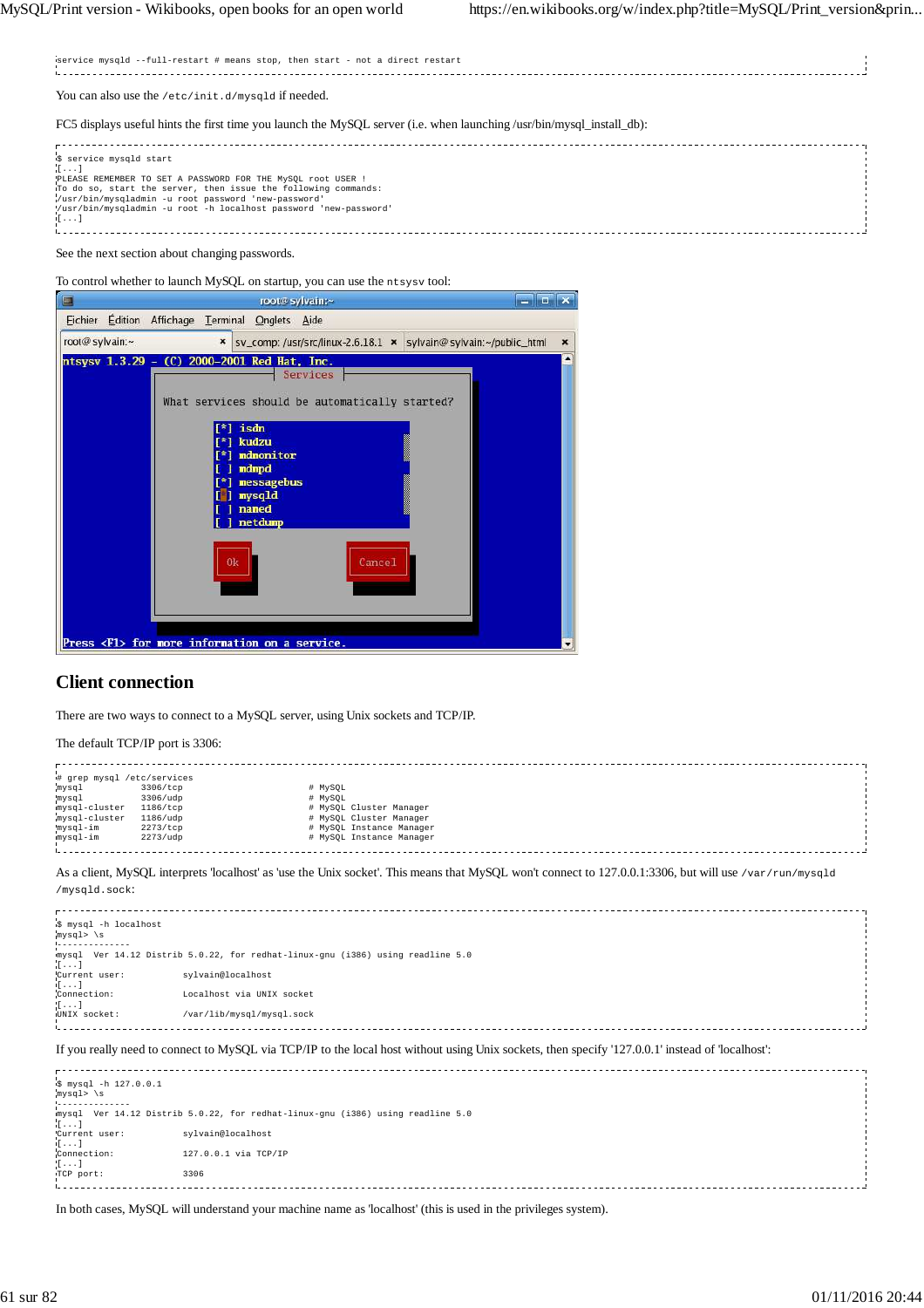| service mysqld --full-restart # means stop, then start - not a direct restart                                                                                                                                                                                                                     |
|---------------------------------------------------------------------------------------------------------------------------------------------------------------------------------------------------------------------------------------------------------------------------------------------------|
| You can also use the /etc/init.d/mysqld if needed.                                                                                                                                                                                                                                                |
| FC5 displays useful hints the first time you launch the MySQL server (i.e. when launching/usr/bin/mysql_install_db):                                                                                                                                                                              |
| S service mysqld start<br>. 1<br>PLEASE REMEMBER TO SET A PASSWORD FOR THE MySOL root USER !<br>To do so, start the server, then issue the following commands:<br>/usr/bin/mysqladmin -u root password 'new-password'<br>'/usr/bin/mysqladmin -u root -h localhost password 'new-password'<br>([] |

# See the next section about changing passwords.

To control whether to launch MySQL on startup, you can use the ntsysv tool:

| □                                | root@sylvain:~                                                                                                                                                                                                                                                     | الركيرا تدع               |
|----------------------------------|--------------------------------------------------------------------------------------------------------------------------------------------------------------------------------------------------------------------------------------------------------------------|---------------------------|
| <b>Édition</b><br><b>Fichier</b> | Affichage Terminal Onglets Aide                                                                                                                                                                                                                                    |                           |
| root@sylvain:~                   | sv_comp: /usr/src/linux-2.6.18.1 x sylvain@sylvain:~/public_html<br>$\boldsymbol{\mathsf{x}}$                                                                                                                                                                      | $\boldsymbol{\mathsf{x}}$ |
|                                  | ntsysv 1.3.29 - (C) 2000-2001 Red Hat, Inc.<br>Services<br>What services should be automatically started?<br>isdn<br>kudzu<br>mdmonitor<br>ndmpd<br>nessagebus<br>mysqld<br>named<br>netdump<br>0k<br>Cancel<br>Press <f1> for nore information on a service.</f1> |                           |
|                                  |                                                                                                                                                                                                                                                                    |                           |

# **Client connection**

There are two ways to connect to a MySQL server, using Unix sockets and TCP/IP.

The default TCP/IP port is 3306:

| # grep mysql /etc/services |                   |                                                                                                                                                         |
|----------------------------|-------------------|---------------------------------------------------------------------------------------------------------------------------------------------------------|
| mysql                      | 3306/tcp          | # MySOL                                                                                                                                                 |
| mysql                      | 3306/udp          | # MySOL                                                                                                                                                 |
| mysql-cluster              | $1186/\text{tcp}$ | # MySQL Cluster Manager                                                                                                                                 |
| mysql-cluster              | 1186/udp          | # MySOL Cluster Manager                                                                                                                                 |
| mysql-im                   | 2273/tcp          | # MySQL Instance Manager                                                                                                                                |
| mysql-im                   | 2273/udp          | # MySQL Instance Manager                                                                                                                                |
|                            |                   |                                                                                                                                                         |
|                            |                   |                                                                                                                                                         |
|                            |                   | As a client, MySQL interprets 'localhost' as 'use the Unix socket'. This means that MySQL won't connect to 127.0.0.1:3306, but will use /var/run/mysq1d |
|                            |                   |                                                                                                                                                         |

/mysqld.sock:

| \$ mysql -h localhost   |                                                                                                                                                  |  |
|-------------------------|--------------------------------------------------------------------------------------------------------------------------------------------------|--|
| $mysql>$ \s             |                                                                                                                                                  |  |
|                         |                                                                                                                                                  |  |
|                         | mysql Ver 14.12 Distrib 5.0.22, for redhat-linux-qnu (i386) using readline 5.0                                                                   |  |
| $\mathbb{R}$            |                                                                                                                                                  |  |
| Current user:           | sylvain@localhost                                                                                                                                |  |
| $\lfloor \cdot \rfloor$ |                                                                                                                                                  |  |
| Connection:             | Localhost via UNIX socket                                                                                                                        |  |
| $\left[ \ldots \right]$ |                                                                                                                                                  |  |
| UNIX socket:            | /var/lib/mysql/mysql.sock                                                                                                                        |  |
|                         |                                                                                                                                                  |  |
|                         |                                                                                                                                                  |  |
|                         |                                                                                                                                                  |  |
|                         | If you really need to connect to MySOL via TCP/IP to the local host without using Unix sockets, then specify '127.0.0.1' instead of 'localhost': |  |

| \$ mysql -h 127.0.0.1<br>mysql> \s |                                                                                |
|------------------------------------|--------------------------------------------------------------------------------|
| <u> 1.</u>                         |                                                                                |
| $\mathbf{I}$                       | mysql Ver 14.12 Distrib 5.0.22, for redhat-linux-gnu (1386) using readline 5.0 |
| Current user:                      | sylvain@localhost                                                              |
| $\mathbf{1}$                       |                                                                                |
| Connection:                        | 127.0.0.1 via TCP/IP                                                           |
| $[1 \ldots]$                       |                                                                                |
| TCP port:                          | 3306                                                                           |
|                                    |                                                                                |

In both cases, MySQL will understand your machine name as 'localhost' (this is used in the privileges system).

 $\begin{bmatrix} 1 & 1 & 1 \\ 1 & 1 & 1 \\ 1 & 1 & 1 \\ 1 & 1 & 1 \\ 1 & 1 & 1 \\ 1 & 1 & 1 \\ 1 & 1 & 1 \\ 1 & 1 & 1 \\ 1 & 1 & 1 \\ 1 & 1 & 1 \\ 1 & 1 & 1 \\ 1 & 1 & 1 \\ 1 & 1 & 1 \\ 1 & 1 & 1 \\ 1 & 1 & 1 & 1 \\ 1 & 1 & 1 & 1 \\ 1 & 1 & 1 & 1 \\ 1 & 1 & 1 & 1 \\ 1 & 1 & 1 & 1 \\ 1 & 1 & 1 & 1 \\ 1 & 1 & 1 & 1 \\ 1 &$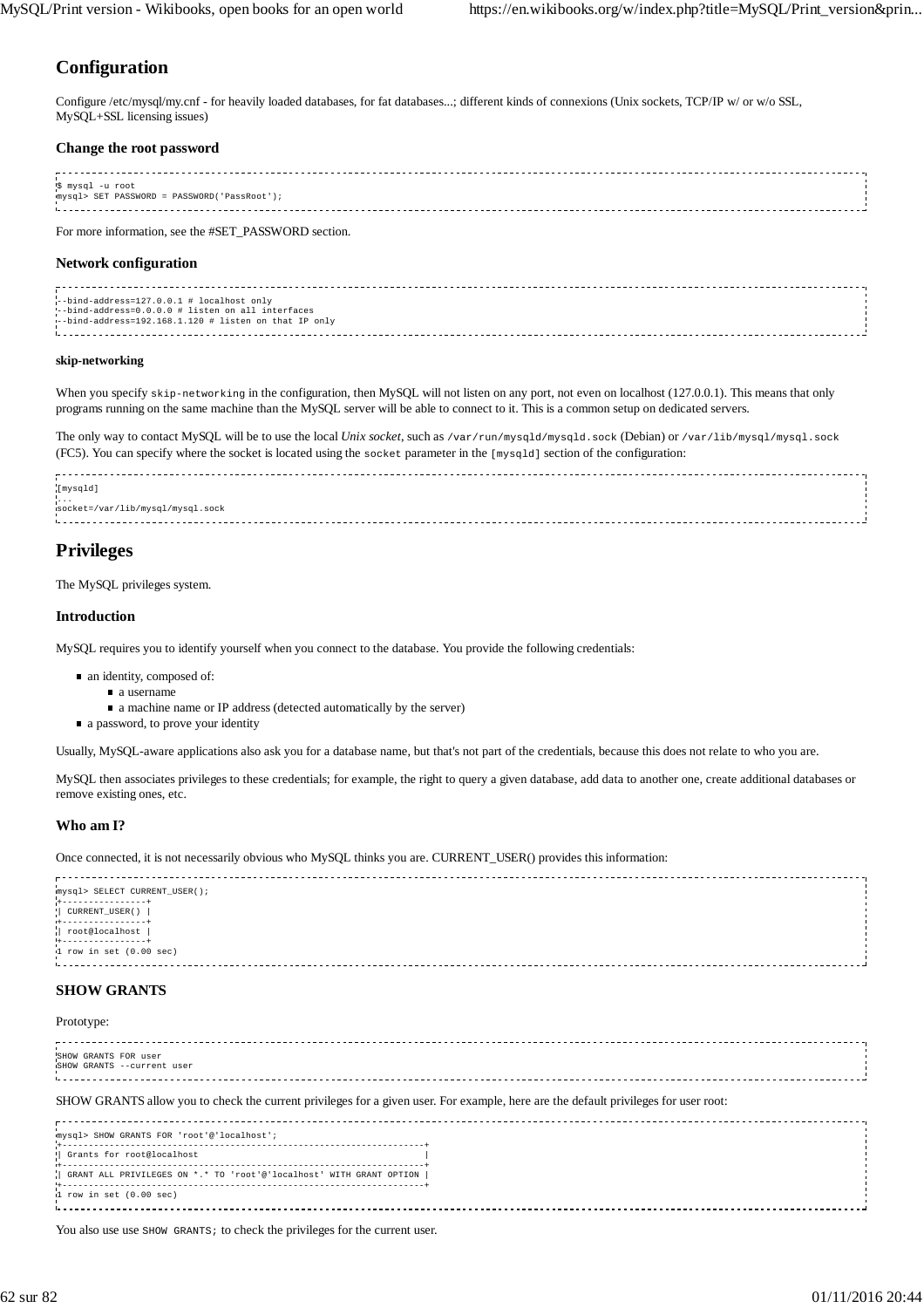# **Configuration**

Configure /etc/mysql/my.cnf - for heavily loaded databases, for fat databases...; different kinds of connexions (Unix sockets, TCP/IP w/ or w/o SSL, MySQL+SSL licensing issues)

#### **Change the root password**

| '\$ mysql -u root<br>mysql> SET PASSWORD = PASSWORD('PassRoot'); |  |
|------------------------------------------------------------------|--|
|                                                                  |  |
|                                                                  |  |
|                                                                  |  |
|                                                                  |  |

For more information, see the #SET\_PASSWORD section.

## **Network configuration**

| --bind-address=127.0.0.1 # localhost only             |  |
|-------------------------------------------------------|--|
| --bind-address=0.0.0.0 # listen on all interfaces     |  |
| --bind-address=192.168.1.120 # listen on that IP only |  |
|                                                       |  |

#### **skip-networking**

When you specify skip-networking in the configuration, then MySQL will not listen on any port, not even on localhost (127.0.0.1). This means that only programs running on the same machine than the MySQL server will be able to connect to it. This is a common setup on dedicated servers.

The only way to contact MySQL will be to use the local *Unix socket*, such as /var/run/mysqld/mysqld.sock (Debian) or /var/lib/mysql/mysql.sock (FC5). You can specify where the socket is located using the socket parameter in the [mysqld] section of the configuration:



# **Privileges**

The MySQL privileges system.

### **Introduction**

MySQL requires you to identify yourself when you connect to the database. You provide the following credentials:

- an identity, composed of:
	- a username
	- a machine name or IP address (detected automatically by the server)
- a password, to prove your identity

Usually, MySQL-aware applications also ask you for a database name, but that's not part of the credentials, because this does not relate to who you are.

MySQL then associates privileges to these credentials; for example, the right to query a given database, add data to another one, create additional databases or remove existing ones, etc.

## **Who am I?**

Once connected, it is not necessarily obvious who MySQL thinks you are. CURRENT\_USER() provides this information:

| mysql> SELECT CURRENT_USER();          |  |
|----------------------------------------|--|
|                                        |  |
| CURRENT_USER()                         |  |
|                                        |  |
| +----------------+<br>  root@localhost |  |
|                                        |  |
| $1$ row in set $(0.00$ sec)            |  |
|                                        |  |
|                                        |  |
|                                        |  |

## **SHOW GRANTS**

#### Prototype:

| SHOW GRANTS FOR user       |  |
|----------------------------|--|
| SHOW GRANTS --current user |  |
|                            |  |
|                            |  |
|                            |  |
|                            |  |

SHOW GRANTS allow you to check the current privileges for a given user. For example, here are the default privileges for user root:

| mysql> SHOW GRANTS FOR 'root'@'localhost';                          |  |
|---------------------------------------------------------------------|--|
| ! Grants for root@localhost                                         |  |
| GRANT ALL PRIVILEGES ON *.* TO 'root'@'localhost' WITH GRANT OPTION |  |
| $1$ row in set $(0.00$ sec)                                         |  |

You also use use SHOW GRANTS; to check the privileges for the current user.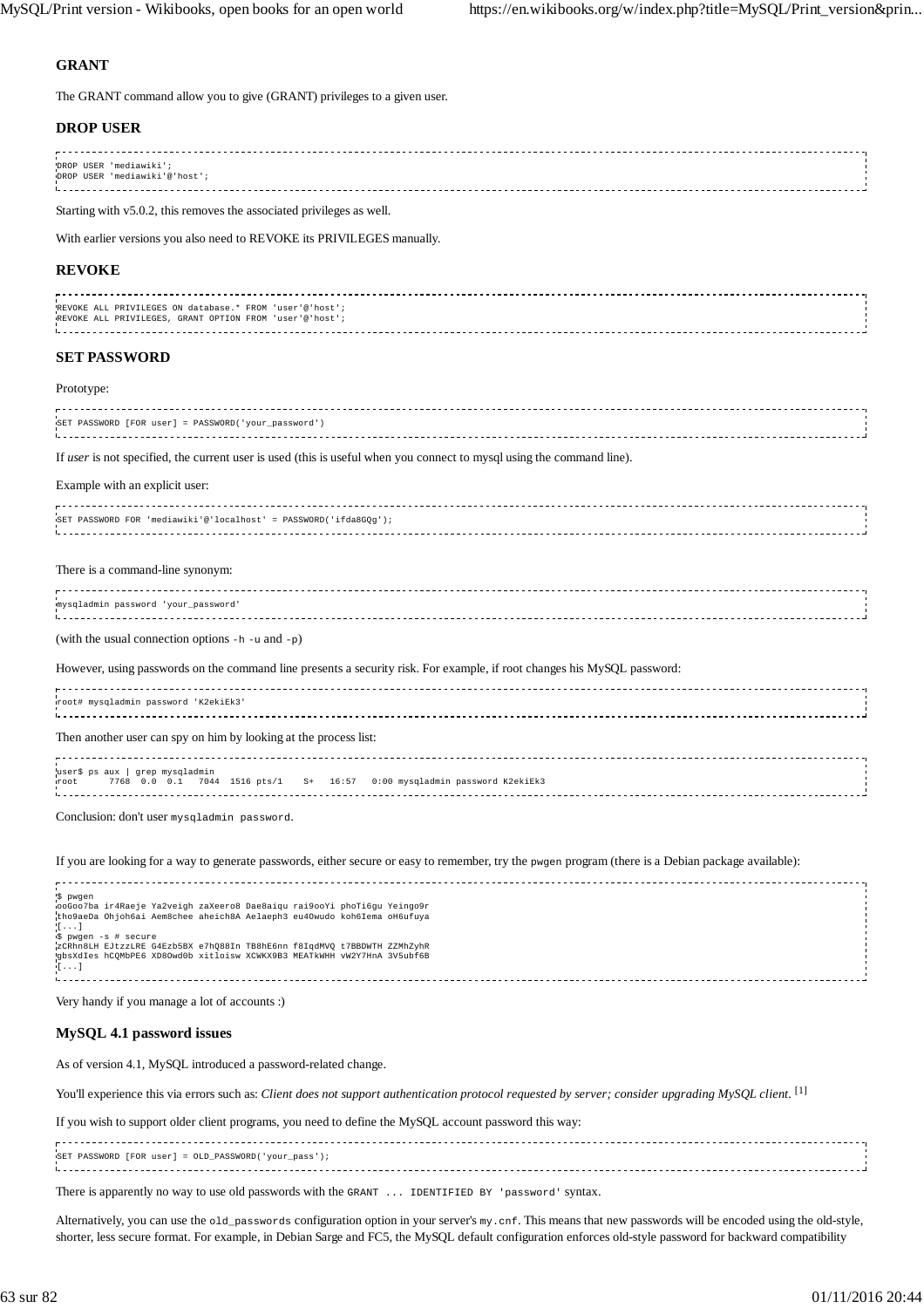## **GRANT**

The GRANT command allow you to give (GRANT) privileges to a given user.

### **DROP USER**

| DROP USER 'mediawiki';        |  |
|-------------------------------|--|
| DROP USER 'mediawiki'@'host'; |  |
|                               |  |

Starting with v5.0.2, this removes the associated privileges as well.

With earlier versions you also need to REVOKE its PRIVILEGES manually.

#### **REVOKE**

| REVOKE ALL PRIVILEGES ON database.* FROM 'user'@'host'; |  |
|---------------------------------------------------------|--|
| REVOKE ALL PRIVILEGES, GRANT OPTION FROM 'user'@'host'; |  |
|                                                         |  |
|                                                         |  |

#### **SET PASSWORD**

#### Prototype:

| SET PASSWORD [FOR user] = PASSWORD('your password') |  |
|-----------------------------------------------------|--|
|                                                     |  |
|                                                     |  |

If *user* is not specified, the current user is used (this is useful when you connect to mysql using the command line).

#### Example with an explicit user:

| SET PASSWORD FOR 'mediawiki'@'localhost' = PASSWORD('ifda8GOq'); |  |
|------------------------------------------------------------------|--|
|                                                                  |  |
|                                                                  |  |
|                                                                  |  |

#### There is a command-line synonym:

| mysqladmin password 'your password' |  |
|-------------------------------------|--|
|                                     |  |
|                                     |  |
|                                     |  |

(with the usual connection options -h -u and -p)

However, using passwords on the command line presents a security risk. For example, if root changes his MySQL password:

| woot# mysqladmin password 'K2ekiEk3'                                                                            |  |
|-----------------------------------------------------------------------------------------------------------------|--|
| Then another user can spy on him by looking at the process list:                                                |  |
| user\$ ps aux   grep mysqladmin<br>root 7768 0.0 0.1 7044 1516 pts/1 S+ 16:57 0:00 mysqladmin password K2ekiEk3 |  |

Conclusion: don't user mysqladmin password.

#### If you are looking for a way to generate passwords, either secure or easy to remember, try the pwgen program (there is a Debian package available):

| '\$ pwgen                                                               |  |
|-------------------------------------------------------------------------|--|
| ooGoo7ba ir4Raeje Ya2veigh zaXeero8 Dae8aigu rai9ooYi phoTi6gu Yeingo9r |  |
| tho9aeDa Ohjoh6ai Aem8chee aheich8A Aelaeph3 eu4Owudo koh6Iema oH6ufuya |  |
| $\mathbb{R}$                                                            |  |
| S pwgen -s # secure                                                     |  |
| ZCRhn8LH EJtzzLRE G4Ezb5BX e7h088In TB8hE6nn f8IqdMVQ t7BBDWTH ZZMhZyhR |  |
|                                                                         |  |
| gbsXdIes hCOMbPE6 XD8Owd0b xitloisw XCWKX9B3 MEATkWHH vW2Y7HnA 3V5ubf6B |  |
| $+[1, 1, 1]$                                                            |  |
|                                                                         |  |
|                                                                         |  |

Very handy if you manage a lot of accounts :)

#### **MySQL 4.1 password issues**

As of version 4.1, MySQL introduced a password-related change.

You'll experience this via errors such as: *Client does not support authentication protocol requested by server; consider upgrading MySQL client*. [1]

If you wish to support older client programs, you need to define the MySQL account password this way:

| SET PASSWORD [FOR user] = OLD PASSWORD('your pass'); |  |
|------------------------------------------------------|--|
|                                                      |  |
|                                                      |  |
|                                                      |  |

There is apparently no way to use old passwords with the GRANT ... IDENTIFIED BY 'password' syntax.

Alternatively, you can use the old\_passwords configuration option in your server's my.cnf. This means that new passwords will be encoded using the old-style, shorter, less secure format. For example, in Debian Sarge and FC5, the MySQL default configuration enforces old-style password for backward compatibility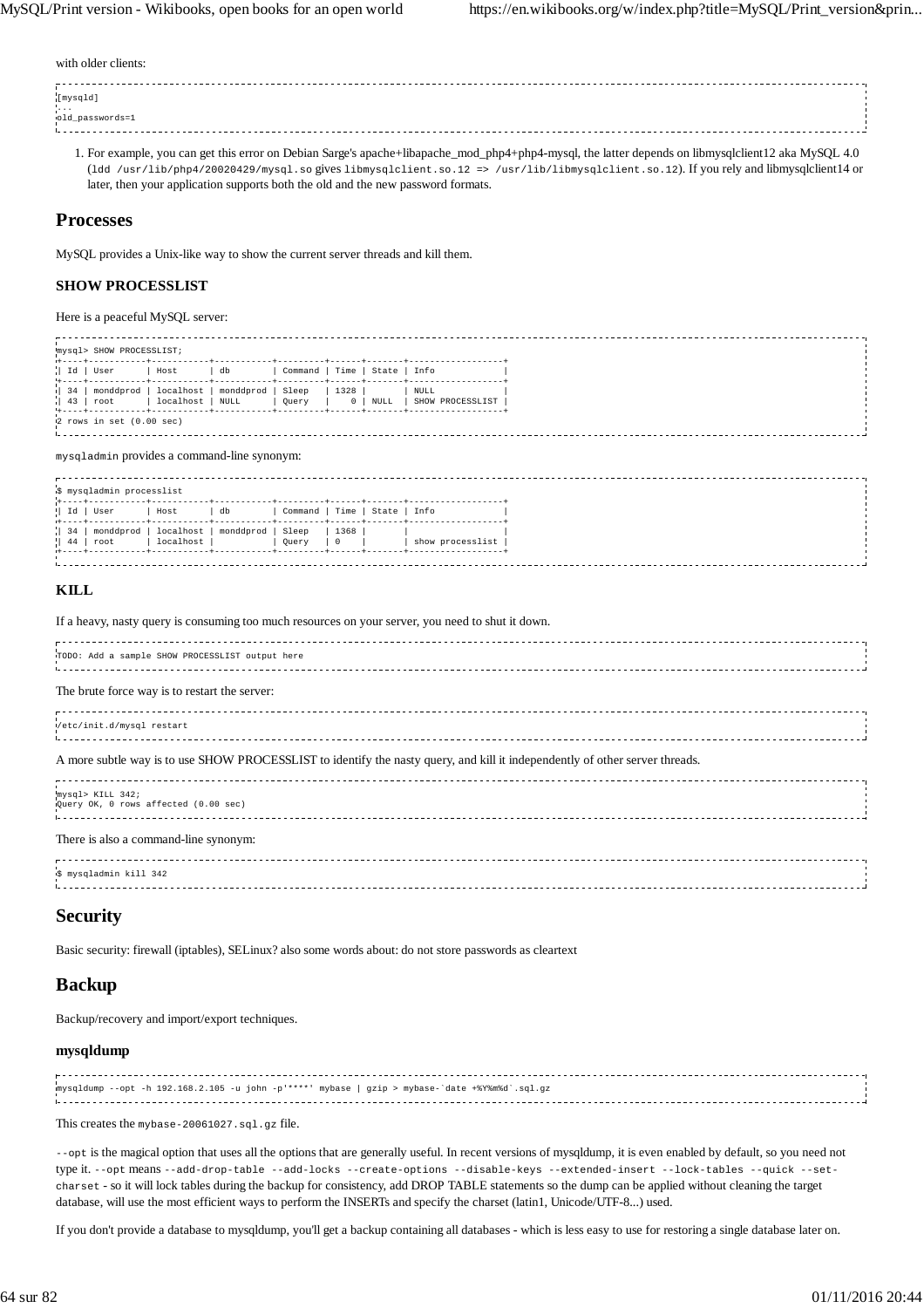with older clients:

| [mysqld]        |  |
|-----------------|--|
|                 |  |
| old_passwords=1 |  |
|                 |  |

For example, you can get this error on Debian Sarge's apache+libapache\_mod\_php4+php4-mysql, the latter depends on libmysqlclient12 aka MySQL 4.0 1. (1dd /usr/lib/php4/20020429/mysql.so gives libmysqlclient.so.12 => /usr/lib/libmysqlclient.so.12). If you rely and libmysqlclient14 or later, then your application supports both the old and the new password formats.

## **Processes**

MySQL provides a Unix-like way to show the current server threads and kill them.

## **SHOW PROCESSLIST**

Here is a peaceful MySQL server:

| mysql> SHOW PROCESSLIST;<br>1+----+-----------+-------- |  |                                              |                        |                   |                |                 |              |                          |  |  |
|---------------------------------------------------------|--|----------------------------------------------|------------------------|-------------------|----------------|-----------------|--------------|--------------------------|--|--|
|                                                         |  | $ $ Id   User                                | Host                   | db                | Command   Time |                 | State   Info |                          |  |  |
| 34                                                      |  | monddprod<br>$\parallel$ 43 $\parallel$ root | localhost<br>localhost | monddprod<br>NULL | Sleep<br>Ouery | 1328<br>$\circ$ | NULL         | NULL<br>SHOW PROCESSLIST |  |  |
|                                                         |  | $12$ rows in set $(0.00$ sec)                |                        |                   |                |                 |              |                          |  |  |

mysqladmin provides a command-line synonym:

|                    | ι\$ mysqladmin processlist |           |           |                |                |              |                  |
|--------------------|----------------------------|-----------|-----------|----------------|----------------|--------------|------------------|
| $\parallel$ Id     | User                       | Host      | db        | Command   Time |                | State   Info |                  |
| $\vert$ 34 $\vert$ | monddprod                  | localhost | monddprod | Sleep          | 1368           |              |                  |
| $\parallel$ 44     | root                       | localhost |           | Ouery          | $\overline{0}$ |              | show processlist |
|                    |                            |           |           |                |                |              |                  |

### **KILL**

If a heavy, nasty query is consuming too much resources on your server, you need to shut it down.

| TODO: Add a sample SHOW PROCESSLIST output here |  |  |  |  |
|-------------------------------------------------|--|--|--|--|
| The brute force way is to restort the server    |  |  |  |  |

#### The brute force way is to restart the server:

| Vetc/init.d/mysql restart |  |
|---------------------------|--|
|                           |  |
|                           |  |
|                           |  |

#### A more subtle way is to use SHOW PROCESSLIST to identify the nasty query, and kill it independently of other server threads.

mysql> KILL 342; Query OK, 0 rows affected (0.00 sec) 

#### There is also a command-line synonym:

| \$ mysqladmin kill 342 |  |
|------------------------|--|
|                        |  |
|                        |  |
|                        |  |

# **Security**

Basic security: firewall (iptables), SELinux? also some words about: do not store passwords as cleartext

# **Backup**

Backup/recovery and import/export techniques.

## **mysqldump**

| mysqldump --opt -h 192.168.2.105 -u john -p' ****' mybase   gzip > mybase-'date +%Y%m%d'.sql.gz |  |
|-------------------------------------------------------------------------------------------------|--|
|                                                                                                 |  |
|                                                                                                 |  |
|                                                                                                 |  |

This creates the mybase-20061027.sql.gz file.

--opt is the magical option that uses all the options that are generally useful. In recent versions of mysqldump, it is even enabled by default, so you need not type it. --opt means --add-drop-table --add-locks --create-options --disable-keys --extended-insert --lock-tables --quick --setcharset - so it will lock tables during the backup for consistency, add DROP TABLE statements so the dump can be applied without cleaning the target database, will use the most efficient ways to perform the INSERTs and specify the charset (latin1, Unicode/UTF-8...) used.

If you don't provide a database to mysqldump, you'll get a backup containing all databases - which is less easy to use for restoring a single database later on.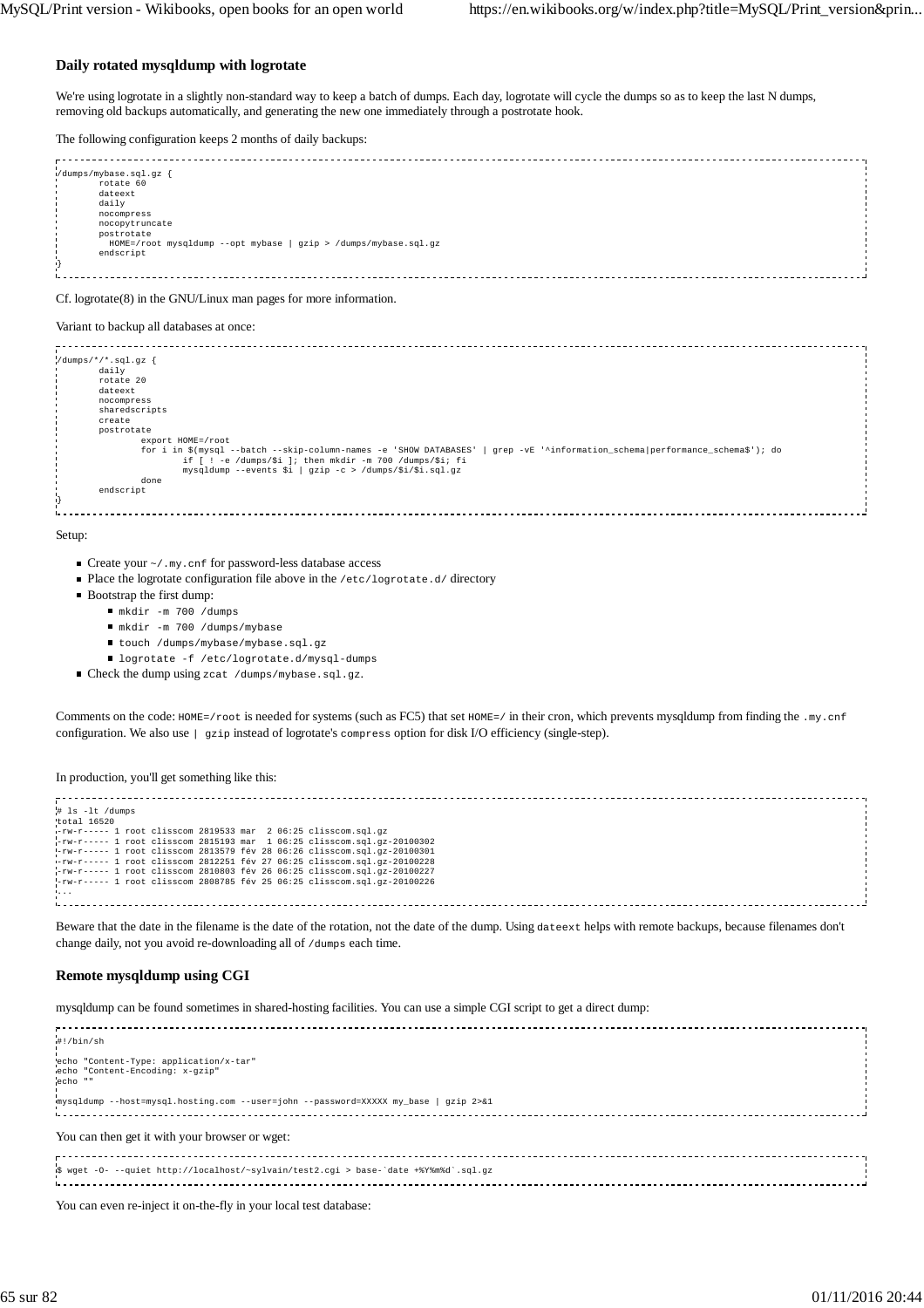#### **Daily rotated mysqldump with logrotate**

We're using logrotate in a slightly non-standard way to keep a batch of dumps. Each day, logrotate will cycle the dumps so as to keep the last N dumps, removing old backups automatically, and generating the new one immediately through a postrotate hook.

The following configuration keeps 2 months of daily backups:

```
------------------------------
/dumps/mybase.sql.gz {
 rotate 60
      dateext
      daily
      nocompress
      nocopytruncate
      postrotate
 HOME=/root mysqldump --opt mybase | gzip > /dumps/mybase.sql.gz
 endscript
}
i.
```
Cf. logrotate(8) in the GNU/Linux man pages for more information.

#### Variant to backup all databases at once:

 $\frac{d \text{umps}}{t}$  /\*/\*.sql.gz  $\{$  daily rotate 20 dateext nocompress sharedscripts create postrotate export HOME=/root for i in \$(mysql --batch --skip-column-names -e 'SHOW DATABASES' | grep -vE '^information\_schema|performance\_schema\$'); do if [ ! -e /dumps/\$i ]; then mkdir -m 700 /dumps/\$i; fi mysqldump --events \$i | gzip -c > /dumps/\$i/\$i.sql.gz done endscript }

Setup:

- $\blacksquare$  Create your  $\sim/$ .my.cnf for password-less database access
- Place the logrotate configuration file above in the /etc/logrotate.d/ directory
- Bootstrap the first dump:
	- mkdir -m 700 /dumps
	- mkdir -m 700 /dumps/mybase
	- touch /dumps/mybase/mybase.sql.gz
	- logrotate -f /etc/logrotate.d/mysql-dumps
- Check the dump using zcat /dumps/mybase.sql.gz.

Comments on the code: HOME=/root is needed for systems (such as FC5) that set HOME=/ in their cron, which prevents mysqldump from finding the .my.cnf configuration. We also use | gzip instead of logrotate's compress option for disk I/O efficiency (single-step).

In production, you'll get something like this:

```
# ls -lt /dumps
total 16520
-rw-r----- 1 root clisscom 2819533 mar 2 06:25 clisscom.sql.gz
-rw-r----- 1 root clisscom 2815193 mar 1 06:25 clisscom.sql.gz-20100302
-rw-r----- 1 root clisscom 2813579 fév 28 06:26 clisscom.sql.gz-20100301<br>-rw-r----- 1 root clisscom 2812251 fév 27 06:25 clisscom.sql.gz-20100228<br>-rw-r----- 1 root clisscom 2810803 fév 25 06:25 clisscom.sql.gz-20100227<br>-rw
...
```
Beware that the date in the filename is the date of the rotation, not the date of the dump. Using dateext helps with remote backups, because filenames don't change daily, not you avoid re-downloading all of /dumps each time.

#### **Remote mysqldump using CGI**

mysqldump can be found sometimes in shared-hosting facilities. You can use a simple CGI script to get a direct dump:

| #!/bin/sh                                                                            |  |
|--------------------------------------------------------------------------------------|--|
|                                                                                      |  |
|                                                                                      |  |
| echo "Content-Type: application/x-tar"                                               |  |
| echo "Content-Encoding: x-gzip"                                                      |  |
| echo ""                                                                              |  |
|                                                                                      |  |
|                                                                                      |  |
| mysqldump --host=mysql.hosting.com --user=john --password=XXXXX my_base   gzip 2>&l  |  |
|                                                                                      |  |
|                                                                                      |  |
|                                                                                      |  |
| You can then get it with your browser or wget:                                       |  |
|                                                                                      |  |
|                                                                                      |  |
|                                                                                      |  |
| \$ wget -0- --quiet http://localhost/~sylvain/test2.cgi > base-'date +%Y%m%d'.sql.gz |  |
|                                                                                      |  |
|                                                                                      |  |

You can even re-inject it on-the-fly in your local test database: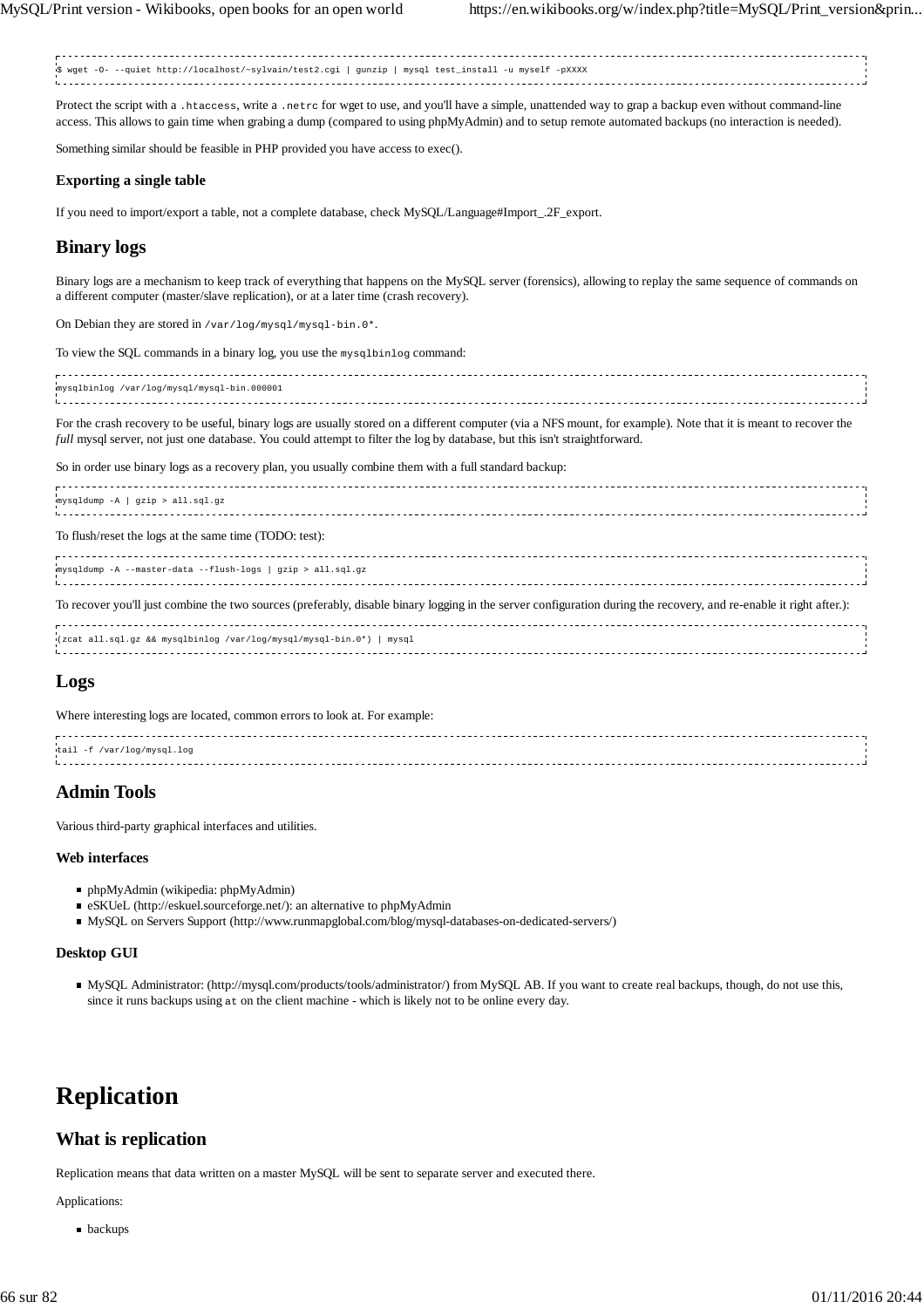\$ wget -O- --quiet http://localhost/~sylvain/test2.cgi | gunzip | mysql test\_install -u myself -pXXXX

Protect the script with a .htaccess, write a .netrc for wget to use, and you'll have a simple, unattended way to grap a backup even without command-line access. This allows to gain time when grabing a dump (compared to using phpMyAdmin) and to setup remote automated backups (no interaction is needed).

Something similar should be feasible in PHP provided you have access to exec().

### **Exporting a single table**

If you need to import/export a table, not a complete database, check MySQL/Language#Import\_.2F\_export.

# **Binary logs**

Binary logs are a mechanism to keep track of everything that happens on the MySQL server (forensics), allowing to replay the same sequence of commands on a different computer (master/slave replication), or at a later time (crash recovery).

On Debian they are stored in /var/log/mysql/mysql-bin.0\*.

To view the SQL commands in a binary log, you use the mysqlbinlog command:

| mysqlbinlog /var/log/mysql/mysql-bin.000001 |  |
|---------------------------------------------|--|
|                                             |  |
|                                             |  |

For the crash recovery to be useful, binary logs are usually stored on a different computer (via a NFS mount, for example). Note that it is meant to recover the *full* mysql server, not just one database. You could attempt to filter the log by database, but this isn't straightforward.

So in order use binary logs as a recovery plan, you usually combine them with a full standard backup:

| mysqldump -A   gzip > all.sql.gz |  |
|----------------------------------|--|
|                                  |  |
|                                  |  |

To flush/reset the logs at the same time (TODO: test):

mysqldump -A --master-data --flush-logs | gzip > all.sql.gz

To recover you'll just combine the two sources (preferably, disable binary logging in the server configuration during the recovery, and re-enable it right after.):

(zcat all.sql.gz && mysqlbinlog /var/log/mysql/mysql-bin.0\*) | mysql

# **Logs**

Where interesting logs are located, common errors to look at. For example:

| tail -f /var/log/mysgl.log |  |
|----------------------------|--|
|                            |  |
|                            |  |
|                            |  |

# **Admin Tools**

Various third-party graphical interfaces and utilities.

## **Web interfaces**

- phpMyAdmin (wikipedia: phpMyAdmin)
- eSKUeL (http://eskuel.sourceforge.net/): an alternative to phpMyAdmin
- MySQL on Servers Support (http://www.runmapglobal.com/blog/mysql-databases-on-dedicated-servers/)

## **Desktop GUI**

MySQL Administrator: (http://mysql.com/products/tools/administrator/) from MySQL AB. If you want to create real backups, though, do not use this, since it runs backups using at on the client machine - which is likely not to be online every day.

# **Replication**

# **What is replication**

Replication means that data written on a master MySQL will be sent to separate server and executed there.

Applications:

**backups**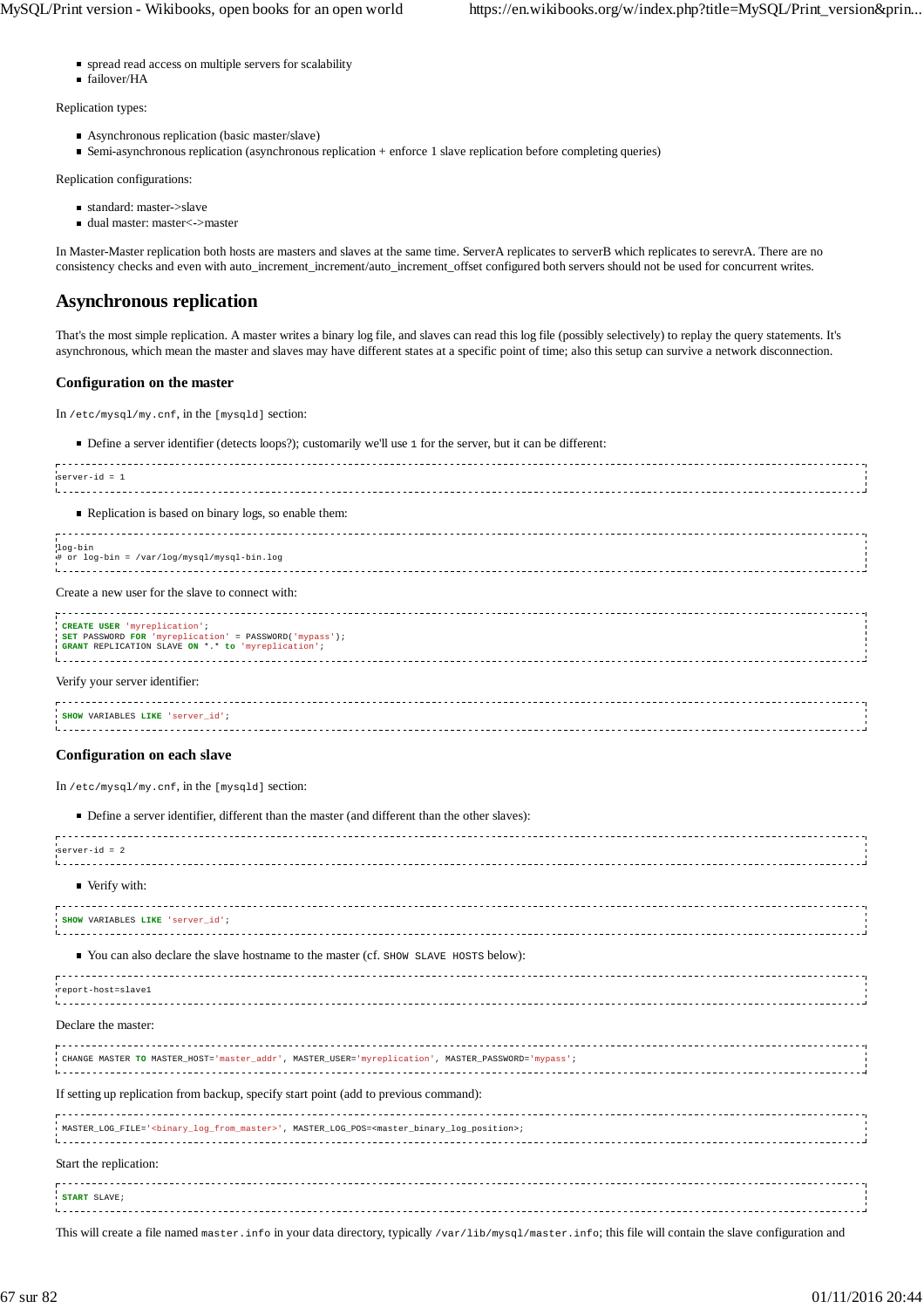- spread read access on multiple servers for scalability
- failover/HA

Replication types:

- Asynchronous replication (basic master/slave)
- Semi-asynchronous replication (asynchronous replication + enforce 1 slave replication before completing queries)

Replication configurations:

- standard: master->slave
- dual master: master<->master

In Master-Master replication both hosts are masters and slaves at the same time. ServerA replicates to serverB which replicates to serevrA. There are no consistency checks and even with auto\_increment\_increment/auto\_increment\_offset configured both servers should not be used for concurrent writes.

# **Asynchronous replication**

That's the most simple replication. A master writes a binary log file, and slaves can read this log file (possibly selectively) to replay the query statements. It's asynchronous, which mean the master and slaves may have different states at a specific point of time; also this setup can survive a network disconnection.

## **Configuration on the master**

In /etc/mysql/my.cnf, in the [mysqld] section:

Define a server identifier (detects loops?); customarily we'll use 1 for the server, but it can be different:

| $server-id = 1$                                                                                                                              |  |
|----------------------------------------------------------------------------------------------------------------------------------------------|--|
| Replication is based on binary logs, so enable them:                                                                                         |  |
| log-bin<br># or log-bin = /var/log/mysql/mysql-bin.log                                                                                       |  |
| Create a new user for the slave to connect with:                                                                                             |  |
| CREATE USER 'myreplication';<br>SET PASSWORD FOR 'myreplication' = PASSWORD('mypass');<br>GRANT REPLICATION SLAVE ON *.* to 'myreplication'; |  |
| Verify your server identifier:                                                                                                               |  |
| SHOW VARIABLES LIKE 'server_id';                                                                                                             |  |

### **Configuration on each slave**

In /etc/mysql/my.cnf, in the [mysqld] section:

#### ■ Define a server identifier, different than the master (and different than the other slaves):

| server-id = 2                                                                                                                      |  |
|------------------------------------------------------------------------------------------------------------------------------------|--|
| ■ Verify with:                                                                                                                     |  |
| SHOW VARIABLES LIKE 'server id',                                                                                                   |  |
| ■ You can also declare the slave hostname to the master (cf. SHOW SLAVE HOSTS below):                                              |  |
| report-host=slave1                                                                                                                 |  |
| Declare the master:                                                                                                                |  |
| .<br>CHANGE MASTER TO MASTER HOST='master addr', MASTER USER='myreplication', MASTER PASSWORD='mypass';                            |  |
| If setting up replication from backup, specify start point (add to previous command):                                              |  |
| .<br>MASTER LOG FILE=' <binary from="" log="" master="">', MASTER LOG POS=<master binary="" log="" position="">;</master></binary> |  |
| Start the replication:                                                                                                             |  |
| START SLAVE;                                                                                                                       |  |
|                                                                                                                                    |  |

This will create a file named master.info in your data directory, typically /var/lib/mysql/master.info; this file will contain the slave configuration and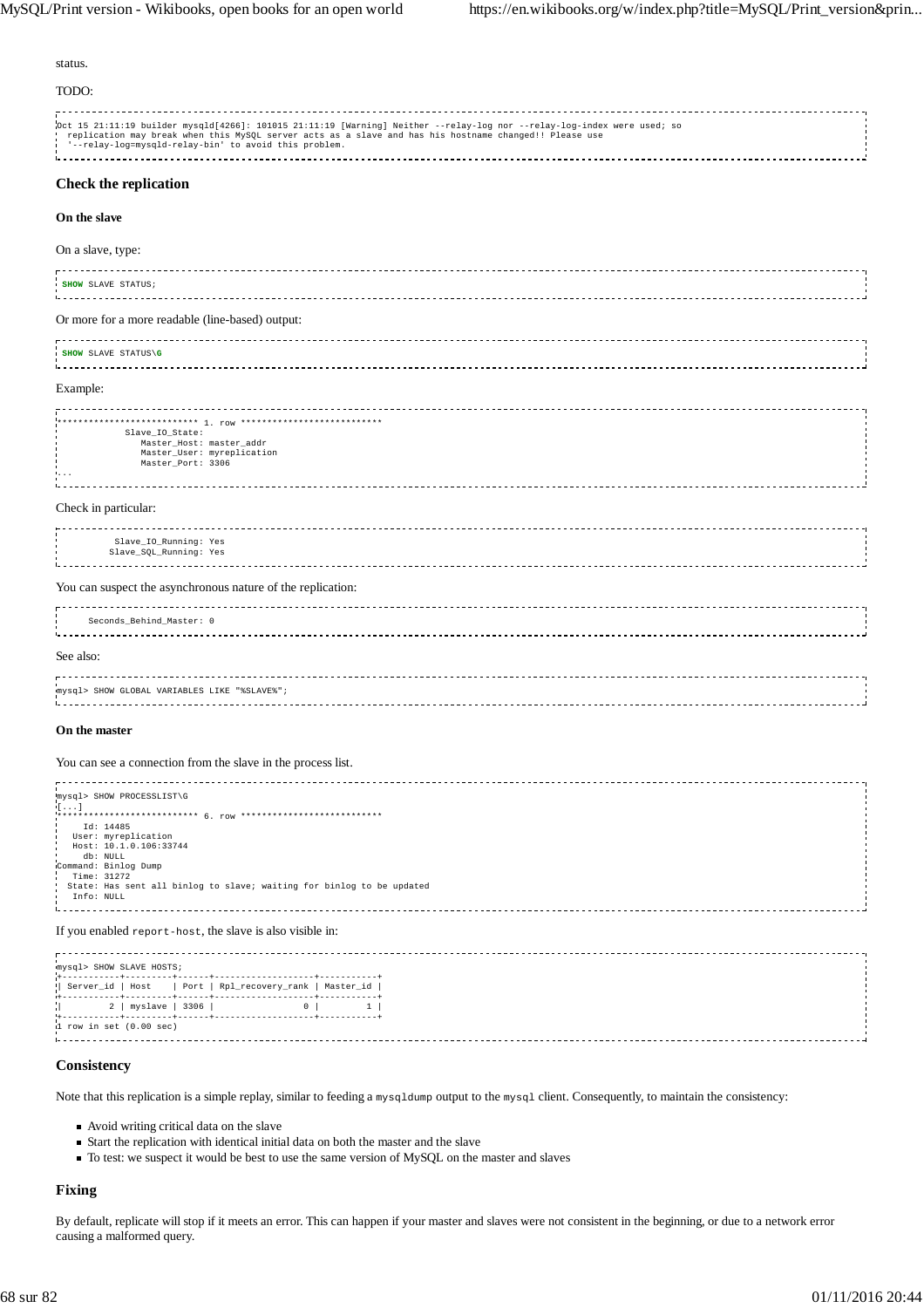#### status.

TODO:

Oct 15 21:11:19 builder mysqld[4266]: 101015 21:11:19 [Warning] Neither --relay-log nor --relay-log-index were used; so<br>| replication may break when this MySQL server acts as a slave and has his hostname changed!! Please u 

## **Check the replication**

#### **On the slave**

#### On a slave, type:

| <b>SHOW SLAVE STATUS;</b> |                                                  |  |  |
|---------------------------|--------------------------------------------------|--|--|
|                           | Or more for a more readable (line-based) output: |  |  |

| SHOW SLAVE STATUS\G |  |
|---------------------|--|
|                     |  |
|                     |  |

Example:

| Slave IO State:<br>Master_Host: master_addr<br>Master_User: myreplication<br>Master Port: 3306<br><b>.</b> |  |
|------------------------------------------------------------------------------------------------------------|--|
| Check in particular:                                                                                       |  |

|       | Slave_IO_Running: Yes  |  |
|-------|------------------------|--|
|       |                        |  |
|       | Slave_SQL_Running: Yes |  |
|       |                        |  |
| ----- |                        |  |

#### You can suspect the asynchronous nature of the replication:

|           | Seconds_Behind_Master: 0                     |  |
|-----------|----------------------------------------------|--|
| See also: |                                              |  |
|           | mysql> SHOW GLOBAL VARIABLES LIKE "%SLAVE%"; |  |

#### **On the master**

#### You can see a connection from the slave in the process list.

| mysql> SHOW PROCESSLIST\G<br>(1, 1, 1)                                |  |
|-----------------------------------------------------------------------|--|
| Id: 14485                                                             |  |
| User: myreplication                                                   |  |
| Host: 10.1.0.106:33744                                                |  |
| db: NULL                                                              |  |
| Command: Binlog Dump                                                  |  |
| Time: 31272                                                           |  |
| State: Has sent all binlog to slave; waiting for binlog to be updated |  |
| Info: NULL                                                            |  |
|                                                                       |  |
|                                                                       |  |
|                                                                       |  |

#### If you enabled report-host, the slave is also visible in:

| mysql> SHOW SLAVE HOSTS;    |  |                                                         |  |
|-----------------------------|--|---------------------------------------------------------|--|
|                             |  |                                                         |  |
|                             |  | Server_id   Host   Port   Rpl_recovery_rank   Master_id |  |
| $ 2 + 2 $ myslave   3306    |  |                                                         |  |
| $1$ row in set $(0.00$ sec) |  |                                                         |  |

#### **Consistency**

Note that this replication is a simple replay, similar to feeding a mysqldump output to the mysql client. Consequently, to maintain the consistency:

- Avoid writing critical data on the slave
- $\blacksquare$  Start the replication with identical initial data on both the master and the slave
- To test: we suspect it would be best to use the same version of MySQL on the master and slaves

## **Fixing**

By default, replicate will stop if it meets an error. This can happen if your master and slaves were not consistent in the beginning, or due to a network error causing a malformed query.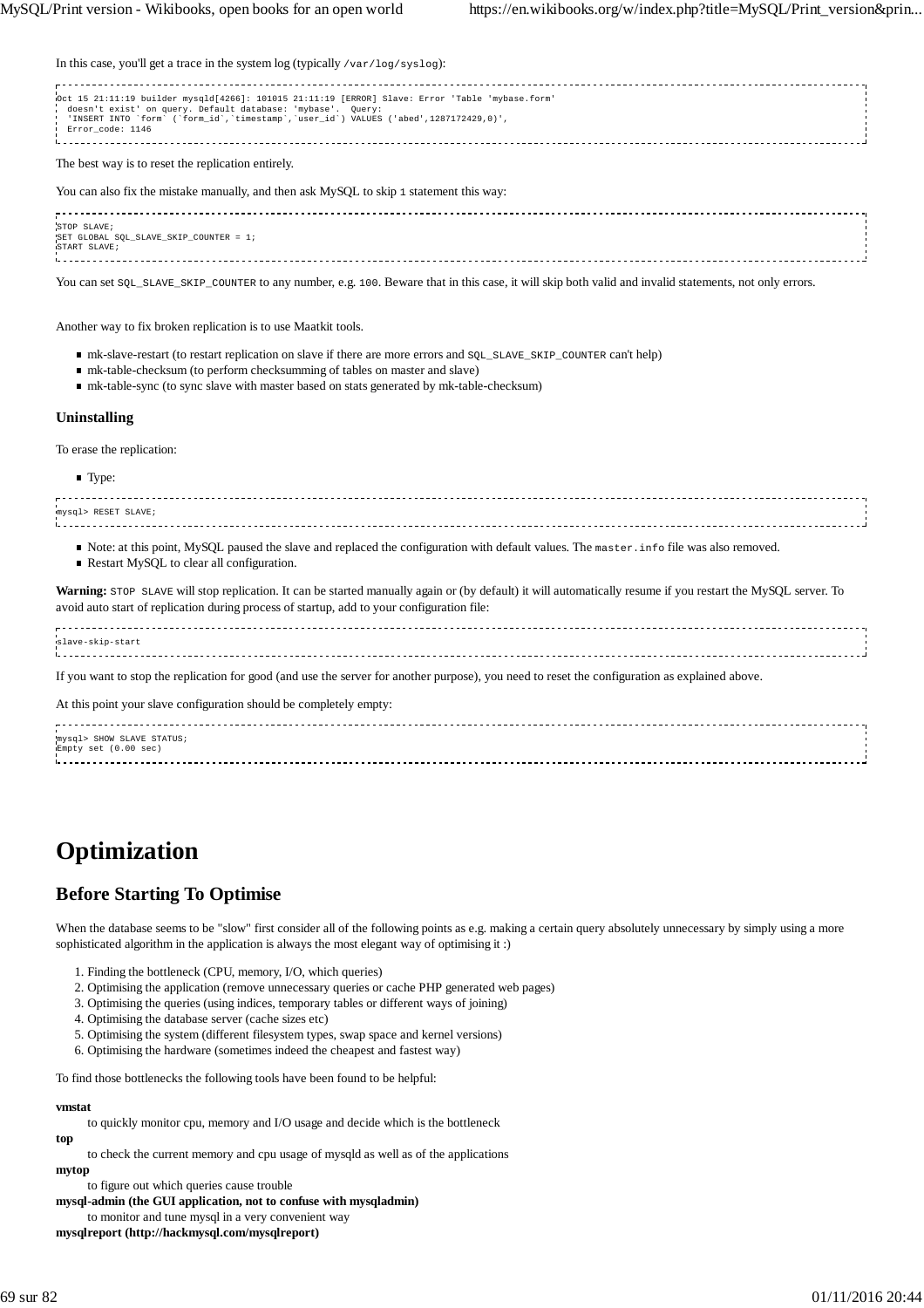In this case, you'll get a trace in the system log (typically /var/log/syslog):

| Oct 15 21:11:19 builder mysqld[4266]: 101015 21:11:19 [ERROR] Slave: Error 'Table 'mybase.form'<br>doesn't exist' on query. Default database: 'mybase'. Query:<br>'INSERT INTO `form` (`form_id`,`timestamp`,`user_id`) VALUES ('abed',1287172429,0)',<br>Error code: 1146 |  |
|----------------------------------------------------------------------------------------------------------------------------------------------------------------------------------------------------------------------------------------------------------------------------|--|
| The best way is to reset the replication entirely.                                                                                                                                                                                                                         |  |
| You can also fix the mistake manually, and then ask MySQL to skip 1 statement this way:                                                                                                                                                                                    |  |
| STOP SLAVE;<br>SET GLOBAL SOL SLAVE SKIP COUNTER = 1;<br>START SLAVE;                                                                                                                                                                                                      |  |

You can set SQL\_SLAVE\_SKIP\_COUNTER to any number, e.g. 100. Beware that in this case, it will skip both valid and invalid statements, not only errors.

Another way to fix broken replication is to use Maatkit tools.

- mk-slave-restart (to restart replication on slave if there are more errors and SQL\_SLAVE\_SKIP\_COUNTER can't help)
- mk-table-checksum (to perform checksumming of tables on master and slave)
- mk-table-sync (to sync slave with master based on stats generated by mk-table-checksum)

## **Uninstalling**

To erase the replication:

**Type:** mysql> RESET SLAVE; 

- Note: at this point, MySQL paused the slave and replaced the configuration with default values. The master. info file was also removed.
- Restart MySQL to clear all configuration.

Warning: STOP SLAVE will stop replication. It can be started manually again or (by default) it will automatically resume if you restart the MySQL server. To avoid auto start of replication during process of startup, add to your configuration file:

| slave-skip-start                                                                                                                               |  |
|------------------------------------------------------------------------------------------------------------------------------------------------|--|
| If you want to stop the replication for good (and use the server for another purpose), you need to reset the configuration as explained above. |  |
| At this point your slave configuration should be completely empty:                                                                             |  |
|                                                                                                                                                |  |

| mysql> SHOW SLAVE STATUS; |  |
|---------------------------|--|
| Empty set (0.00 sec)      |  |
|                           |  |
|                           |  |

# **Optimization**

# **Before Starting To Optimise**

When the database seems to be "slow" first consider all of the following points as e.g. making a certain query absolutely unnecessary by simply using a more sophisticated algorithm in the application is always the most elegant way of optimising it :)

- 1. Finding the bottleneck (CPU, memory, I/O, which queries)
- 2. Optimising the application (remove unnecessary queries or cache PHP generated web pages)
- 3. Optimising the queries (using indices, temporary tables or different ways of joining)
- 4. Optimising the database server (cache sizes etc)
- 5. Optimising the system (different filesystem types, swap space and kernel versions)

6. Optimising the hardware (sometimes indeed the cheapest and fastest way)

To find those bottlenecks the following tools have been found to be helpful:

## **vmstat**

to quickly monitor cpu, memory and I/O usage and decide which is the bottleneck

to check the current memory and cpu usage of mysqld as well as of the applications

#### **mytop**

**top**

to figure out which queries cause trouble

**mysql-admin (the GUI application, not to confuse with mysqladmin)**

to monitor and tune mysql in a very convenient way

**mysqlreport (http://hackmysql.com/mysqlreport)**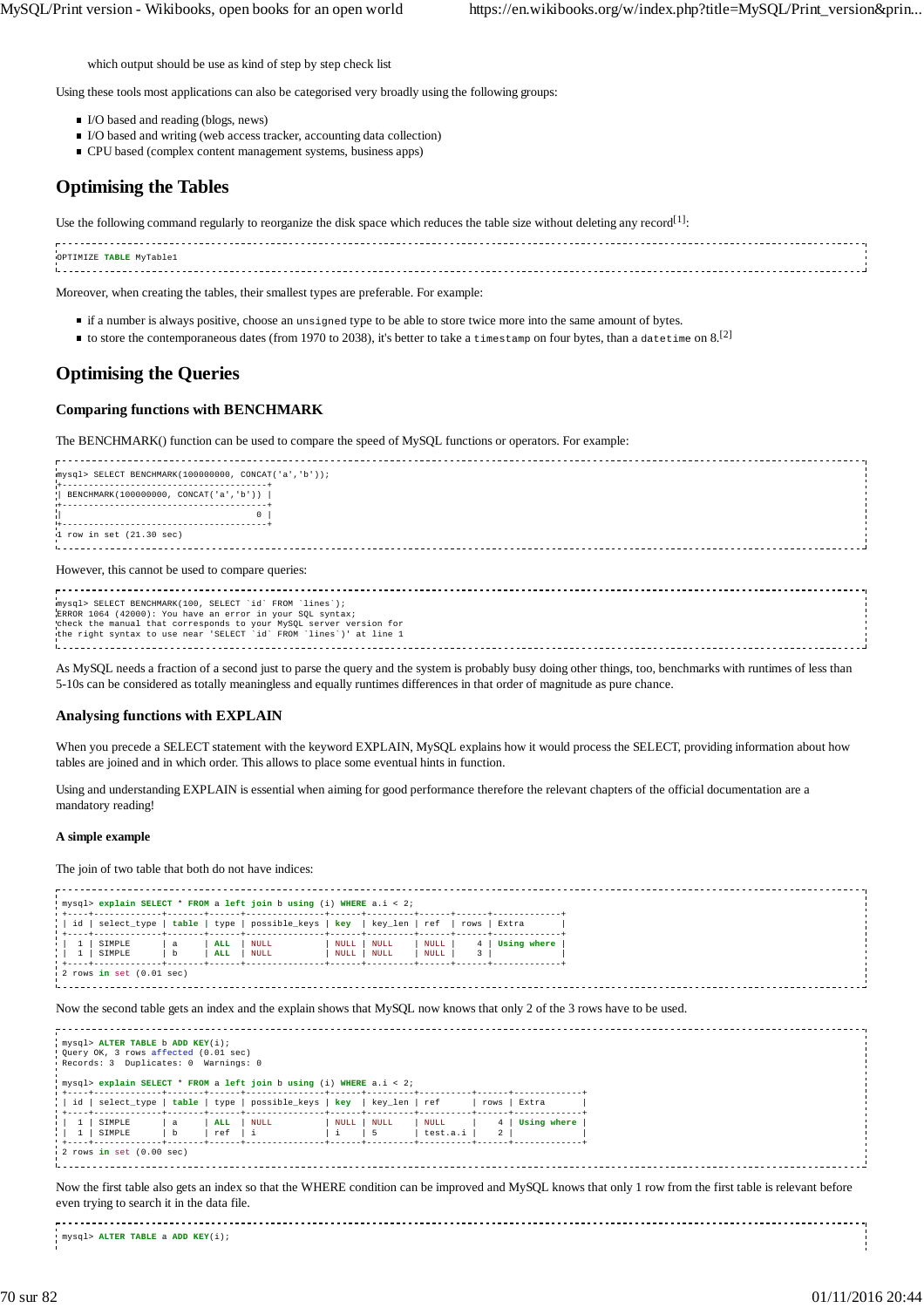which output should be use as kind of step by step check list

Using these tools most applications can also be categorised very broadly using the following groups:

- I/O based and reading (blogs, news)
- $\blacksquare$  I/O based and writing (web access tracker, accounting data collection)
- CPU based (complex content management systems, business apps)

# **Optimising the Tables**

Use the following command regularly to reorganize the disk space which reduces the table size without deleting any record<sup>[1]</sup>:

| OPTIMIZE TABLE MyTable1 |  |
|-------------------------|--|
|                         |  |
|                         |  |
|                         |  |

Moreover, when creating the tables, their smallest types are preferable. For example:

- if a number is always positive, choose an unsigned type to be able to store twice more into the same amount of bytes.
- to store the contemporaneous dates (from 1970 to 2038), it's better to take a timestamp on four bytes, than a datetime on 8.<sup>[2]</sup>

# **Optimising the Queries**

#### **Comparing functions with BENCHMARK**

The BENCHMARK() function can be used to compare the speed of MySQL functions or operators. For example:

mysql> SELECT BENCHMARK(100000000, CONCAT('a','b')); +---------------------------------------+ | BENCHMARK(100000000, CONCAT('a','b')) | +---------------------------------------+  $\parallel$  0  $\parallel$ +---------------------------------------+ 1 row in set (21.30 sec) 

#### However, this cannot be used to compare queries:

mysql> SELECT BENCHMARK(100, SELECT `id` FROM `lines`);<br>ERROR 1064 (42000): You have an error in your SQL syntax;<br>check the manual that corresponds to your MySQL server version for<br>the right syntax to use near 'SELECT `id` 

As MySQL needs a fraction of a second just to parse the query and the system is probably busy doing other things, too, benchmarks with runtimes of less than 5-10s can be considered as totally meaningless and equally runtimes differences in that order of magnitude as pure chance.

#### **Analysing functions with EXPLAIN**

When you precede a SELECT statement with the keyword EXPLAIN, MySQL explains how it would process the SELECT, providing information about how tables are joined and in which order. This allows to place some eventual hints in function.

Using and understanding EXPLAIN is essential when aiming for good performance therefore the relevant chapters of the official documentation are a mandatory reading!

#### **A simple example**

The join of two table that both do not have indices:

| id      | select type      |                  |                          | table   type   possible_keys   key   key_len   ref |              |              |                     | rows   | Extra       |
|---------|------------------|------------------|--------------------------|----------------------------------------------------|--------------|--------------|---------------------|--------|-------------|
| $\perp$ | SIMPLE<br>SIMPLE | a<br>$\mathbf b$ | <b>ALL</b><br><b>ALL</b> | NULL<br>NULL                                       | NULL<br>NULL | NULL<br>NULL | <b>NULL</b><br>NULL | 4<br>3 | Using where |

Now the second table gets an index and the explain shows that MySQL now knows that only 2 of the 3 rows have to be used.

|                                                               | $mysgl>$ ALTER TABLE b ADD KEY(i);<br>. Query OK, 3 rows affected (0.01 sec)<br>Records: 3 Duplicates: 0 Warnings: 0 |                  |            | ' mysql> explain SELECT * FROM a left join b using (i) WHERE a.i < 2; |      |            |                  |      |             |
|---------------------------------------------------------------|----------------------------------------------------------------------------------------------------------------------|------------------|------------|-----------------------------------------------------------------------|------|------------|------------------|------|-------------|
|                                                               |                                                                                                                      |                  |            | id   select_type   table   type   possible_keys   key   key_len   ref |      |            |                  | rows | Extra       |
| $\begin{pmatrix} 1 & 1 \\ 1 & 1 \end{pmatrix}$<br>$1 - 1 - 1$ | SIMPLE<br>SIMPLE                                                                                                     | a<br>$\mathbf b$ | ALL<br>ref | <b>NULL</b>                                                           | NULL | NULL<br>-5 | NULL<br>test.a.i |      | Using where |
|                                                               | $\frac{1}{2}$ rows in set $(0.00$ sec)                                                                               |                  |            |                                                                       |      |            |                  |      |             |

Now the first table also gets an index so that the WHERE condition can be improved and MySQL knows that only 1 row from the first table is relevant before even trying to search it in the data file.

mysql> **ALTER TABLE** a **ADD KEY**(i);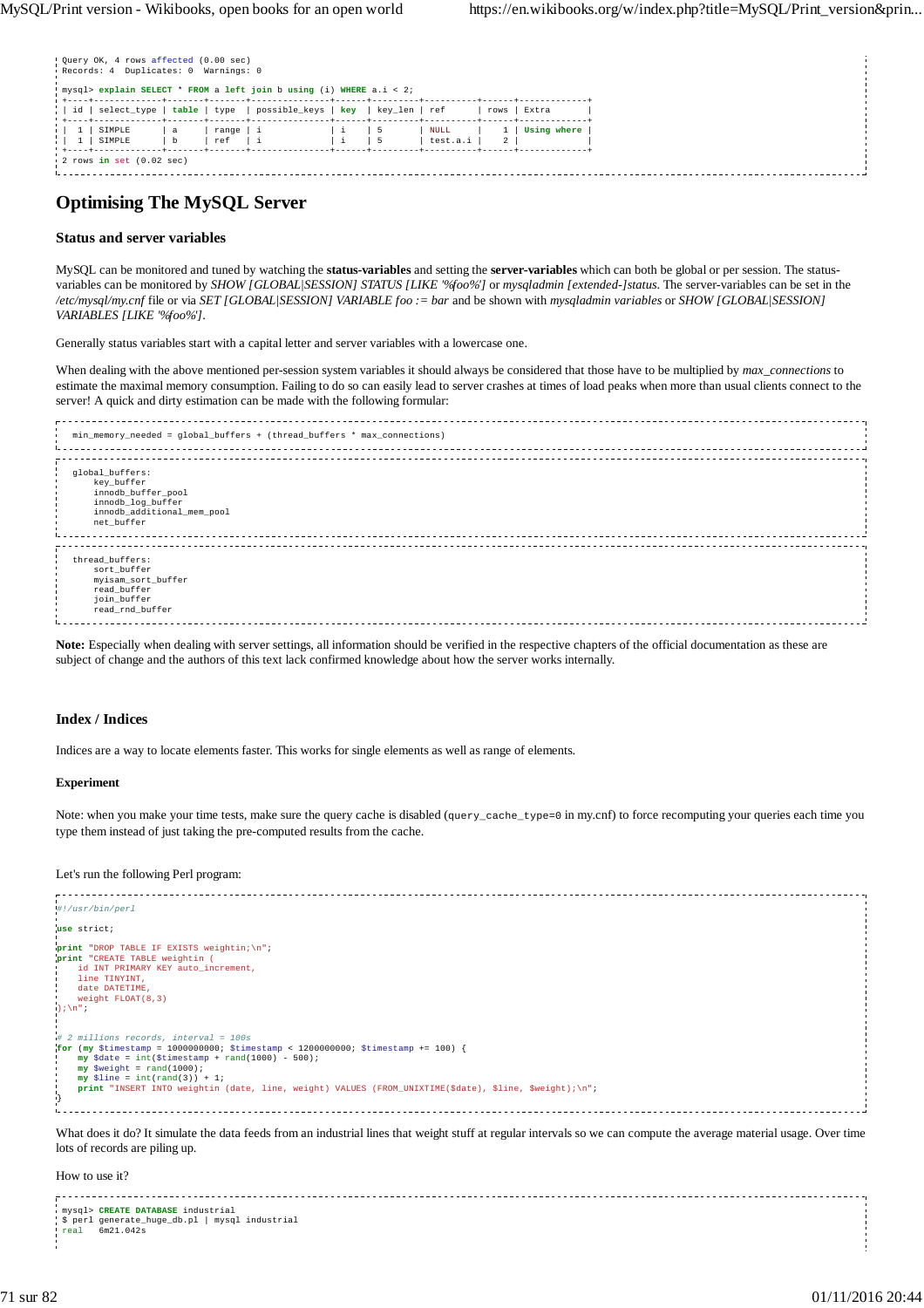|      | . Query OK, 4 rows affected (0.00 sec)<br>Records: 4 Duplicates: 0 Warnings: 0 |               |                  | ' mysql> explain SELECT * FROM a left join b using (i) WHERE a.i < 2; |  |                  |      |             |
|------|--------------------------------------------------------------------------------|---------------|------------------|-----------------------------------------------------------------------|--|------------------|------|-------------|
|      | id   select_type   table   type                                                |               |                  | possible_keys   key   key_len   ref                                   |  |                  | rows | Extra       |
| - 11 | SIMPLE<br>SIMPLE<br><b>+----+-------</b>                                       | $\frac{a}{b}$ | range   i<br>ref |                                                                       |  | NULL<br>test.a.i | 2    | Using where |
|      | $\frac{1}{2}$ rows in set $(0.02 \text{ sec})$                                 |               |                  |                                                                       |  |                  |      |             |

# **Optimising The MySQL Server**

#### **Status and server variables**

MySQL can be monitored and tuned by watching the **status-variables** and setting the **server-variables** which can both be global or per session. The statusvariables can be monitored by *SHOW [GLOBAL|SESSION] STATUS [LIKE '%foo%']* or *mysqladmin [extended-]status*. The server-variables can be set in the */etc/mysql/my.cnf* file or via *SET [GLOBAL|SESSION] VARIABLE foo := bar* and be shown with *mysqladmin variables* or *SHOW [GLOBAL|SESSION] VARIABLES [LIKE '%foo%']*.

Generally status variables start with a capital letter and server variables with a lowercase one.

When dealing with the above mentioned per-session system variables it should always be considered that those have to be multiplied by *max\_connections* to estimate the maximal memory consumption. Failing to do so can easily lead to server crashes at times of load peaks when more than usual clients connect to the server! A quick and dirty estimation can be made with the following formular:

| min_memory_needed = global_buffers + (thread_buffers * max_connections)                                              |  |
|----------------------------------------------------------------------------------------------------------------------|--|
|                                                                                                                      |  |
| global_buffers:<br>key buffer<br>innodb_buffer_pool<br>innodb_log_buffer<br>innodb_additional_mem_pool<br>net_buffer |  |
|                                                                                                                      |  |
| thread_buffers:<br>sort_buffer<br>myisam_sort_buffer<br>read_buffer<br>join_buffer<br>read_rnd_buffer                |  |

**Note:** Especially when dealing with server settings, all information should be verified in the respective chapters of the official documentation as these are subject of change and the authors of this text lack confirmed knowledge about how the server works internally.

#### **Index / Indices**

Indices are a way to locate elements faster. This works for single elements as well as range of elements.

#### **Experiment**

Note: when you make your time tests, make sure the query cache is disabled (query\_cache\_type=0 in my.cnf) to force recomputing your queries each time you type them instead of just taking the pre-computed results from the cache.

#### Let's run the following Perl program:

| #!/usr/bin/perl                                                                                                                                                     |  |
|---------------------------------------------------------------------------------------------------------------------------------------------------------------------|--|
|                                                                                                                                                                     |  |
| use strict;                                                                                                                                                         |  |
|                                                                                                                                                                     |  |
| print "DROP TABLE IF EXISTS weightin; \n";                                                                                                                          |  |
| print "CREATE TABLE weightin (                                                                                                                                      |  |
|                                                                                                                                                                     |  |
| id INT PRIMARY KEY auto increment,                                                                                                                                  |  |
| line TINYINT,                                                                                                                                                       |  |
| date DATETIME.                                                                                                                                                      |  |
| weight $FLOAT(8, 3)$                                                                                                                                                |  |
| $\cdot$ ); \n";                                                                                                                                                     |  |
|                                                                                                                                                                     |  |
|                                                                                                                                                                     |  |
| $# 2$ millions records, interval = 100s                                                                                                                             |  |
|                                                                                                                                                                     |  |
| for (my \$timestamp = 1000000000; \$timestamp < 1200000000; \$timestamp += 100) {                                                                                   |  |
| $my$ \$date = int(\$timestamp + rand(1000) - 500);                                                                                                                  |  |
| $my$ \$weight = rand(1000);                                                                                                                                         |  |
| $my$ \$line = int(rand(3)) + 1;                                                                                                                                     |  |
| print "INSERT INTO weightin (date, line, weight) VALUES (FROM_UNIXTIME(\$date), \$line, \$weight);\n";                                                              |  |
|                                                                                                                                                                     |  |
|                                                                                                                                                                     |  |
|                                                                                                                                                                     |  |
|                                                                                                                                                                     |  |
| What does it do? It simulate the data feeds from an industrial lines that weight stuff at regular intervals so we can compute the average material usage. Over time |  |
|                                                                                                                                                                     |  |

lots of records are piling up.

How to use it?

|  | mysql> CREATE DATABASE industrial<br>\$ perl generate_huge_db.pl   mysql industrial<br>$real$ 6m21.042s |  |
|--|---------------------------------------------------------------------------------------------------------|--|
|  |                                                                                                         |  |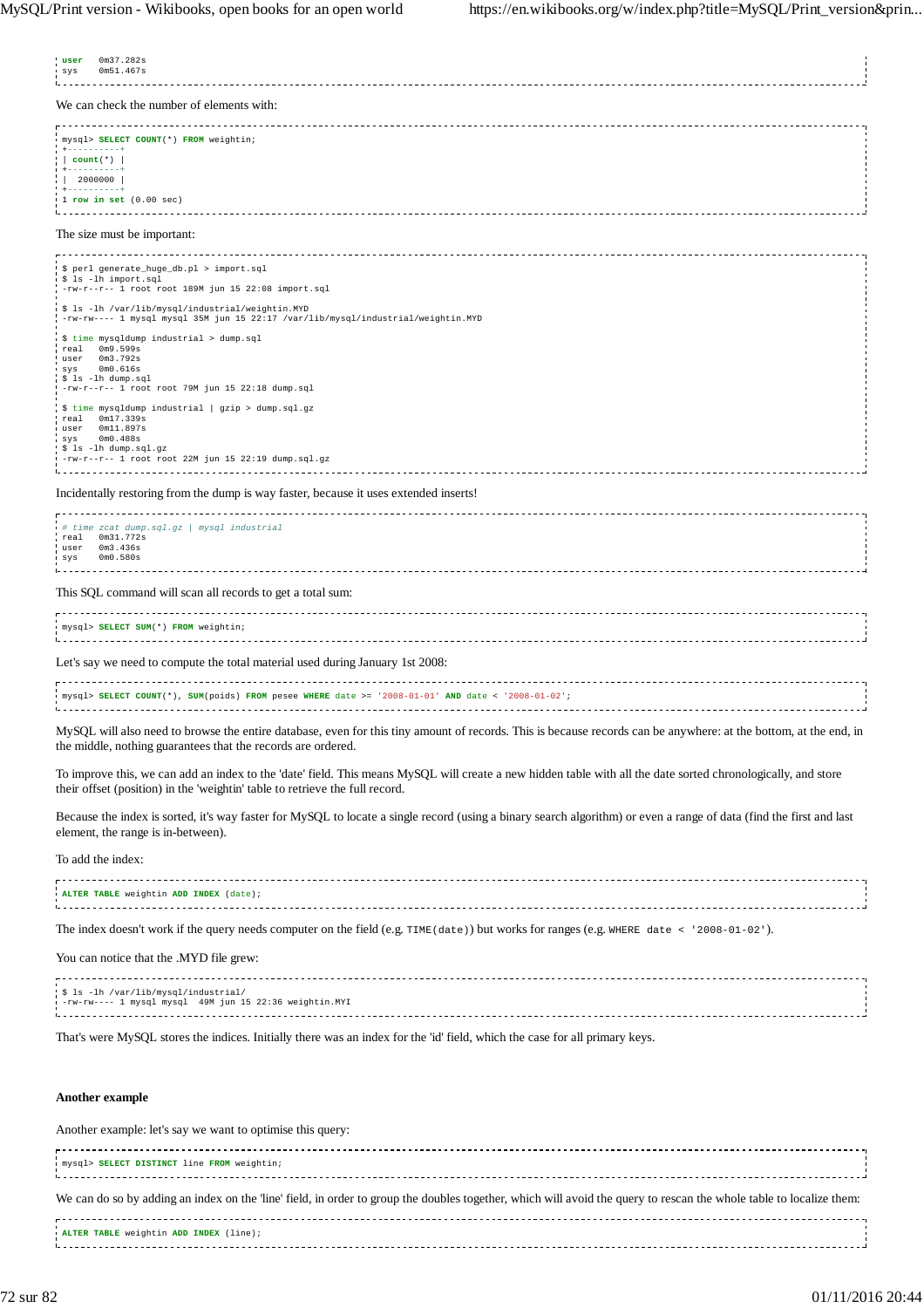| 0m37.282s<br>user<br>0m51.467s<br>sys                                                                                                                                                                                                         |  |  |  |
|-----------------------------------------------------------------------------------------------------------------------------------------------------------------------------------------------------------------------------------------------|--|--|--|
| We can check the number of elements with:                                                                                                                                                                                                     |  |  |  |
| mysql> SELECT COUNT(*) FROM weightin;<br>$+ - - - - - - - - - +$<br>$ $ count $(*)$  <br>+----------+<br> 2000000 <br>+----------+<br>$1$ row in set $(0.00 \text{ sec})$                                                                     |  |  |  |
| The size must be important:                                                                                                                                                                                                                   |  |  |  |
| \$ perl generate_huge_db.pl > import.sql<br>\$ ls -lh import.sql<br>$-rw-r--1$ root root 189M jun 15 22:08 import.sql                                                                                                                         |  |  |  |
| \$ ls -lh /var/lib/mysql/industrial/weightin.MYD<br>-rw-rw---- 1 mysql mysql 35M jun 15 22:17 /var/lib/mysql/industrial/weightin.MYD                                                                                                          |  |  |  |
| \$ time mysqldump industrial > dump.sql<br>real 0m9.599s<br>0m3.792s<br>user<br>0 <sub>m0.616s</sub><br>SVS<br>\$ ls -lh dump.sql<br>$-rw-r--r-1$ root root 79M jun 15 22:18 dump.sql                                                         |  |  |  |
| \$ time mysqldump industrial   gzip > dump.sql.gz<br>0m17.339s<br>real<br>0m11.897s<br>user<br>$svs$ $0m0.488s$<br>\$ 1s -1h dump.sql.gz<br>$-rw-r-r-1$ root root 22M jun 15 22:19 dump.sql.gz                                                |  |  |  |
| Incidentally restoring from the dump is way faster, because it uses extended inserts!                                                                                                                                                         |  |  |  |
| # time zcat dump.sql.gz   mysql industrial<br>real  0m31.772s<br>user 0m3.436s<br>0m0.580s<br>sys                                                                                                                                             |  |  |  |
| This SQL command will scan all records to get a total sum:                                                                                                                                                                                    |  |  |  |
| mysql> SELECT SUM(*) FROM weightin;                                                                                                                                                                                                           |  |  |  |
| Let's say we need to compute the total material used during January 1st 2008:                                                                                                                                                                 |  |  |  |
| mysql> SELECT COUNT(*), SUM(poids) FROM pesee WHERE date >= '2008-01-01' AND date < '2008-01-02';                                                                                                                                             |  |  |  |
| MySQL will also need to browse the entire database, even for this tiny amount of records. This is because records can be anywhere: at the bottom, at the end, in<br>the middle, nothing guarantees that the records are ordered.              |  |  |  |
| To improve this, we can add an index to the 'date' field. This means MySQL will create a new hidden table with all the date sorted chronologically, and store<br>their offset (position) in the 'weightin' table to retrieve the full record. |  |  |  |
| Because the index is sorted, it's way faster for MySQL to locate a single record (using a binary search algorithm) or even a range of data (find the first and last<br>element, the range is in-between).                                     |  |  |  |
| To add the index:                                                                                                                                                                                                                             |  |  |  |
| ALTER TABLE weightin ADD INDEX (date);                                                                                                                                                                                                        |  |  |  |
| The index doesn't work if the query needs computer on the field (e.g. TIME (date)) but works for ranges (e.g. WHERE date < '2008-01-02').                                                                                                     |  |  |  |
| You can notice that the .MYD file grew:                                                                                                                                                                                                       |  |  |  |
| \$ ls -lh /var/lib/mysql/industrial/<br>-rw-rw---- 1 mysql mysql 49M jun 15 22:36 weightin. MYI                                                                                                                                               |  |  |  |
| That's were MySQL stores the indices. Initially there was an index for the 'id' field, which the case for all primary keys.                                                                                                                   |  |  |  |
| Another example                                                                                                                                                                                                                               |  |  |  |
| Another example: let's say we want to optimise this query:                                                                                                                                                                                    |  |  |  |

mysql> **SELECT DISTINCT** line **FROM** weightin; We can do so by adding an index on the 'line' field, in order to group the doubles together, which will avoid the query to rescan the whole table to localize them: 

**ALTER TABLE** weightin **ADD INDEX** (line);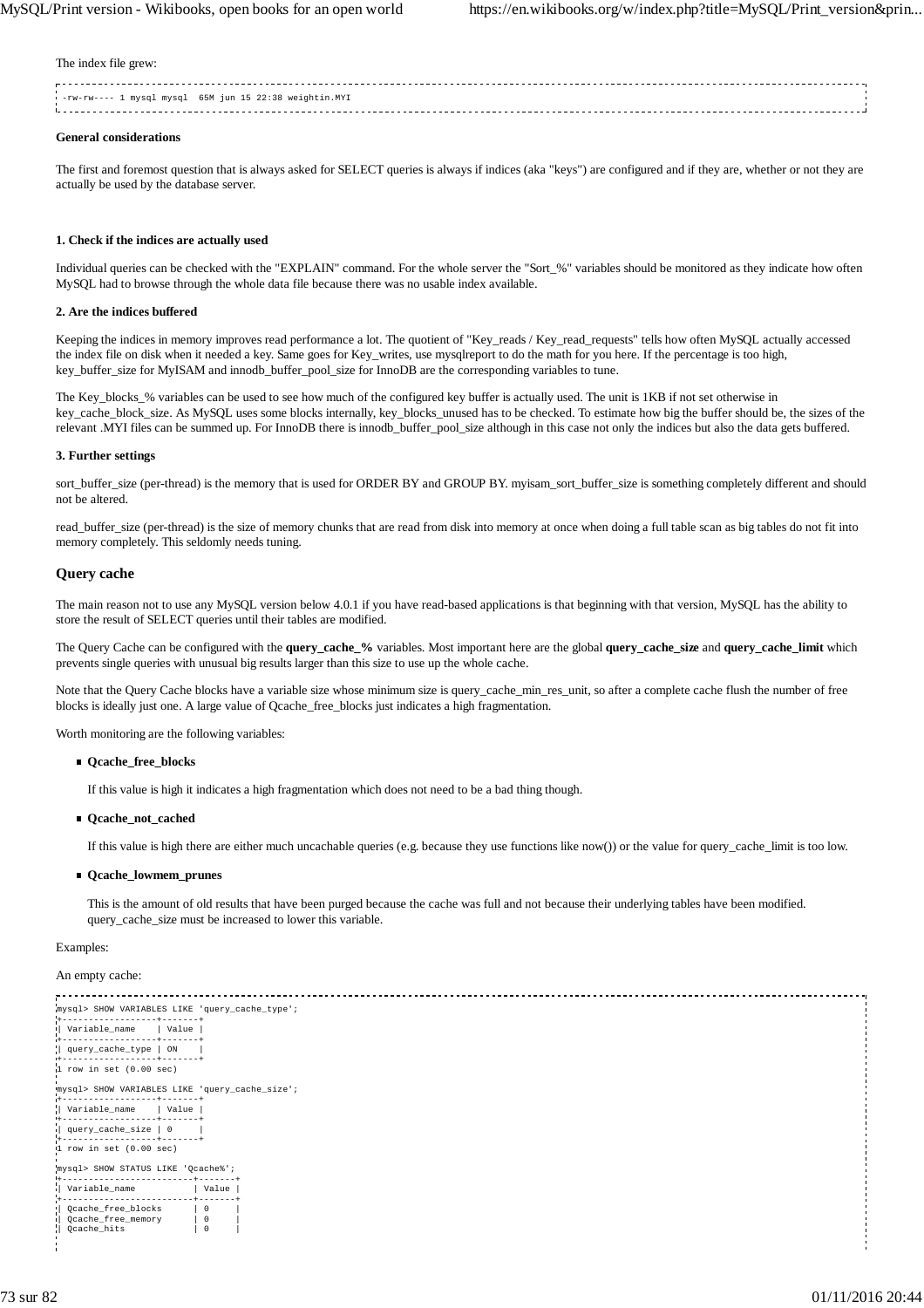The index file grew:

| - rw-rw---- 1 mysql mysql 65M jun 15 22:38 weightin.MYI |  |
|---------------------------------------------------------|--|
|                                                         |  |
|                                                         |  |
|                                                         |  |
|                                                         |  |

#### **General considerations**

The first and foremost question that is always asked for SELECT queries is always if indices (aka "keys") are configured and if they are, whether or not they are actually be used by the database server.

#### **1. Check if the indices are actually used**

Individual queries can be checked with the "EXPLAIN" command. For the whole server the "Sort\_%" variables should be monitored as they indicate how often MySQL had to browse through the whole data file because there was no usable index available.

#### **2. Are the indices buffered**

Keeping the indices in memory improves read performance a lot. The quotient of "Key\_reads / Key\_read\_requests" tells how often MySQL actually accessed the index file on disk when it needed a key. Same goes for Key\_writes, use mysqlreport to do the math for you here. If the percentage is too high, key\_buffer\_size for MyISAM and innodb\_buffer\_pool\_size for InnoDB are the corresponding variables to tune.

The Key\_blocks\_% variables can be used to see how much of the configured key buffer is actually used. The unit is 1KB if not set otherwise in key\_cache\_block\_size. As MySQL uses some blocks internally, key\_blocks\_unused has to be checked. To estimate how big the buffer should be, the sizes of the relevant .MYI files can be summed up. For InnoDB there is innodb\_buffer\_pool\_size although in this case not only the indices but also the data gets buffered.

#### **3. Further settings**

sort\_buffer\_size (per-thread) is the memory that is used for ORDER BY and GROUP BY. myisam\_sort\_buffer\_size is something completely different and should not be altered.

read\_buffer\_size (per-thread) is the size of memory chunks that are read from disk into memory at once when doing a full table scan as big tables do not fit into memory completely. This seldomly needs tuning.

#### **Query cache**

The main reason not to use any MySQL version below 4.0.1 if you have read-based applications is that beginning with that version, MySQL has the ability to store the result of SELECT queries until their tables are modified.

The Query Cache can be configured with the **query\_cache\_%** variables. Most important here are the global **query\_cache\_size** and **query\_cache\_limit** which prevents single queries with unusual big results larger than this size to use up the whole cache.

Note that the Query Cache blocks have a variable size whose minimum size is query\_cache\_min\_res\_unit, so after a complete cache flush the number of free blocks is ideally just one. A large value of Qcache\_free\_blocks just indicates a high fragmentation.

Worth monitoring are the following variables:

#### **Qcache\_free\_blocks**

If this value is high it indicates a high fragmentation which does not need to be a bad thing though.

**Qcache\_not\_cached**

If this value is high there are either much uncachable queries (e.g. because they use functions like now()) or the value for query\_cache\_limit is too low.

#### **Qcache\_lowmem\_prunes**

This is the amount of old results that have been purged because the cache was full and not because their underlying tables have been modified. query\_cache\_size must be increased to lower this variable.

## Examples:

An empty cache:

```
mysql> SHOW VARIABLES LIKE 'query_cache_type';
+------------------+-------+
| Variable_name | Value |
+------------------+-------+
| query_cache_type | ON |
+------------------+-------+
1 row in set (0.00 sec)
mysql> SHOW VARIABLES LIKE 'query_cache_size';
+------------------+-------+
| Variable_name | Value |
+------------------+-------+
| query_cache_size | 0 |
+------------------+-------+
1 row in set (0.00 sec)
.<br>mvsql> SHOW STATUS LIKE 'Ocache%';
                ------------+--------+<br>| Value +
  Variable name
+-------------------------+-------+
| Qcache_free_blocks | 0 |
| Qcache_free_memory | 0 |<br>| Qcache_hits | 0 |
```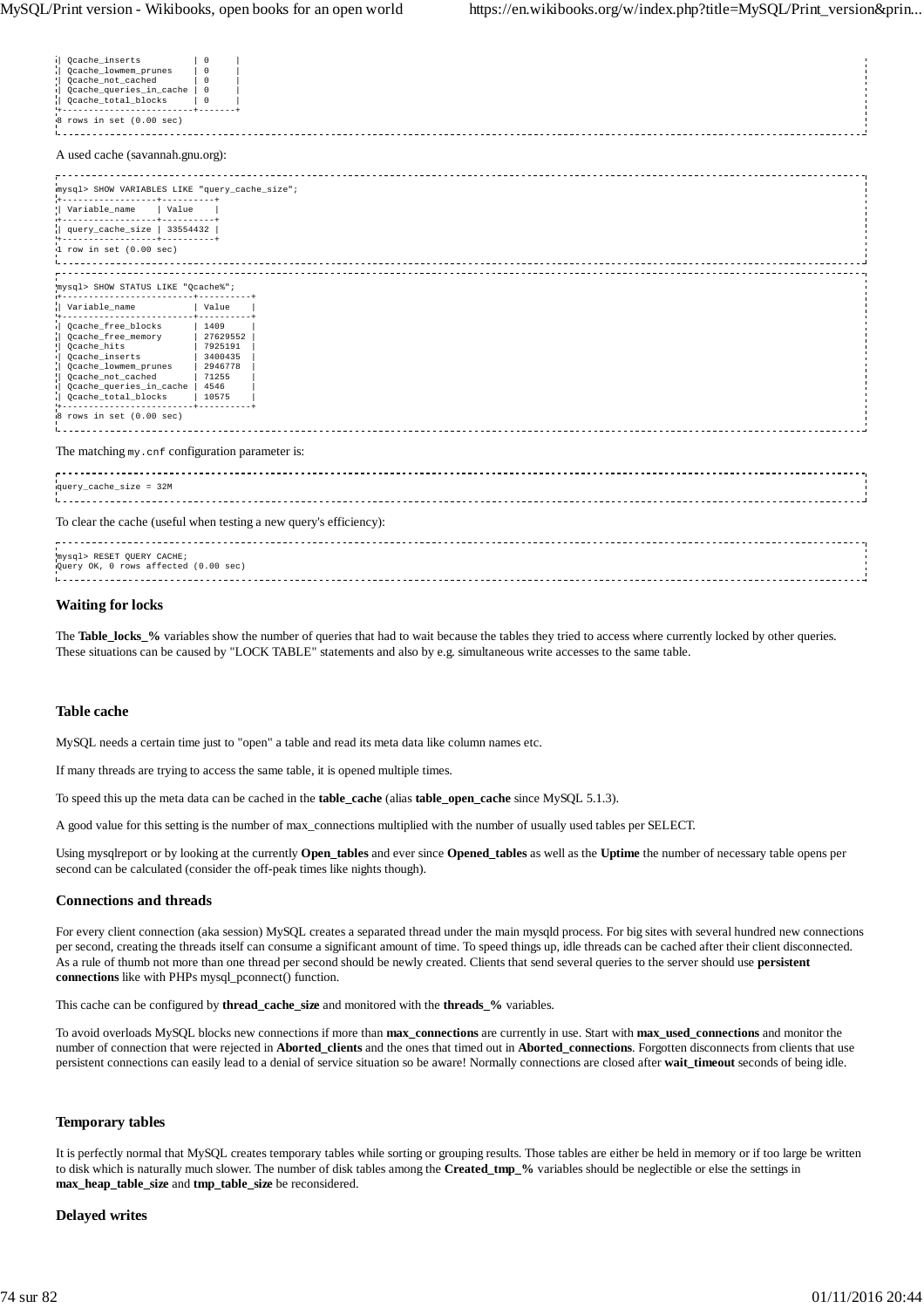| Qcache_inserts<br>Qcache_lowmem_prunes<br>۱L<br>Qcache_not_cached<br>Qcache_queries_in_cache   0<br>пL.<br>Qcache_total_blocks<br>8 rows in set (0.00 sec)<br>A used cache (savannah.gnu.org):                                 | 0<br>$^{\circ}$<br>$\circ$<br>$\overline{\phantom{0}}$                |  |  |
|--------------------------------------------------------------------------------------------------------------------------------------------------------------------------------------------------------------------------------|-----------------------------------------------------------------------|--|--|
| mysql> SHOW VARIABLES LIKE "query_cache_size";                                                                                                                                                                                 |                                                                       |  |  |
| Variable_name   Value                                                                                                                                                                                                          |                                                                       |  |  |
| -------------+----------+<br>query cache size   $33554432$                                                                                                                                                                     |                                                                       |  |  |
| ------------------+----------+                                                                                                                                                                                                 |                                                                       |  |  |
| $1$ row in set $(0.00$ sec)                                                                                                                                                                                                    |                                                                       |  |  |
|                                                                                                                                                                                                                                |                                                                       |  |  |
| mysql> SHOW STATUS LIKE "Qcache%";<br>-------------+----------+                                                                                                                                                                |                                                                       |  |  |
| Variable name                                                                                                                                                                                                                  | Value                                                                 |  |  |
| -------------------------<br>Ocache free blocks<br>Qcache_free_memory<br>пL.<br>Qcache_hits<br>Qcache_inserts<br>H.<br>Qcache_lowmem_prunes<br>Qcache_not_cached<br>Qcache_queries_in_cache   4546<br>п<br>Qcache_total_blocks | 1409<br>27629552<br>7925191<br>3400435<br>  2946778<br>71255<br>10575 |  |  |
| 8 rows in set (0.00 sec)                                                                                                                                                                                                       |                                                                       |  |  |
| The matching my. cnf configuration parameter is:                                                                                                                                                                               |                                                                       |  |  |
| query_cache_size = 32M                                                                                                                                                                                                         |                                                                       |  |  |
| To clear the cache (useful when testing a new query's efficiency):                                                                                                                                                             |                                                                       |  |  |
| mysql> RESET QUERY CACHE;<br>Query OK, 0 rows affected (0.00 sec)                                                                                                                                                              |                                                                       |  |  |
|                                                                                                                                                                                                                                |                                                                       |  |  |

## **Waiting for locks**

The **Table\_locks\_%** variables show the number of queries that had to wait because the tables they tried to access where currently locked by other queries. These situations can be caused by "LOCK TABLE" statements and also by e.g. simultaneous write accesses to the same table.

#### **Table cache**

MySQL needs a certain time just to "open" a table and read its meta data like column names etc.

If many threads are trying to access the same table, it is opened multiple times.

To speed this up the meta data can be cached in the **table\_cache** (alias **table\_open\_cache** since MySQL 5.1.3).

A good value for this setting is the number of max\_connections multiplied with the number of usually used tables per SELECT.

Using mysqlreport or by looking at the currently **Open\_tables** and ever since **Opened\_tables** as well as the **Uptime** the number of necessary table opens per second can be calculated (consider the off-peak times like nights though).

#### **Connections and threads**

For every client connection (aka session) MySQL creates a separated thread under the main mysqld process. For big sites with several hundred new connections per second, creating the threads itself can consume a significant amount of time. To speed things up, idle threads can be cached after their client disconnected. As a rule of thumb not more than one thread per second should be newly created. Clients that send several queries to the server should use **persistent connections** like with PHPs mysql\_pconnect() function.

This cache can be configured by **thread\_cache\_size** and monitored with the **threads\_%** variables.

To avoid overloads MySQL blocks new connections if more than **max\_connections** are currently in use. Start with **max\_used\_connections** and monitor the number of connection that were rejected in **Aborted\_clients** and the ones that timed out in **Aborted\_connections**. Forgotten disconnects from clients that use persistent connections can easily lead to a denial of service situation so be aware! Normally connections are closed after **wait\_timeout** seconds of being idle.

#### **Temporary tables**

It is perfectly normal that MySQL creates temporary tables while sorting or grouping results. Those tables are either be held in memory or if too large be written to disk which is naturally much slower. The number of disk tables among the **Created\_tmp\_%** variables should be neglectible or else the settings in **max\_heap\_table\_size** and **tmp\_table\_size** be reconsidered.

#### **Delayed writes**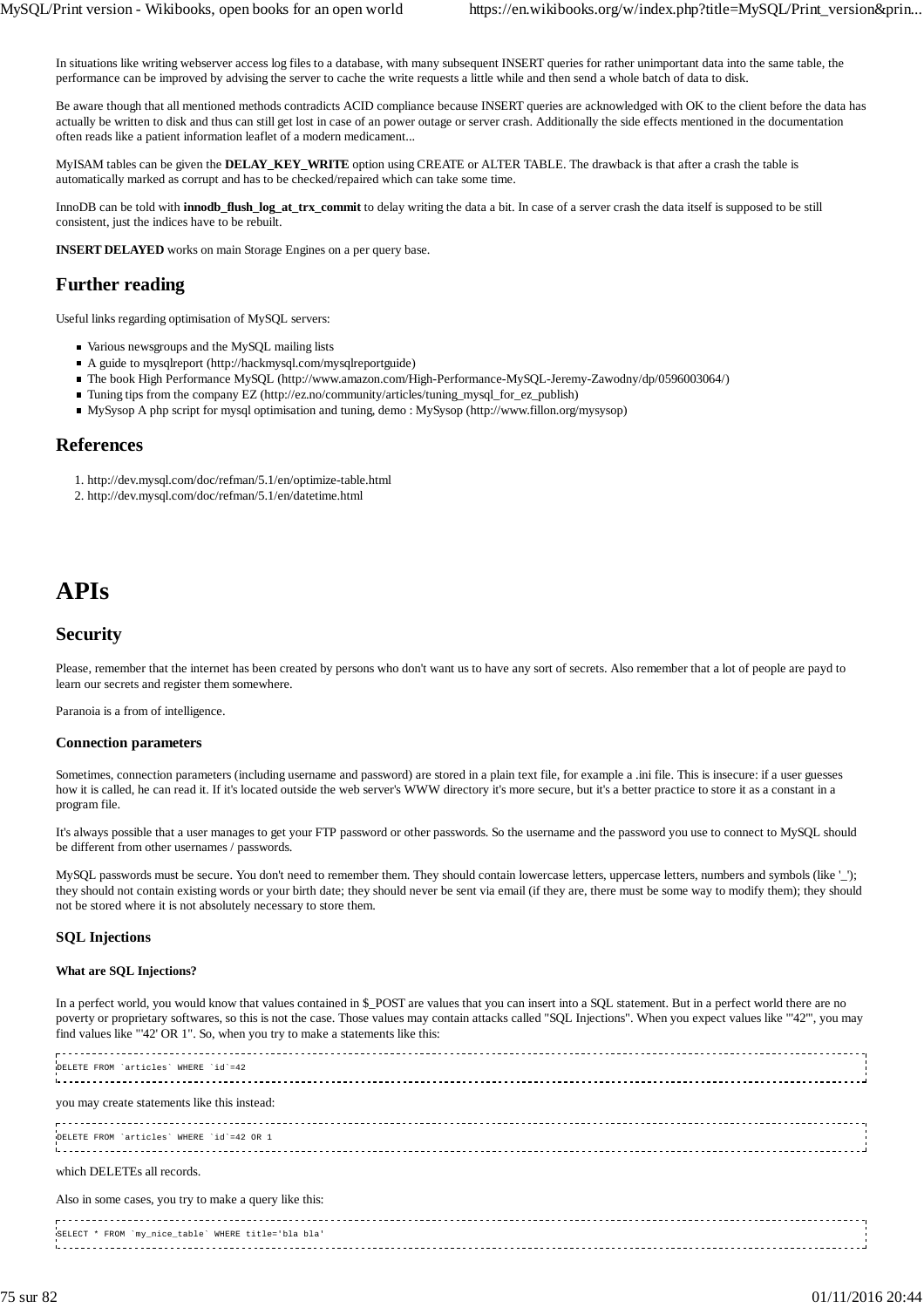In situations like writing webserver access log files to a database, with many subsequent INSERT queries for rather unimportant data into the same table, the performance can be improved by advising the server to cache the write requests a little while and then send a whole batch of data to disk.

Be aware though that all mentioned methods contradicts ACID compliance because INSERT queries are acknowledged with OK to the client before the data has actually be written to disk and thus can still get lost in case of an power outage or server crash. Additionally the side effects mentioned in the documentation often reads like a patient information leaflet of a modern medicament...

MyISAM tables can be given the **DELAY\_KEY\_WRITE** option using CREATE or ALTER TABLE. The drawback is that after a crash the table is automatically marked as corrupt and has to be checked/repaired which can take some time.

InnoDB can be told with **innodb\_flush\_log\_at\_trx\_commit** to delay writing the data a bit. In case of a server crash the data itself is supposed to be still consistent, just the indices have to be rebuilt.

**INSERT DELAYED** works on main Storage Engines on a per query base.

# **Further reading**

Useful links regarding optimisation of MySQL servers:

- Various newsgroups and the MySQL mailing lists
- A guide to mysqlreport (http://hackmysql.com/mysqlreportguide)
- The book High Performance MySQL (http://www.amazon.com/High-Performance-MySQL-Jeremy-Zawodny/dp/0596003064/)
- Tuning tips from the company EZ (http://ez.no/community/articles/tuning\_mysql\_for\_ez\_publish)
- MySysop A php script for mysql optimisation and tuning, demo : MySysop (http://www.fillon.org/mysysop)

## **References**

- 1. http://dev.mysql.com/doc/refman/5.1/en/optimize-table.html
- 2. http://dev.mysql.com/doc/refman/5.1/en/datetime.html

# **APIs**

# **Security**

Please, remember that the internet has been created by persons who don't want us to have any sort of secrets. Also remember that a lot of people are payd to learn our secrets and register them somewhere.

Paranoia is a from of intelligence.

#### **Connection parameters**

Sometimes, connection parameters (including username and password) are stored in a plain text file, for example a .ini file. This is insecure: if a user guesses how it is called, he can read it. If it's located outside the web server's WWW directory it's more secure, but it's a better practice to store it as a constant in a program file.

It's always possible that a user manages to get your FTP password or other passwords. So the username and the password you use to connect to MySQL should be different from other usernames / passwords.

MySQL passwords must be secure. You don't need to remember them. They should contain lowercase letters, uppercase letters, numbers and symbols (like '\_'); they should not contain existing words or your birth date; they should never be sent via email (if they are, there must be some way to modify them); they should not be stored where it is not absolutely necessary to store them.

#### **SQL Injections**

#### **What are SQL Injections?**

SELECT \* FROM `my\_nice\_table` WHERE title='bla bla'

------------------------------------

In a perfect world, you would know that values contained in \$\_POST are values that you can insert into a SQL statement. But in a perfect world there are no poverty or proprietary softwares, so this is not the case. Those values may contain attacks called "SQL Injections". When you expect values like "'42'", you may find values like "'42' OR 1". So, when you try to make a statements like this:

DELETE FROM `articles` WHERE `id`=42 you may create statements like this instead: DELETE FROM `articles` WHERE `id`=42 OR 1 which DELETEs all records. Also in some cases, you try to make a query like this: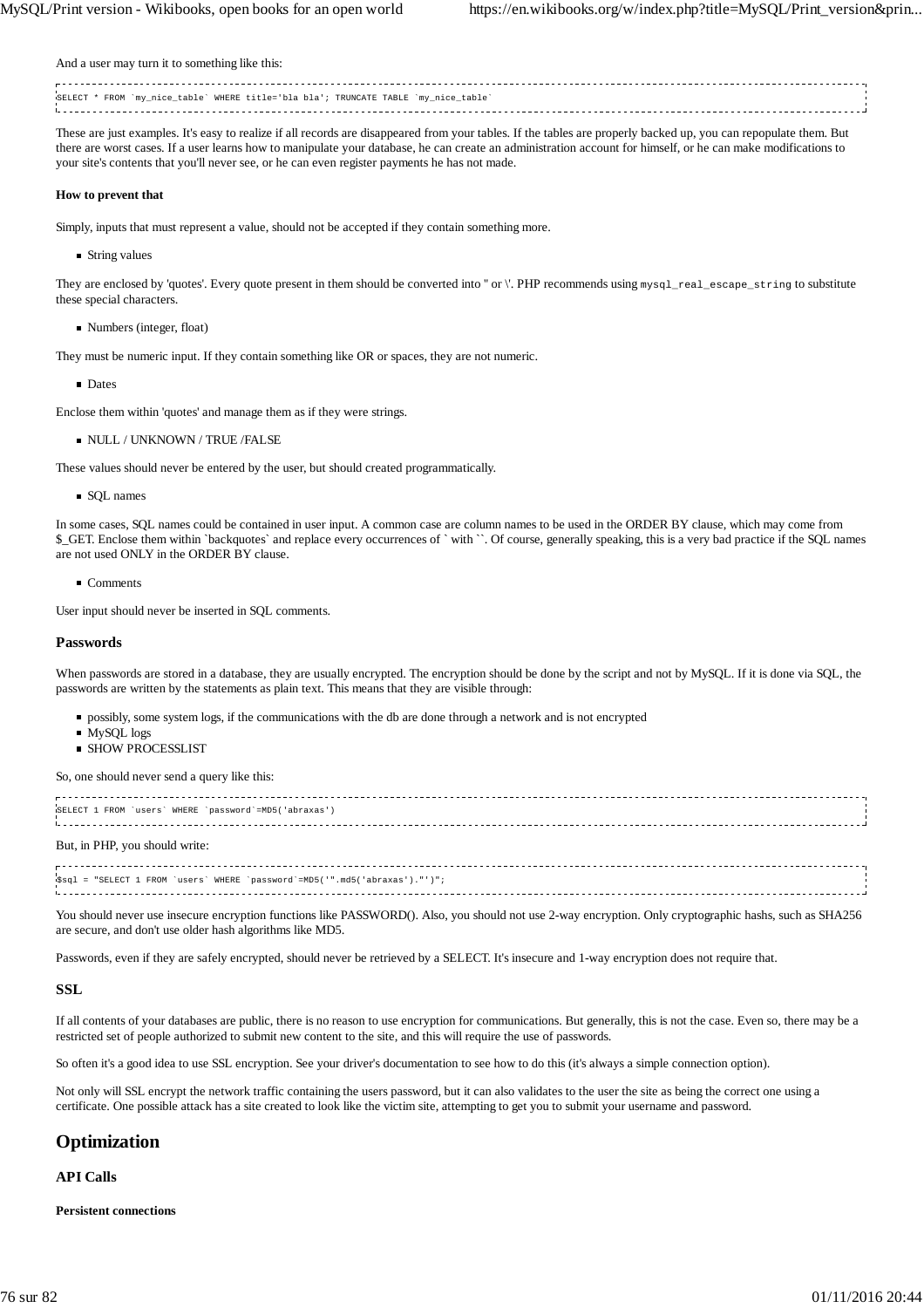And a user may turn it to something like this:

.<br>SELECT \* FROM `my\_nice\_table` WHERE title='bla bla'; TRUNCATE TABLE `my\_nice\_table` 

These are just examples. It's easy to realize if all records are disappeared from your tables. If the tables are properly backed up, you can repopulate them. But there are worst cases. If a user learns how to manipulate your database, he can create an administration account for himself, or he can make modifications to your site's contents that you'll never see, or he can even register payments he has not made.

#### **How to prevent that**

Simply, inputs that must represent a value, should not be accepted if they contain something more.

■ String values

They are enclosed by 'quotes'. Every quote present in them should be converted into " or \'. PHP recommends using mysql\_real\_escape\_string to substitute these special characters.

Numbers (integer, float)

They must be numeric input. If they contain something like OR or spaces, they are not numeric.

**Dates** 

Enclose them within 'quotes' and manage them as if they were strings.

**NULL / UNKNOWN / TRUE /FALSE** 

These values should never be entered by the user, but should created programmatically.

■ SQL names

In some cases, SQL names could be contained in user input. A common case are column names to be used in the ORDER BY clause, which may come from \$\_GET. Enclose them within `backquotes` and replace every occurrences of ` with ``. Of course, generally speaking, this is a very bad practice if the SQL names are not used ONLY in the ORDER BY clause.

Comments

User input should never be inserted in SQL comments.

## **Passwords**

When passwords are stored in a database, they are usually encrypted. The encryption should be done by the script and not by MySQL. If it is done via SQL, the passwords are written by the statements as plain text. This means that they are visible through:

- possibly, some system logs, if the communications with the db are done through a network and is not encrypted
- MySQL logs
- **SHOW PROCESSLIST**

So, one should never send a query like this:

| SELECT 1 FROM 'users' WHERE 'password'=MD5('abraxas')                      |  |
|----------------------------------------------------------------------------|--|
| But, in PHP, you should write:                                             |  |
| Ssql = "SELECT 1 FROM 'users' WHERE 'password'=MD5('".md5('abraxas')."')"; |  |

You should never use insecure encryption functions like PASSWORD(). Also, you should not use 2-way encryption. Only cryptographic hashs, such as SHA256 are secure, and don't use older hash algorithms like MD5.

Passwords, even if they are safely encrypted, should never be retrieved by a SELECT. It's insecure and 1-way encryption does not require that.

#### **SSL**

If all contents of your databases are public, there is no reason to use encryption for communications. But generally, this is not the case. Even so, there may be a restricted set of people authorized to submit new content to the site, and this will require the use of passwords.

So often it's a good idea to use SSL encryption. See your driver's documentation to see how to do this (it's always a simple connection option).

Not only will SSL encrypt the network traffic containing the users password, but it can also validates to the user the site as being the correct one using a certificate. One possible attack has a site created to look like the victim site, attempting to get you to submit your username and password.

# **Optimization**

#### **API Calls**

**Persistent connections**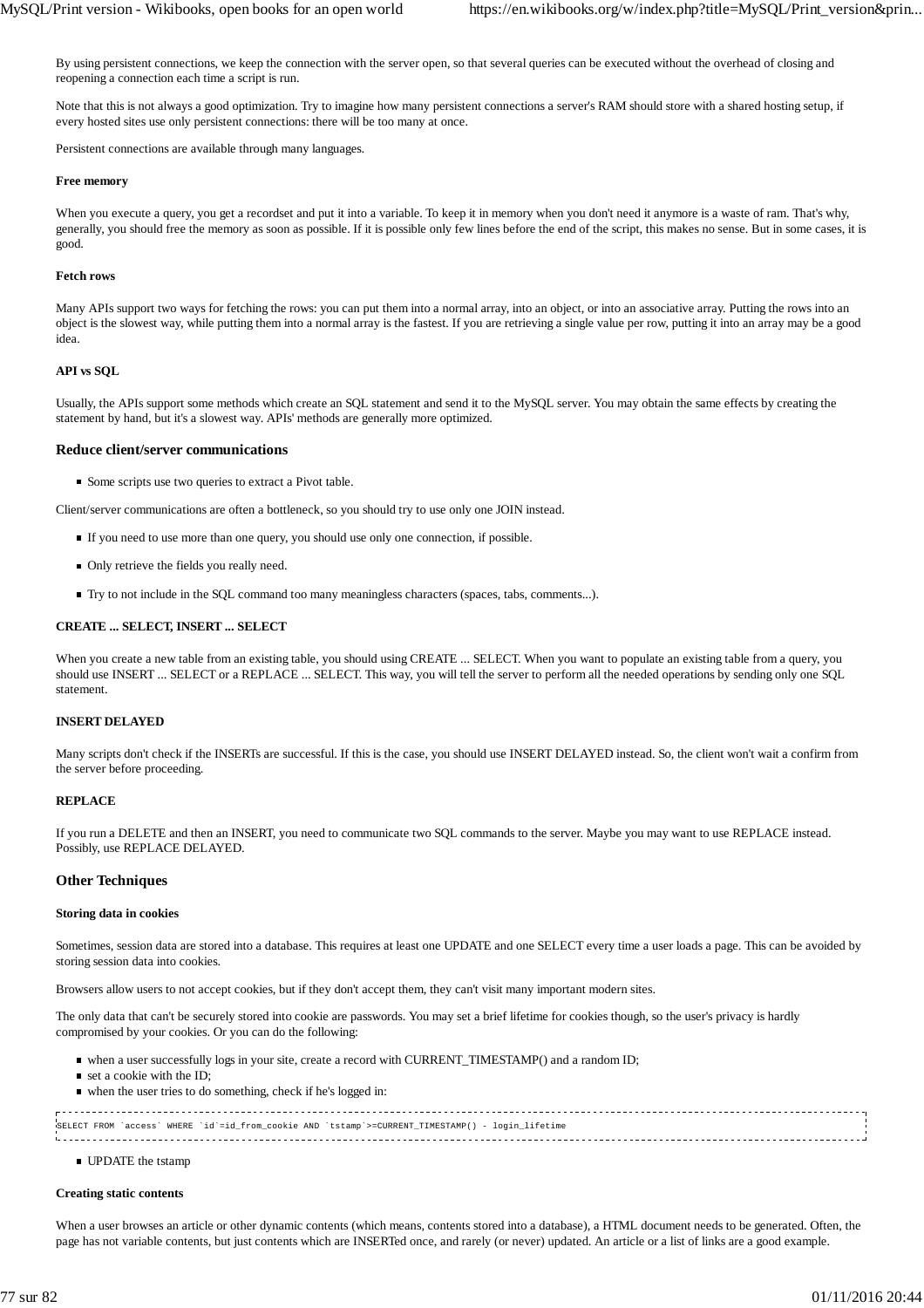By using persistent connections, we keep the connection with the server open, so that several queries can be executed without the overhead of closing and reopening a connection each time a script is run.

Note that this is not always a good optimization. Try to imagine how many persistent connections a server's RAM should store with a shared hosting setup, if every hosted sites use only persistent connections: there will be too many at once.

Persistent connections are available through many languages.

#### **Free memory**

When you execute a query, you get a recordset and put it into a variable. To keep it in memory when you don't need it anymore is a waste of ram. That's why, generally, you should free the memory as soon as possible. If it is possible only few lines before the end of the script, this makes no sense. But in some cases, it is good.

#### **Fetch rows**

Many APIs support two ways for fetching the rows: you can put them into a normal array, into an object, or into an associative array. Putting the rows into an object is the slowest way, while putting them into a normal array is the fastest. If you are retrieving a single value per row, putting it into an array may be a good idea.

#### **API vs SQL**

Usually, the APIs support some methods which create an SQL statement and send it to the MySQL server. You may obtain the same effects by creating the statement by hand, but it's a slowest way. APIs' methods are generally more optimized.

#### **Reduce client/server communications**

■ Some scripts use two queries to extract a Pivot table.

Client/server communications are often a bottleneck, so you should try to use only one JOIN instead.

- If you need to use more than one query, you should use only one connection, if possible.
- $\blacksquare$  Only retrieve the fields you really need.
- Try to not include in the SQL command too many meaningless characters (spaces, tabs, comments...).

#### **CREATE ... SELECT, INSERT ... SELECT**

When you create a new table from an existing table, you should using CREATE ... SELECT. When you want to populate an existing table from a query, you should use INSERT ... SELECT or a REPLACE ... SELECT. This way, you will tell the server to perform all the needed operations by sending only one SQL statement.

## **INSERT DELAYED**

Many scripts don't check if the INSERTs are successful. If this is the case, you should use INSERT DELAYED instead. So, the client won't wait a confirm from the server before proceeding.

#### **REPLACE**

If you run a DELETE and then an INSERT, you need to communicate two SQL commands to the server. Maybe you may want to use REPLACE instead. Possibly, use REPLACE DELAYED.

#### **Other Techniques**

#### **Storing data in cookies**

Sometimes, session data are stored into a database. This requires at least one UPDATE and one SELECT every time a user loads a page. This can be avoided by storing session data into cookies.

Browsers allow users to not accept cookies, but if they don't accept them, they can't visit many important modern sites.

The only data that can't be securely stored into cookie are passwords. You may set a brief lifetime for cookies though, so the user's privacy is hardly compromised by your cookies. Or you can do the following:

- when a user successfully logs in your site, create a record with CURRENT\_TIMESTAMP() and a random ID;
- set a cookie with the ID;
- when the user tries to do something, check if he's logged in:

| SELECT FROM 'access' WHERE 'id'=id from cookie AND 'tstamp'>=CURRENT TIMESTAMP() - login lifetime |  |
|---------------------------------------------------------------------------------------------------|--|
|                                                                                                   |  |
|                                                                                                   |  |
|                                                                                                   |  |

**UPDATE** the tstamp

#### **Creating static contents**

When a user browses an article or other dynamic contents (which means, contents stored into a database), a HTML document needs to be generated. Often, the page has not variable contents, but just contents which are INSERTed once, and rarely (or never) updated. An article or a list of links are a good example.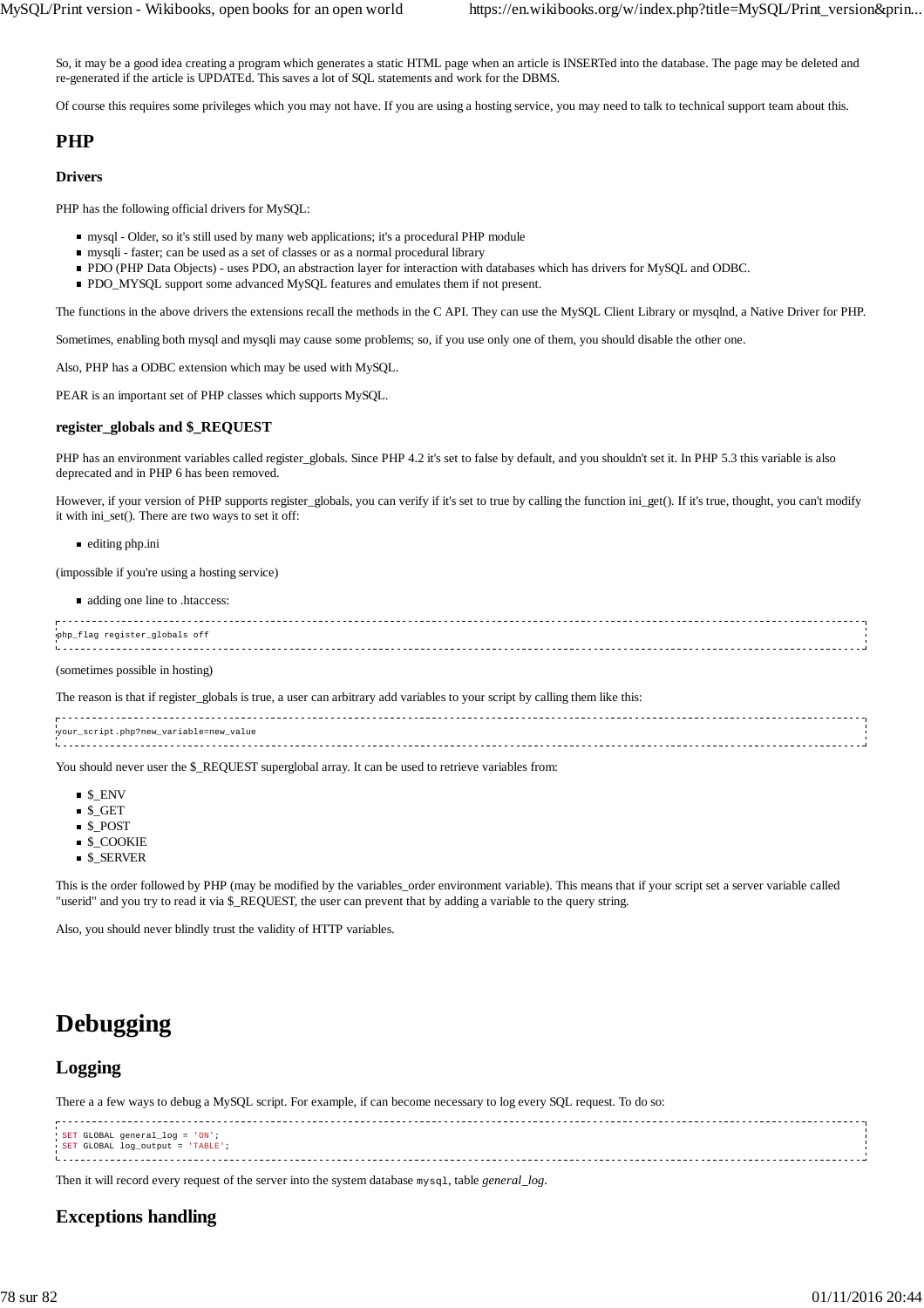So, it may be a good idea creating a program which generates a static HTML page when an article is INSERTed into the database. The page may be deleted and re-generated if the article is UPDATEd. This saves a lot of SQL statements and work for the DBMS.

Of course this requires some privileges which you may not have. If you are using a hosting service, you may need to talk to technical support team about this.

# **PHP**

## **Drivers**

PHP has the following official drivers for MySQL:

- mysql Older, so it's still used by many web applications; it's a procedural PHP module
- mysqli faster; can be used as a set of classes or as a normal procedural library
- PDO (PHP Data Objects) uses PDO, an abstraction layer for interaction with databases which has drivers for MySQL and ODBC.
- **PDO\_MYSQL** support some advanced MySQL features and emulates them if not present.

The functions in the above drivers the extensions recall the methods in the C API. They can use the MySQL Client Library or mysqlnd, a Native Driver for PHP.

Sometimes, enabling both mysql and mysqli may cause some problems; so, if you use only one of them, you should disable the other one.

Also, PHP has a ODBC extension which may be used with MySQL.

PEAR is an important set of PHP classes which supports MySQL.

#### **register\_globals and \$\_REQUEST**

PHP has an environment variables called register\_globals. Since PHP 4.2 it's set to false by default, and you shouldn't set it. In PHP 5.3 this variable is also deprecated and in PHP 6 has been removed.

However, if your version of PHP supports register\_globals, you can verify if it's set to true by calling the function ini\_get(). If it's true, thought, you can't modify it with ini\_set(). There are two ways to set it off:

editing php.ini

(impossible if you're using a hosting service)

adding one line to .htaccess:

| php_flag register_globals off |  |
|-------------------------------|--|
|                               |  |
|                               |  |
|                               |  |
|                               |  |

(sometimes possible in hosting)

The reason is that if register globals is true, a user can arbitrary add variables to your script by calling them like this:

| your_script.php?new_variable=new_value |  |
|----------------------------------------|--|
|                                        |  |
|                                        |  |
|                                        |  |
|                                        |  |

You should never user the \$\_REQUEST superglobal array. It can be used to retrieve variables from:

- $\blacksquare$  \$ ENV
- \$\_GET
- \$\_POST
- **S** COOKIE
- \$\_SERVER

This is the order followed by PHP (may be modified by the variables order environment variable). This means that if your script set a server variable called "userid" and you try to read it via \$\_REQUEST, the user can prevent that by adding a variable to the query string.

Also, you should never blindly trust the validity of HTTP variables.

# **Debugging**

# **Logging**

There a a few ways to debug a MySQL script. For example, if can become necessary to log every SQL request. To do so:

| SET GLOBAL general_log = 'ON';   |  |
|----------------------------------|--|
| SET GLOBAL log_output = 'TABLE'; |  |
|                                  |  |
|                                  |  |

Then it will record every request of the server into the system database mysql, table *general\_log*.

# **Exceptions handling**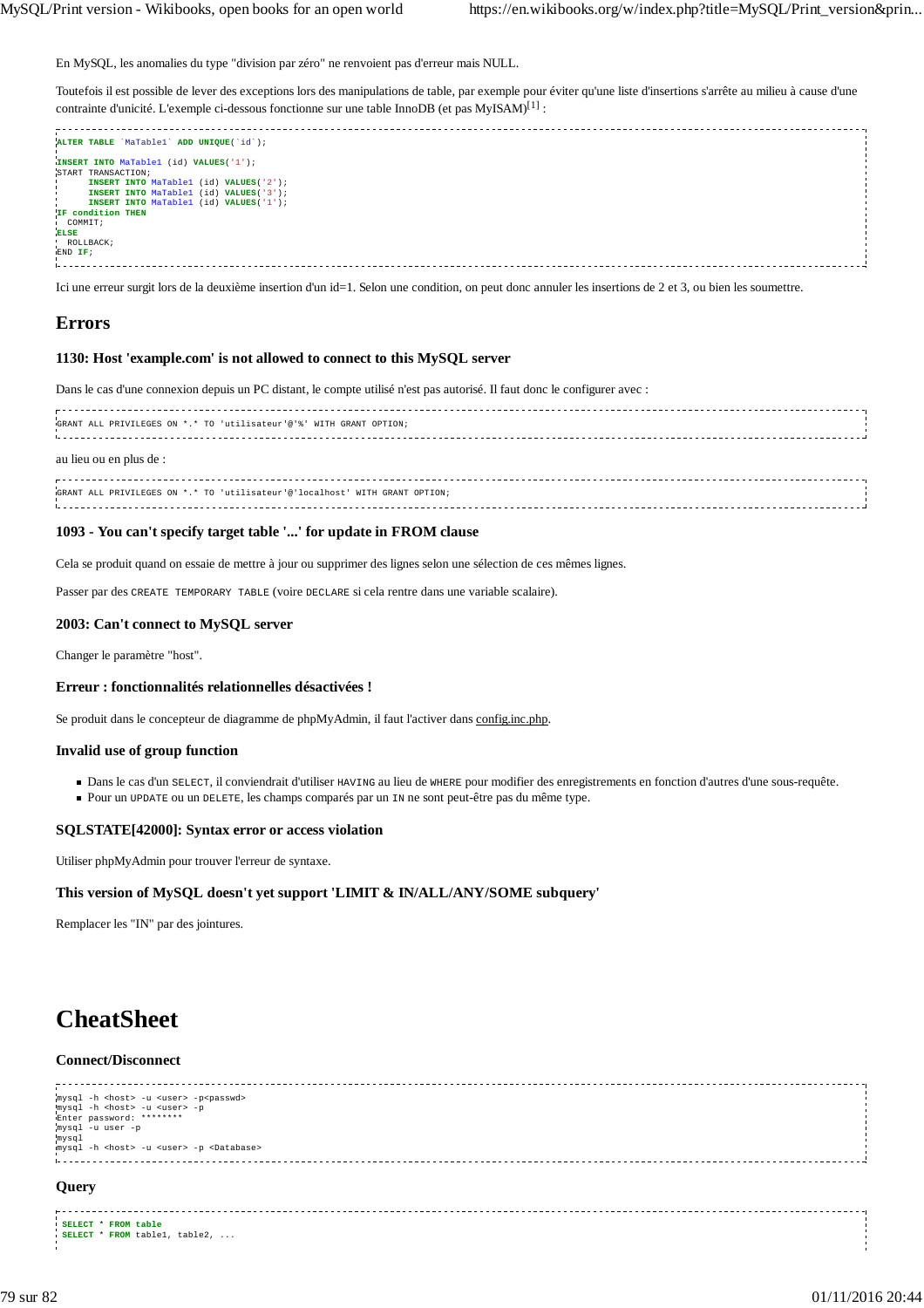En MySQL, les anomalies du type "division par zéro" ne renvoient pas d'erreur mais NULL.

Toutefois il est possible de lever des exceptions lors des manipulations de table, par exemple pour éviter qu'une liste d'insertions s'arrête au milieu à cause d'une contrainte d'unicité. L'exemple ci-dessous fonctionne sur une table InnoDB (et pas MyISAM)<sup>[1]</sup> :

| ALTER TABLE 'MaTable1' ADD UNIQUE('id'); |  |
|------------------------------------------|--|
|                                          |  |
| INSERT INTO MaTablel (id) VALUES('1');   |  |
| START TRANSACTION;                       |  |
|                                          |  |
| INSERT INTO MaTable1 (id) VALUES('2');   |  |
| INSERT INTO MaTablel (id) VALUES('3');   |  |
| INSERT INTO MaTable1 (id) VALUES('1');   |  |
| IF condition THEN                        |  |
| COMMIT;                                  |  |
|                                          |  |
| <b>ELSE</b>                              |  |
| ROLLBACK;                                |  |
| END IF;                                  |  |
|                                          |  |
|                                          |  |
|                                          |  |

Ici une erreur surgit lors de la deuxième insertion d'un id=1. Selon une condition, on peut donc annuler les insertions de 2 et 3, ou bien les soumettre.

# **Errors**

## **1130: Host 'example.com' is not allowed to connect to this MySQL server**

Dans le cas d'une connexion depuis un PC distant, le compte utilisé n'est pas autorisé. Il faut donc le configurer avec :

| GRANT ALL PRIVILEGES ON *.* TO 'utilisateur'@'%' WITH GRANT OPTION;         |  |
|-----------------------------------------------------------------------------|--|
| au lieu ou en plus de :                                                     |  |
| GRANT ALL PRIVILEGES ON *.* TO 'utilisateur'@'localhost' WITH GRANT OPTION; |  |

## **1093 - You can't specify target table '...' for update in FROM clause**

Cela se produit quand on essaie de mettre à jour ou supprimer des lignes selon une sélection de ces mêmes lignes.

Passer par des CREATE TEMPORARY TABLE (voire DECLARE si cela rentre dans une variable scalaire).

#### **2003: Can't connect to MySQL server**

Changer le paramètre "host".

#### **Erreur : fonctionnalités relationnelles désactivées !**

Se produit dans le concepteur de diagramme de phpMyAdmin, il faut l'activer dans config.inc.php.

## **Invalid use of group function**

- Dans le cas d'un SELECT, il conviendrait d'utiliser HAVING au lieu de WHERE pour modifier des enregistrements en fonction d'autres d'une sous-requête.
- Pour un UPDATE ou un DELETE, les champs comparés par un IN ne sont peut-être pas du même type.

## **SQLSTATE[42000]: Syntax error or access violation**

Utiliser phpMyAdmin pour trouver l'erreur de syntaxe.

## **This version of MySQL doesn't yet support 'LIMIT & IN/ALL/ANY/SOME subquery'**

Remplacer les "IN" par des jointures.

**SELECT** \* **FROM table SELECT** \* **FROM** table1, table2, ...

# **CheatSheet**

# **Connect/Disconnect**

| mysql -h <host> -u <user> -p<passwd><br/>mysql -h <host> -u <user> -p<br/>Enter password: ********<br/>mysql -u user -p<br/>mysql<br/>mysql -h <host> -u <user> -p <database></database></user></host></user></host></passwd></user></host> |  |
|---------------------------------------------------------------------------------------------------------------------------------------------------------------------------------------------------------------------------------------------|--|
| Query                                                                                                                                                                                                                                       |  |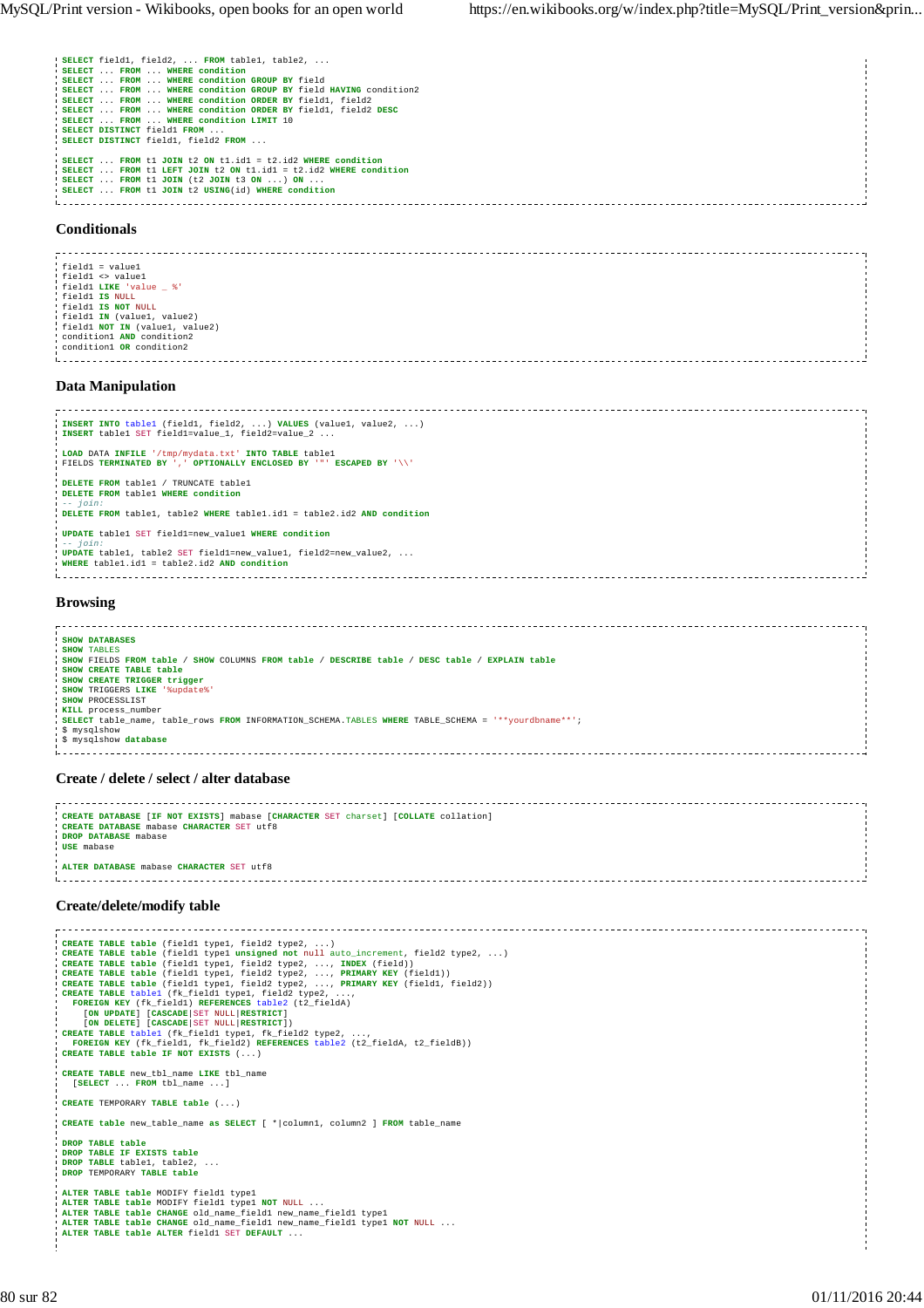|  | 'SELECT field1, field2,  FROM table1, table2,                   |
|--|-----------------------------------------------------------------|
|  | I SELECT FROM WHERE condition                                   |
|  | SELECT  FROM  WHERE condition GROUP BY field                    |
|  | 'SELECT  FROM  WHERE condition GROUP BY field HAVING condition2 |
|  | SELECT  FROM  WHERE condition ORDER BY field1, field2           |
|  | SELECT  FROM  WHERE condition ORDER BY field1, field2 DESC      |
|  | SELECT  FROM  WHERE condition LIMIT 10                          |
|  | I SELECT DISTINCT field1 FROM                                   |
|  | SELECT DISTINCT field1, field2 FROM                             |
|  |                                                                 |
|  | SELECT  FROM t1 JOIN t2 ON t1.id1 = t2.id2 WHERE condition      |
|  | SELECT  FROM t1 LEFT JOIN t2 ON t1.id1 = t2.id2 WHERE condition |
|  | SELECT  FROM t1 JOIN (t2 JOIN t3 ON ) ON                        |
|  | SELECT  FROM t1 JOIN t2 USING(id) WHERE condition               |
|  |                                                                 |

## **Conditionals**

field1 = value1 field1 <> value1 field1 **LIKE** 'value \_ %' field1 **IS** NULL field1 **IS NOT** NULL field1 **IN** (value1, value2) field1 **NOT IN** (value1, value2) condition1 **AND** condition2 condition1 **OR** condition2 

#### **Data Manipulation**

| INSERT INTO tablel (field1, field2, ) VALUES (value1, value2, )<br>INSERT tablel SET field1=value_1, field2=value_2            |  |
|--------------------------------------------------------------------------------------------------------------------------------|--|
| LOAD DATA INFILE '/tmp/mydata.txt' INTO TABLE tablel<br>! FIELDS TERMINATED BY ', ' OPTIONALLY ENCLOSED BY '"' ESCAPED BY '\\' |  |
| DELETE FROM table1 / TRUNCATE table1                                                                                           |  |
| DELETE FROM table1 WHERE condition<br>$- - j \sin x$<br>DELETE FROM table1, table2 WHERE table1.id1 = table2.id2 AND condition |  |
| UPDATE tablel SET fieldl=new valuel WHERE condition<br>$-- 70 in:$                                                             |  |
| UPDATE table1, table2 SET field1=new value1, field2=new value2,<br>WHERE table1.id1 = table2.id2 AND condition                 |  |
|                                                                                                                                |  |
| <b>Browsing</b>                                                                                                                |  |
|                                                                                                                                |  |

```
SHOW DATABASES
 SHOW TABLES
SHOW FIELDS FROM table / SHOW COLUMNS FROM table / DESCRIBE table / DESC table / EXPLAIN table
 SHOW CREATE TABLE table
SHOW CREATE TRIGGER trigger
SHOW TRIGGERS LIKE '%update%'
 SHOW PROCESSLIST
KILL process_number
 SELECT table_name, table_rows FROM INFORMATION_SCHEMA.TABLES WHERE TABLE_SCHEMA = '**yourdbname**';
 $ mysqlshow
 $ mysqlshow database
.<br>Liikuvallisel liikuvallisel liikuvallisel liikuvallisel liikuvallisel liikuvallisel liikuvallisel liikuvallise
```
#### **Create / delete / select / alter database**

```
CREATE DATABASE [IF NOT EXISTS] mabase [CHARACTER SET charset] [COLLATE collation]
CREATE DATABASE mabase CHARACTER SET utf8
 DROP DATABASE mabase
USE mabase
ALTER DATABASE mabase CHARACTER SET utf8
```
## **Create/delete/modify table**

CREATE TABLE table (fieldl typel, field2 type2, ...)<br>CREATE TABLE table (fieldl typel umsigned not null auto\_increment, field2 type2, ...)<br>CREATE TABLE table (fieldl typel, field2 type2, ..., TNDEX (field))<br>CREATE TABLE ta **CREATE TABLE table IF NOT EXISTS** (...) **CREATE TABLE** new\_tbl\_name **LIKE** tbl\_name [**SELECT** ... **FROM** tbl\_name ...] **CREATE** TEMPORARY **TABLE table** (...) **CREATE table** new\_table\_name **as SELECT** [ \*|column1, column2 ] **FROM** table\_name **DROP TABLE table DROP TABLE IF EXISTS table DROP TABLE** table1, table2, ... **DROP** TEMPORARY **TABLE table ALTER TABLE table** MODIFY fieldl typel<br>**ALTER TABLE table MODIFY** fieldl typel NOT NULL ...<br>**ALTER TABLE table CHANGE** old\_name\_fieldl new\_name\_fieldl typel<br>**ALTER TABLE table CHANGE** old\_name\_fieldl new\_name\_fieldl typel **ALTER TABLE table ALTER** field1 SET **DEFAULT** ...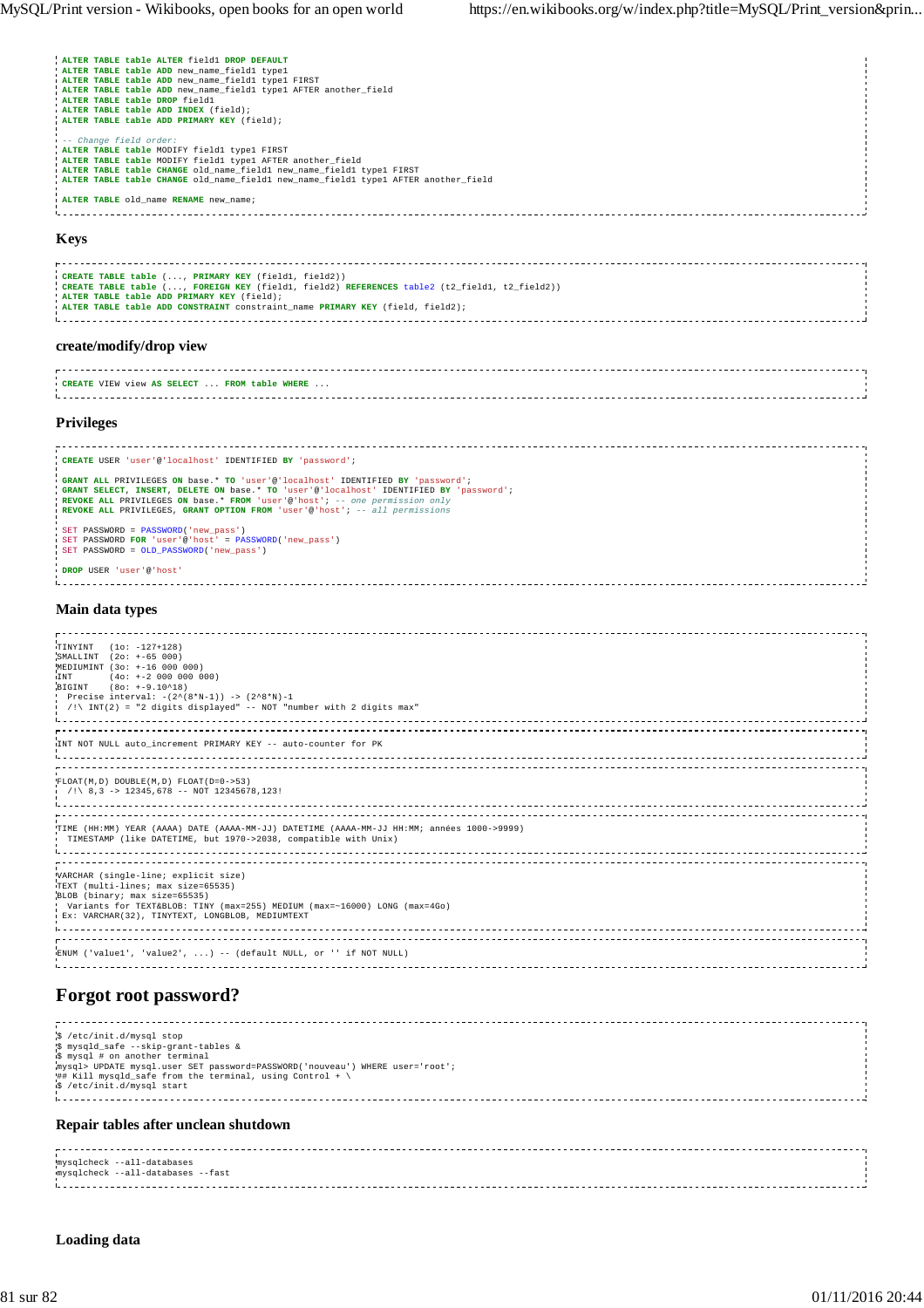. . . . .

| ALTER TABLE table ALTER field1 DROP DEFAULT                                        |
|------------------------------------------------------------------------------------|
| ALTER TABLE table ADD new name field1 type1                                        |
| ALTER TABLE table ADD new name fieldl typel FIRST                                  |
| ALTER TABLE table ADD new name fieldl typel AFTER another field                    |
| ALTER TABLE table DROP field1                                                      |
| ALTER TABLE table ADD INDEX (field);                                               |
| ALTER TABLE table ADD PRIMARY KEY (field);                                         |
|                                                                                    |
| -- Change field order:                                                             |
| ALTER TABLE table MODIFY fieldl typel FIRST                                        |
| ! ALTER TABLE table MODIFY field1 type1 AFTER another field                        |
| ALTER TABLE table CHANGE old name fieldl new name fieldl typel FIRST               |
| ALTER TABLE table CHANGE old name fieldl new name fieldl typel AFTER another field |
|                                                                                    |
| <b>ALTER TABLE</b> old name RENAME new name;                                       |
|                                                                                    |
|                                                                                    |

## **Keys**

| CREATE TABLE table (, PRIMARY KEY (field1, field2))                                          |  |
|----------------------------------------------------------------------------------------------|--|
|                                                                                              |  |
| CREATE TABLE table (, FOREIGN KEY (field1, field2) REFERENCES table2 (t2 field1, t2 field2)) |  |
| ! ALTER TABLE table ADD PRIMARY KEY (field);                                                 |  |
|                                                                                              |  |
| . ALTER TABLE table ADD CONSTRAINT constraint name PRIMARY KEY (field, field2);              |  |
|                                                                                              |  |
|                                                                                              |  |
|                                                                                              |  |

## **create/modify/drop view**

| CREATE VIEW view AS SELECT.<br>FROM table WHERE |  |
|-------------------------------------------------|--|
|                                                 |  |
|                                                 |  |

#### **Privileges**

```
CREATE USER 'user'@'localhost' IDENTIFIED BY 'password';
 GRANT ALL PRIVILEGES ON base.* TO 'user'@'localhost' IDENTIFIED BY 'password';<br>GRANT SELECT, INSERT, DELETE ON base.* TO 'user'@'localhost' IDENTIFIED BY 'password';<br>REVOKE ALL PRIVILEGES ON base.* FROM 'user'@'host'; --
 SET PASSWORD = PASSWORD('new_pass')<br>SET PASSWORD FOR 'user'@'host' = PASSWORD('new_pass')<br>SET PASSWORD = OLD_PASSWORD('new_pass')
DROP USER 'user'@'host'
```
## **Main data types**

| TINYINT (10: -127+128)<br>SMALLINT (20: +-65 000)<br>MEDIUMINT (3o: +-16 000 000)<br>$(40: +2 000 000 000)$<br><b>ITNT</b><br>BIGINT (80: +-9.10^18)<br>Precise interval: $-(2^{(8*N-1)})$ -> $(2^{8*N})$ -1<br>$\mid$ /!\ INT(2) = "2 digits displayed" -- NOT "number with 2 digits max" |  |
|--------------------------------------------------------------------------------------------------------------------------------------------------------------------------------------------------------------------------------------------------------------------------------------------|--|
| INT NOT NULL auto increment PRIMARY KEY -- auto-counter for PK                                                                                                                                                                                                                             |  |
| $FLOAT(M, D) DOUBLE (M, D) FLOAT(D=0->53)$<br>$($ /!\ 8,3 -> 12345,678 -- NOT 12345678,123!                                                                                                                                                                                                |  |
| TIME (HH:MM) YEAR (AAAA) DATE (AAAA-MM-JJ) DATETIME (AAAA-MM-JJ HH:MM; années 1000->9999)<br>TIMESTAMP (like DATETIME, but 1970->2038, compatible with Unix)                                                                                                                               |  |
| VARCHAR (single-line; explicit size)<br>TEXT (multi-lines; max size=65535)<br>BLOB (binary; max size=65535)<br>Variants for TEXT&BLOB: TINY (max=255) MEDIUM (max=~16000) LONG (max=4Go)<br>Ex: VARCHAR(32), TINYTEXT, LONGBLOB, MEDIUMTEXT                                                |  |
| ENUM ('value1', 'value2', ) -- (default NULL, or '' if NOT NULL)                                                                                                                                                                                                                           |  |

# **Forgot root password?**

| \$ /etc/init.d/mysql stop<br>\$ mysqld_safe --skip-grant-tables &<br>is mysql # on another terminal<br>mysql> UPDATE mysql.user SET password=PASSWORD('nouveau') WHERE user='root';<br>## Kill mysqld_safe from the terminal, using Control + $\setminus$<br>§ /etc/init.d/mysql start |  |  |  |
|----------------------------------------------------------------------------------------------------------------------------------------------------------------------------------------------------------------------------------------------------------------------------------------|--|--|--|
| Repair tables after unclean shutdown                                                                                                                                                                                                                                                   |  |  |  |



# **Loading data**